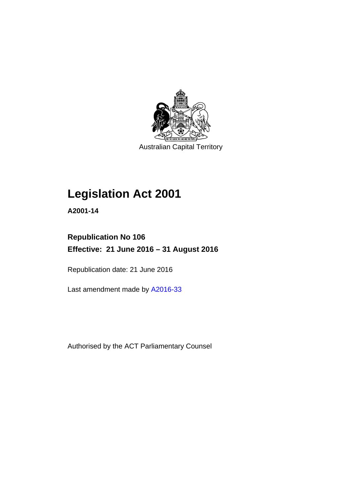

Australian Capital Territory

## **Legislation Act 2001**

**A2001-14** 

## **Republication No 106 Effective: 21 June 2016 – 31 August 2016**

Republication date: 21 June 2016

Last amendment made by [A2016-33](http://www.legislation.act.gov.au/a/2016-33)

Authorised by the ACT Parliamentary Counsel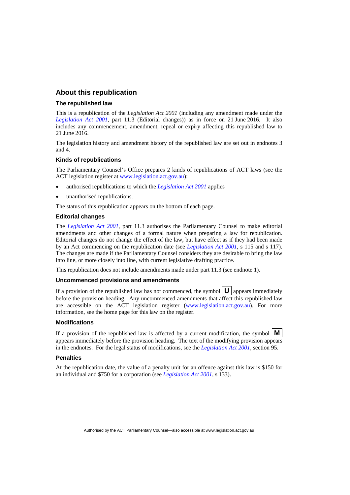### **About this republication**

#### **The republished law**

This is a republication of the *Legislation Act 2001* (including any amendment made under the *[Legislation Act 2001](http://www.legislation.act.gov.au/a/2001-14)*, part 11.3 (Editorial changes)) as in force on 21 June 2016*.* It also includes any commencement, amendment, repeal or expiry affecting this republished law to 21 June 2016.

The legislation history and amendment history of the republished law are set out in endnotes 3 and 4.

#### **Kinds of republications**

The Parliamentary Counsel's Office prepares 2 kinds of republications of ACT laws (see the ACT legislation register at [www.legislation.act.gov.au](http://www.legislation.act.gov.au/)):

- authorised republications to which the *[Legislation Act 2001](http://www.legislation.act.gov.au/a/2001-14)* applies
- unauthorised republications.

The status of this republication appears on the bottom of each page.

#### **Editorial changes**

The *[Legislation Act 2001](http://www.legislation.act.gov.au/a/2001-14)*, part 11.3 authorises the Parliamentary Counsel to make editorial amendments and other changes of a formal nature when preparing a law for republication. Editorial changes do not change the effect of the law, but have effect as if they had been made by an Act commencing on the republication date (see *[Legislation Act 2001](http://www.legislation.act.gov.au/a/2001-14)*, s 115 and s 117). The changes are made if the Parliamentary Counsel considers they are desirable to bring the law into line, or more closely into line, with current legislative drafting practice.

This republication does not include amendments made under part 11.3 (see endnote 1).

#### **Uncommenced provisions and amendments**

If a provision of the republished law has not commenced, the symbol  $\mathbf{U}$  appears immediately before the provision heading. Any uncommenced amendments that affect this republished law are accessible on the ACT legislation register [\(www.legislation.act.gov.au](http://www.legislation.act.gov.au/)). For more information, see the home page for this law on the register.

#### **Modifications**

If a provision of the republished law is affected by a current modification, the symbol  $\mathbf{M}$ appears immediately before the provision heading. The text of the modifying provision appears in the endnotes. For the legal status of modifications, see the *[Legislation Act 2001](http://www.legislation.act.gov.au/a/2001-14)*, section 95.

#### **Penalties**

At the republication date, the value of a penalty unit for an offence against this law is \$150 for an individual and \$750 for a corporation (see *[Legislation Act 2001](http://www.legislation.act.gov.au/a/2001-14)*, s 133).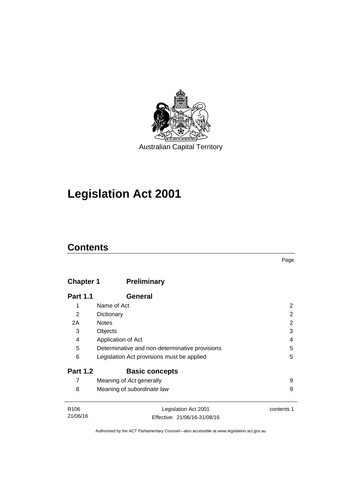

## **Legislation Act 2001**

## **Contents**

## **Chapter 1 [Preliminary](#page-17-0)**

| <b>Part 1.1</b>   | General                                        |                 |
|-------------------|------------------------------------------------|-----------------|
| 1                 | Name of Act                                    | 2               |
| 2                 | Dictionary                                     | 2               |
| 2A                | <b>Notes</b>                                   | 2               |
| 3                 | Objects                                        | 3               |
| 4                 | Application of Act                             | 4               |
| 5                 | Determinative and non-determinative provisions | 5               |
| 6                 | Legislation Act provisions must be applied     | 5               |
| <b>Part 1.2</b>   | <b>Basic concepts</b>                          |                 |
| 7                 | Meaning of Act generally                       | 9               |
| 8                 | Meaning of subordinate law                     | 9               |
| D <sub>10</sub> c | Logiolation Ast 2001                           | $\sim$ ntonto 1 |

| R <sub>106</sub> | Legislation Act 2001         | contents 1 |
|------------------|------------------------------|------------|
| 21/06/16         | Effective: 21/06/16-31/08/16 |            |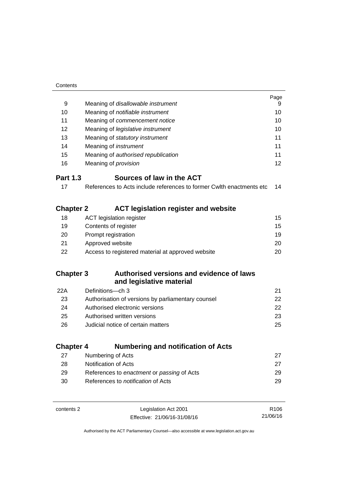| Contents         |                                                                      |                  |
|------------------|----------------------------------------------------------------------|------------------|
|                  |                                                                      | Page             |
| 9                | Meaning of disallowable instrument                                   | 9                |
| 10               | Meaning of notifiable instrument                                     | 10               |
| 11               | Meaning of commencement notice                                       |                  |
| 12               | Meaning of legislative instrument                                    | 10               |
| 13               | Meaning of statutory instrument                                      | 11               |
| 14               | Meaning of instrument                                                | 11               |
| 15               | Meaning of authorised republication                                  | 11               |
| 16               | Meaning of <i>provision</i>                                          | 12               |
| <b>Part 1.3</b>  | Sources of law in the ACT                                            |                  |
| 17               | References to Acts include references to former Cwlth enactments etc | 14               |
|                  |                                                                      |                  |
| <b>Chapter 2</b> | <b>ACT legislation register and website</b>                          |                  |
| 18               | <b>ACT legislation register</b>                                      | 15               |
| 19               | Contents of register                                                 | 15               |
| 20               | Prompt registration                                                  | 19               |
| 21               | Approved website                                                     | 20               |
| 22               | Access to registered material at approved website                    | 20               |
|                  |                                                                      |                  |
| <b>Chapter 3</b> | Authorised versions and evidence of laws                             |                  |
|                  | and legislative material                                             |                  |
| 22A              | Definitions-ch 3                                                     | 21               |
| 23               | Authorisation of versions by parliamentary counsel                   | 22               |
| 24               | Authorised electronic versions                                       | 22               |
| 25               | Authorised written versions                                          | 23               |
| 26               | Judicial notice of certain matters                                   | 25               |
|                  |                                                                      |                  |
| <b>Chapter 4</b> | <b>Numbering and notification of Acts</b>                            |                  |
| 27               | Numbering of Acts                                                    | 27               |
| 28               | <b>Notification of Acts</b>                                          | 27               |
| 29               | References to enactment or passing of Acts                           | 29               |
| 30               | References to notification of Acts                                   | 29               |
|                  |                                                                      |                  |
| contents 2       | Legislation Act 2001                                                 | R <sub>106</sub> |
|                  | Effective: 21/06/16-31/08/16                                         | 21/06/16         |

Effective: 21/06/16-31/08/16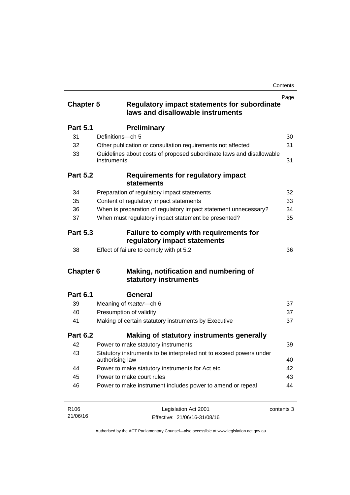| <b>Chapter 5</b> | <b>Regulatory impact statements for subordinate</b>                                   | Page       |
|------------------|---------------------------------------------------------------------------------------|------------|
|                  | laws and disallowable instruments                                                     |            |
| <b>Part 5.1</b>  | <b>Preliminary</b>                                                                    |            |
| 31               | Definitions-ch 5                                                                      | 30         |
| 32               | Other publication or consultation requirements not affected                           | 31         |
| 33               | Guidelines about costs of proposed subordinate laws and disallowable<br>instruments   | 31         |
| <b>Part 5.2</b>  | <b>Requirements for regulatory impact</b><br><b>statements</b>                        |            |
| 34               | Preparation of regulatory impact statements                                           | 32         |
| 35               | Content of regulatory impact statements                                               | 33         |
| 36               | When is preparation of regulatory impact statement unnecessary?                       | 34         |
| 37               | When must regulatory impact statement be presented?                                   | 35         |
| <b>Part 5.3</b>  | <b>Failure to comply with requirements for</b><br>regulatory impact statements        |            |
| 38               | Effect of failure to comply with pt 5.2                                               | 36         |
| <b>Chapter 6</b> | Making, notification and numbering of<br>statutory instruments                        |            |
| <b>Part 6.1</b>  | General                                                                               |            |
| 39               | Meaning of <i>matter</i> -ch 6                                                        | 37         |
| 40               | Presumption of validity                                                               | 37         |
| 41               | Making of certain statutory instruments by Executive                                  | 37         |
| <b>Part 6.2</b>  | Making of statutory instruments generally                                             |            |
| 42               | Power to make statutory instruments                                                   | 39         |
| 43               | Statutory instruments to be interpreted not to exceed powers under<br>authorising law | 40         |
| 44               | Power to make statutory instruments for Act etc                                       | 42         |
| 45               | Power to make court rules                                                             | 43         |
| 46               | Power to make instrument includes power to amend or repeal                            | 44         |
| R106             | Legislation Act 2001                                                                  | contents 3 |

R106 21/06/16 Legislation Act 2001 Effective: 21/06/16-31/08/16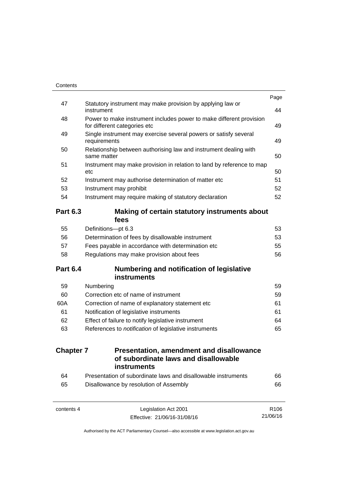| Contents         |                                                                                                     |                  |
|------------------|-----------------------------------------------------------------------------------------------------|------------------|
|                  |                                                                                                     | Page             |
| 47               | Statutory instrument may make provision by applying law or<br>instrument                            | 44               |
| 48               | Power to make instrument includes power to make different provision<br>for different categories etc | 49               |
| 49               | Single instrument may exercise several powers or satisfy several<br>requirements                    | 49               |
| 50               | Relationship between authorising law and instrument dealing with<br>same matter                     | 50               |
| 51               | Instrument may make provision in relation to land by reference to map<br>etc                        | 50               |
| 52               | Instrument may authorise determination of matter etc                                                | 51               |
| 53               | Instrument may prohibit                                                                             | 52               |
| 54               | Instrument may require making of statutory declaration                                              | 52               |
| <b>Part 6.3</b>  | Making of certain statutory instruments about<br>fees                                               |                  |
| 55               | Definitions-pt 6.3                                                                                  | 53               |
| 56               | Determination of fees by disallowable instrument                                                    | 53               |
| 57               | Fees payable in accordance with determination etc                                                   | 55               |
| 58               | Regulations may make provision about fees                                                           | 56               |
| <b>Part 6.4</b>  | <b>Numbering and notification of legislative</b>                                                    |                  |
|                  | instruments                                                                                         |                  |
| 59               | Numbering                                                                                           | 59               |
| 60               | Correction etc of name of instrument                                                                | 59               |
| 60A              | Correction of name of explanatory statement etc                                                     | 61               |
| 61               | Notification of legislative instruments                                                             | 61               |
| 62               | Effect of failure to notify legislative instrument                                                  | 64               |
| 63               | References to notification of legislative instruments                                               | 65               |
| <b>Chapter 7</b> | <b>Presentation, amendment and disallowance</b><br>of subordinate laws and disallowable             |                  |
|                  | instruments                                                                                         |                  |
| 64               | Presentation of subordinate laws and disallowable instruments                                       | 66               |
| 65               | Disallowance by resolution of Assembly                                                              | 66               |
| contents 4       | Legislation Act 2001                                                                                | R <sub>106</sub> |

21/06/16

Effective: 21/06/16-31/08/16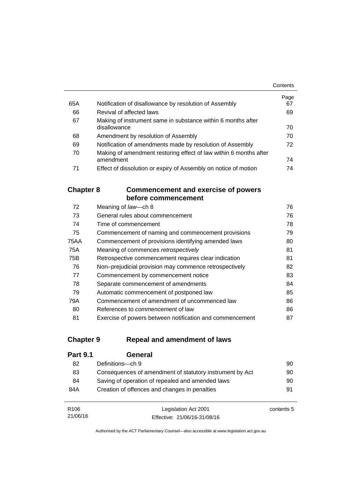|     |                                                                   | Contents |
|-----|-------------------------------------------------------------------|----------|
|     |                                                                   | Page     |
| 65A | Notification of disallowance by resolution of Assembly            | 67       |
| 66  | Revival of affected laws                                          | 69       |
| 67  | Making of instrument same in substance within 6 months after      |          |
|     | disallowance                                                      | 70       |
| 68  | Amendment by resolution of Assembly                               | 70       |
| 69  | Notification of amendments made by resolution of Assembly         | 72       |
| 70  | Making of amendment restoring effect of law within 6 months after |          |
|     | amendment                                                         | 74       |
| 71  | Effect of dissolution or expiry of Assembly on notice of motion   | 74       |

### **Chapter 8 [Commencement and exercise of powers](#page-91-0)  [before commencement](#page-91-0)**

| 72   | Meaning of law-ch 8                                      | 76 |
|------|----------------------------------------------------------|----|
| 73   | General rules about commencement                         | 76 |
| 74   | Time of commencement                                     | 78 |
| 75   | Commencement of naming and commencement provisions       | 79 |
| 75AA | Commencement of provisions identifying amended laws      | 80 |
| 75A  | Meaning of commences retrospectively                     | 81 |
| 75B  | Retrospective commencement requires clear indication     | 81 |
| 76   | Non-prejudicial provision may commence retrospectively   | 82 |
| 77   | Commencement by commencement notice                      | 83 |
| 78   | Separate commencement of amendments                      | 84 |
| 79   | Automatic commencement of postponed law                  | 85 |
| 79A  | Commencement of amendment of uncommenced law             | 86 |
| 80   | References to <i>commencement</i> of law                 | 86 |
| 81   | Exercise of powers between notification and commencement | 87 |

### **Chapter 9 [Repeal and amendment of laws](#page-105-0)**

| <b>Part 9.1</b> | General                                                  |    |
|-----------------|----------------------------------------------------------|----|
| 82              | Definitions-ch 9                                         | 90 |
| 83              | Consequences of amendment of statutory instrument by Act | 90 |
| 84              | Saving of operation of repealed and amended laws         | 90 |
| 84A             | Creation of offences and changes in penalties            | 91 |
|                 |                                                          |    |

| R <sub>106</sub> | Legislation Act 2001         | contents 5 |
|------------------|------------------------------|------------|
| 21/06/16         | Effective: 21/06/16-31/08/16 |            |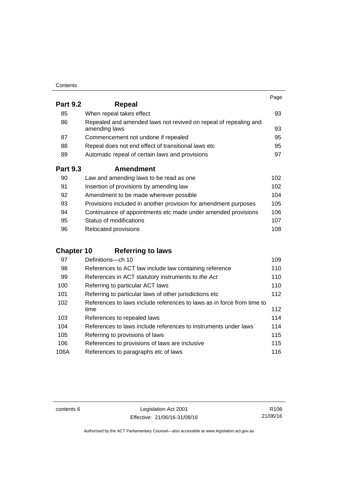| Contents |
|----------|
|----------|

|                 |                                                                                   | Page |
|-----------------|-----------------------------------------------------------------------------------|------|
| <b>Part 9.2</b> | Repeal                                                                            |      |
| 85              | When repeal takes effect                                                          | 93   |
| 86              | Repealed and amended laws not revived on repeal of repealing and<br>amending laws | 93   |
| 87              | Commencement not undone if repealed                                               | 95   |
| 88              | Repeal does not end effect of transitional laws etc                               | 95   |
| 89              | Automatic repeal of certain laws and provisions                                   | 97   |
| <b>Part 9.3</b> | <b>Amendment</b>                                                                  |      |
| 90              | Law and amending laws to be read as one                                           | 102  |
| 91              | Insertion of provisions by amending law                                           | 102  |
| 92              | Amendment to be made wherever possible                                            | 104  |
| 93              | Provisions included in another provision for amendment purposes                   | 105  |
| 94              | Continuance of appointments etc made under amended provisions                     | 106  |
| 95              | Status of modifications                                                           | 107  |

96 Relocated provisions **108** 

## **Chapter 10 [Referring to laws](#page-124-0)**

| 97   | Definitions-ch 10                                                      | 109 |
|------|------------------------------------------------------------------------|-----|
| 98   | References to ACT law include law containing reference                 | 110 |
| 99   | References in ACT statutory instruments to the Act                     | 110 |
| 100  | Referring to particular ACT laws                                       | 110 |
| 101  | Referring to particular laws of other jurisdictions etc                | 112 |
| 102  | References to laws include references to laws as in force from time to |     |
|      | time                                                                   | 112 |
| 103  | References to repealed laws                                            | 114 |
| 104  | References to laws include references to instruments under laws        | 114 |
| 105  | Referring to provisions of laws                                        | 115 |
| 106  | References to provisions of laws are inclusive                         | 115 |
| 106A | References to paragraphs etc of laws                                   | 116 |

contents 6 Legislation Act 2001 Effective: 21/06/16-31/08/16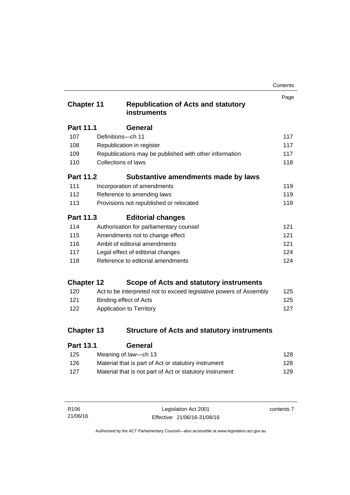| Contents |
|----------|
|----------|

| <b>Chapter 11</b> |                            | <b>Republication of Acts and statutory</b><br><b>instruments</b>   | Page |
|-------------------|----------------------------|--------------------------------------------------------------------|------|
| <b>Part 11.1</b>  |                            | <b>General</b>                                                     |      |
| 107               | Definitions-ch 11          |                                                                    | 117  |
| 108               |                            | Republication in register                                          | 117  |
| 109               |                            | Republications may be published with other information             | 117  |
| 110               | <b>Collections of laws</b> |                                                                    | 118  |
| <b>Part 11.2</b>  |                            | Substantive amendments made by laws                                |      |
| 111               |                            | Incorporation of amendments                                        | 119  |
| 112               |                            | Reference to amending laws                                         | 119  |
| 113               |                            | Provisions not republished or relocated                            | 119  |
| Part 11.3         |                            | <b>Editorial changes</b>                                           |      |
| 114               |                            | Authorisation for parliamentary counsel                            | 121  |
| 115               |                            | Amendments not to change effect                                    | 121  |
| 116               |                            | Ambit of editorial amendments                                      | 121  |
| 117               |                            | Legal effect of editorial changes                                  | 124  |
| 118               |                            | Reference to editorial amendments                                  | 124  |
| <b>Chapter 12</b> |                            | Scope of Acts and statutory instruments                            |      |
| 120               |                            | Act to be interpreted not to exceed legislative powers of Assembly | 125  |
| 121               |                            | <b>Binding effect of Acts</b>                                      | 125  |
| 122               |                            | Application to Territory                                           | 127  |
| <b>Chapter 13</b> |                            | <b>Structure of Acts and statutory instruments</b>                 |      |
| Part 13 1         |                            | General                                                            |      |

| . a.l. v. l | ovnom                                                    |     |
|-------------|----------------------------------------------------------|-----|
| 125         | Meaning of law—ch 13                                     | 128 |
| 126         | Material that is part of Act or statutory instrument     | 128 |
| 127         | Material that is not part of Act or statutory instrument | 129 |
|             |                                                          |     |

| R106     | Legislation Act 2001         | contents 7 |
|----------|------------------------------|------------|
| 21/06/16 | Effective: 21/06/16-31/08/16 |            |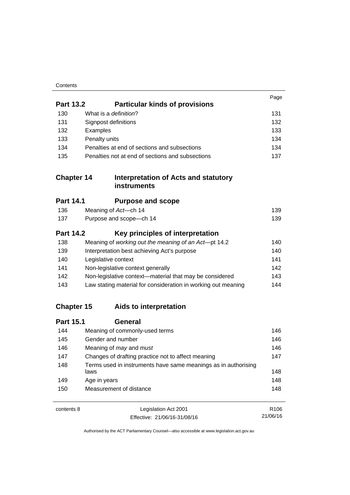| Contents |
|----------|
|----------|

|                   |                                                                        | Page             |
|-------------------|------------------------------------------------------------------------|------------------|
| <b>Part 13.2</b>  | <b>Particular kinds of provisions</b>                                  |                  |
| 130               | What is a definition?                                                  | 131              |
| 131               | Signpost definitions                                                   | 132              |
| 132               | Examples                                                               | 133              |
| 133               | Penalty units                                                          | 134              |
| 134               | Penalties at end of sections and subsections                           | 134              |
| 135               | Penalties not at end of sections and subsections                       | 137              |
| <b>Chapter 14</b> | <b>Interpretation of Acts and statutory</b><br><b>instruments</b>      |                  |
| <b>Part 14.1</b>  | <b>Purpose and scope</b>                                               |                  |
| 136               | Meaning of Act-ch 14                                                   | 139              |
| 137               | Purpose and scope-ch 14                                                | 139              |
| <b>Part 14.2</b>  | Key principles of interpretation                                       |                  |
| 138               | Meaning of working out the meaning of an Act-pt 14.2                   | 140              |
| 139               | Interpretation best achieving Act's purpose                            | 140              |
| 140               | Legislative context                                                    | 141              |
| 141               | Non-legislative context generally                                      | 142              |
| 142               | Non-legislative context-material that may be considered                | 143              |
| 143               | Law stating material for consideration in working out meaning          | 144              |
| <b>Chapter 15</b> | Aids to interpretation                                                 |                  |
| <b>Part 15.1</b>  | <b>General</b>                                                         |                  |
| 144               | Meaning of commonly-used terms                                         | 146              |
| 145               | Gender and number                                                      | 146              |
| 146               | Meaning of may and must                                                | 146              |
| 147               | Changes of drafting practice not to affect meaning                     | 147              |
| 148               | Terms used in instruments have same meanings as in authorising<br>laws | 148              |
| 149               | Age in years                                                           | 148              |
| 150               | Measurement of distance                                                | 148              |
| contents 8        | Legislation Act 2001                                                   | R <sub>106</sub> |

21/06/16

Effective: 21/06/16-31/08/16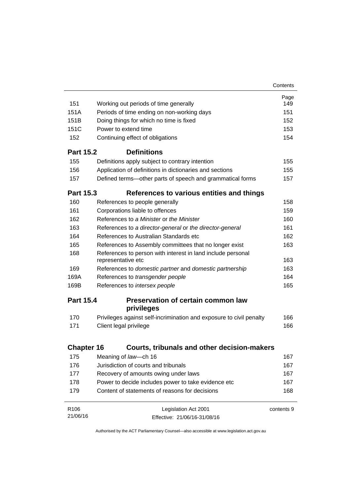|                   |                                                                                   | Contents   |
|-------------------|-----------------------------------------------------------------------------------|------------|
|                   |                                                                                   | Page       |
| 151               | Working out periods of time generally                                             | 149        |
| 151A              | Periods of time ending on non-working days                                        | 151        |
| 151 <sub>B</sub>  | Doing things for which no time is fixed                                           | 152        |
| 151C              | Power to extend time                                                              | 153        |
| 152               | Continuing effect of obligations                                                  | 154        |
| <b>Part 15.2</b>  | <b>Definitions</b>                                                                |            |
| 155               | Definitions apply subject to contrary intention                                   | 155        |
| 156               | Application of definitions in dictionaries and sections                           | 155        |
| 157               | Defined terms—other parts of speech and grammatical forms                         | 157        |
| <b>Part 15.3</b>  | References to various entities and things                                         |            |
| 160               | References to people generally                                                    | 158        |
| 161               | Corporations liable to offences                                                   | 159        |
| 162               | References to a Minister or the Minister                                          | 160        |
| 163               | References to a director-general or the director-general                          | 161        |
| 164               | References to Australian Standards etc                                            | 162        |
| 165               | References to Assembly committees that no longer exist                            | 163        |
| 168               | References to person with interest in land include personal<br>representative etc | 163        |
| 169               | References to domestic partner and domestic partnership                           | 163        |
| 169A              | References to transgender people                                                  | 164        |
| 169B              | References to intersex people                                                     | 165        |
| <b>Part 15.4</b>  | Preservation of certain common law                                                |            |
|                   | privileges                                                                        |            |
| 170               | Privileges against self-incrimination and exposure to civil penalty               | 166        |
| 171               | Client legal privilege                                                            | 166        |
| <b>Chapter 16</b> | Courts, tribunals and other decision-makers                                       |            |
| 175               | Meaning of law-ch 16                                                              | 167        |
| 176               | Jurisdiction of courts and tribunals                                              | 167        |
| 177               | Recovery of amounts owing under laws                                              | 167        |
| 178               | Power to decide includes power to take evidence etc                               | 167        |
| 179               | Content of statements of reasons for decisions                                    | 168        |
| R <sub>106</sub>  | Legislation Act 2001                                                              | contents 9 |
| 21/06/16          | Effective: 21/06/16-31/08/16                                                      |            |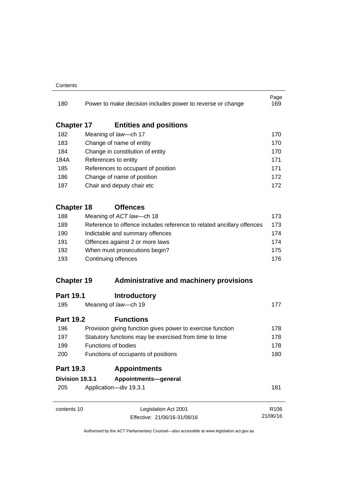#### **Contents**

| 180               |                                     | Power to make decision includes power to reverse or change            | Page<br>169 |  |
|-------------------|-------------------------------------|-----------------------------------------------------------------------|-------------|--|
| <b>Chapter 17</b> |                                     | <b>Entities and positions</b>                                         |             |  |
| 182               |                                     | Meaning of law-ch 17                                                  | 170         |  |
| 183               |                                     | Change of name of entity                                              | 170         |  |
| 184               |                                     | Change in constitution of entity                                      | 170         |  |
| 184A              |                                     | References to entity                                                  | 171         |  |
| 185               |                                     | References to occupant of position                                    | 171         |  |
| 186               |                                     | Change of name of position                                            | 172         |  |
| 187               |                                     | Chair and deputy chair etc                                            | 172         |  |
| <b>Chapter 18</b> |                                     | <b>Offences</b>                                                       |             |  |
| 188               |                                     | Meaning of ACT law-ch 18                                              | 173         |  |
| 189               |                                     | Reference to offence includes reference to related ancillary offences | 173         |  |
| 190               | Indictable and summary offences     |                                                                       |             |  |
| 191               | Offences against 2 or more laws     |                                                                       | 174         |  |
| 192               |                                     | When must prosecutions begin?                                         | 175         |  |
| 193               |                                     | Continuing offences                                                   |             |  |
| <b>Chapter 19</b> |                                     | <b>Administrative and machinery provisions</b>                        |             |  |
| <b>Part 19.1</b>  |                                     | <b>Introductory</b>                                                   |             |  |
| 195               |                                     | Meaning of law-ch 19                                                  | 177         |  |
| <b>Part 19.2</b>  |                                     | <b>Functions</b>                                                      |             |  |
| 196               |                                     | Provision giving function gives power to exercise function            | 178         |  |
| 197               |                                     | Statutory functions may be exercised from time to time                | 178         |  |
| 199               |                                     | <b>Functions of bodies</b>                                            | 178         |  |
| 200               | Functions of occupants of positions |                                                                       | 180         |  |
| <b>Part 19.3</b>  |                                     | <b>Appointments</b>                                                   |             |  |
| Division 19.3.1   |                                     | Appointments-general                                                  |             |  |
| 205               |                                     | Application-div 19.3.1                                                | 181         |  |
| contents 10       |                                     | Legislation Act 2001                                                  | R106        |  |
|                   |                                     | Effective: 21/06/16-31/08/16                                          | 21/06/16    |  |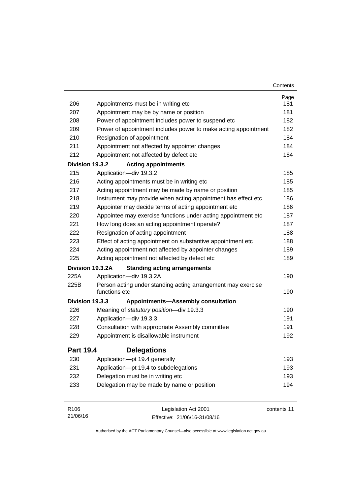|                  |                                                                               | Contents    |
|------------------|-------------------------------------------------------------------------------|-------------|
|                  |                                                                               | Page        |
| 206              | Appointments must be in writing etc                                           | 181         |
| 207              | Appointment may be by name or position                                        | 181         |
| 208              | Power of appointment includes power to suspend etc                            | 182         |
| 209              | Power of appointment includes power to make acting appointment                | 182         |
| 210              | Resignation of appointment                                                    | 184         |
| 211              | Appointment not affected by appointer changes                                 | 184         |
| 212              | Appointment not affected by defect etc                                        | 184         |
| Division 19.3.2  | <b>Acting appointments</b>                                                    |             |
| 215              | Application-div 19.3.2                                                        | 185         |
| 216              | Acting appointments must be in writing etc                                    | 185         |
| 217              | Acting appointment may be made by name or position                            | 185         |
| 218              | Instrument may provide when acting appointment has effect etc                 | 186         |
| 219              | Appointer may decide terms of acting appointment etc                          | 186         |
| 220              | Appointee may exercise functions under acting appointment etc                 | 187         |
| 221              | How long does an acting appointment operate?                                  | 187         |
| 222              | Resignation of acting appointment                                             | 188         |
| 223              | Effect of acting appointment on substantive appointment etc                   | 188         |
| 224              | Acting appointment not affected by appointer changes                          | 189         |
| 225              | Acting appointment not affected by defect etc                                 | 189         |
|                  | Division 19.3.2A<br><b>Standing acting arrangements</b>                       |             |
| 225A             | Application-div 19.3.2A                                                       | 190         |
| 225B             | Person acting under standing acting arrangement may exercise<br>functions etc | 190         |
| Division 19.3.3  | <b>Appointments-Assembly consultation</b>                                     |             |
| 226              | Meaning of statutory position-div 19.3.3                                      | 190         |
| 227              | Application-div 19.3.3                                                        | 191         |
| 228              | Consultation with appropriate Assembly committee                              | 191         |
| 229              | Appointment is disallowable instrument                                        | 192         |
| <b>Part 19.4</b> | <b>Delegations</b>                                                            |             |
| 230              | Application-pt 19.4 generally                                                 | 193         |
| 231              | Application-pt 19.4 to subdelegations                                         | 193         |
| 232              | Delegation must be in writing etc                                             | 193         |
| 233              | Delegation may be made by name or position                                    | 194         |
| R106             | Legislation Act 2001                                                          | contents 11 |

Effective: 21/06/16-31/08/16

21/06/16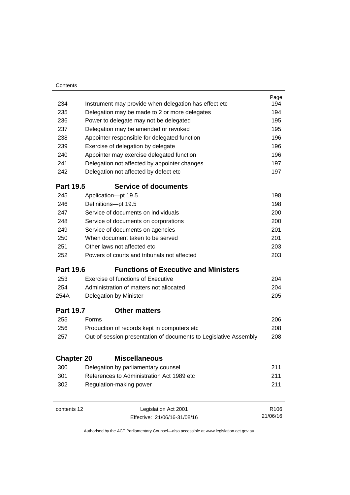| Contents          |                                                                  |                  |
|-------------------|------------------------------------------------------------------|------------------|
|                   |                                                                  | Page             |
| 234               | Instrument may provide when delegation has effect etc.           | 194              |
| 235               | Delegation may be made to 2 or more delegates                    | 194              |
| 236               | Power to delegate may not be delegated                           | 195              |
| 237               | Delegation may be amended or revoked                             | 195              |
| 238               | Appointer responsible for delegated function                     | 196              |
| 239               | Exercise of delegation by delegate                               | 196              |
| 240               | Appointer may exercise delegated function                        | 196              |
| 241               | Delegation not affected by appointer changes                     | 197              |
| 242               | Delegation not affected by defect etc                            | 197              |
| <b>Part 19.5</b>  | <b>Service of documents</b>                                      |                  |
| 245               | Application-pt 19.5                                              | 198              |
| 246               | Definitions-pt 19.5                                              | 198              |
| 247               | Service of documents on individuals                              | 200              |
| 248               | Service of documents on corporations                             | 200              |
| 249               | Service of documents on agencies                                 | 201              |
| 250               | When document taken to be served                                 | 201              |
| 251               | Other laws not affected etc                                      | 203              |
| 252               | Powers of courts and tribunals not affected                      | 203              |
| <b>Part 19.6</b>  | <b>Functions of Executive and Ministers</b>                      |                  |
| 253               | Exercise of functions of Executive                               | 204              |
| 254               | Administration of matters not allocated                          | 204              |
| 254A              | Delegation by Minister                                           | 205              |
| <b>Part 19.7</b>  | <b>Other matters</b>                                             |                  |
| 255               | Forms                                                            | 206              |
| 256               | Production of records kept in computers etc                      | 208              |
| 257               | Out-of-session presentation of documents to Legislative Assembly | 208              |
| <b>Chapter 20</b> | <b>Miscellaneous</b>                                             |                  |
| 300               | Delegation by parliamentary counsel                              | 211              |
| 301               | References to Administration Act 1989 etc                        | 211              |
| 302               | Regulation-making power                                          | 211              |
| contents 12       | Legislation Act 2001                                             | R <sub>106</sub> |

21/06/16

Effective: 21/06/16-31/08/16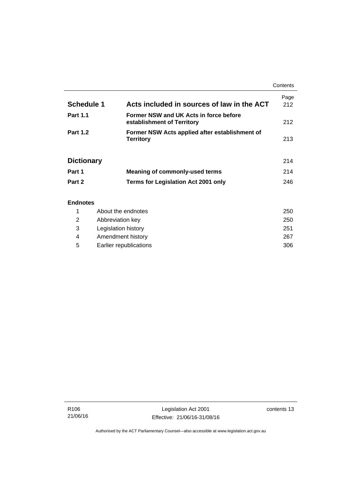|                   |                                                                      | Contents    |
|-------------------|----------------------------------------------------------------------|-------------|
| Schedule 1        | Acts included in sources of law in the ACT                           | Page<br>212 |
| <b>Part 1.1</b>   | Former NSW and UK Acts in force before<br>establishment of Territory | 212         |
| <b>Part 1.2</b>   | Former NSW Acts applied after establishment of<br><b>Territory</b>   | 213         |
| <b>Dictionary</b> |                                                                      | 214         |
| Part 1            | <b>Meaning of commonly-used terms</b>                                | 214         |
| Part 2            | <b>Terms for Legislation Act 2001 only</b>                           | 246         |
| <b>Endnotes</b>   |                                                                      |             |

### 1 [About the endnotes 250](#page-265-1) 2 [Abbreviation key 250](#page-265-2) 3 [Legislation history 251](#page-266-0) 4 [Amendment history 267](#page-282-0) 5 [Earlier republications 306](#page-321-0)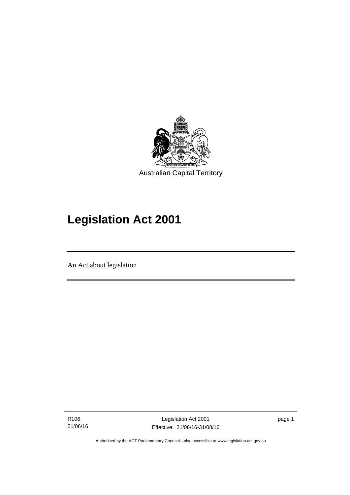

# **Legislation Act 2001**

An Act about legislation

l

R106 21/06/16 page 1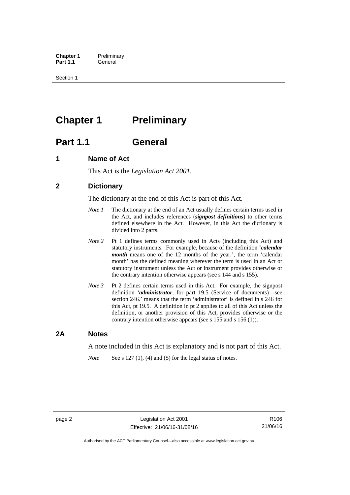**Chapter 1** Preliminary<br>**Part 1.1** General General

Section 1

## <span id="page-17-0"></span>**Chapter 1** Preliminary

## <span id="page-17-1"></span>**Part 1.1 General**

### <span id="page-17-2"></span>**1 Name of Act**

This Act is the *Legislation Act 2001.* 

### <span id="page-17-3"></span>**2 Dictionary**

The dictionary at the end of this Act is part of this Act.

- *Note 1* The dictionary at the end of an Act usually defines certain terms used in the Act, and includes references (*signpost definitions*) to other terms defined elsewhere in the Act. However, in this Act the dictionary is divided into 2 parts.
- *Note 2* Pt 1 defines terms commonly used in Acts (including this Act) and statutory instruments. For example, because of the definition '*calendar month* means one of the 12 months of the year.', the term 'calendar month' has the defined meaning wherever the term is used in an Act or statutory instrument unless the Act or instrument provides otherwise or the contrary intention otherwise appears (see s 144 and s 155).
- *Note 3* Pt 2 defines certain terms used in this Act. For example, the signpost definition '*administrator*, for part 19.5 (Service of documents)—see section 246.' means that the term 'administrator' is defined in s 246 for this Act, pt 19.5. A definition in pt 2 applies to all of this Act unless the definition, or another provision of this Act, provides otherwise or the contrary intention otherwise appears (see s 155 and s 156 (1)).

### <span id="page-17-4"></span>**2A Notes**

A note included in this Act is explanatory and is not part of this Act.

*Note* See s 127 (1), (4) and (5) for the legal status of notes.

R106 21/06/16

Authorised by the ACT Parliamentary Counsel—also accessible at www.legislation.act.gov.au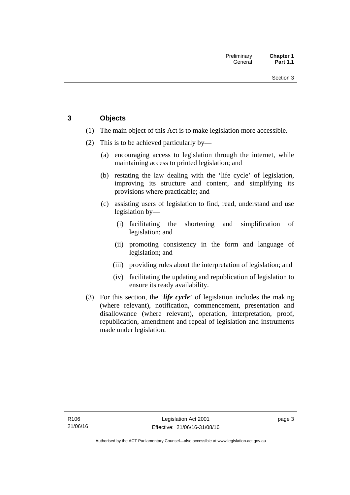### <span id="page-18-0"></span>**3 Objects**

- (1) The main object of this Act is to make legislation more accessible.
- (2) This is to be achieved particularly by—
	- (a) encouraging access to legislation through the internet, while maintaining access to printed legislation; and
	- (b) restating the law dealing with the 'life cycle' of legislation, improving its structure and content, and simplifying its provisions where practicable; and
	- (c) assisting users of legislation to find, read, understand and use legislation by—
		- (i) facilitating the shortening and simplification of legislation; and
		- (ii) promoting consistency in the form and language of legislation; and
		- (iii) providing rules about the interpretation of legislation; and
		- (iv) facilitating the updating and republication of legislation to ensure its ready availability.
- (3) For this section, the '*life cycle*' of legislation includes the making (where relevant), notification, commencement, presentation and disallowance (where relevant), operation, interpretation, proof, republication, amendment and repeal of legislation and instruments made under legislation.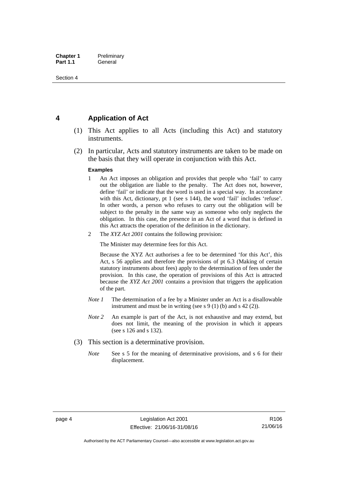### <span id="page-19-0"></span>**4 Application of Act**

- (1) This Act applies to all Acts (including this Act) and statutory instruments.
- (2) In particular, Acts and statutory instruments are taken to be made on the basis that they will operate in conjunction with this Act.

#### **Examples**

- 1 An Act imposes an obligation and provides that people who 'fail' to carry out the obligation are liable to the penalty. The Act does not, however, define 'fail' or indicate that the word is used in a special way. In accordance with this Act, dictionary, pt 1 (see s 144), the word 'fail' includes 'refuse'. In other words, a person who refuses to carry out the obligation will be subject to the penalty in the same way as someone who only neglects the obligation. In this case, the presence in an Act of a word that is defined in this Act attracts the operation of the definition in the dictionary.
- 2 The *XYZ Act 2001* contains the following provision:

The Minister may determine fees for this Act.

Because the XYZ Act authorises a fee to be determined 'for this Act', this Act, s 56 applies and therefore the provisions of pt 6.3 (Making of certain statutory instruments about fees) apply to the determination of fees under the provision. In this case, the operation of provisions of this Act is attracted because the *XYZ Act 2001* contains a provision that triggers the application of the part.

- *Note 1* The determination of a fee by a Minister under an Act is a disallowable instrument and must be in writing (see s 9 (1) (b) and s 42 (2)).
- *Note 2* An example is part of the Act, is not exhaustive and may extend, but does not limit, the meaning of the provision in which it appears (see s 126 and s 132).
- (3) This section is a determinative provision.
	- *Note* See s 5 for the meaning of determinative provisions, and s 6 for their displacement.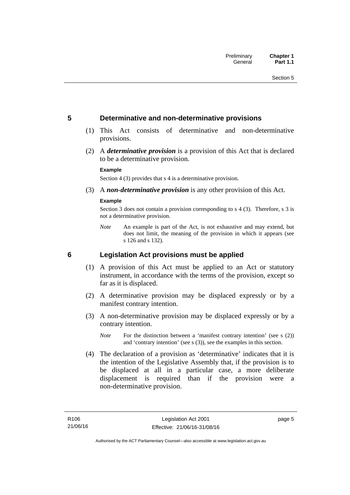### <span id="page-20-0"></span>**5 Determinative and non-determinative provisions**

- (1) This Act consists of determinative and non-determinative provisions.
- (2) A *determinative provision* is a provision of this Act that is declared to be a determinative provision.

#### **Example**

Section 4 (3) provides that s 4 is a determinative provision.

(3) A *non-determinative provision* is any other provision of this Act.

#### **Example**

Section 3 does not contain a provision corresponding to s 4 (3). Therefore, s 3 is not a determinative provision.

*Note* An example is part of the Act, is not exhaustive and may extend, but does not limit, the meaning of the provision in which it appears (see s 126 and s 132).

### <span id="page-20-1"></span>**6 Legislation Act provisions must be applied**

- (1) A provision of this Act must be applied to an Act or statutory instrument, in accordance with the terms of the provision, except so far as it is displaced.
- (2) A determinative provision may be displaced expressly or by a manifest contrary intention.
- (3) A non-determinative provision may be displaced expressly or by a contrary intention.
	- *Note* For the distinction between a 'manifest contrary intention' (see s (2)) and 'contrary intention' (see s (3)), see the examples in this section.
- (4) The declaration of a provision as 'determinative' indicates that it is the intention of the Legislative Assembly that, if the provision is to be displaced at all in a particular case, a more deliberate displacement is required than if the provision were a non-determinative provision.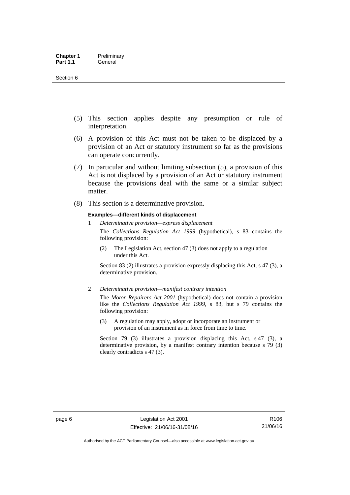- (5) This section applies despite any presumption or rule of interpretation.
- (6) A provision of this Act must not be taken to be displaced by a provision of an Act or statutory instrument so far as the provisions can operate concurrently.
- (7) In particular and without limiting subsection (5), a provision of this Act is not displaced by a provision of an Act or statutory instrument because the provisions deal with the same or a similar subject matter.
- (8) This section is a determinative provision.

#### **Examples—different kinds of displacement**

1 *Determinative provision—express displacement*

The *Collections Regulation Act 1999* (hypothetical), s 83 contains the following provision:

(2) The Legislation Act, section 47 (3) does not apply to a regulation under this Act.

Section 83 (2) illustrates a provision expressly displacing this Act, s 47 (3), a determinative provision.

2 *Determinative provision—manifest contrary intention*

The *Motor Repairers Act 2001* (hypothetical) does not contain a provision like the *Collections Regulation Act 1999*, s 83, but s 79 contains the following provision:

(3) A regulation may apply, adopt or incorporate an instrument or provision of an instrument as in force from time to time.

Section 79 (3) illustrates a provision displacing this Act, s 47 (3), a determinative provision, by a manifest contrary intention because s 79 (3) clearly contradicts s 47 (3).

R106 21/06/16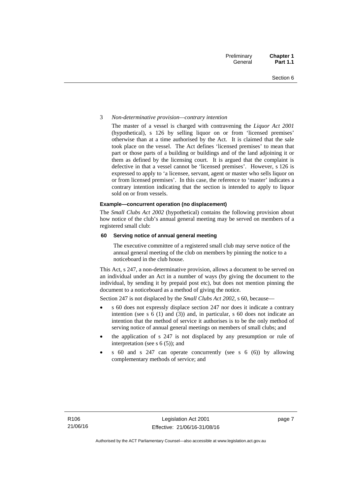#### 3 *Non-determinative provision—contrary intention*

The master of a vessel is charged with contravening the *Liquor Act 2001* (hypothetical), s 126 by selling liquor on or from 'licensed premises' otherwise than at a time authorised by the Act. It is claimed that the sale took place on the vessel. The Act defines 'licensed premises' to mean that part or those parts of a building or buildings and of the land adjoining it or them as defined by the licensing court. It is argued that the complaint is defective in that a vessel cannot be 'licensed premises'. However, s 126 is expressed to apply to 'a licensee, servant, agent or master who sells liquor on or from licensed premises'. In this case, the reference to 'master' indicates a contrary intention indicating that the section is intended to apply to liquor sold on or from vessels.

#### **Example—concurrent operation (no displacement)**

The *Small Clubs Act 2002* (hypothetical) contains the following provision about how notice of the club's annual general meeting may be served on members of a registered small club:

#### **60 Serving notice of annual general meeting**

The executive committee of a registered small club may serve notice of the annual general meeting of the club on members by pinning the notice to a noticeboard in the club house.

This Act, s 247, a non-determinative provision, allows a document to be served on an individual under an Act in a number of ways (by giving the document to the individual, by sending it by prepaid post etc), but does not mention pinning the document to a noticeboard as a method of giving the notice.

Section 247 is not displaced by the *Small Clubs Act 2002*, s 60, because—

- s 60 does not expressly displace section 247 nor does it indicate a contrary intention (see s 6 (1) and (3)) and, in particular, s 60 does not indicate an intention that the method of service it authorises is to be the only method of serving notice of annual general meetings on members of small clubs; and
- the application of s 247 is not displaced by any presumption or rule of interpretation (see s  $6(5)$ ); and
- s 60 and s 247 can operate concurrently (see s 6 (6)) by allowing complementary methods of service; and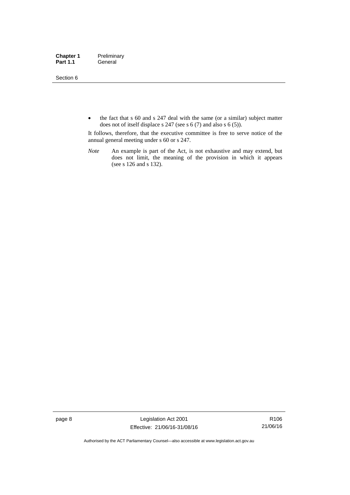Section 6

• the fact that s 60 and s 247 deal with the same (or a similar) subject matter does not of itself displace s 247 (see s 6 (7) and also s 6 (5)).

It follows, therefore, that the executive committee is free to serve notice of the annual general meeting under s 60 or s 247.

*Note* An example is part of the Act, is not exhaustive and may extend, but does not limit, the meaning of the provision in which it appears (see s 126 and s 132).

page 8 Legislation Act 2001 Effective: 21/06/16-31/08/16

R106 21/06/16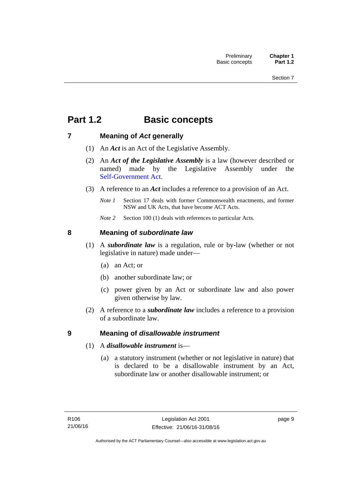## <span id="page-24-0"></span>**Part 1.2 Basic concepts**

### <span id="page-24-1"></span>**7 Meaning of** *Act* **generally**

- (1) An *Act* is an Act of the Legislative Assembly.
- (2) An *Act of the Legislative Assembly* is a law (however described or named) made by the Legislative Assembly under the [Self-Government Act.](http://www.comlaw.gov.au/Series/C2004A03699)
- (3) A reference to an *Act* includes a reference to a provision of an Act.
	- *Note 1* Section 17 deals with former Commonwealth enactments, and former NSW and UK Acts, that have become ACT Acts.
	- *Note 2* Section 100 (1) deals with references to particular Acts.

### <span id="page-24-2"></span>**8 Meaning of** *subordinate law*

- (1) A *subordinate law* is a regulation, rule or by-law (whether or not legislative in nature) made under—
	- (a) an Act; or
	- (b) another subordinate law; or
	- (c) power given by an Act or subordinate law and also power given otherwise by law.
- (2) A reference to a *subordinate law* includes a reference to a provision of a subordinate law.

### <span id="page-24-3"></span>**9 Meaning of** *disallowable instrument*

- (1) A *disallowable instrument* is—
	- (a) a statutory instrument (whether or not legislative in nature) that is declared to be a disallowable instrument by an Act, subordinate law or another disallowable instrument; or

page 9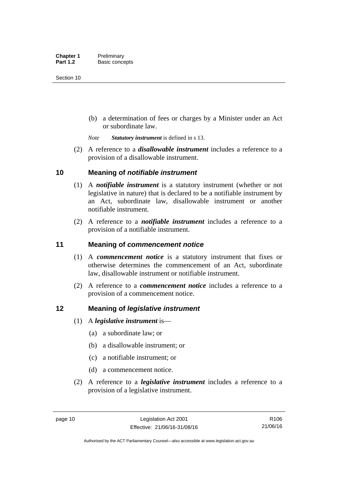(b) a determination of fees or charges by a Minister under an Act or subordinate law.

*Note Statutory instrument* is defined in s 13.

 (2) A reference to a *disallowable instrument* includes a reference to a provision of a disallowable instrument.

### <span id="page-25-0"></span>**10 Meaning of** *notifiable instrument*

- (1) A *notifiable instrument* is a statutory instrument (whether or not legislative in nature) that is declared to be a notifiable instrument by an Act, subordinate law, disallowable instrument or another notifiable instrument.
- (2) A reference to a *notifiable instrument* includes a reference to a provision of a notifiable instrument.

### <span id="page-25-1"></span>**11 Meaning of** *commencement notice*

- (1) A *commencement notice* is a statutory instrument that fixes or otherwise determines the commencement of an Act, subordinate law, disallowable instrument or notifiable instrument.
- (2) A reference to a *commencement notice* includes a reference to a provision of a commencement notice.

### <span id="page-25-2"></span>**12 Meaning of** *legislative instrument*

- (1) A *legislative instrument* is—
	- (a) a subordinate law; or
	- (b) a disallowable instrument; or
	- (c) a notifiable instrument; or
	- (d) a commencement notice.
- (2) A reference to a *legislative instrument* includes a reference to a provision of a legislative instrument.

R106 21/06/16

Authorised by the ACT Parliamentary Counsel—also accessible at www.legislation.act.gov.au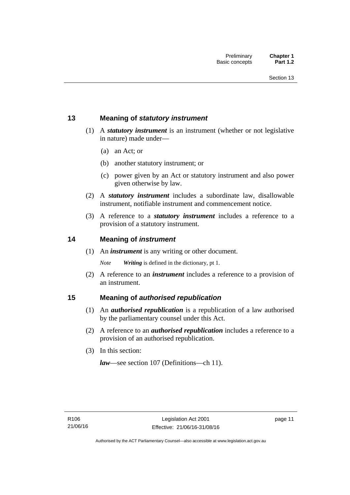### <span id="page-26-0"></span>**13 Meaning of** *statutory instrument*

- (1) A *statutory instrument* is an instrument (whether or not legislative in nature) made under—
	- (a) an Act; or
	- (b) another statutory instrument; or
	- (c) power given by an Act or statutory instrument and also power given otherwise by law.
- (2) A *statutory instrument* includes a subordinate law, disallowable instrument, notifiable instrument and commencement notice.
- (3) A reference to a *statutory instrument* includes a reference to a provision of a statutory instrument.

### <span id="page-26-1"></span>**14 Meaning of** *instrument*

(1) An *instrument* is any writing or other document.

*Note Writing* is defined in the dictionary, pt 1.

 (2) A reference to an *instrument* includes a reference to a provision of an instrument.

### <span id="page-26-2"></span>**15 Meaning of** *authorised republication*

- (1) An *authorised republication* is a republication of a law authorised by the parliamentary counsel under this Act.
- (2) A reference to an *authorised republication* includes a reference to a provision of an authorised republication.
- (3) In this section:

*law*—see section 107 (Definitions—ch 11).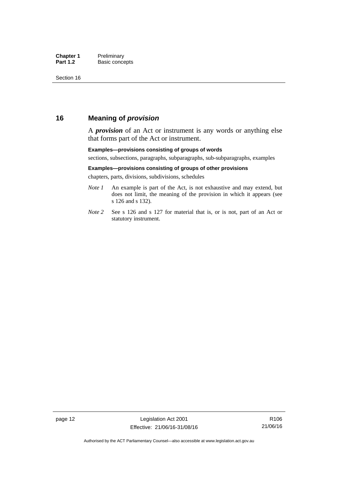### <span id="page-27-0"></span>**16 Meaning of** *provision*

A *provision* of an Act or instrument is any words or anything else that forms part of the Act or instrument.

#### **Examples—provisions consisting of groups of words**

sections, subsections, paragraphs, subparagraphs, sub-subparagraphs, examples

#### **Examples—provisions consisting of groups of other provisions**

chapters, parts, divisions, subdivisions, schedules

- *Note 1* An example is part of the Act, is not exhaustive and may extend, but does not limit, the meaning of the provision in which it appears (see s 126 and s 132).
- *Note 2* See s 126 and s 127 for material that is, or is not, part of an Act or statutory instrument.

page 12 Legislation Act 2001 Effective: 21/06/16-31/08/16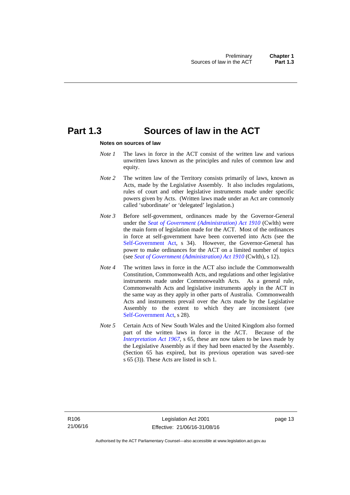### <span id="page-28-0"></span>**Part 1.3 Sources of law in the ACT**

#### **Notes on sources of law**

- *Note 1* The laws in force in the ACT consist of the written law and various unwritten laws known as the principles and rules of common law and equity.
- *Note* 2 The written law of the Territory consists primarily of laws, known as Acts, made by the Legislative Assembly. It also includes regulations, rules of court and other legislative instruments made under specific powers given by Acts. (Written laws made under an Act are commonly called 'subordinate' or 'delegated' legislation.)
- *Note 3* Before self-government, ordinances made by the Governor-General under the *[Seat of Government \(Administration\) Act 1910](http://www.comlaw.gov.au/Series/C2004A07446)* (Cwlth) were the main form of legislation made for the ACT. Most of the ordinances in force at self-government have been converted into Acts (see the [Self-Government Act,](http://www.comlaw.gov.au/Series/C2004A03699) s 34). However, the Governor-General has power to make ordinances for the ACT on a limited number of topics (see *[Seat of Government \(Administration\) Act 1910](http://www.comlaw.gov.au/Series/C2004A07446)* (Cwlth), s 12).
- *Note 4* The written laws in force in the ACT also include the Commonwealth Constitution, Commonwealth Acts, and regulations and other legislative instruments made under Commonwealth Acts. As a general rule, Commonwealth Acts and legislative instruments apply in the ACT in the same way as they apply in other parts of Australia. Commonwealth Acts and instruments prevail over the Acts made by the Legislative Assembly to the extent to which they are inconsistent (see [Self-Government Act](http://www.comlaw.gov.au/Series/C2004A03699), s 28).
- *Note 5* Certain Acts of New South Wales and the United Kingdom also formed part of the written laws in force in the ACT. Because of the *[Interpretation Act 1967](http://www.legislation.act.gov.au/a/1967-48)*, s 65, these are now taken to be laws made by the Legislative Assembly as if they had been enacted by the Assembly. (Section 65 has expired, but its previous operation was saved–see s 65 (3)). These Acts are listed in sch 1.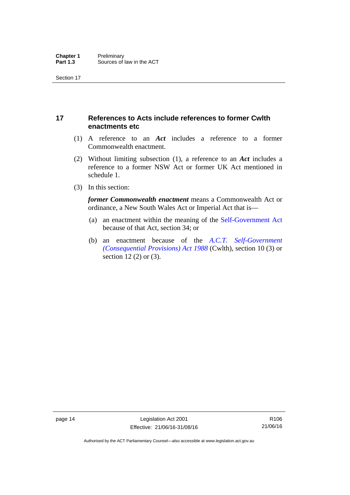### <span id="page-29-0"></span>**17 References to Acts include references to former Cwlth enactments etc**

- (1) A reference to an *Act* includes a reference to a former Commonwealth enactment.
- (2) Without limiting subsection (1), a reference to an *Act* includes a reference to a former NSW Act or former UK Act mentioned in schedule 1.
- (3) In this section:

*former Commonwealth enactment* means a Commonwealth Act or ordinance, a New South Wales Act or Imperial Act that is—

- (a) an enactment within the meaning of the [Self-Government Act](http://www.comlaw.gov.au/Series/C2004A03699) because of that Act, section 34; or
- (b) an enactment because of the *[A.C.T. Self-Government](http://www.comlaw.gov.au/Series/C2004A03702)  [\(Consequential Provisions\) Act 1988](http://www.comlaw.gov.au/Series/C2004A03702)* (Cwlth), section 10 (3) or section 12 (2) or (3).

R106 21/06/16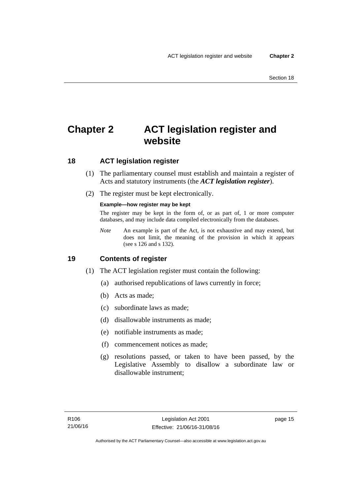## <span id="page-30-0"></span>**Chapter 2 ACT legislation register and website**

### <span id="page-30-1"></span>**18 ACT legislation register**

- (1) The parliamentary counsel must establish and maintain a register of Acts and statutory instruments (the *ACT legislation register*).
- (2) The register must be kept electronically.

### **Example—how register may be kept**

The register may be kept in the form of, or as part of, 1 or more computer databases, and may include data compiled electronically from the databases.

*Note* An example is part of the Act, is not exhaustive and may extend, but does not limit, the meaning of the provision in which it appears (see s 126 and s 132).

### <span id="page-30-2"></span>**19 Contents of register**

- (1) The ACT legislation register must contain the following:
	- (a) authorised republications of laws currently in force;
	- (b) Acts as made;
	- (c) subordinate laws as made;
	- (d) disallowable instruments as made;
	- (e) notifiable instruments as made;
	- (f) commencement notices as made;
	- (g) resolutions passed, or taken to have been passed, by the Legislative Assembly to disallow a subordinate law or disallowable instrument;

page 15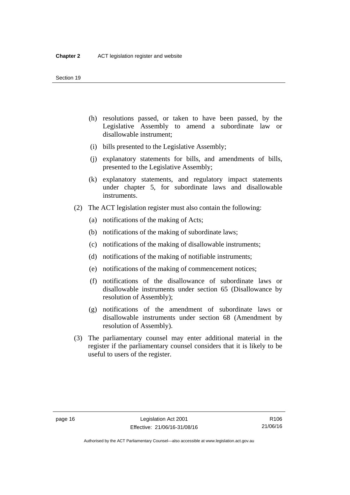- (h) resolutions passed, or taken to have been passed, by the Legislative Assembly to amend a subordinate law or disallowable instrument;
- (i) bills presented to the Legislative Assembly;
- (j) explanatory statements for bills, and amendments of bills, presented to the Legislative Assembly;
- (k) explanatory statements, and regulatory impact statements under chapter 5, for subordinate laws and disallowable instruments.
- (2) The ACT legislation register must also contain the following:
	- (a) notifications of the making of Acts;
	- (b) notifications of the making of subordinate laws;
	- (c) notifications of the making of disallowable instruments;
	- (d) notifications of the making of notifiable instruments;
	- (e) notifications of the making of commencement notices;
	- (f) notifications of the disallowance of subordinate laws or disallowable instruments under section 65 (Disallowance by resolution of Assembly);
	- (g) notifications of the amendment of subordinate laws or disallowable instruments under section 68 (Amendment by resolution of Assembly).
- (3) The parliamentary counsel may enter additional material in the register if the parliamentary counsel considers that it is likely to be useful to users of the register.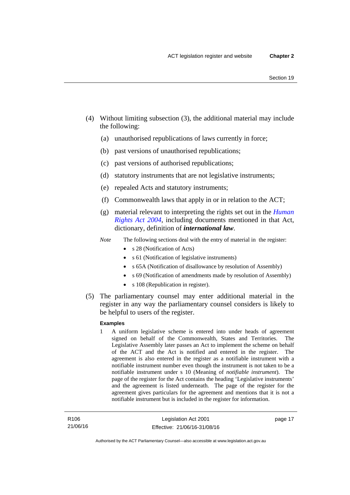- (4) Without limiting subsection (3), the additional material may include the following:
	- (a) unauthorised republications of laws currently in force;
	- (b) past versions of unauthorised republications;
	- (c) past versions of authorised republications;
	- (d) statutory instruments that are not legislative instruments;
	- (e) repealed Acts and statutory instruments;
	- (f) Commonwealth laws that apply in or in relation to the ACT;
	- (g) material relevant to interpreting the rights set out in the *[Human](http://www.legislation.act.gov.au/a/2004-5)  [Rights Act 2004](http://www.legislation.act.gov.au/a/2004-5)*, including documents mentioned in that Act, dictionary, definition of *international law*.
	- *Note* The following sections deal with the entry of material in the register:
		- s 28 (Notification of Acts)
		- s 61 (Notification of legislative instruments)
		- s 65A (Notification of disallowance by resolution of Assembly)
		- s 69 (Notification of amendments made by resolution of Assembly)
		- s 108 (Republication in register).
- (5) The parliamentary counsel may enter additional material in the register in any way the parliamentary counsel considers is likely to be helpful to users of the register.

#### **Examples**

1 A uniform legislative scheme is entered into under heads of agreement signed on behalf of the Commonwealth, States and Territories. The Legislative Assembly later passes an Act to implement the scheme on behalf of the ACT and the Act is notified and entered in the register. The agreement is also entered in the register as a notifiable instrument with a notifiable instrument number even though the instrument is not taken to be a notifiable instrument under s 10 (Meaning of *notifiable instrument*). The page of the register for the Act contains the heading 'Legislative instruments' and the agreement is listed underneath. The page of the register for the agreement gives particulars for the agreement and mentions that it is not a notifiable instrument but is included in the register for information.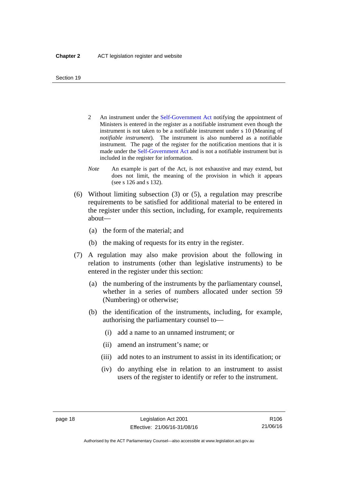- 2 An instrument under the [Self-Government Act](http://www.comlaw.gov.au/Series/C2004A03699) notifying the appointment of Ministers is entered in the register as a notifiable instrument even though the instrument is not taken to be a notifiable instrument under s 10 (Meaning of *notifiable instrument*). The instrument is also numbered as a notifiable instrument. The page of the register for the notification mentions that it is made under the [Self-Government Act](http://www.comlaw.gov.au/Series/C2004A03699) and is not a notifiable instrument but is included in the register for information.
- *Note* An example is part of the Act, is not exhaustive and may extend, but does not limit, the meaning of the provision in which it appears (see s 126 and s 132).
- (6) Without limiting subsection (3) or (5), a regulation may prescribe requirements to be satisfied for additional material to be entered in the register under this section, including, for example, requirements about—
	- (a) the form of the material; and
	- (b) the making of requests for its entry in the register.
- (7) A regulation may also make provision about the following in relation to instruments (other than legislative instruments) to be entered in the register under this section:
	- (a) the numbering of the instruments by the parliamentary counsel, whether in a series of numbers allocated under section 59 (Numbering) or otherwise;
	- (b) the identification of the instruments, including, for example, authorising the parliamentary counsel to—
		- (i) add a name to an unnamed instrument; or
		- (ii) amend an instrument's name; or
		- (iii) add notes to an instrument to assist in its identification; or
		- (iv) do anything else in relation to an instrument to assist users of the register to identify or refer to the instrument.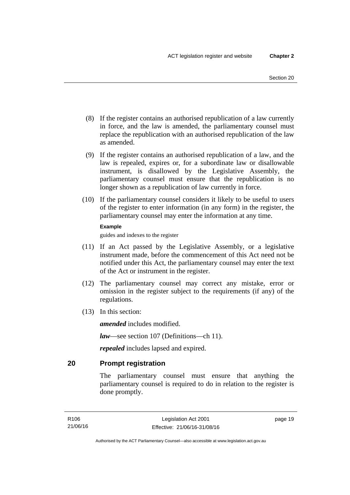- (8) If the register contains an authorised republication of a law currently in force, and the law is amended, the parliamentary counsel must replace the republication with an authorised republication of the law as amended.
- (9) If the register contains an authorised republication of a law, and the law is repealed, expires or, for a subordinate law or disallowable instrument, is disallowed by the Legislative Assembly, the parliamentary counsel must ensure that the republication is no longer shown as a republication of law currently in force.
- (10) If the parliamentary counsel considers it likely to be useful to users of the register to enter information (in any form) in the register, the parliamentary counsel may enter the information at any time.

#### **Example**

guides and indexes to the register

- (11) If an Act passed by the Legislative Assembly, or a legislative instrument made, before the commencement of this Act need not be notified under this Act, the parliamentary counsel may enter the text of the Act or instrument in the register.
- (12) The parliamentary counsel may correct any mistake, error or omission in the register subject to the requirements (if any) of the regulations.
- (13) In this section:

*amended* includes modified.

*law*—see section 107 (Definitions—ch 11).

*repealed* includes lapsed and expired.

### <span id="page-34-0"></span>**20 Prompt registration**

The parliamentary counsel must ensure that anything the parliamentary counsel is required to do in relation to the register is done promptly.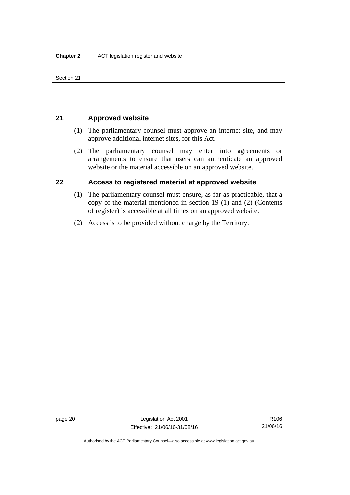Section 21

### <span id="page-35-0"></span>**21 Approved website**

- (1) The parliamentary counsel must approve an internet site, and may approve additional internet sites, for this Act.
- (2) The parliamentary counsel may enter into agreements or arrangements to ensure that users can authenticate an approved website or the material accessible on an approved website.

### <span id="page-35-1"></span>**22 Access to registered material at approved website**

- (1) The parliamentary counsel must ensure, as far as practicable, that a copy of the material mentioned in section 19 (1) and (2) (Contents of register) is accessible at all times on an approved website.
- (2) Access is to be provided without charge by the Territory.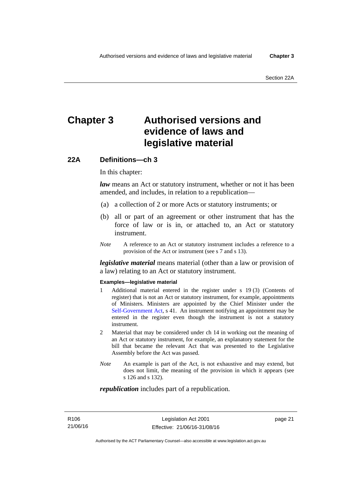# **Chapter 3 Authorised versions and evidence of laws and legislative material**

### **22A Definitions—ch 3**

In this chapter:

*law* means an Act or statutory instrument, whether or not it has been amended, and includes, in relation to a republication—

- (a) a collection of 2 or more Acts or statutory instruments; or
- (b) all or part of an agreement or other instrument that has the force of law or is in, or attached to, an Act or statutory instrument.
- *Note* A reference to an Act or statutory instrument includes a reference to a provision of the Act or instrument (see s 7 and s 13).

*legislative material* means material (other than a law or provision of a law) relating to an Act or statutory instrument.

#### **Examples—legislative material**

- 1 Additional material entered in the register under s 19 (3) (Contents of register) that is not an Act or statutory instrument, for example, appointments of Ministers. Ministers are appointed by the Chief Minister under the [Self-Government Act,](http://www.comlaw.gov.au/Series/C2004A03699) s 41. An instrument notifying an appointment may be entered in the register even though the instrument is not a statutory instrument.
- 2 Material that may be considered under ch 14 in working out the meaning of an Act or statutory instrument, for example, an explanatory statement for the bill that became the relevant Act that was presented to the Legislative Assembly before the Act was passed.
- *Note* An example is part of the Act, is not exhaustive and may extend, but does not limit, the meaning of the provision in which it appears (see s 126 and s 132).

#### *republication* includes part of a republication.

page 21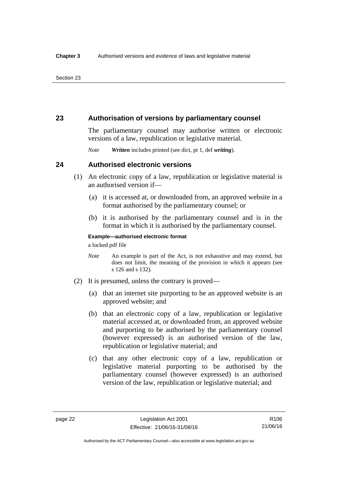### **23 Authorisation of versions by parliamentary counsel**

The parliamentary counsel may authorise written or electronic versions of a law, republication or legislative material.

*Note Written* includes printed (see dict, pt 1, def *writing*).

### **24 Authorised electronic versions**

- (1) An electronic copy of a law, republication or legislative material is an authorised version if—
	- (a) it is accessed at, or downloaded from, an approved website in a format authorised by the parliamentary counsel; or
	- (b) it is authorised by the parliamentary counsel and is in the format in which it is authorised by the parliamentary counsel.

**Example—authorised electronic format** 

a locked pdf file

- *Note* An example is part of the Act, is not exhaustive and may extend, but does not limit, the meaning of the provision in which it appears (see s 126 and s 132).
- (2) It is presumed, unless the contrary is proved—
	- (a) that an internet site purporting to be an approved website is an approved website; and
	- (b) that an electronic copy of a law, republication or legislative material accessed at, or downloaded from, an approved website and purporting to be authorised by the parliamentary counsel (however expressed) is an authorised version of the law, republication or legislative material; and
	- (c) that any other electronic copy of a law, republication or legislative material purporting to be authorised by the parliamentary counsel (however expressed) is an authorised version of the law, republication or legislative material; and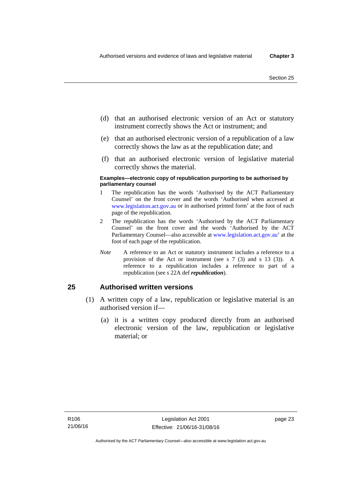- (d) that an authorised electronic version of an Act or statutory instrument correctly shows the Act or instrument; and
- (e) that an authorised electronic version of a republication of a law correctly shows the law as at the republication date; and
- (f) that an authorised electronic version of legislative material correctly shows the material.

#### **Examples—electronic copy of republication purporting to be authorised by parliamentary counsel**

- 1 The republication has the words 'Authorised by the ACT Parliamentary Counsel' on the front cover and the words 'Authorised when accessed at [www.legislation.act.gov.au](http://www.legislation.act.gov.au/) or in authorised printed form' at the foot of each page of the republication.
- 2 The republication has the words 'Authorised by the ACT Parliamentary Counsel' on the front cover and the words 'Authorised by the ACT Parliamentary Counsel—also accessible at [www.legislation.act.gov.au](http://www.legislation.act.gov.au/)' at the foot of each page of the republication.
- *Note* A reference to an Act or statutory instrument includes a reference to a provision of the Act or instrument (see s 7 (3) and s 13 (3)). A reference to a republication includes a reference to part of a republication (see s 22A def *republication*).

### **25 Authorised written versions**

- (1) A written copy of a law, republication or legislative material is an authorised version if—
	- (a) it is a written copy produced directly from an authorised electronic version of the law, republication or legislative material; or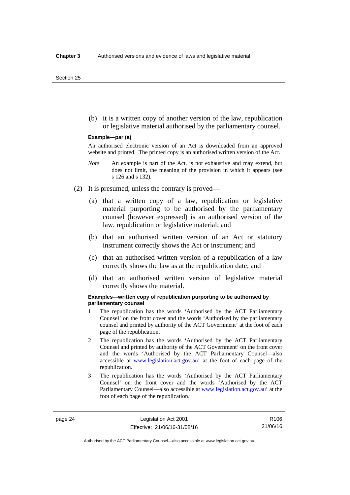(b) it is a written copy of another version of the law, republication or legislative material authorised by the parliamentary counsel.

#### **Example—par (a)**

An authorised electronic version of an Act is downloaded from an approved website and printed. The printed copy is an authorised written version of the Act.

- *Note* An example is part of the Act, is not exhaustive and may extend, but does not limit, the meaning of the provision in which it appears (see s 126 and s 132).
- (2) It is presumed, unless the contrary is proved—
	- (a) that a written copy of a law, republication or legislative material purporting to be authorised by the parliamentary counsel (however expressed) is an authorised version of the law, republication or legislative material; and
	- (b) that an authorised written version of an Act or statutory instrument correctly shows the Act or instrument; and
	- (c) that an authorised written version of a republication of a law correctly shows the law as at the republication date; and
	- (d) that an authorised written version of legislative material correctly shows the material.

#### **Examples—written copy of republication purporting to be authorised by parliamentary counsel**

- 1 The republication has the words 'Authorised by the ACT Parliamentary Counsel' on the front cover and the words 'Authorised by the parliamentary counsel and printed by authority of the ACT Government' at the foot of each page of the republication.
- 2 The republication has the words 'Authorised by the ACT Parliamentary Counsel and printed by authority of the ACT Government' on the front cover and the words 'Authorised by the ACT Parliamentary Counsel—also accessible at [www.legislation.act.gov.au'](http://www.legislation.act.gov.au/) at the foot of each page of the republication.
- 3 The republication has the words 'Authorised by the ACT Parliamentary Counsel' on the front cover and the words 'Authorised by the ACT Parliamentary Counsel—also accessible at [www.legislation.act.gov.au](http://www.legislation.act.gov.au/)' at the foot of each page of the republication.

Authorised by the ACT Parliamentary Counsel—also accessible at www.legislation.act.gov.au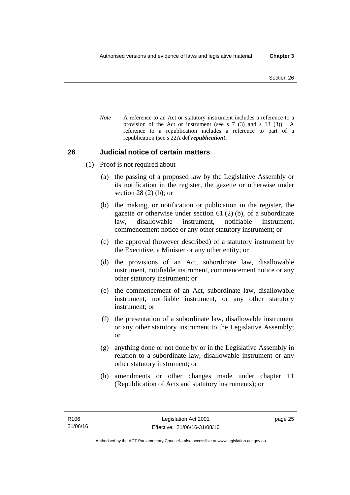*Note* A reference to an Act or statutory instrument includes a reference to a provision of the Act or instrument (see s 7 (3) and s 13 (3)). A reference to a republication includes a reference to part of a republication (see s 22A def *republication*).

### **26 Judicial notice of certain matters**

- (1) Proof is not required about—
	- (a) the passing of a proposed law by the Legislative Assembly or its notification in the register, the gazette or otherwise under section 28 (2) (b); or
	- (b) the making, or notification or publication in the register, the gazette or otherwise under section 61 (2) (b), of a subordinate law, disallowable instrument, notifiable instrument, commencement notice or any other statutory instrument; or
	- (c) the approval (however described) of a statutory instrument by the Executive, a Minister or any other entity; or
	- (d) the provisions of an Act, subordinate law, disallowable instrument, notifiable instrument, commencement notice or any other statutory instrument; or
	- (e) the commencement of an Act, subordinate law, disallowable instrument, notifiable instrument, or any other statutory instrument; or
	- (f) the presentation of a subordinate law, disallowable instrument or any other statutory instrument to the Legislative Assembly; or
	- (g) anything done or not done by or in the Legislative Assembly in relation to a subordinate law, disallowable instrument or any other statutory instrument; or
	- (h) amendments or other changes made under chapter 11 (Republication of Acts and statutory instruments); or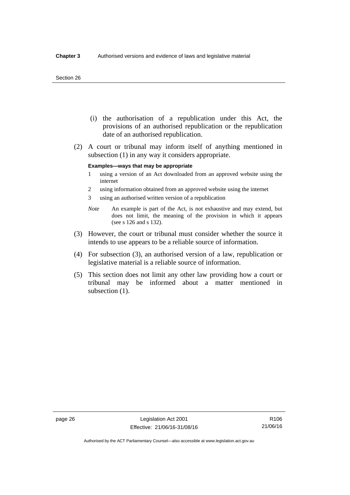#### Section 26

- (i) the authorisation of a republication under this Act, the provisions of an authorised republication or the republication date of an authorised republication.
- (2) A court or tribunal may inform itself of anything mentioned in subsection (1) in any way it considers appropriate.

#### **Examples—ways that may be appropriate**

- 1 using a version of an Act downloaded from an approved website using the internet
- 2 using information obtained from an approved website using the internet
- 3 using an authorised written version of a republication
- *Note* An example is part of the Act, is not exhaustive and may extend, but does not limit, the meaning of the provision in which it appears (see s 126 and s 132).
- (3) However, the court or tribunal must consider whether the source it intends to use appears to be a reliable source of information.
- (4) For subsection (3), an authorised version of a law, republication or legislative material is a reliable source of information.
- (5) This section does not limit any other law providing how a court or tribunal may be informed about a matter mentioned in subsection  $(1)$ .

Authorised by the ACT Parliamentary Counsel—also accessible at www.legislation.act.gov.au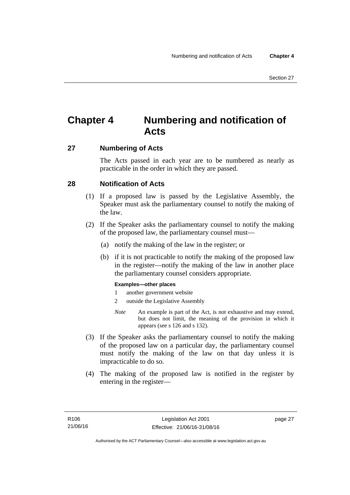# **Chapter 4 Numbering and notification of Acts**

### **27 Numbering of Acts**

The Acts passed in each year are to be numbered as nearly as practicable in the order in which they are passed.

### **28 Notification of Acts**

- (1) If a proposed law is passed by the Legislative Assembly, the Speaker must ask the parliamentary counsel to notify the making of the law.
- (2) If the Speaker asks the parliamentary counsel to notify the making of the proposed law, the parliamentary counsel must—
	- (a) notify the making of the law in the register; or
	- (b) if it is not practicable to notify the making of the proposed law in the register—notify the making of the law in another place the parliamentary counsel considers appropriate.

### **Examples—other places**

- 1 another government website
- 2 outside the Legislative Assembly
- *Note* An example is part of the Act, is not exhaustive and may extend, but does not limit, the meaning of the provision in which it appears (see s 126 and s 132).
- (3) If the Speaker asks the parliamentary counsel to notify the making of the proposed law on a particular day, the parliamentary counsel must notify the making of the law on that day unless it is impracticable to do so.
- (4) The making of the proposed law is notified in the register by entering in the register—

page 27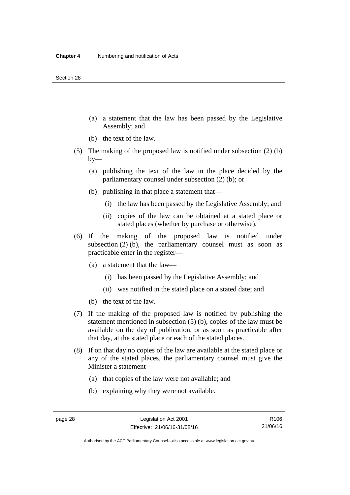- (a) a statement that the law has been passed by the Legislative Assembly; and
- (b) the text of the law.
- (5) The making of the proposed law is notified under subsection (2) (b)  $by-$ 
	- (a) publishing the text of the law in the place decided by the parliamentary counsel under subsection (2) (b); or
	- (b) publishing in that place a statement that—
		- (i) the law has been passed by the Legislative Assembly; and
		- (ii) copies of the law can be obtained at a stated place or stated places (whether by purchase or otherwise).
- (6) If the making of the proposed law is notified under subsection  $(2)$  (b), the parliamentary counsel must as soon as practicable enter in the register—
	- (a) a statement that the law—
		- (i) has been passed by the Legislative Assembly; and
		- (ii) was notified in the stated place on a stated date; and
	- (b) the text of the law.
- (7) If the making of the proposed law is notified by publishing the statement mentioned in subsection (5) (b), copies of the law must be available on the day of publication, or as soon as practicable after that day, at the stated place or each of the stated places.
- (8) If on that day no copies of the law are available at the stated place or any of the stated places, the parliamentary counsel must give the Minister a statement—
	- (a) that copies of the law were not available; and
	- (b) explaining why they were not available.

Authorised by the ACT Parliamentary Counsel—also accessible at www.legislation.act.gov.au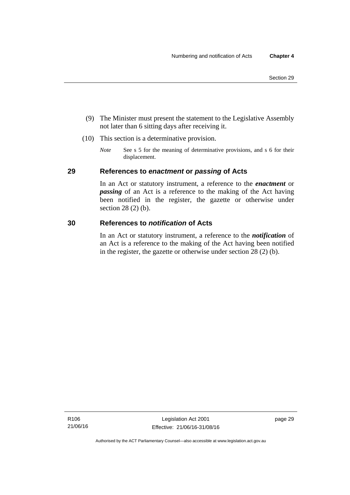- (9) The Minister must present the statement to the Legislative Assembly not later than 6 sitting days after receiving it.
- (10) This section is a determinative provision.
	- *Note* See s 5 for the meaning of determinative provisions, and s 6 for their displacement.

### **29 References to** *enactment* **or** *passing* **of Acts**

In an Act or statutory instrument, a reference to the *enactment* or *passing* of an Act is a reference to the making of the Act having been notified in the register, the gazette or otherwise under section 28 (2) (b).

### **30 References to** *notification* **of Acts**

In an Act or statutory instrument, a reference to the *notification* of an Act is a reference to the making of the Act having been notified in the register, the gazette or otherwise under section 28 (2) (b).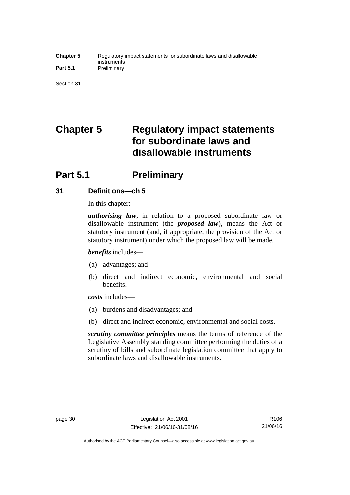#### **Chapter 5** Regulatory impact statements for subordinate laws and disallowable instruments Part 5.1 **Preliminary**

Section 31

# **Chapter 5 Regulatory impact statements for subordinate laws and disallowable instruments**

# **Part 5.1** Preliminary

### **31 Definitions—ch 5**

In this chapter:

*authorising law*, in relation to a proposed subordinate law or disallowable instrument (the *proposed law*), means the Act or statutory instrument (and, if appropriate, the provision of the Act or statutory instrument) under which the proposed law will be made.

*benefits* includes—

- (a) advantages; and
- (b) direct and indirect economic, environmental and social benefits.

*costs* includes—

- (a) burdens and disadvantages; and
- (b) direct and indirect economic, environmental and social costs.

*scrutiny committee principles* means the terms of reference of the Legislative Assembly standing committee performing the duties of a scrutiny of bills and subordinate legislation committee that apply to subordinate laws and disallowable instruments.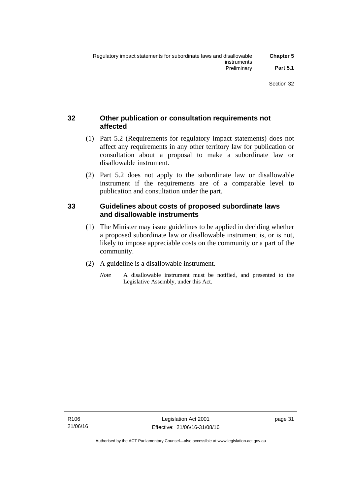### **32 Other publication or consultation requirements not affected**

- (1) Part 5.2 (Requirements for regulatory impact statements) does not affect any requirements in any other territory law for publication or consultation about a proposal to make a subordinate law or disallowable instrument.
- (2) Part 5.2 does not apply to the subordinate law or disallowable instrument if the requirements are of a comparable level to publication and consultation under the part.

### **33 Guidelines about costs of proposed subordinate laws and disallowable instruments**

- (1) The Minister may issue guidelines to be applied in deciding whether a proposed subordinate law or disallowable instrument is, or is not, likely to impose appreciable costs on the community or a part of the community.
- (2) A guideline is a disallowable instrument.
	- *Note* A disallowable instrument must be notified, and presented to the Legislative Assembly, under this Act.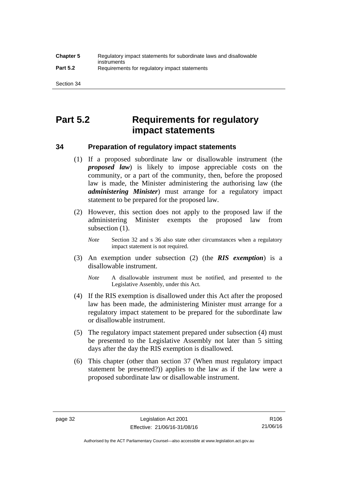# **Part 5.2 Requirements for regulatory impact statements**

### **34 Preparation of regulatory impact statements**

- (1) If a proposed subordinate law or disallowable instrument (the *proposed law*) is likely to impose appreciable costs on the community, or a part of the community, then, before the proposed law is made, the Minister administering the authorising law (the *administering Minister*) must arrange for a regulatory impact statement to be prepared for the proposed law.
- (2) However, this section does not apply to the proposed law if the administering Minister exempts the proposed law from subsection  $(1)$ .

*Note* Section 32 and s 36 also state other circumstances when a regulatory impact statement is not required.

- (3) An exemption under subsection (2) (the *RIS exemption*) is a disallowable instrument.
	- *Note* A disallowable instrument must be notified, and presented to the Legislative Assembly, under this Act.
- (4) If the RIS exemption is disallowed under this Act after the proposed law has been made, the administering Minister must arrange for a regulatory impact statement to be prepared for the subordinate law or disallowable instrument.
- (5) The regulatory impact statement prepared under subsection (4) must be presented to the Legislative Assembly not later than 5 sitting days after the day the RIS exemption is disallowed.
- (6) This chapter (other than section 37 (When must regulatory impact statement be presented?)) applies to the law as if the law were a proposed subordinate law or disallowable instrument.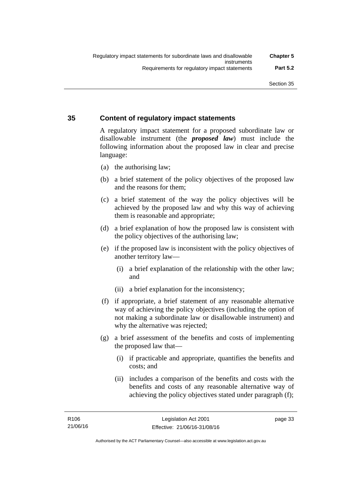### **35 Content of regulatory impact statements**

A regulatory impact statement for a proposed subordinate law or disallowable instrument (the *proposed law*) must include the following information about the proposed law in clear and precise language:

- (a) the authorising law;
- (b) a brief statement of the policy objectives of the proposed law and the reasons for them;
- (c) a brief statement of the way the policy objectives will be achieved by the proposed law and why this way of achieving them is reasonable and appropriate;
- (d) a brief explanation of how the proposed law is consistent with the policy objectives of the authorising law;
- (e) if the proposed law is inconsistent with the policy objectives of another territory law—
	- (i) a brief explanation of the relationship with the other law; and
	- (ii) a brief explanation for the inconsistency;
- (f) if appropriate, a brief statement of any reasonable alternative way of achieving the policy objectives (including the option of not making a subordinate law or disallowable instrument) and why the alternative was rejected;
- (g) a brief assessment of the benefits and costs of implementing the proposed law that—
	- (i) if practicable and appropriate, quantifies the benefits and costs; and
	- (ii) includes a comparison of the benefits and costs with the benefits and costs of any reasonable alternative way of achieving the policy objectives stated under paragraph (f);

page 33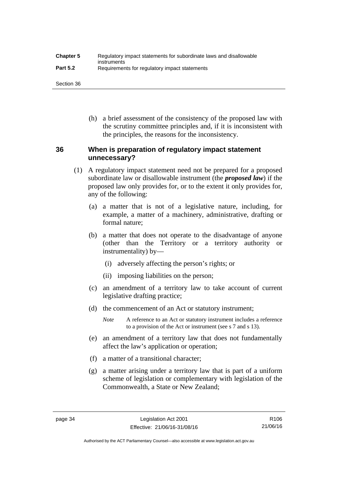| <b>Chapter 5</b> | Regulatory impact statements for subordinate laws and disallowable |
|------------------|--------------------------------------------------------------------|
| <b>Part 5.2</b>  | instruments<br>Requirements for regulatory impact statements       |

Section 36

 (h) a brief assessment of the consistency of the proposed law with the scrutiny committee principles and, if it is inconsistent with the principles, the reasons for the inconsistency.

### **36 When is preparation of regulatory impact statement unnecessary?**

- (1) A regulatory impact statement need not be prepared for a proposed subordinate law or disallowable instrument (the *proposed law*) if the proposed law only provides for, or to the extent it only provides for, any of the following:
	- (a) a matter that is not of a legislative nature, including, for example, a matter of a machinery, administrative, drafting or formal nature;
	- (b) a matter that does not operate to the disadvantage of anyone (other than the Territory or a territory authority or instrumentality) by—
		- (i) adversely affecting the person's rights; or
		- (ii) imposing liabilities on the person;
	- (c) an amendment of a territory law to take account of current legislative drafting practice;
	- (d) the commencement of an Act or statutory instrument;
		- *Note* A reference to an Act or statutory instrument includes a reference to a provision of the Act or instrument (see s 7 and s 13).
	- (e) an amendment of a territory law that does not fundamentally affect the law's application or operation;
	- (f) a matter of a transitional character;
	- (g) a matter arising under a territory law that is part of a uniform scheme of legislation or complementary with legislation of the Commonwealth, a State or New Zealand;

Authorised by the ACT Parliamentary Counsel—also accessible at www.legislation.act.gov.au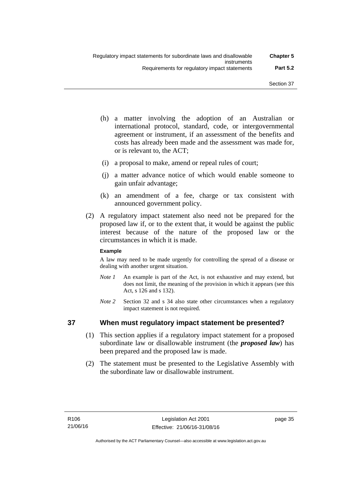- (h) a matter involving the adoption of an Australian or international protocol, standard, code, or intergovernmental agreement or instrument, if an assessment of the benefits and costs has already been made and the assessment was made for, or is relevant to, the ACT;
- (i) a proposal to make, amend or repeal rules of court;
- (j) a matter advance notice of which would enable someone to gain unfair advantage;
- (k) an amendment of a fee, charge or tax consistent with announced government policy.
- (2) A regulatory impact statement also need not be prepared for the proposed law if, or to the extent that, it would be against the public interest because of the nature of the proposed law or the circumstances in which it is made.

### **Example**

A law may need to be made urgently for controlling the spread of a disease or dealing with another urgent situation.

- *Note 1* An example is part of the Act, is not exhaustive and may extend, but does not limit, the meaning of the provision in which it appears (see this Act, s 126 and s 132).
- *Note* 2 Section 32 and s 34 also state other circumstances when a regulatory impact statement is not required.

### **37 When must regulatory impact statement be presented?**

- (1) This section applies if a regulatory impact statement for a proposed subordinate law or disallowable instrument (the *proposed law*) has been prepared and the proposed law is made.
- (2) The statement must be presented to the Legislative Assembly with the subordinate law or disallowable instrument.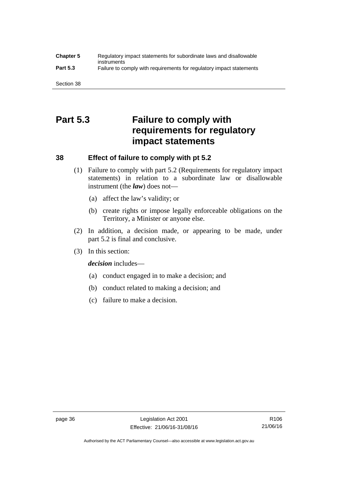### **Chapter 5** Regulatory impact statements for subordinate laws and disallowable instruments **Part 5.3** Failure to comply with requirements for regulatory impact statements

Section 38

# **Part 5.3 Failure to comply with requirements for regulatory impact statements**

### **38 Effect of failure to comply with pt 5.2**

- (1) Failure to comply with part 5.2 (Requirements for regulatory impact statements) in relation to a subordinate law or disallowable instrument (the *law*) does not—
	- (a) affect the law's validity; or
	- (b) create rights or impose legally enforceable obligations on the Territory, a Minister or anyone else.
- (2) In addition, a decision made, or appearing to be made, under part 5.2 is final and conclusive.
- (3) In this section:

*decision* includes—

- (a) conduct engaged in to make a decision; and
- (b) conduct related to making a decision; and
- (c) failure to make a decision.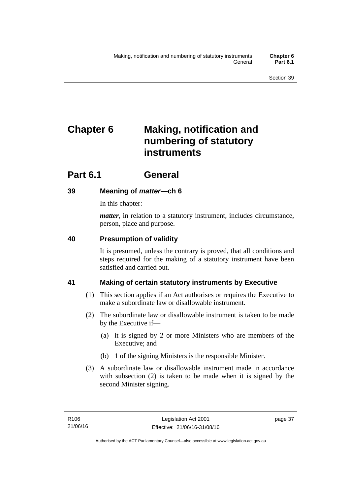# **Chapter 6 Making, notification and numbering of statutory instruments**

# **Part 6.1 General**

## **39 Meaning of** *matter***—ch 6**

In this chapter:

*matter*, in relation to a statutory instrument, includes circumstance, person, place and purpose.

## **40 Presumption of validity**

It is presumed, unless the contrary is proved, that all conditions and steps required for the making of a statutory instrument have been satisfied and carried out.

## **41 Making of certain statutory instruments by Executive**

- (1) This section applies if an Act authorises or requires the Executive to make a subordinate law or disallowable instrument.
- (2) The subordinate law or disallowable instrument is taken to be made by the Executive if—
	- (a) it is signed by 2 or more Ministers who are members of the Executive; and
	- (b) 1 of the signing Ministers is the responsible Minister.
- (3) A subordinate law or disallowable instrument made in accordance with subsection (2) is taken to be made when it is signed by the second Minister signing.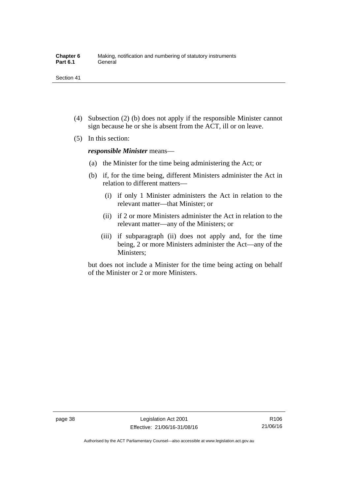- (4) Subsection (2) (b) does not apply if the responsible Minister cannot sign because he or she is absent from the ACT, ill or on leave.
- (5) In this section:

*responsible Minister* means—

- (a) the Minister for the time being administering the Act; or
- (b) if, for the time being, different Ministers administer the Act in relation to different matters—
	- (i) if only 1 Minister administers the Act in relation to the relevant matter—that Minister; or
	- (ii) if 2 or more Ministers administer the Act in relation to the relevant matter—any of the Ministers; or
	- (iii) if subparagraph (ii) does not apply and, for the time being, 2 or more Ministers administer the Act—any of the Ministers;

but does not include a Minister for the time being acting on behalf of the Minister or 2 or more Ministers.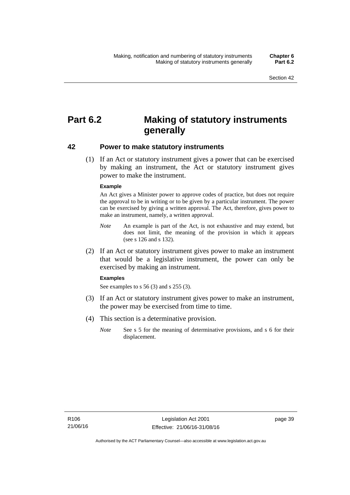# **Part 6.2 Making of statutory instruments generally**

### **42 Power to make statutory instruments**

 (1) If an Act or statutory instrument gives a power that can be exercised by making an instrument, the Act or statutory instrument gives power to make the instrument.

#### **Example**

An Act gives a Minister power to approve codes of practice, but does not require the approval to be in writing or to be given by a particular instrument. The power can be exercised by giving a written approval. The Act, therefore, gives power to make an instrument, namely, a written approval.

- *Note* An example is part of the Act, is not exhaustive and may extend, but does not limit, the meaning of the provision in which it appears (see s 126 and s 132).
- (2) If an Act or statutory instrument gives power to make an instrument that would be a legislative instrument, the power can only be exercised by making an instrument.

#### **Examples**

See examples to s 56 (3) and s 255 (3).

- (3) If an Act or statutory instrument gives power to make an instrument, the power may be exercised from time to time.
- (4) This section is a determinative provision.
	- *Note* See s 5 for the meaning of determinative provisions, and s 6 for their displacement.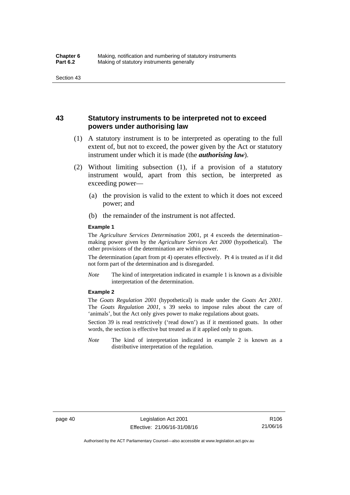### **43 Statutory instruments to be interpreted not to exceed powers under authorising law**

- (1) A statutory instrument is to be interpreted as operating to the full extent of, but not to exceed, the power given by the Act or statutory instrument under which it is made (the *authorising law*).
- (2) Without limiting subsection (1), if a provision of a statutory instrument would, apart from this section, be interpreted as exceeding power—
	- (a) the provision is valid to the extent to which it does not exceed power; and
	- (b) the remainder of the instrument is not affected.

#### **Example 1**

The *Agriculture Services Determination* 2001, pt 4 exceeds the determination– making power given by the *Agriculture Services Act 2000* (hypothetical). The other provisions of the determination are within power.

The determination (apart from pt 4) operates effectively. Pt 4 is treated as if it did not form part of the determination and is disregarded.

*Note* The kind of interpretation indicated in example 1 is known as a divisible interpretation of the determination.

#### **Example 2**

The *Goats Regulation 2001* (hypothetical) is made under the *Goats Act 2001*. The *Goats Regulation 2001*, s 39 seeks to impose rules about the care of 'animals', but the Act only gives power to make regulations about goats.

Section 39 is read restrictively ('read down') as if it mentioned goats. In other words, the section is effective but treated as if it applied only to goats.

*Note* The kind of interpretation indicated in example 2 is known as a distributive interpretation of the regulation.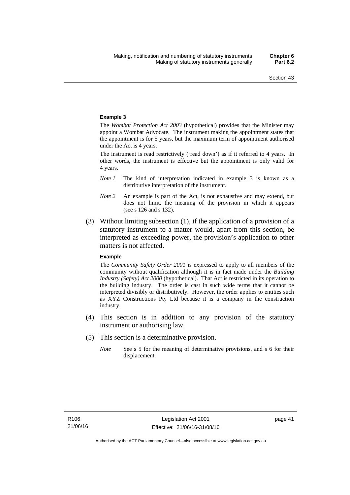#### **Example 3**

The *Wombat Protection Act 2003* (hypothetical) provides that the Minister may appoint a Wombat Advocate. The instrument making the appointment states that the appointment is for 5 years, but the maximum term of appointment authorised under the Act is 4 years.

The instrument is read restrictively ('read down') as if it referred to 4 years. In other words, the instrument is effective but the appointment is only valid for 4 years.

- *Note 1* The kind of interpretation indicated in example 3 is known as a distributive interpretation of the instrument.
- *Note 2* An example is part of the Act, is not exhaustive and may extend, but does not limit, the meaning of the provision in which it appears (see s 126 and s 132).
- (3) Without limiting subsection (1), if the application of a provision of a statutory instrument to a matter would, apart from this section, be interpreted as exceeding power, the provision's application to other matters is not affected.

#### **Example**

The *Community Safety Order 2001* is expressed to apply to all members of the community without qualification although it is in fact made under the *Building Industry (Safety) Act 2000* (hypothetical). That Act is restricted in its operation to the building industry. The order is cast in such wide terms that it cannot be interpreted divisibly or distributively. However, the order applies to entities such as XYZ Constructions Pty Ltd because it is a company in the construction industry.

- (4) This section is in addition to any provision of the statutory instrument or authorising law.
- (5) This section is a determinative provision.
	- *Note* See s 5 for the meaning of determinative provisions, and s 6 for their displacement.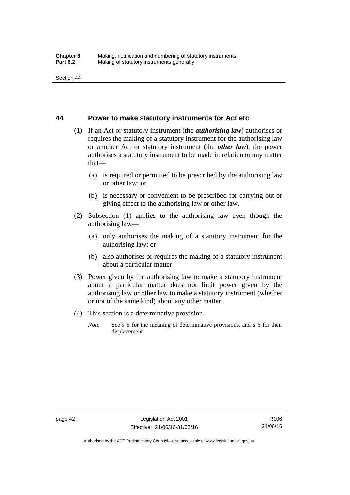### **44 Power to make statutory instruments for Act etc**

- (1) If an Act or statutory instrument (the *authorising law*) authorises or requires the making of a statutory instrument for the authorising law or another Act or statutory instrument (the *other law*), the power authorises a statutory instrument to be made in relation to any matter that—
	- (a) is required or permitted to be prescribed by the authorising law or other law; or
	- (b) is necessary or convenient to be prescribed for carrying out or giving effect to the authorising law or other law.
- (2) Subsection (1) applies to the authorising law even though the authorising law—
	- (a) only authorises the making of a statutory instrument for the authorising law; or
	- (b) also authorises or requires the making of a statutory instrument about a particular matter.
- (3) Power given by the authorising law to make a statutory instrument about a particular matter does not limit power given by the authorising law or other law to make a statutory instrument (whether or not of the same kind) about any other matter.
- (4) This section is a determinative provision.
	- *Note* See s 5 for the meaning of determinative provisions, and s 6 for their displacement.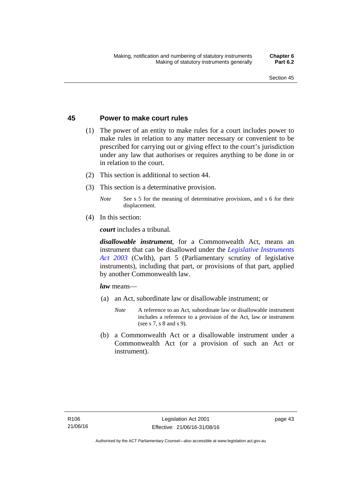### **45 Power to make court rules**

- (1) The power of an entity to make rules for a court includes power to make rules in relation to any matter necessary or convenient to be prescribed for carrying out or giving effect to the court's jurisdiction under any law that authorises or requires anything to be done in or in relation to the court.
- (2) This section is additional to section 44.
- (3) This section is a determinative provision.
	- *Note* See s 5 for the meaning of determinative provisions, and s 6 for their displacement.
- (4) In this section:

*court* includes a tribunal*.*

*disallowable instrument*, for a Commonwealth Act, means an instrument that can be disallowed under the *[Legislative Instruments](http://www.comlaw.gov.au/Series/C2004A01224)  [Act 2003](http://www.comlaw.gov.au/Series/C2004A01224)* (Cwlth), part 5 (Parliamentary scrutiny of legislative instruments), including that part, or provisions of that part, applied by another Commonwealth law.

*law* means—

- (a) an Act, subordinate law or disallowable instrument; or
	- *Note* A reference to an Act, subordinate law or disallowable instrument includes a reference to a provision of the Act, law or instrument (see s 7, s 8 and s 9).
- (b) a Commonwealth Act or a disallowable instrument under a Commonwealth Act (or a provision of such an Act or instrument).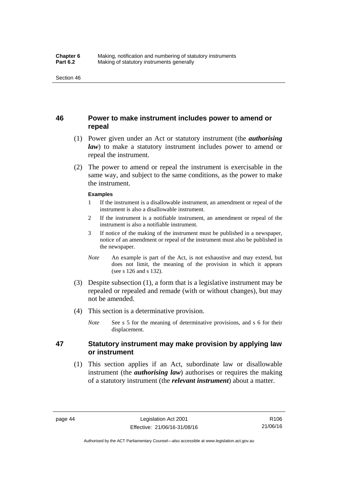### **46 Power to make instrument includes power to amend or repeal**

- (1) Power given under an Act or statutory instrument (the *authorising law*) to make a statutory instrument includes power to amend or repeal the instrument.
- (2) The power to amend or repeal the instrument is exercisable in the same way, and subject to the same conditions, as the power to make the instrument.

#### **Examples**

- 1 If the instrument is a disallowable instrument, an amendment or repeal of the instrument is also a disallowable instrument.
- 2 If the instrument is a notifiable instrument, an amendment or repeal of the instrument is also a notifiable instrument.
- 3 If notice of the making of the instrument must be published in a newspaper, notice of an amendment or repeal of the instrument must also be published in the newspaper.
- *Note* An example is part of the Act, is not exhaustive and may extend, but does not limit, the meaning of the provision in which it appears (see s 126 and s 132).
- (3) Despite subsection (1), a form that is a legislative instrument may be repealed or repealed and remade (with or without changes), but may not be amended.
- (4) This section is a determinative provision.
	- *Note* See s 5 for the meaning of determinative provisions, and s 6 for their displacement.

### **47 Statutory instrument may make provision by applying law or instrument**

 (1) This section applies if an Act, subordinate law or disallowable instrument (the *authorising law*) authorises or requires the making of a statutory instrument (the *relevant instrument*) about a matter.

Authorised by the ACT Parliamentary Counsel—also accessible at www.legislation.act.gov.au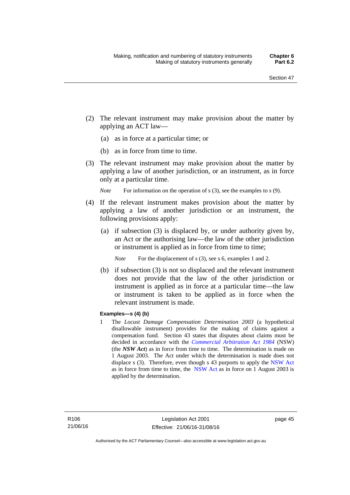- (2) The relevant instrument may make provision about the matter by applying an ACT law—
	- (a) as in force at a particular time; or
	- (b) as in force from time to time.
- (3) The relevant instrument may make provision about the matter by applying a law of another jurisdiction, or an instrument, as in force only at a particular time.

*Note* For information on the operation of s (3), see the examples to s (9).

- (4) If the relevant instrument makes provision about the matter by applying a law of another jurisdiction or an instrument, the following provisions apply:
	- (a) if subsection (3) is displaced by, or under authority given by, an Act or the authorising law—the law of the other jurisdiction or instrument is applied as in force from time to time;
		- *Note* For the displacement of s (3), see s 6, examples 1 and 2.
	- (b) if subsection (3) is not so displaced and the relevant instrument does not provide that the law of the other jurisdiction or instrument is applied as in force at a particular time—the law or instrument is taken to be applied as in force when the relevant instrument is made.

### **Examples—s (4) (b)**

1 The *Locust Damage Compensation Determination 2003* (a hypothetical disallowable instrument) provides for the making of claims against a compensation fund. Section 43 states that disputes about claims must be decided in accordance with the *[Commercial Arbitration Act 1984](http://www.legislation.nsw.gov.au/maintop/view/repealed/act+160+1984+cd+0+Y)* (NSW) (the *NSW Act*) as in force from time to time. The determination is made on 1 August 2003. The Act under which the determination is made does not displace s (3). Therefore, even though s 43 purports to apply the [NSW Act](http://www.legislation.nsw.gov.au/maintop/view/repealed/act+160+1984+cd+0+Y) as in force from time to time, the [NSW Act](http://www.legislation.nsw.gov.au/maintop/view/repealed/act+160+1984+cd+0+Y) as in force on 1 August 2003 is applied by the determination.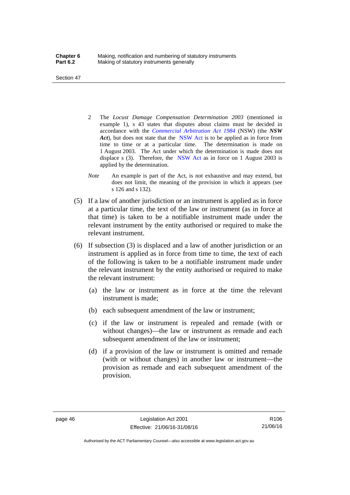Section 47

- 2 The *Locust Damage Compensation Determination 2003* (mentioned in example 1), s 43 states that disputes about claims must be decided in accordance with the *[Commercial Arbitration Act 1984](http://www.legislation.nsw.gov.au/maintop/view/repealed/act+160+1984+cd+0+Y)* (NSW) (the *NSW Act*), but does not state that the [NSW Act](http://www.legislation.nsw.gov.au/maintop/view/repealed/act+160+1984+cd+0+Y) is to be applied as in force from time to time or at a particular time. The determination is made on 1 August 2003. The Act under which the determination is made does not displace s (3). Therefore, the [NSW Act](http://www.legislation.nsw.gov.au/maintop/view/repealed/act+160+1984+cd+0+Y) as in force on 1 August 2003 is applied by the determination.
- *Note* An example is part of the Act, is not exhaustive and may extend, but does not limit, the meaning of the provision in which it appears (see s 126 and s 132).
- (5) If a law of another jurisdiction or an instrument is applied as in force at a particular time, the text of the law or instrument (as in force at that time) is taken to be a notifiable instrument made under the relevant instrument by the entity authorised or required to make the relevant instrument.
- (6) If subsection (3) is displaced and a law of another jurisdiction or an instrument is applied as in force from time to time, the text of each of the following is taken to be a notifiable instrument made under the relevant instrument by the entity authorised or required to make the relevant instrument:
	- (a) the law or instrument as in force at the time the relevant instrument is made;
	- (b) each subsequent amendment of the law or instrument;
	- (c) if the law or instrument is repealed and remade (with or without changes)—the law or instrument as remade and each subsequent amendment of the law or instrument;
	- (d) if a provision of the law or instrument is omitted and remade (with or without changes) in another law or instrument—the provision as remade and each subsequent amendment of the provision.

R106 21/06/16

Authorised by the ACT Parliamentary Counsel—also accessible at www.legislation.act.gov.au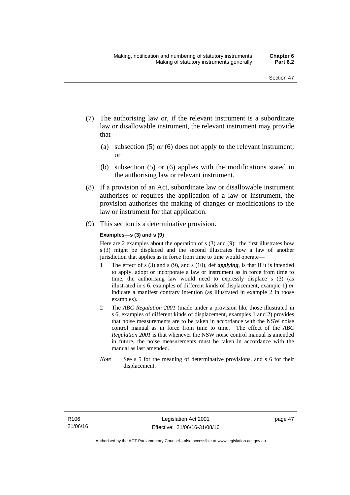- (7) The authorising law or, if the relevant instrument is a subordinate law or disallowable instrument, the relevant instrument may provide that—
	- (a) subsection (5) or (6) does not apply to the relevant instrument; or
	- (b) subsection (5) or (6) applies with the modifications stated in the authorising law or relevant instrument.
- (8) If a provision of an Act, subordinate law or disallowable instrument authorises or requires the application of a law or instrument, the provision authorises the making of changes or modifications to the law or instrument for that application.
- (9) This section is a determinative provision.

#### **Examples—s (3) and s (9)**

Here are 2 examples about the operation of s (3) and (9): the first illustrates how s (3) might be displaced and the second illustrates how a law of another jurisdiction that applies as in force from time to time would operate—

- 1 The effect of s (3) and s (9), and s (10), def *applying*, is that if it is intended to apply, adopt or incorporate a law or instrument as in force from time to time, the authorising law would need to expressly displace s (3) (as illustrated in s 6, examples of different kinds of displacement, example 1) *or* indicate a manifest contrary intention (as illustrated in example 2 in those examples).
- 2 The *ABC Regulation 2001* (made under a provision like those illustrated in s 6, examples of different kinds of displacement, examples 1 and 2) provides that noise measurements are to be taken in accordance with the NSW noise control manual as in force from time to time. The effect of the *ABC Regulation 2001* is that whenever the NSW noise control manual is amended in future, the noise measurements must be taken in accordance with the manual as last amended.
- *Note* See s 5 for the meaning of determinative provisions, and s 6 for their displacement.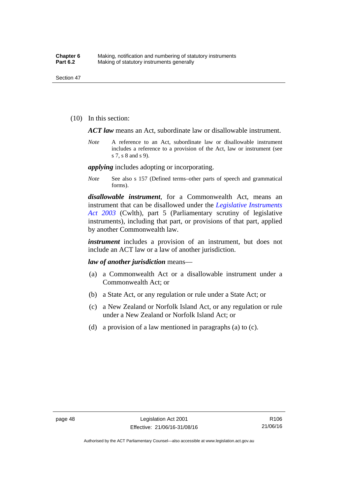(10) In this section:

*ACT law* means an Act, subordinate law or disallowable instrument.

*Note* A reference to an Act, subordinate law or disallowable instrument includes a reference to a provision of the Act, law or instrument (see s 7, s 8 and s 9).

*applying* includes adopting or incorporating.

*Note* See also s 157 (Defined terms–other parts of speech and grammatical forms).

*disallowable instrument*, for a Commonwealth Act, means an instrument that can be disallowed under the *[Legislative Instruments](http://www.comlaw.gov.au/Series/C2004A01224)  [Act 2003](http://www.comlaw.gov.au/Series/C2004A01224)* (Cwlth), part 5 (Parliamentary scrutiny of legislative instruments), including that part, or provisions of that part, applied by another Commonwealth law.

*instrument* includes a provision of an instrument, but does not include an ACT law or a law of another jurisdiction.

*law of another jurisdiction* means—

- (a) a Commonwealth Act or a disallowable instrument under a Commonwealth Act; or
- (b) a State Act, or any regulation or rule under a State Act; or
- (c) a New Zealand or Norfolk Island Act, or any regulation or rule under a New Zealand or Norfolk Island Act; or
- (d) a provision of a law mentioned in paragraphs (a) to (c).

Authorised by the ACT Parliamentary Counsel—also accessible at www.legislation.act.gov.au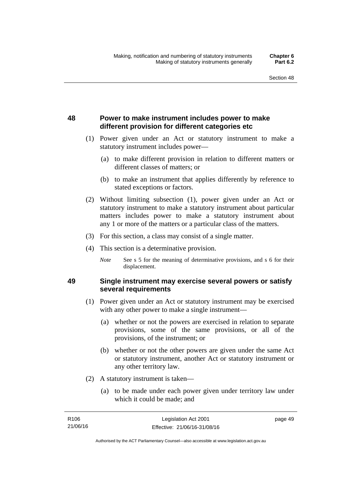## **48 Power to make instrument includes power to make different provision for different categories etc**

- (1) Power given under an Act or statutory instrument to make a statutory instrument includes power—
	- (a) to make different provision in relation to different matters or different classes of matters; or
	- (b) to make an instrument that applies differently by reference to stated exceptions or factors.
- (2) Without limiting subsection (1), power given under an Act or statutory instrument to make a statutory instrument about particular matters includes power to make a statutory instrument about any 1 or more of the matters or a particular class of the matters.
- (3) For this section, a class may consist of a single matter.
- (4) This section is a determinative provision.
	- *Note* See s 5 for the meaning of determinative provisions, and s 6 for their displacement.

### **49 Single instrument may exercise several powers or satisfy several requirements**

- (1) Power given under an Act or statutory instrument may be exercised with any other power to make a single instrument—
	- (a) whether or not the powers are exercised in relation to separate provisions, some of the same provisions, or all of the provisions, of the instrument; or
	- (b) whether or not the other powers are given under the same Act or statutory instrument, another Act or statutory instrument or any other territory law.
- (2) A statutory instrument is taken—
	- (a) to be made under each power given under territory law under which it could be made; and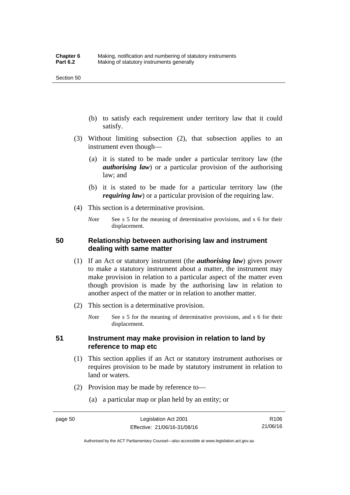- (b) to satisfy each requirement under territory law that it could satisfy.
- (3) Without limiting subsection (2), that subsection applies to an instrument even though—
	- (a) it is stated to be made under a particular territory law (the *authorising law*) or a particular provision of the authorising law; and
	- (b) it is stated to be made for a particular territory law (the *requiring law*) or a particular provision of the requiring law.
- (4) This section is a determinative provision.
	- *Note* See s 5 for the meaning of determinative provisions, and s 6 for their displacement.

### **50 Relationship between authorising law and instrument dealing with same matter**

- (1) If an Act or statutory instrument (the *authorising law*) gives power to make a statutory instrument about a matter, the instrument may make provision in relation to a particular aspect of the matter even though provision is made by the authorising law in relation to another aspect of the matter or in relation to another matter.
- (2) This section is a determinative provision.
	- *Note* See s 5 for the meaning of determinative provisions, and s 6 for their displacement.

### **51 Instrument may make provision in relation to land by reference to map etc**

- (1) This section applies if an Act or statutory instrument authorises or requires provision to be made by statutory instrument in relation to land or waters.
- (2) Provision may be made by reference to—
	- (a) a particular map or plan held by an entity; or

Authorised by the ACT Parliamentary Counsel—also accessible at www.legislation.act.gov.au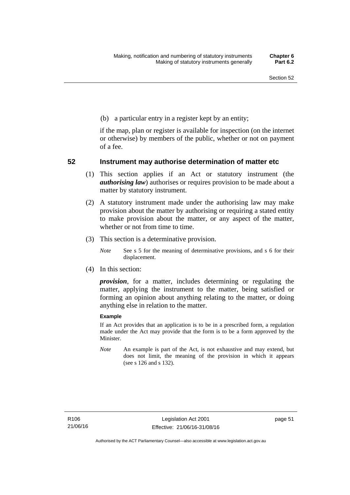(b) a particular entry in a register kept by an entity;

if the map, plan or register is available for inspection (on the internet or otherwise) by members of the public, whether or not on payment of a fee.

### **52 Instrument may authorise determination of matter etc**

- (1) This section applies if an Act or statutory instrument (the *authorising law*) authorises or requires provision to be made about a matter by statutory instrument.
- (2) A statutory instrument made under the authorising law may make provision about the matter by authorising or requiring a stated entity to make provision about the matter, or any aspect of the matter, whether or not from time to time.
- (3) This section is a determinative provision.
	- *Note* See s 5 for the meaning of determinative provisions, and s 6 for their displacement.
- (4) In this section:

*provision*, for a matter, includes determining or regulating the matter, applying the instrument to the matter, being satisfied or forming an opinion about anything relating to the matter, or doing anything else in relation to the matter.

#### **Example**

If an Act provides that an application is to be in a prescribed form, a regulation made under the Act may provide that the form is to be a form approved by the Minister.

*Note* An example is part of the Act, is not exhaustive and may extend, but does not limit, the meaning of the provision in which it appears (see s 126 and s 132).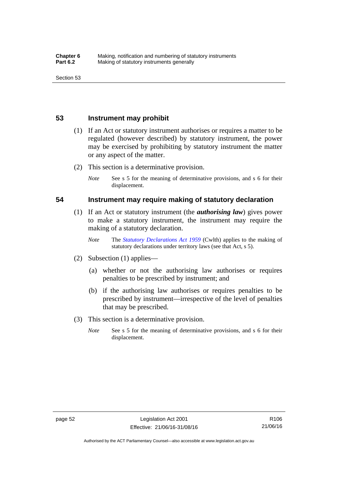### **53 Instrument may prohibit**

- (1) If an Act or statutory instrument authorises or requires a matter to be regulated (however described) by statutory instrument, the power may be exercised by prohibiting by statutory instrument the matter or any aspect of the matter.
- (2) This section is a determinative provision.
	- *Note* See s 5 for the meaning of determinative provisions, and s 6 for their displacement.

### **54 Instrument may require making of statutory declaration**

- (1) If an Act or statutory instrument (the *authorising law*) gives power to make a statutory instrument, the instrument may require the making of a statutory declaration.
	- *Note* The *[Statutory Declarations Act 1959](http://www.comlaw.gov.au/Series/C2004A07365)* (Cwlth) applies to the making of statutory declarations under territory laws (see that Act, s 5).
- (2) Subsection (1) applies—
	- (a) whether or not the authorising law authorises or requires penalties to be prescribed by instrument; and
	- (b) if the authorising law authorises or requires penalties to be prescribed by instrument—irrespective of the level of penalties that may be prescribed.
- (3) This section is a determinative provision.
	- *Note* See s 5 for the meaning of determinative provisions, and s 6 for their displacement.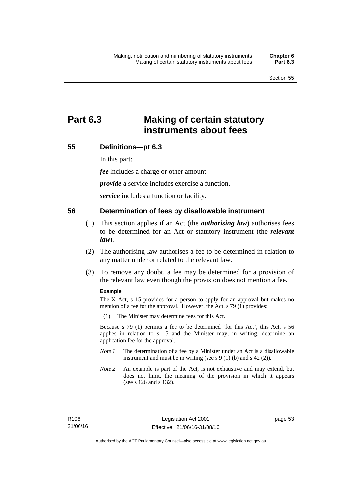# **Part 6.3 Making of certain statutory instruments about fees**

### **55 Definitions—pt 6.3**

In this part:

*fee* includes a charge or other amount.

*provide* a service includes exercise a function.

*service* includes a function or facility.

### **56 Determination of fees by disallowable instrument**

- (1) This section applies if an Act (the *authorising law*) authorises fees to be determined for an Act or statutory instrument (the *relevant law*).
- (2) The authorising law authorises a fee to be determined in relation to any matter under or related to the relevant law.
- (3) To remove any doubt, a fee may be determined for a provision of the relevant law even though the provision does not mention a fee.

#### **Example**

The X Act, s 15 provides for a person to apply for an approval but makes no mention of a fee for the approval. However, the Act, s 79 (1) provides:

(1) The Minister may determine fees for this Act.

Because s 79 (1) permits a fee to be determined 'for this Act', this Act, s 56 applies in relation to s 15 and the Minister may, in writing, determine an application fee for the approval.

- *Note 1* The determination of a fee by a Minister under an Act is a disallowable instrument and must be in writing (see s 9 (1) (b) and s 42 (2)).
- *Note 2* An example is part of the Act, is not exhaustive and may extend, but does not limit, the meaning of the provision in which it appears (see s 126 and s 132).

page 53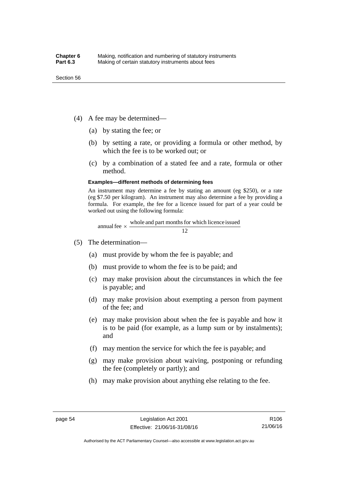- (4) A fee may be determined—
	- (a) by stating the fee; or
	- (b) by setting a rate, or providing a formula or other method, by which the fee is to be worked out; or
	- (c) by a combination of a stated fee and a rate, formula or other method.

#### **Examples—different methods of determining fees**

An instrument may determine a fee by stating an amount (eg \$250), or a rate (eg \$7.50 per kilogram). An instrument may also determine a fee by providing a formula. For example, the fee for a licence issued for part of a year could be worked out using the following formula:

annual fee  $\times$  whole and part months for which licence issued  $\frac{12}{\sqrt{12}}$ 

- (5) The determination—
	- (a) must provide by whom the fee is payable; and
	- (b) must provide to whom the fee is to be paid; and
	- (c) may make provision about the circumstances in which the fee is payable; and
	- (d) may make provision about exempting a person from payment of the fee; and
	- (e) may make provision about when the fee is payable and how it is to be paid (for example, as a lump sum or by instalments); and
	- (f) may mention the service for which the fee is payable; and
	- (g) may make provision about waiving, postponing or refunding the fee (completely or partly); and
	- (h) may make provision about anything else relating to the fee.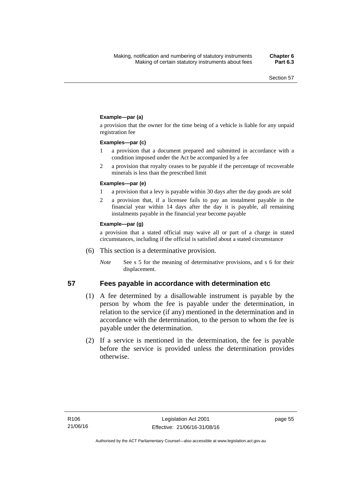### **Example—par (a)**

a provision that the owner for the time being of a vehicle is liable for any unpaid registration fee

#### **Examples—par (c)**

- 1 a provision that a document prepared and submitted in accordance with a condition imposed under the Act be accompanied by a fee
- 2 a provision that royalty ceases to be payable if the percentage of recoverable minerals is less than the prescribed limit

#### **Examples—par (e)**

- 1 a provision that a levy is payable within 30 days after the day goods are sold
- 2 a provision that, if a licensee fails to pay an instalment payable in the financial year within 14 days after the day it is payable, all remaining instalments payable in the financial year become payable

#### **Example—par (g)**

a provision that a stated official may waive all or part of a charge in stated circumstances, including if the official is satisfied about a stated circumstance

- (6) This section is a determinative provision.
	- *Note* See s 5 for the meaning of determinative provisions, and s 6 for their displacement.

- **57 Fees payable in accordance with determination etc**  (1) A fee determined by a disallowable instrument is payable by the
	- person by whom the fee is payable under the determination, in relation to the service (if any) mentioned in the determination and in accordance with the determination, to the person to whom the fee is payable under the determination.
	- (2) If a service is mentioned in the determination, the fee is payable before the service is provided unless the determination provides otherwise.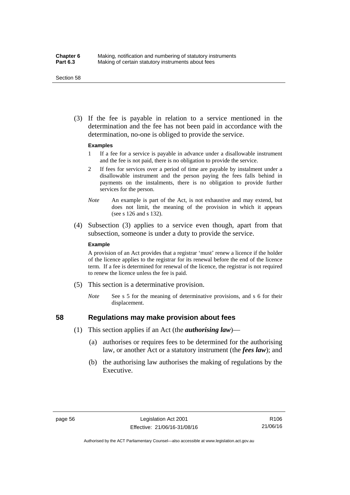#### Section 58

 (3) If the fee is payable in relation to a service mentioned in the determination and the fee has not been paid in accordance with the determination, no-one is obliged to provide the service.

#### **Examples**

- 1 If a fee for a service is payable in advance under a disallowable instrument and the fee is not paid, there is no obligation to provide the service.
- 2 If fees for services over a period of time are payable by instalment under a disallowable instrument and the person paying the fees falls behind in payments on the instalments, there is no obligation to provide further services for the person.
- *Note* An example is part of the Act, is not exhaustive and may extend, but does not limit, the meaning of the provision in which it appears (see s 126 and s 132).
- (4) Subsection (3) applies to a service even though, apart from that subsection, someone is under a duty to provide the service.

#### **Example**

A provision of an Act provides that a registrar 'must' renew a licence if the holder of the licence applies to the registrar for its renewal before the end of the licence term. If a fee is determined for renewal of the licence, the registrar is not required to renew the licence unless the fee is paid.

- (5) This section is a determinative provision.
	- *Note* See s 5 for the meaning of determinative provisions, and s 6 for their displacement.

## **58 Regulations may make provision about fees**

- (1) This section applies if an Act (the *authorising law*)—
	- (a) authorises or requires fees to be determined for the authorising law, or another Act or a statutory instrument (the *fees law*); and
	- (b) the authorising law authorises the making of regulations by the Executive.

Authorised by the ACT Parliamentary Counsel—also accessible at www.legislation.act.gov.au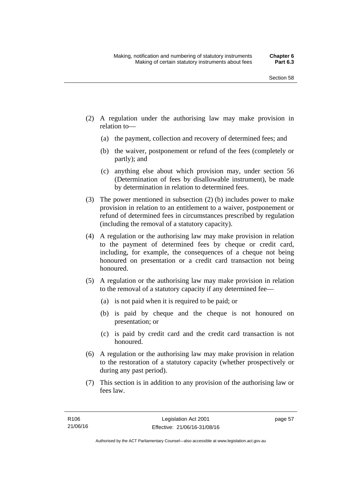- (2) A regulation under the authorising law may make provision in relation to—
	- (a) the payment, collection and recovery of determined fees; and
	- (b) the waiver, postponement or refund of the fees (completely or partly); and
	- (c) anything else about which provision may, under section 56 (Determination of fees by disallowable instrument), be made by determination in relation to determined fees.
- (3) The power mentioned in subsection (2) (b) includes power to make provision in relation to an entitlement to a waiver, postponement or refund of determined fees in circumstances prescribed by regulation (including the removal of a statutory capacity).
- (4) A regulation or the authorising law may make provision in relation to the payment of determined fees by cheque or credit card, including, for example, the consequences of a cheque not being honoured on presentation or a credit card transaction not being honoured.
- (5) A regulation or the authorising law may make provision in relation to the removal of a statutory capacity if any determined fee—
	- (a) is not paid when it is required to be paid; or
	- (b) is paid by cheque and the cheque is not honoured on presentation; or
	- (c) is paid by credit card and the credit card transaction is not honoured.
- (6) A regulation or the authorising law may make provision in relation to the restoration of a statutory capacity (whether prospectively or during any past period).
- (7) This section is in addition to any provision of the authorising law or fees law.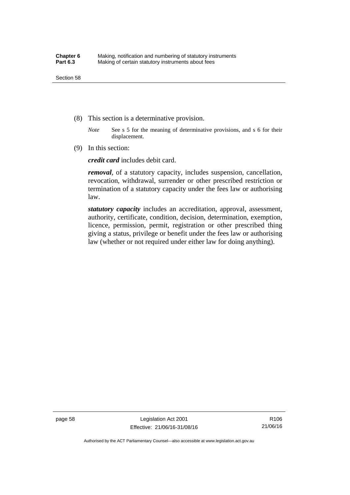- (8) This section is a determinative provision.
	- *Note* See s 5 for the meaning of determinative provisions, and s 6 for their displacement.
- (9) In this section:

*credit card* includes debit card.

*removal*, of a statutory capacity, includes suspension, cancellation, revocation, withdrawal, surrender or other prescribed restriction or termination of a statutory capacity under the fees law or authorising law.

*statutory capacity* includes an accreditation, approval, assessment, authority, certificate, condition, decision, determination, exemption, licence, permission, permit, registration or other prescribed thing giving a status, privilege or benefit under the fees law or authorising law (whether or not required under either law for doing anything).

page 58 Legislation Act 2001 Effective: 21/06/16-31/08/16

R106 21/06/16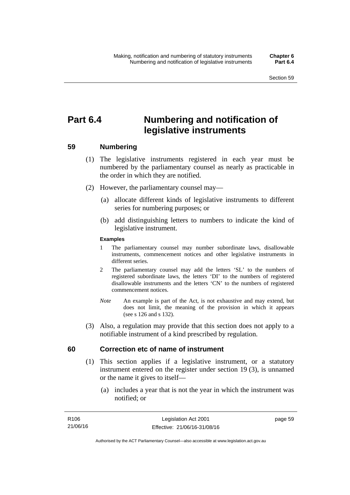# **Part 6.4 Numbering and notification of legislative instruments**

## **59 Numbering**

- (1) The legislative instruments registered in each year must be numbered by the parliamentary counsel as nearly as practicable in the order in which they are notified.
- (2) However, the parliamentary counsel may—
	- (a) allocate different kinds of legislative instruments to different series for numbering purposes; or
	- (b) add distinguishing letters to numbers to indicate the kind of legislative instrument.

## **Examples**

- 1 The parliamentary counsel may number subordinate laws, disallowable instruments, commencement notices and other legislative instruments in different series.
- 2 The parliamentary counsel may add the letters 'SL' to the numbers of registered subordinate laws, the letters 'DI' to the numbers of registered disallowable instruments and the letters 'CN' to the numbers of registered commencement notices.
- *Note* An example is part of the Act, is not exhaustive and may extend, but does not limit, the meaning of the provision in which it appears (see s 126 and s 132).
- (3) Also, a regulation may provide that this section does not apply to a notifiable instrument of a kind prescribed by regulation.

## **60 Correction etc of name of instrument**

- (1) This section applies if a legislative instrument, or a statutory instrument entered on the register under section 19 (3), is unnamed or the name it gives to itself—
	- (a) includes a year that is not the year in which the instrument was notified; or

page 59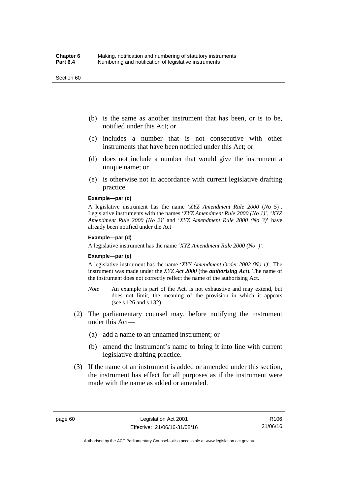#### Section 60

- (b) is the same as another instrument that has been, or is to be, notified under this Act; or
- (c) includes a number that is not consecutive with other instruments that have been notified under this Act; or
- (d) does not include a number that would give the instrument a unique name; or
- (e) is otherwise not in accordance with current legislative drafting practice.

## **Example—par (c)**

A legislative instrument has the name '*XYZ Amendment Rule 2000* (*No 5*)'. Legislative instruments with the names '*XYZ Amendment Rule 2000 (No 1)*', '*XYZ Amendment Rule 2000 (No 2)*' and '*XYZ Amendment Rule 2000 (No 3)*' have already been notified under the Act

#### **Example—par (d)**

A legislative instrument has the name '*XYZ Amendment Rule 2000 (No )*'.

#### **Example—par (e)**

A legislative instrument has the name '*XYY Amendment Order 2002 (No 1)*'. The instrument was made under the *XYZ Act 2000* (the *authorising Act*). The name of the instrument does not correctly reflect the name of the authorising Act.

- *Note* An example is part of the Act, is not exhaustive and may extend, but does not limit, the meaning of the provision in which it appears (see s 126 and s 132).
- (2) The parliamentary counsel may, before notifying the instrument under this Act—
	- (a) add a name to an unnamed instrument; or
	- (b) amend the instrument's name to bring it into line with current legislative drafting practice.
- (3) If the name of an instrument is added or amended under this section, the instrument has effect for all purposes as if the instrument were made with the name as added or amended.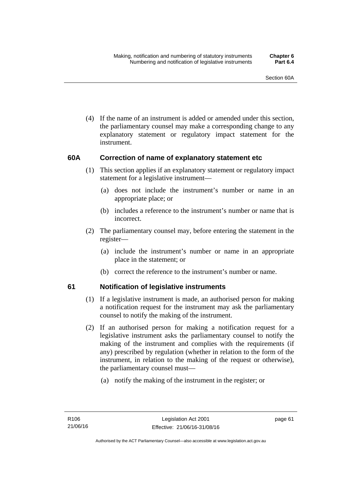(4) If the name of an instrument is added or amended under this section, the parliamentary counsel may make a corresponding change to any explanatory statement or regulatory impact statement for the instrument.

## **60A Correction of name of explanatory statement etc**

- (1) This section applies if an explanatory statement or regulatory impact statement for a legislative instrument—
	- (a) does not include the instrument's number or name in an appropriate place; or
	- (b) includes a reference to the instrument's number or name that is incorrect.
- (2) The parliamentary counsel may, before entering the statement in the register—
	- (a) include the instrument's number or name in an appropriate place in the statement; or
	- (b) correct the reference to the instrument's number or name.

## **61 Notification of legislative instruments**

- (1) If a legislative instrument is made, an authorised person for making a notification request for the instrument may ask the parliamentary counsel to notify the making of the instrument.
- (2) If an authorised person for making a notification request for a legislative instrument asks the parliamentary counsel to notify the making of the instrument and complies with the requirements (if any) prescribed by regulation (whether in relation to the form of the instrument, in relation to the making of the request or otherwise), the parliamentary counsel must—
	- (a) notify the making of the instrument in the register; or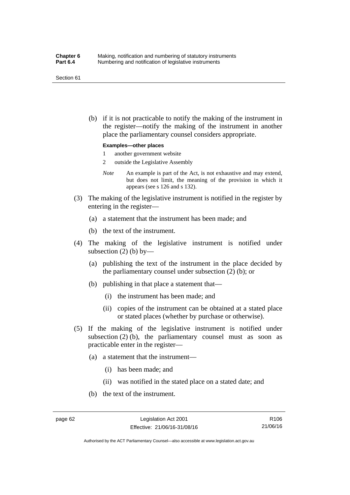#### Section 61

 (b) if it is not practicable to notify the making of the instrument in the register—notify the making of the instrument in another place the parliamentary counsel considers appropriate.

#### **Examples—other places**

- 1 another government website
- 2 outside the Legislative Assembly
- *Note* An example is part of the Act, is not exhaustive and may extend, but does not limit, the meaning of the provision in which it appears (see s 126 and s 132).
- (3) The making of the legislative instrument is notified in the register by entering in the register—
	- (a) a statement that the instrument has been made; and
	- (b) the text of the instrument.
- (4) The making of the legislative instrument is notified under subsection  $(2)$  (b) by—
	- (a) publishing the text of the instrument in the place decided by the parliamentary counsel under subsection (2) (b); or
	- (b) publishing in that place a statement that—
		- (i) the instrument has been made; and
		- (ii) copies of the instrument can be obtained at a stated place or stated places (whether by purchase or otherwise).
- (5) If the making of the legislative instrument is notified under subsection  $(2)$  (b), the parliamentary counsel must as soon as practicable enter in the register—
	- (a) a statement that the instrument—
		- (i) has been made; and
		- (ii) was notified in the stated place on a stated date; and
	- (b) the text of the instrument.

Authorised by the ACT Parliamentary Counsel—also accessible at www.legislation.act.gov.au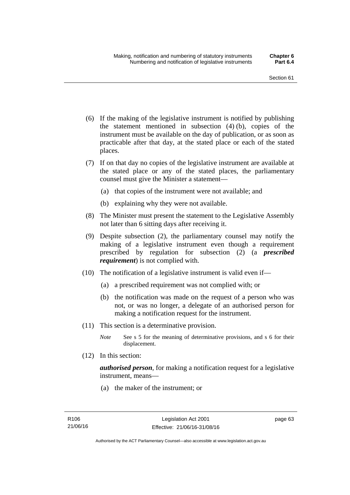- (6) If the making of the legislative instrument is notified by publishing the statement mentioned in subsection (4) (b), copies of the instrument must be available on the day of publication, or as soon as practicable after that day, at the stated place or each of the stated places.
- (7) If on that day no copies of the legislative instrument are available at the stated place or any of the stated places, the parliamentary counsel must give the Minister a statement—
	- (a) that copies of the instrument were not available; and
	- (b) explaining why they were not available.
- (8) The Minister must present the statement to the Legislative Assembly not later than 6 sitting days after receiving it.
- (9) Despite subsection (2), the parliamentary counsel may notify the making of a legislative instrument even though a requirement prescribed by regulation for subsection (2) (a *prescribed requirement*) is not complied with.
- (10) The notification of a legislative instrument is valid even if—
	- (a) a prescribed requirement was not complied with; or
	- (b) the notification was made on the request of a person who was not, or was no longer, a delegate of an authorised person for making a notification request for the instrument.
- (11) This section is a determinative provision.
	- *Note* See s 5 for the meaning of determinative provisions, and s 6 for their displacement.
- (12) In this section:

*authorised person*, for making a notification request for a legislative instrument, means—

(a) the maker of the instrument; or

page 63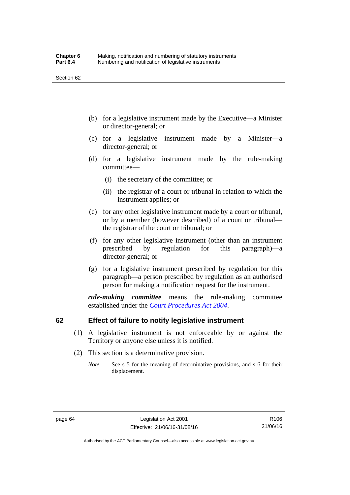- (b) for a legislative instrument made by the Executive—a Minister or director-general; or
- (c) for a legislative instrument made by a Minister—a director-general; or
- (d) for a legislative instrument made by the rule-making committee—
	- (i) the secretary of the committee; or
	- (ii) the registrar of a court or tribunal in relation to which the instrument applies; or
- (e) for any other legislative instrument made by a court or tribunal, or by a member (however described) of a court or tribunal the registrar of the court or tribunal; or
- (f) for any other legislative instrument (other than an instrument prescribed by regulation for this paragraph)—a director-general; or
- (g) for a legislative instrument prescribed by regulation for this paragraph—a person prescribed by regulation as an authorised person for making a notification request for the instrument.

*rule-making committee* means the rule-making committee established under the *[Court Procedures Act 2004](http://www.legislation.act.gov.au/a/2004-59)*.

## **62 Effect of failure to notify legislative instrument**

- (1) A legislative instrument is not enforceable by or against the Territory or anyone else unless it is notified.
- (2) This section is a determinative provision.
	- *Note* See s 5 for the meaning of determinative provisions, and s 6 for their displacement.

R106 21/06/16

Authorised by the ACT Parliamentary Counsel—also accessible at www.legislation.act.gov.au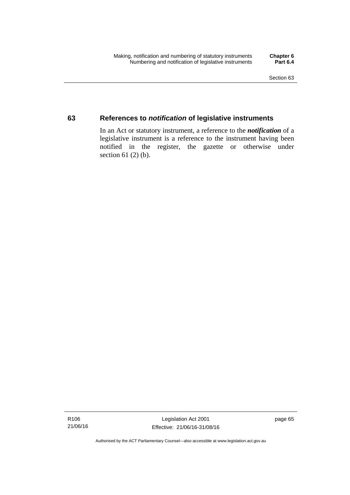## **63 References to** *notification* **of legislative instruments**

In an Act or statutory instrument, a reference to the *notification* of a legislative instrument is a reference to the instrument having been notified in the register, the gazette or otherwise under section  $61$  (2) (b).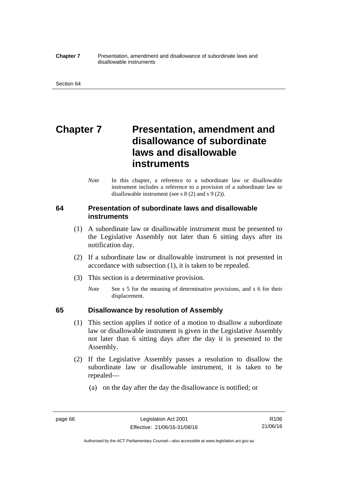#### **Chapter 7** Presentation, amendment and disallowance of subordinate laws and disallowable instruments

# **Chapter 7** Presentation, amendment and **disallowance of subordinate laws and disallowable instruments**

*Note* In this chapter, a reference to a subordinate law or disallowable instrument includes a reference to a provision of a subordinate law or disallowable instrument (see s 8 (2) and s 9 (2)).

## **64 Presentation of subordinate laws and disallowable instruments**

- (1) A subordinate law or disallowable instrument must be presented to the Legislative Assembly not later than 6 sitting days after its notification day.
- (2) If a subordinate law or disallowable instrument is not presented in accordance with subsection (1), it is taken to be repealed.
- (3) This section is a determinative provision.
	- *Note* See s 5 for the meaning of determinative provisions, and s 6 for their displacement.

## **65 Disallowance by resolution of Assembly**

- (1) This section applies if notice of a motion to disallow a subordinate law or disallowable instrument is given in the Legislative Assembly not later than 6 sitting days after the day it is presented to the Assembly.
- (2) If the Legislative Assembly passes a resolution to disallow the subordinate law or disallowable instrument, it is taken to be repealed—
	- (a) on the day after the day the disallowance is notified; or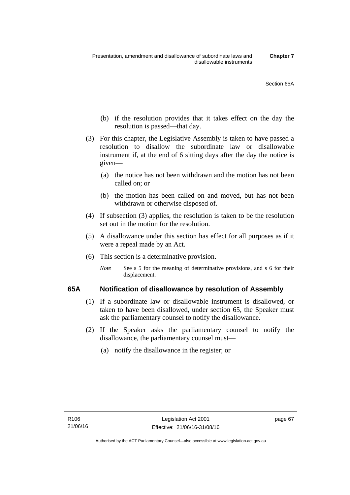- (b) if the resolution provides that it takes effect on the day the resolution is passed—that day.
- (3) For this chapter, the Legislative Assembly is taken to have passed a resolution to disallow the subordinate law or disallowable instrument if, at the end of 6 sitting days after the day the notice is given—
	- (a) the notice has not been withdrawn and the motion has not been called on; or
	- (b) the motion has been called on and moved, but has not been withdrawn or otherwise disposed of.
- (4) If subsection (3) applies, the resolution is taken to be the resolution set out in the motion for the resolution.
- (5) A disallowance under this section has effect for all purposes as if it were a repeal made by an Act.
- (6) This section is a determinative provision.
	- *Note* See s 5 for the meaning of determinative provisions, and s 6 for their displacement.

## **65A Notification of disallowance by resolution of Assembly**

- (1) If a subordinate law or disallowable instrument is disallowed, or taken to have been disallowed, under section 65, the Speaker must ask the parliamentary counsel to notify the disallowance.
- (2) If the Speaker asks the parliamentary counsel to notify the disallowance, the parliamentary counsel must—
	- (a) notify the disallowance in the register; or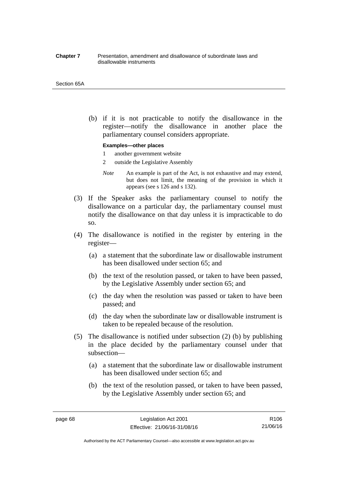#### **Chapter 7** Presentation, amendment and disallowance of subordinate laws and disallowable instruments

#### Section 65A

 (b) if it is not practicable to notify the disallowance in the register—notify the disallowance in another place the parliamentary counsel considers appropriate.

#### **Examples—other places**

- 1 another government website
- 2 outside the Legislative Assembly
- *Note* An example is part of the Act, is not exhaustive and may extend, but does not limit, the meaning of the provision in which it appears (see s 126 and s 132).
- (3) If the Speaker asks the parliamentary counsel to notify the disallowance on a particular day, the parliamentary counsel must notify the disallowance on that day unless it is impracticable to do so.
- (4) The disallowance is notified in the register by entering in the register—
	- (a) a statement that the subordinate law or disallowable instrument has been disallowed under section 65; and
	- (b) the text of the resolution passed, or taken to have been passed, by the Legislative Assembly under section 65; and
	- (c) the day when the resolution was passed or taken to have been passed; and
	- (d) the day when the subordinate law or disallowable instrument is taken to be repealed because of the resolution.
- (5) The disallowance is notified under subsection (2) (b) by publishing in the place decided by the parliamentary counsel under that subsection—
	- (a) a statement that the subordinate law or disallowable instrument has been disallowed under section 65; and
	- (b) the text of the resolution passed, or taken to have been passed, by the Legislative Assembly under section 65; and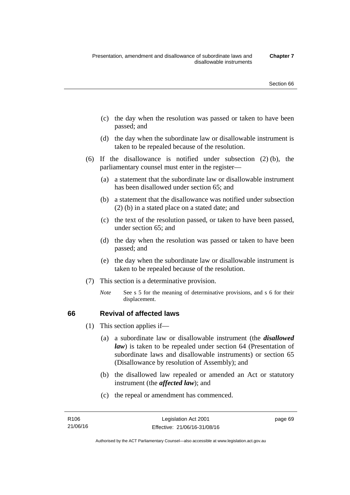- (c) the day when the resolution was passed or taken to have been passed; and
- (d) the day when the subordinate law or disallowable instrument is taken to be repealed because of the resolution.
- (6) If the disallowance is notified under subsection (2) (b), the parliamentary counsel must enter in the register—
	- (a) a statement that the subordinate law or disallowable instrument has been disallowed under section 65; and
	- (b) a statement that the disallowance was notified under subsection (2) (b) in a stated place on a stated date; and
	- (c) the text of the resolution passed, or taken to have been passed, under section 65; and
	- (d) the day when the resolution was passed or taken to have been passed; and
	- (e) the day when the subordinate law or disallowable instrument is taken to be repealed because of the resolution.
- (7) This section is a determinative provision.
	- *Note* See s 5 for the meaning of determinative provisions, and s 6 for their displacement.

## **66 Revival of affected laws**

- (1) This section applies if—
	- (a) a subordinate law or disallowable instrument (the *disallowed law*) is taken to be repealed under section 64 (Presentation of subordinate laws and disallowable instruments) or section 65 (Disallowance by resolution of Assembly); and
	- (b) the disallowed law repealed or amended an Act or statutory instrument (the *affected law*); and
	- (c) the repeal or amendment has commenced.

page 69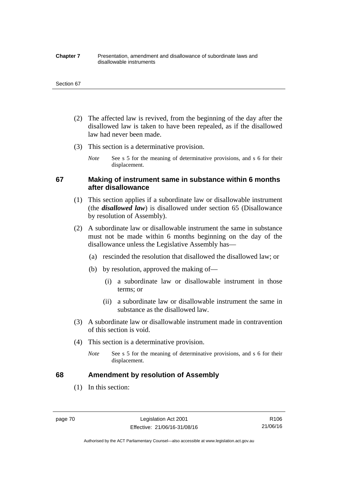#### **Chapter 7** Presentation, amendment and disallowance of subordinate laws and disallowable instruments

#### Section 67

- (2) The affected law is revived, from the beginning of the day after the disallowed law is taken to have been repealed, as if the disallowed law had never been made.
- (3) This section is a determinative provision.
	- *Note* See s 5 for the meaning of determinative provisions, and s 6 for their displacement.

## **67 Making of instrument same in substance within 6 months after disallowance**

- (1) This section applies if a subordinate law or disallowable instrument (the *disallowed law*) is disallowed under section 65 (Disallowance by resolution of Assembly).
- (2) A subordinate law or disallowable instrument the same in substance must not be made within 6 months beginning on the day of the disallowance unless the Legislative Assembly has—
	- (a) rescinded the resolution that disallowed the disallowed law; or
	- (b) by resolution, approved the making of—
		- (i) a subordinate law or disallowable instrument in those terms; or
		- (ii) a subordinate law or disallowable instrument the same in substance as the disallowed law.
- (3) A subordinate law or disallowable instrument made in contravention of this section is void.
- (4) This section is a determinative provision.
	- *Note* See s 5 for the meaning of determinative provisions, and s 6 for their displacement.

## **68 Amendment by resolution of Assembly**

(1) In this section:

page 70 Legislation Act 2001 Effective: 21/06/16-31/08/16

R106 21/06/16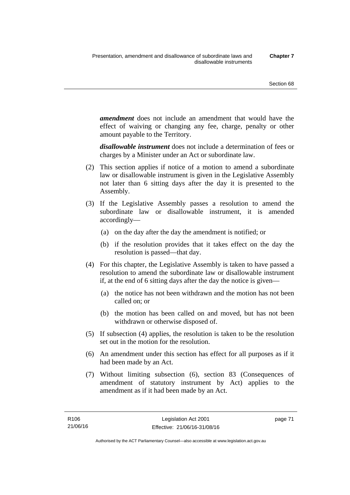*amendment* does not include an amendment that would have the effect of waiving or changing any fee, charge, penalty or other amount payable to the Territory.

*disallowable instrument* does not include a determination of fees or charges by a Minister under an Act or subordinate law.

- (2) This section applies if notice of a motion to amend a subordinate law or disallowable instrument is given in the Legislative Assembly not later than 6 sitting days after the day it is presented to the Assembly.
- (3) If the Legislative Assembly passes a resolution to amend the subordinate law or disallowable instrument, it is amended accordingly—
	- (a) on the day after the day the amendment is notified; or
	- (b) if the resolution provides that it takes effect on the day the resolution is passed—that day.
- (4) For this chapter, the Legislative Assembly is taken to have passed a resolution to amend the subordinate law or disallowable instrument if, at the end of 6 sitting days after the day the notice is given—
	- (a) the notice has not been withdrawn and the motion has not been called on; or
	- (b) the motion has been called on and moved, but has not been withdrawn or otherwise disposed of.
- (5) If subsection (4) applies, the resolution is taken to be the resolution set out in the motion for the resolution.
- (6) An amendment under this section has effect for all purposes as if it had been made by an Act.
- (7) Without limiting subsection (6), section 83 (Consequences of amendment of statutory instrument by Act) applies to the amendment as if it had been made by an Act.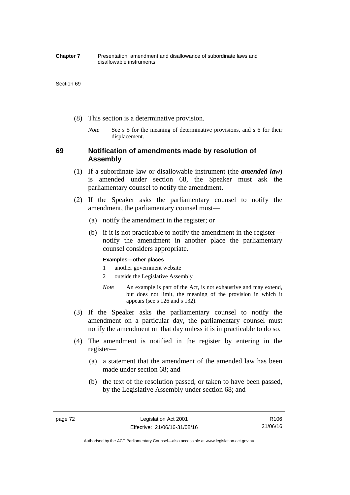#### **Chapter 7** Presentation, amendment and disallowance of subordinate laws and disallowable instruments

#### Section 69

- (8) This section is a determinative provision.
	- *Note* See s 5 for the meaning of determinative provisions, and s 6 for their displacement.

## **69 Notification of amendments made by resolution of Assembly**

- (1) If a subordinate law or disallowable instrument (the *amended law*) is amended under section 68, the Speaker must ask the parliamentary counsel to notify the amendment.
- (2) If the Speaker asks the parliamentary counsel to notify the amendment, the parliamentary counsel must—
	- (a) notify the amendment in the register; or
	- (b) if it is not practicable to notify the amendment in the register notify the amendment in another place the parliamentary counsel considers appropriate.

### **Examples—other places**

- 1 another government website
- 2 outside the Legislative Assembly
- *Note* An example is part of the Act, is not exhaustive and may extend, but does not limit, the meaning of the provision in which it appears (see s 126 and s 132).
- (3) If the Speaker asks the parliamentary counsel to notify the amendment on a particular day, the parliamentary counsel must notify the amendment on that day unless it is impracticable to do so.
- (4) The amendment is notified in the register by entering in the register—
	- (a) a statement that the amendment of the amended law has been made under section 68; and
	- (b) the text of the resolution passed, or taken to have been passed, by the Legislative Assembly under section 68; and

Authorised by the ACT Parliamentary Counsel—also accessible at www.legislation.act.gov.au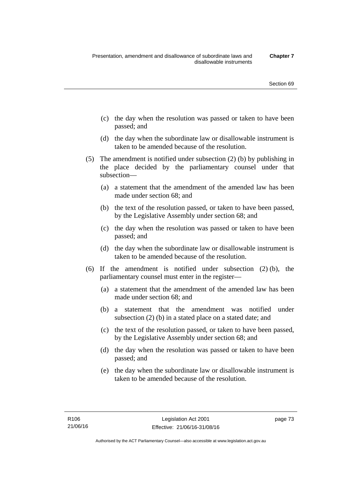- (c) the day when the resolution was passed or taken to have been passed; and
- (d) the day when the subordinate law or disallowable instrument is taken to be amended because of the resolution.
- (5) The amendment is notified under subsection (2) (b) by publishing in the place decided by the parliamentary counsel under that subsection—
	- (a) a statement that the amendment of the amended law has been made under section 68; and
	- (b) the text of the resolution passed, or taken to have been passed, by the Legislative Assembly under section 68; and
	- (c) the day when the resolution was passed or taken to have been passed; and
	- (d) the day when the subordinate law or disallowable instrument is taken to be amended because of the resolution.
- (6) If the amendment is notified under subsection (2) (b), the parliamentary counsel must enter in the register—
	- (a) a statement that the amendment of the amended law has been made under section 68; and
	- (b) a statement that the amendment was notified under subsection (2) (b) in a stated place on a stated date; and
	- (c) the text of the resolution passed, or taken to have been passed, by the Legislative Assembly under section 68; and
	- (d) the day when the resolution was passed or taken to have been passed; and
	- (e) the day when the subordinate law or disallowable instrument is taken to be amended because of the resolution.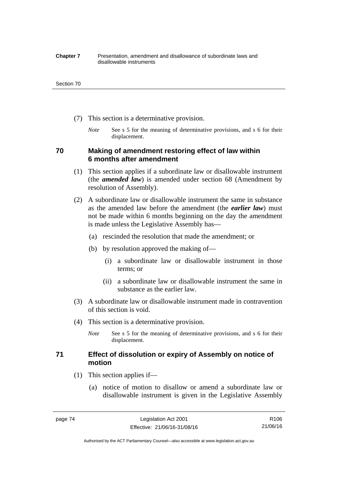#### **Chapter 7** Presentation, amendment and disallowance of subordinate laws and disallowable instruments

#### Section 70

- (7) This section is a determinative provision.
	- *Note* See s 5 for the meaning of determinative provisions, and s 6 for their displacement.

## **70 Making of amendment restoring effect of law within 6 months after amendment**

- (1) This section applies if a subordinate law or disallowable instrument (the *amended law*) is amended under section 68 (Amendment by resolution of Assembly).
- (2) A subordinate law or disallowable instrument the same in substance as the amended law before the amendment (the *earlier law*) must not be made within 6 months beginning on the day the amendment is made unless the Legislative Assembly has—
	- (a) rescinded the resolution that made the amendment; or
	- (b) by resolution approved the making of—
		- (i) a subordinate law or disallowable instrument in those terms; or
		- (ii) a subordinate law or disallowable instrument the same in substance as the earlier law.
- (3) A subordinate law or disallowable instrument made in contravention of this section is void.
- (4) This section is a determinative provision.
	- *Note* See s 5 for the meaning of determinative provisions, and s 6 for their displacement.

## **71 Effect of dissolution or expiry of Assembly on notice of motion**

- (1) This section applies if—
	- (a) notice of motion to disallow or amend a subordinate law or disallowable instrument is given in the Legislative Assembly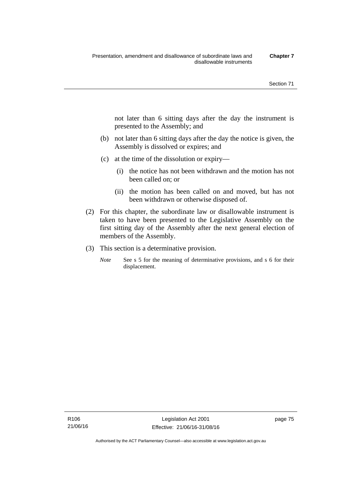not later than 6 sitting days after the day the instrument is presented to the Assembly; and

- (b) not later than 6 sitting days after the day the notice is given, the Assembly is dissolved or expires; and
- (c) at the time of the dissolution or expiry—
	- (i) the notice has not been withdrawn and the motion has not been called on; or
	- (ii) the motion has been called on and moved, but has not been withdrawn or otherwise disposed of.
- (2) For this chapter, the subordinate law or disallowable instrument is taken to have been presented to the Legislative Assembly on the first sitting day of the Assembly after the next general election of members of the Assembly.
- (3) This section is a determinative provision.
	- *Note* See s 5 for the meaning of determinative provisions, and s 6 for their displacement.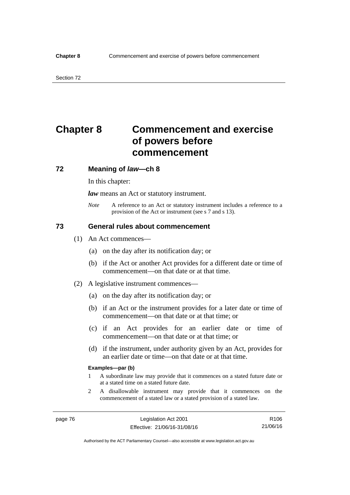# **Chapter 8 Commencement and exercise of powers before commencement**

### **72 Meaning of** *law***—ch 8**

In this chapter:

*law* means an Act or statutory instrument.

*Note* A reference to an Act or statutory instrument includes a reference to a provision of the Act or instrument (see s 7 and s 13).

## **73 General rules about commencement**

- (1) An Act commences—
	- (a) on the day after its notification day; or
	- (b) if the Act or another Act provides for a different date or time of commencement—on that date or at that time.
- (2) A legislative instrument commences—
	- (a) on the day after its notification day; or
	- (b) if an Act or the instrument provides for a later date or time of commencement—on that date or at that time; or
	- (c) if an Act provides for an earlier date or time of commencement—on that date or at that time; or
	- (d) if the instrument, under authority given by an Act, provides for an earlier date or time—on that date or at that time.

#### **Examples—par (b)**

- 1 A subordinate law may provide that it commences on a stated future date or at a stated time on a stated future date.
- 2 A disallowable instrument may provide that it commences on the commencement of a stated law or a stated provision of a stated law.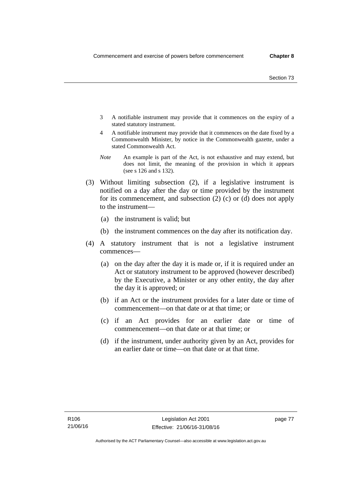- 3 A notifiable instrument may provide that it commences on the expiry of a stated statutory instrument.
- 4 A notifiable instrument may provide that it commences on the date fixed by a Commonwealth Minister, by notice in the Commonwealth gazette, under a stated Commonwealth Act.
- *Note* An example is part of the Act, is not exhaustive and may extend, but does not limit, the meaning of the provision in which it appears (see s 126 and s 132).
- (3) Without limiting subsection (2), if a legislative instrument is notified on a day after the day or time provided by the instrument for its commencement, and subsection (2) (c) or (d) does not apply to the instrument—
	- (a) the instrument is valid; but
	- (b) the instrument commences on the day after its notification day.
- (4) A statutory instrument that is not a legislative instrument commences—
	- (a) on the day after the day it is made or, if it is required under an Act or statutory instrument to be approved (however described) by the Executive, a Minister or any other entity, the day after the day it is approved; or
	- (b) if an Act or the instrument provides for a later date or time of commencement—on that date or at that time; or
	- (c) if an Act provides for an earlier date or time of commencement—on that date or at that time; or
	- (d) if the instrument, under authority given by an Act, provides for an earlier date or time—on that date or at that time.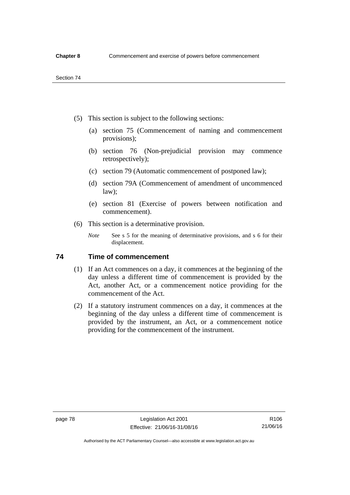- (5) This section is subject to the following sections:
	- (a) section 75 (Commencement of naming and commencement provisions);
	- (b) section 76 (Non-prejudicial provision may commence retrospectively);
	- (c) section 79 (Automatic commencement of postponed law);
	- (d) section 79A (Commencement of amendment of uncommenced law);
	- (e) section 81 (Exercise of powers between notification and commencement).
- (6) This section is a determinative provision.
	- *Note* See s 5 for the meaning of determinative provisions, and s 6 for their displacement.

## **74 Time of commencement**

- (1) If an Act commences on a day, it commences at the beginning of the day unless a different time of commencement is provided by the Act, another Act, or a commencement notice providing for the commencement of the Act.
- (2) If a statutory instrument commences on a day, it commences at the beginning of the day unless a different time of commencement is provided by the instrument, an Act, or a commencement notice providing for the commencement of the instrument.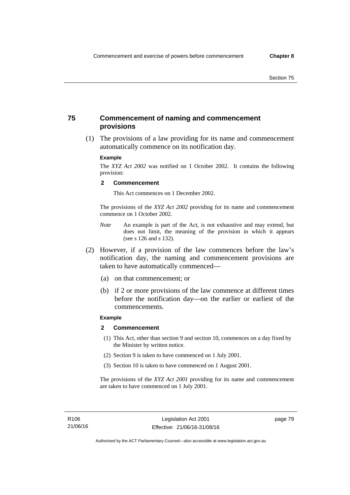## **75 Commencement of naming and commencement provisions**

 (1) The provisions of a law providing for its name and commencement automatically commence on its notification day.

### **Example**

The *XYZ Act 2002* was notified on 1 October 2002. It contains the following provision:

#### **2 Commencement**

This Act commences on 1 December 2002.

The provisions of the *XYZ Act 2002* providing for its name and commencement commence on 1 October 2002.

- *Note* An example is part of the Act, is not exhaustive and may extend, but does not limit, the meaning of the provision in which it appears (see s 126 and s 132).
- (2) However, if a provision of the law commences before the law's notification day, the naming and commencement provisions are taken to have automatically commenced—
	- (a) on that commencement; or
	- (b) if 2 or more provisions of the law commence at different times before the notification day—on the earlier or earliest of the commencements.

## **Example**

#### **2 Commencement**

- (1) This Act, other than section 9 and section 10, commences on a day fixed by the Minister by written notice.
- (2) Section 9 is taken to have commenced on 1 July 2001.
- (3) Section 10 is taken to have commenced on 1 August 2001.

The provisions of the *XYZ Act 2001* providing for its name and commencement are taken to have commenced on 1 July 2001.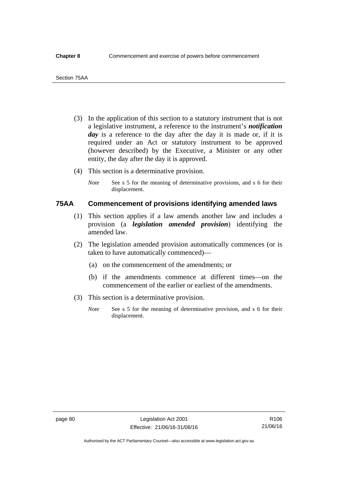- (3) In the application of this section to a statutory instrument that is not a legislative instrument, a reference to the instrument's *notification*  day is a reference to the day after the day it is made or, if it is required under an Act or statutory instrument to be approved (however described) by the Executive, a Minister or any other entity, the day after the day it is approved.
- (4) This section is a determinative provision.
	- *Note* See s 5 for the meaning of determinative provisions, and s 6 for their displacement.

## **75AA Commencement of provisions identifying amended laws**

- (1) This section applies if a law amends another law and includes a provision (a *legislation amended provision*) identifying the amended law.
- (2) The legislation amended provision automatically commences (or is taken to have automatically commenced)—
	- (a) on the commencement of the amendments; or
	- (b) if the amendments commence at different times—on the commencement of the earlier or earliest of the amendments.
- (3) This section is a determinative provision.
	- *Note* See s 5 for the meaning of determinative provision, and s 6 for their displacement.

R106 21/06/16

Authorised by the ACT Parliamentary Counsel—also accessible at www.legislation.act.gov.au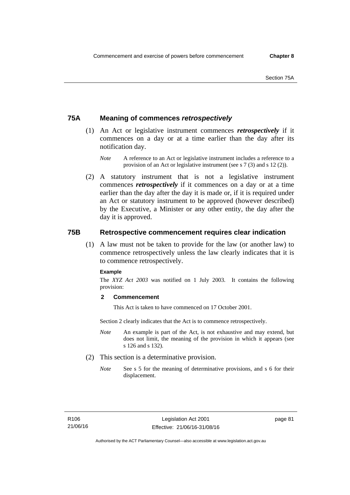## **75A Meaning of commences** *retrospectively*

- (1) An Act or legislative instrument commences *retrospectively* if it commences on a day or at a time earlier than the day after its notification day.
	- *Note* A reference to an Act or legislative instrument includes a reference to a provision of an Act or legislative instrument (see s 7 (3) and s 12 (2)).
- (2) A statutory instrument that is not a legislative instrument commences *retrospectively* if it commences on a day or at a time earlier than the day after the day it is made or, if it is required under an Act or statutory instrument to be approved (however described) by the Executive, a Minister or any other entity, the day after the day it is approved.

## **75B Retrospective commencement requires clear indication**

(1) A law must not be taken to provide for the law (or another law) to commence retrospectively unless the law clearly indicates that it is to commence retrospectively.

### **Example**

The *XYZ Act 2003* was notified on 1 July 2003. It contains the following provision:

## **2 Commencement**

This Act is taken to have commenced on 17 October 2001.

Section 2 clearly indicates that the Act is to commence retrospectively.

- *Note* An example is part of the Act, is not exhaustive and may extend, but does not limit, the meaning of the provision in which it appears (see s 126 and s 132).
- (2) This section is a determinative provision.
	- *Note* See s 5 for the meaning of determinative provisions, and s 6 for their displacement.

page 81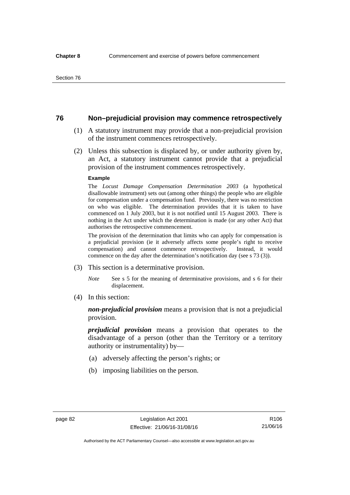## **76 Non–prejudicial provision may commence retrospectively**

- (1) A statutory instrument may provide that a non-prejudicial provision of the instrument commences retrospectively.
- (2) Unless this subsection is displaced by, or under authority given by, an Act, a statutory instrument cannot provide that a prejudicial provision of the instrument commences retrospectively.

#### **Example**

The *Locust Damage Compensation Determination 2003* (a hypothetical disallowable instrument) sets out (among other things) the people who are eligible for compensation under a compensation fund. Previously, there was no restriction on who was eligible. The determination provides that it is taken to have commenced on 1 July 2003, but it is not notified until 15 August 2003. There is nothing in the Act under which the determination is made (or any other Act) that authorises the retrospective commencement.

The provision of the determination that limits who can apply for compensation is a prejudicial provision (ie it adversely affects some people's right to receive compensation) and cannot commence retrospectively. Instead, it would commence on the day after the determination's notification day (see s 73 (3)).

- (3) This section is a determinative provision.
	- *Note* See s 5 for the meaning of determinative provisions, and s 6 for their displacement.
- (4) In this section:

*non-prejudicial provision* means a provision that is not a prejudicial provision.

*prejudicial provision* means a provision that operates to the disadvantage of a person (other than the Territory or a territory authority or instrumentality) by—

- (a) adversely affecting the person's rights; or
- (b) imposing liabilities on the person.

R106 21/06/16

Authorised by the ACT Parliamentary Counsel—also accessible at www.legislation.act.gov.au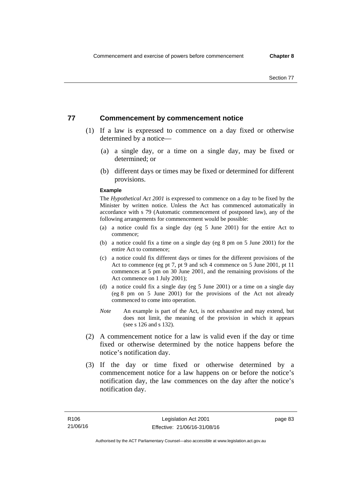## **77 Commencement by commencement notice**

- (1) If a law is expressed to commence on a day fixed or otherwise determined by a notice—
	- (a) a single day, or a time on a single day, may be fixed or determined; or
	- (b) different days or times may be fixed or determined for different provisions.

#### **Example**

The *Hypothetical Act 2001* is expressed to commence on a day to be fixed by the Minister by written notice. Unless the Act has commenced automatically in accordance with s 79 (Automatic commencement of postponed law), any of the following arrangements for commencement would be possible:

- (a) a notice could fix a single day (eg 5 June 2001) for the entire Act to commence;
- (b) a notice could fix a time on a single day (eg 8 pm on 5 June 2001) for the entire Act to commence;
- (c) a notice could fix different days or times for the different provisions of the Act to commence (eg pt 7, pt 9 and sch 4 commence on 5 June 2001, pt 11 commences at 5 pm on 30 June 2001, and the remaining provisions of the Act commence on 1 July 2001);
- (d) a notice could fix a single day (eg 5 June 2001) or a time on a single day (eg 8 pm on 5 June 2001) for the provisions of the Act not already commenced to come into operation.
- *Note* An example is part of the Act, is not exhaustive and may extend, but does not limit, the meaning of the provision in which it appears (see s 126 and s 132).
- (2) A commencement notice for a law is valid even if the day or time fixed or otherwise determined by the notice happens before the notice's notification day.
- (3) If the day or time fixed or otherwise determined by a commencement notice for a law happens on or before the notice's notification day, the law commences on the day after the notice's notification day.

page 83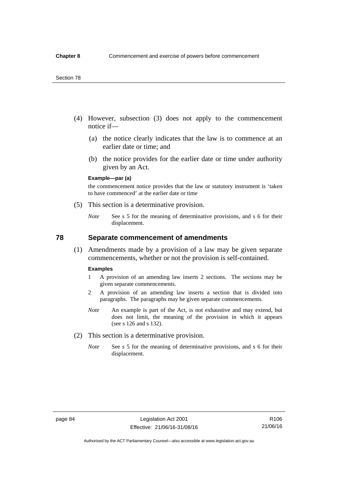- (4) However, subsection (3) does not apply to the commencement notice if—
	- (a) the notice clearly indicates that the law is to commence at an earlier date or time; and
	- (b) the notice provides for the earlier date or time under authority given by an Act.

### **Example—par (a)**

the commencement notice provides that the law or statutory instrument is 'taken to have commenced' at the earlier date or time

- (5) This section is a determinative provision.
	- *Note* See s 5 for the meaning of determinative provisions, and s 6 for their displacement.

## **78 Separate commencement of amendments**

 (1) Amendments made by a provision of a law may be given separate commencements, whether or not the provision is self-contained.

#### **Examples**

- 1 A provision of an amending law inserts 2 sections. The sections may be given separate commencements.
- 2 A provision of an amending law inserts a section that is divided into paragraphs. The paragraphs may be given separate commencements.
- *Note* An example is part of the Act, is not exhaustive and may extend, but does not limit, the meaning of the provision in which it appears (see s 126 and s 132).
- (2) This section is a determinative provision.
	- *Note* See s 5 for the meaning of determinative provisions, and s 6 for their displacement.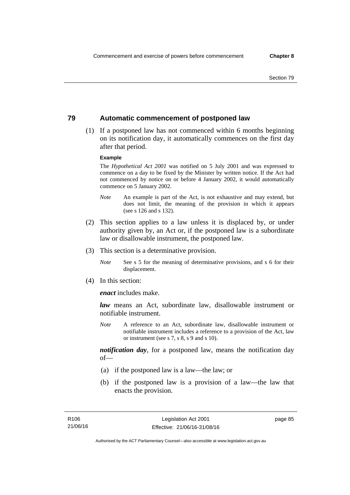## **79 Automatic commencement of postponed law**

 (1) If a postponed law has not commenced within 6 months beginning on its notification day, it automatically commences on the first day after that period.

#### **Example**

The *Hypothetical Act 2001* was notified on 5 July 2001 and was expressed to commence on a day to be fixed by the Minister by written notice. If the Act had not commenced by notice on or before 4 January 2002, it would automatically commence on 5 January 2002.

- *Note* An example is part of the Act, is not exhaustive and may extend, but does not limit, the meaning of the provision in which it appears (see s 126 and s 132).
- (2) This section applies to a law unless it is displaced by, or under authority given by, an Act or, if the postponed law is a subordinate law or disallowable instrument, the postponed law.
- (3) This section is a determinative provision.
	- *Note* See s 5 for the meaning of determinative provisions, and s 6 for their displacement.
- (4) In this section:

*enact* includes make.

*law* means an Act, subordinate law, disallowable instrument or notifiable instrument.

*Note* A reference to an Act, subordinate law, disallowable instrument or notifiable instrument includes a reference to a provision of the Act, law or instrument (see s 7, s 8, s 9 and s 10).

*notification day*, for a postponed law, means the notification day  $of$ 

- (a) if the postponed law is a law—the law; or
- (b) if the postponed law is a provision of a law—the law that enacts the provision.

page 85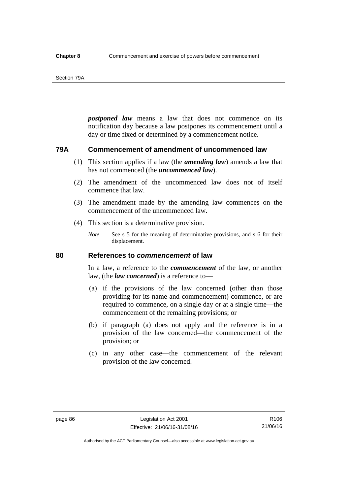#### Section 79A

*postponed law* means a law that does not commence on its notification day because a law postpones its commencement until a day or time fixed or determined by a commencement notice.

## **79A Commencement of amendment of uncommenced law**

- (1) This section applies if a law (the *amending law*) amends a law that has not commenced (the *uncommenced law*).
- (2) The amendment of the uncommenced law does not of itself commence that law.
- (3) The amendment made by the amending law commences on the commencement of the uncommenced law.
- (4) This section is a determinative provision.
	- *Note* See s 5 for the meaning of determinative provisions, and s 6 for their displacement.

## **80 References to** *commencement* **of law**

In a law, a reference to the *commencement* of the law, or another law, (the *law concerned*) is a reference to—

- (a) if the provisions of the law concerned (other than those providing for its name and commencement) commence, or are required to commence, on a single day or at a single time—the commencement of the remaining provisions; or
- (b) if paragraph (a) does not apply and the reference is in a provision of the law concerned—the commencement of the provision; or
- (c) in any other case—the commencement of the relevant provision of the law concerned.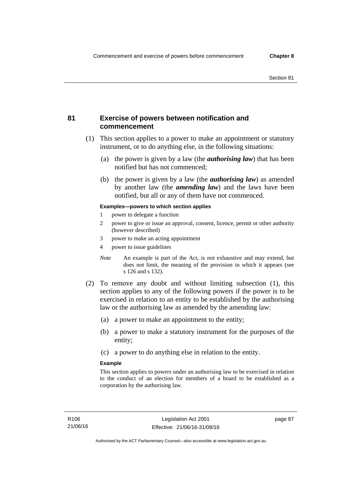## **81 Exercise of powers between notification and commencement**

- (1) This section applies to a power to make an appointment or statutory instrument, or to do anything else, in the following situations:
	- (a) the power is given by a law (the *authorising law*) that has been notified but has not commenced;
	- (b) the power is given by a law (the *authorising law*) as amended by another law (the *amending law*) and the laws have been notified, but all or any of them have not commenced.

### **Examples—powers to which section applies**

- 1 power to delegate a function
- 2 power to give or issue an approval, consent, licence, permit or other authority (however described)
- 3 power to make an acting appointment
- 4 power to issue guidelines
- *Note* An example is part of the Act, is not exhaustive and may extend, but does not limit, the meaning of the provision in which it appears (see s 126 and s 132).
- (2) To remove any doubt and without limiting subsection (1), this section applies to any of the following powers if the power is to be exercised in relation to an entity to be established by the authorising law or the authorising law as amended by the amending law:
	- (a) a power to make an appointment to the entity;
	- (b) a power to make a statutory instrument for the purposes of the entity;
	- (c) a power to do anything else in relation to the entity.

### **Example**

This section applies to powers under an authorising law to be exercised in relation to the conduct of an election for members of a board to be established as a corporation by the authorising law.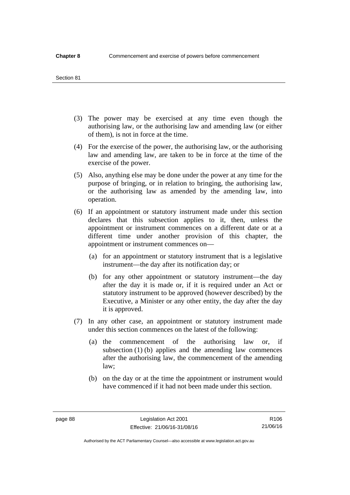#### Section 81

- (3) The power may be exercised at any time even though the authorising law, or the authorising law and amending law (or either of them), is not in force at the time.
- (4) For the exercise of the power, the authorising law, or the authorising law and amending law, are taken to be in force at the time of the exercise of the power.
- (5) Also, anything else may be done under the power at any time for the purpose of bringing, or in relation to bringing, the authorising law, or the authorising law as amended by the amending law, into operation.
- (6) If an appointment or statutory instrument made under this section declares that this subsection applies to it, then, unless the appointment or instrument commences on a different date or at a different time under another provision of this chapter, the appointment or instrument commences on—
	- (a) for an appointment or statutory instrument that is a legislative instrument—the day after its notification day; or
	- (b) for any other appointment or statutory instrument—the day after the day it is made or, if it is required under an Act or statutory instrument to be approved (however described) by the Executive, a Minister or any other entity, the day after the day it is approved.
- (7) In any other case, an appointment or statutory instrument made under this section commences on the latest of the following:
	- (a) the commencement of the authorising law or, if subsection (1) (b) applies and the amending law commences after the authorising law, the commencement of the amending law;
	- (b) on the day or at the time the appointment or instrument would have commenced if it had not been made under this section.

R106 21/06/16

Authorised by the ACT Parliamentary Counsel—also accessible at www.legislation.act.gov.au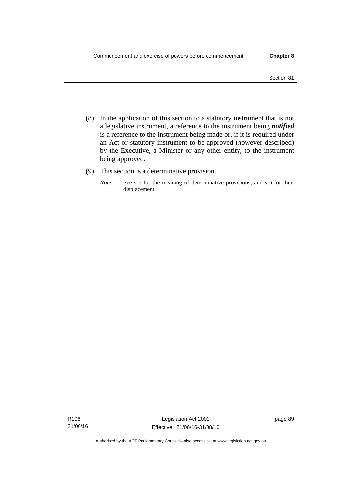- (8) In the application of this section to a statutory instrument that is not a legislative instrument, a reference to the instrument being *notified*  is a reference to the instrument being made or, if it is required under an Act or statutory instrument to be approved (however described) by the Executive, a Minister or any other entity, to the instrument being approved.
- (9) This section is a determinative provision.
	- *Note* See s 5 for the meaning of determinative provisions, and s 6 for their displacement.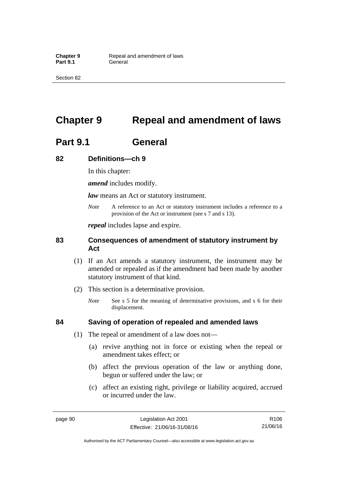Section 82

# **Chapter 9 Repeal and amendment of laws**

# **Part 9.1 General**

## **82 Definitions—ch 9**

In this chapter:

*amend* includes modify.

*law* means an Act or statutory instrument.

*Note* A reference to an Act or statutory instrument includes a reference to a provision of the Act or instrument (see s 7 and s 13).

*repeal* includes lapse and expire.

## **83 Consequences of amendment of statutory instrument by Act**

- (1) If an Act amends a statutory instrument, the instrument may be amended or repealed as if the amendment had been made by another statutory instrument of that kind.
- (2) This section is a determinative provision.
	- *Note* See s 5 for the meaning of determinative provisions, and s 6 for their displacement.

## **84 Saving of operation of repealed and amended laws**

- (1) The repeal or amendment of a law does not—
	- (a) revive anything not in force or existing when the repeal or amendment takes effect; or
	- (b) affect the previous operation of the law or anything done, begun or suffered under the law; or
	- (c) affect an existing right, privilege or liability acquired, accrued or incurred under the law.

page 90 Legislation Act 2001 Effective: 21/06/16-31/08/16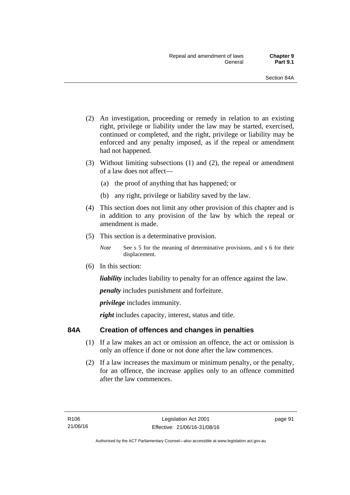- (2) An investigation, proceeding or remedy in relation to an existing right, privilege or liability under the law may be started, exercised, continued or completed, and the right, privilege or liability may be enforced and any penalty imposed, as if the repeal or amendment had not happened.
- (3) Without limiting subsections (1) and (2), the repeal or amendment of a law does not affect—
	- (a) the proof of anything that has happened; or
	- (b) any right, privilege or liability saved by the law.
- (4) This section does not limit any other provision of this chapter and is in addition to any provision of the law by which the repeal or amendment is made.
- (5) This section is a determinative provision.
	- *Note* See s 5 for the meaning of determinative provisions, and s 6 for their displacement.
- (6) In this section:

*liability* includes liability to penalty for an offence against the law.

*penalty* includes punishment and forfeiture.

*privilege* includes immunity.

right includes capacity, interest, status and title.

## **84A Creation of offences and changes in penalties**

- (1) If a law makes an act or omission an offence, the act or omission is only an offence if done or not done after the law commences.
- (2) If a law increases the maximum or minimum penalty, or the penalty, for an offence, the increase applies only to an offence committed after the law commences.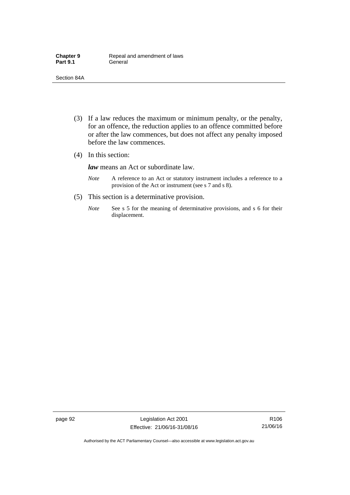- (3) If a law reduces the maximum or minimum penalty, or the penalty, for an offence, the reduction applies to an offence committed before or after the law commences, but does not affect any penalty imposed before the law commences.
- (4) In this section:

*law* means an Act or subordinate law.

- *Note* A reference to an Act or statutory instrument includes a reference to a provision of the Act or instrument (see s 7 and s 8).
- (5) This section is a determinative provision.
	- *Note* See s 5 for the meaning of determinative provisions, and s 6 for their displacement.

page 92 Legislation Act 2001 Effective: 21/06/16-31/08/16

R106 21/06/16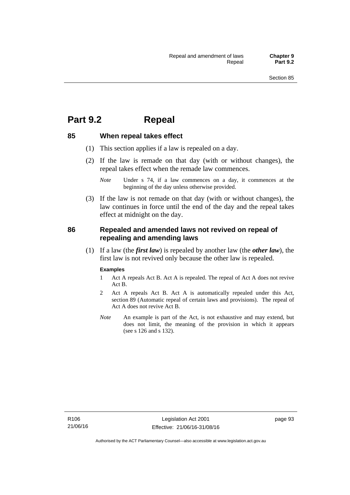## **Part 9.2 Repeal**

### **85 When repeal takes effect**

- (1) This section applies if a law is repealed on a day.
- (2) If the law is remade on that day (with or without changes), the repeal takes effect when the remade law commences.

 (3) If the law is not remade on that day (with or without changes), the law continues in force until the end of the day and the repeal takes effect at midnight on the day.

### **86 Repealed and amended laws not revived on repeal of repealing and amending laws**

 (1) If a law (the *first law*) is repealed by another law (the *other law*), the first law is not revived only because the other law is repealed.

#### **Examples**

- 1 Act A repeals Act B. Act A is repealed. The repeal of Act A does not revive Act B.
- 2 Act A repeals Act B. Act A is automatically repealed under this Act, section 89 (Automatic repeal of certain laws and provisions). The repeal of Act A does not revive Act B.
- *Note* An example is part of the Act, is not exhaustive and may extend, but does not limit, the meaning of the provision in which it appears (see s 126 and s 132).

*Note* Under s 74, if a law commences on a day, it commences at the beginning of the day unless otherwise provided.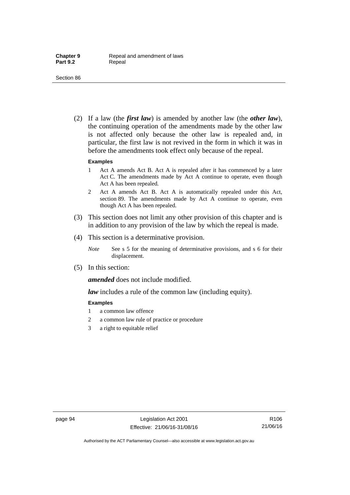(2) If a law (the *first law*) is amended by another law (the *other law*), the continuing operation of the amendments made by the other law is not affected only because the other law is repealed and, in particular, the first law is not revived in the form in which it was in before the amendments took effect only because of the repeal.

#### **Examples**

- 1 Act A amends Act B. Act A is repealed after it has commenced by a later Act C. The amendments made by Act A continue to operate, even though Act A has been repealed.
- 2 Act A amends Act B. Act A is automatically repealed under this Act, section 89. The amendments made by Act A continue to operate, even though Act A has been repealed.
- (3) This section does not limit any other provision of this chapter and is in addition to any provision of the law by which the repeal is made.
- (4) This section is a determinative provision.
	- *Note* See s 5 for the meaning of determinative provisions, and s 6 for their displacement.
- (5) In this section:

*amended* does not include modified.

*law* includes a rule of the common law (including equity).

#### **Examples**

- 1 a common law offence
- 2 a common law rule of practice or procedure
- 3 a right to equitable relief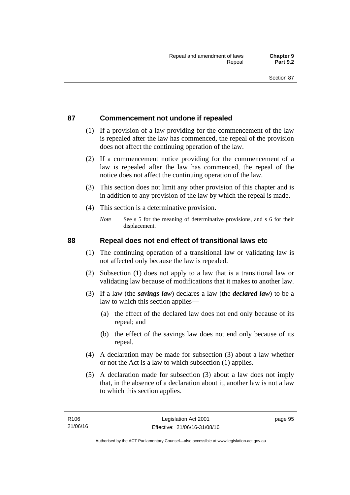### **87 Commencement not undone if repealed**

- (1) If a provision of a law providing for the commencement of the law is repealed after the law has commenced, the repeal of the provision does not affect the continuing operation of the law.
- (2) If a commencement notice providing for the commencement of a law is repealed after the law has commenced, the repeal of the notice does not affect the continuing operation of the law.
- (3) This section does not limit any other provision of this chapter and is in addition to any provision of the law by which the repeal is made.
- (4) This section is a determinative provision.
	- *Note* See s 5 for the meaning of determinative provisions, and s 6 for their displacement.

### **88 Repeal does not end effect of transitional laws etc**

- (1) The continuing operation of a transitional law or validating law is not affected only because the law is repealed.
- (2) Subsection (1) does not apply to a law that is a transitional law or validating law because of modifications that it makes to another law.
- (3) If a law (the *savings law*) declares a law (the *declared law*) to be a law to which this section applies—
	- (a) the effect of the declared law does not end only because of its repeal; and
	- (b) the effect of the savings law does not end only because of its repeal.
- (4) A declaration may be made for subsection (3) about a law whether or not the Act is a law to which subsection (1) applies.
- (5) A declaration made for subsection (3) about a law does not imply that, in the absence of a declaration about it, another law is not a law to which this section applies.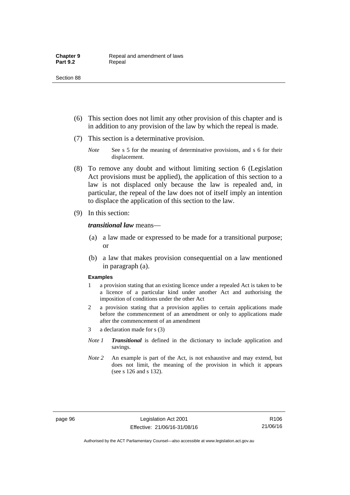- (6) This section does not limit any other provision of this chapter and is in addition to any provision of the law by which the repeal is made.
- (7) This section is a determinative provision.
	- *Note* See s 5 for the meaning of determinative provisions, and s 6 for their displacement.
- (8) To remove any doubt and without limiting section 6 (Legislation Act provisions must be applied), the application of this section to a law is not displaced only because the law is repealed and, in particular, the repeal of the law does not of itself imply an intention to displace the application of this section to the law.
- (9) In this section:

#### *transitional law* means—

- (a) a law made or expressed to be made for a transitional purpose; or
- (b) a law that makes provision consequential on a law mentioned in paragraph (a).

#### **Examples**

- 1 a provision stating that an existing licence under a repealed Act is taken to be a licence of a particular kind under another Act and authorising the imposition of conditions under the other Act
- 2 a provision stating that a provision applies to certain applications made before the commencement of an amendment or only to applications made after the commencement of an amendment
- 3 a declaration made for s (3)
- *Note 1 Transitional* is defined in the dictionary to include application and savings.
- *Note 2* An example is part of the Act, is not exhaustive and may extend, but does not limit, the meaning of the provision in which it appears (see s 126 and s 132).

Authorised by the ACT Parliamentary Counsel—also accessible at www.legislation.act.gov.au

R106 21/06/16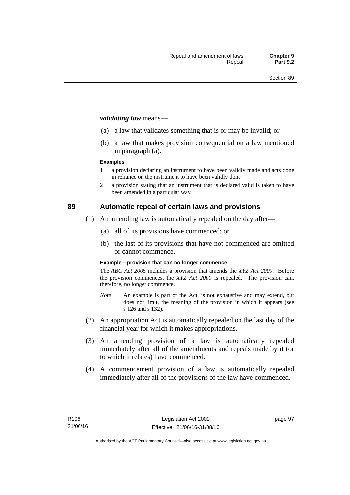#### *validating law* means—

- (a) a law that validates something that is or may be invalid; or
- (b) a law that makes provision consequential on a law mentioned in paragraph (a).

#### **Examples**

- 1 a provision declaring an instrument to have been validly made and acts done in reliance on the instrument to have been validly done
- 2 a provision stating that an instrument that is declared valid is taken to have been amended in a particular way

### **89 Automatic repeal of certain laws and provisions**

- (1) An amending law is automatically repealed on the day after—
	- (a) all of its provisions have commenced; or
	- (b) the last of its provisions that have not commenced are omitted or cannot commence.

#### **Example—provision that can no longer commence**

The *ABC Act 2005* includes a provision that amends the *XYZ Act 2000*. Before the provision commences, the *XYZ Act 2000* is repealed. The provision can, therefore, no longer commence.

- *Note* An example is part of the Act, is not exhaustive and may extend, but does not limit, the meaning of the provision in which it appears (see s 126 and s 132).
- (2) An appropriation Act is automatically repealed on the last day of the financial year for which it makes appropriations.
- (3) An amending provision of a law is automatically repealed immediately after all of the amendments and repeals made by it (or to which it relates) have commenced.
- (4) A commencement provision of a law is automatically repealed immediately after all of the provisions of the law have commenced.

page 97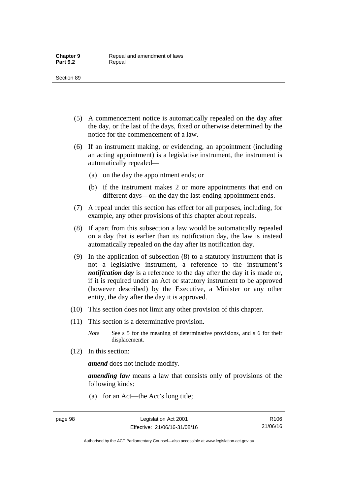- (5) A commencement notice is automatically repealed on the day after the day, or the last of the days, fixed or otherwise determined by the notice for the commencement of a law.
- (6) If an instrument making, or evidencing, an appointment (including an acting appointment) is a legislative instrument, the instrument is automatically repealed—
	- (a) on the day the appointment ends; or
	- (b) if the instrument makes 2 or more appointments that end on different days—on the day the last-ending appointment ends.
- (7) A repeal under this section has effect for all purposes, including, for example, any other provisions of this chapter about repeals.
- (8) If apart from this subsection a law would be automatically repealed on a day that is earlier than its notification day, the law is instead automatically repealed on the day after its notification day.
- (9) In the application of subsection (8) to a statutory instrument that is not a legislative instrument, a reference to the instrument's *notification day* is a reference to the day after the day it is made or, if it is required under an Act or statutory instrument to be approved (however described) by the Executive, a Minister or any other entity, the day after the day it is approved.
- (10) This section does not limit any other provision of this chapter.
- (11) This section is a determinative provision.
	- *Note* See s 5 for the meaning of determinative provisions, and s 6 for their displacement.
- (12) In this section:

*amend* does not include modify.

*amending law* means a law that consists only of provisions of the following kinds:

(a) for an Act—the Act's long title;

Authorised by the ACT Parliamentary Counsel—also accessible at www.legislation.act.gov.au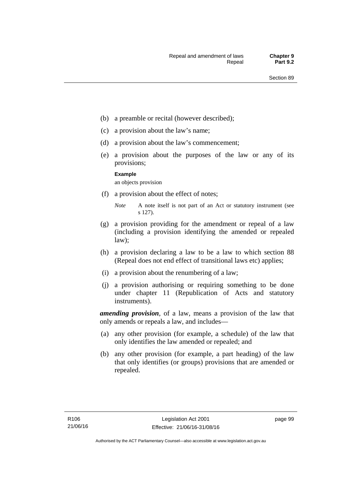- (b) a preamble or recital (however described);
- (c) a provision about the law's name;
- (d) a provision about the law's commencement;
- (e) a provision about the purposes of the law or any of its provisions;

#### **Example**

an objects provision

(f) a provision about the effect of notes;

- (g) a provision providing for the amendment or repeal of a law (including a provision identifying the amended or repealed law);
- (h) a provision declaring a law to be a law to which section 88 (Repeal does not end effect of transitional laws etc) applies;
- (i) a provision about the renumbering of a law;
- (j) a provision authorising or requiring something to be done under chapter 11 (Republication of Acts and statutory instruments).

*amending provision*, of a law, means a provision of the law that only amends or repeals a law, and includes—

- (a) any other provision (for example, a schedule) of the law that only identifies the law amended or repealed; and
- (b) any other provision (for example, a part heading) of the law that only identifies (or groups) provisions that are amended or repealed.

*Note* A note itself is not part of an Act or statutory instrument (see s 127).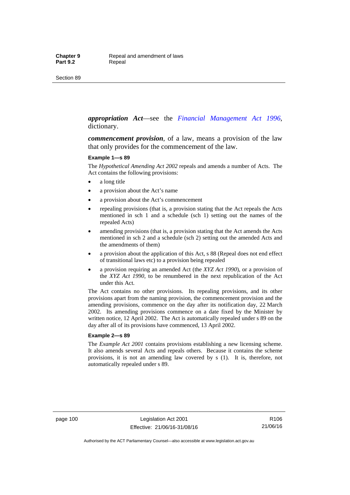#### *appropriation Act*—see the *[Financial Management Act 1996](http://www.legislation.act.gov.au/a/1996-22)*, dictionary.

*commencement provision*, of a law, means a provision of the law that only provides for the commencement of the law.

#### **Example 1—s 89**

The *Hypothetical Amending Act 2002* repeals and amends a number of Acts. The Act contains the following provisions:

- a long title
- a provision about the Act's name
- a provision about the Act's commencement
- repealing provisions (that is, a provision stating that the Act repeals the Acts mentioned in sch 1 and a schedule (sch 1) setting out the names of the repealed Acts)
- amending provisions (that is, a provision stating that the Act amends the Acts mentioned in sch 2 and a schedule (sch 2) setting out the amended Acts and the amendments of them)
- a provision about the application of this Act, s 88 (Repeal does not end effect of transitional laws etc) to a provision being repealed
- a provision requiring an amended Act (the *XYZ Act 1990*), or a provision of the *XYZ Act 1990*, to be renumbered in the next republication of the Act under this Act.

The Act contains no other provisions. Its repealing provisions, and its other provisions apart from the naming provision, the commencement provision and the amending provisions, commence on the day after its notification day, 22 March 2002. Its amending provisions commence on a date fixed by the Minister by written notice, 12 April 2002. The Act is automatically repealed under s 89 on the day after all of its provisions have commenced, 13 April 2002.

#### **Example 2—s 89**

The *Example Act 2001* contains provisions establishing a new licensing scheme. It also amends several Acts and repeals others. Because it contains the scheme provisions, it is not an amending law covered by s (1). It is, therefore, not automatically repealed under s 89.

page 100 Legislation Act 2001 Effective: 21/06/16-31/08/16

R106 21/06/16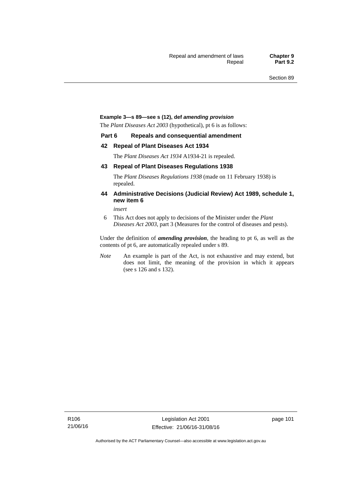#### **Example 3—s 89—see s (12), def** *amending provision*

The *Plant Diseases Act 2003* (hypothetical), pt 6 is as follows:

#### **Part 6 Repeals and consequential amendment**

#### **42 Repeal of Plant Diseases Act 1934**

The *Plant Diseases Act 1934* A1934-21 is repealed.

#### **43 Repeal of Plant Diseases Regulations 1938**

The *Plant Diseases Regulations 1938* (made on 11 February 1938) is repealed.

#### **44 Administrative Decisions (Judicial Review) Act 1989, schedule 1, new item 6**

*insert* 

6 This Act does not apply to decisions of the Minister under the *Plant Diseases Act 2003*, part 3 (Measures for the control of diseases and pests).

Under the definition of *amending provision*, the heading to pt 6, as well as the contents of pt 6, are automatically repealed under s 89.

*Note* An example is part of the Act, is not exhaustive and may extend, but does not limit, the meaning of the provision in which it appears (see s 126 and s 132).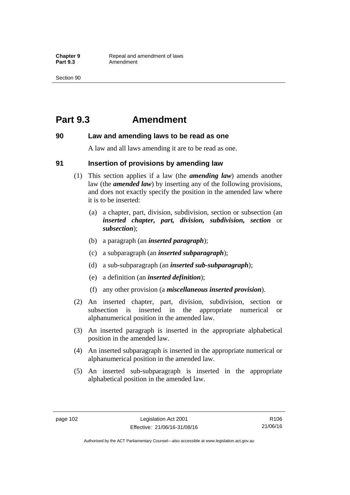## **Part 9.3 Amendment**

### **90 Law and amending laws to be read as one**

A law and all laws amending it are to be read as one.

### **91 Insertion of provisions by amending law**

- (1) This section applies if a law (the *amending law*) amends another law (the *amended law*) by inserting any of the following provisions, and does not exactly specify the position in the amended law where it is to be inserted:
	- (a) a chapter, part, division, subdivision, section or subsection (an *inserted chapter, part, division, subdivision, section* or *subsection*);
	- (b) a paragraph (an *inserted paragraph*);
	- (c) a subparagraph (an *inserted subparagraph*);
	- (d) a sub-subparagraph (an *inserted sub-subparagraph*);
	- (e) a definition (an *inserted definition*);
	- (f) any other provision (a *miscellaneous inserted provision*).
- (2) An inserted chapter, part, division, subdivision, section or subsection is inserted in the appropriate numerical or alphanumerical position in the amended law.
- (3) An inserted paragraph is inserted in the appropriate alphabetical position in the amended law.
- (4) An inserted subparagraph is inserted in the appropriate numerical or alphanumerical position in the amended law.
- (5) An inserted sub-subparagraph is inserted in the appropriate alphabetical position in the amended law.

Authorised by the ACT Parliamentary Counsel—also accessible at www.legislation.act.gov.au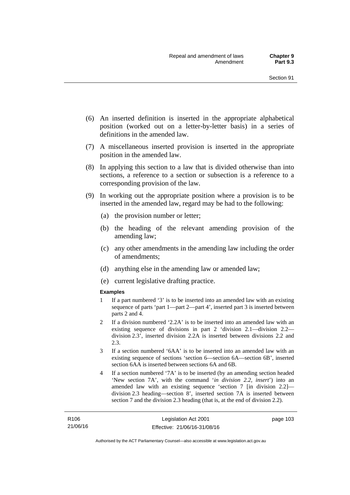- (6) An inserted definition is inserted in the appropriate alphabetical position (worked out on a letter-by-letter basis) in a series of definitions in the amended law.
- (7) A miscellaneous inserted provision is inserted in the appropriate position in the amended law.
- (8) In applying this section to a law that is divided otherwise than into sections, a reference to a section or subsection is a reference to a corresponding provision of the law.
- (9) In working out the appropriate position where a provision is to be inserted in the amended law, regard may be had to the following:
	- (a) the provision number or letter;
	- (b) the heading of the relevant amending provision of the amending law;
	- (c) any other amendments in the amending law including the order of amendments;
	- (d) anything else in the amending law or amended law;
	- (e) current legislative drafting practice.

#### **Examples**

- 1 If a part numbered '3' is to be inserted into an amended law with an existing sequence of parts 'part 1—part 2—part 4', inserted part 3 is inserted between parts 2 and 4.
- 2 If a division numbered '2.2A' is to be inserted into an amended law with an existing sequence of divisions in part 2 'division 2.1—division 2.2 division 2.3', inserted division 2.2A is inserted between divisions 2.2 and 2.3.
- 3 If a section numbered '6AA' is to be inserted into an amended law with an existing sequence of sections 'section 6—section 6A—section 6B', inserted section 6AA is inserted between sections 6A and 6B.
- 4 If a section numbered '7A' is to be inserted (by an amending section headed 'New section 7A', with the command '*in division 2.2, insert*') into an amended law with an existing sequence 'section 7 [in division 2.2] division 2.3 heading—section 8', inserted section 7A is inserted between section 7 and the division 2.3 heading (that is, at the end of division 2.2).

page 103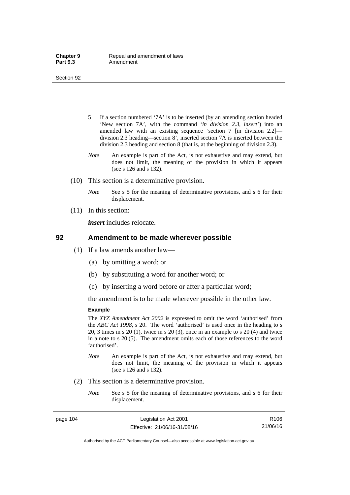- 5 If a section numbered '7A' is to be inserted (by an amending section headed 'New section 7A', with the command '*in division 2.3, insert*') into an amended law with an existing sequence 'section 7 [in division 2.2] division 2.3 heading—section 8', inserted section 7A is inserted between the division 2.3 heading and section 8 (that is, at the beginning of division 2.3).
- *Note* An example is part of the Act, is not exhaustive and may extend, but does not limit, the meaning of the provision in which it appears (see s 126 and s 132).
- (10) This section is a determinative provision.
	- *Note* See s 5 for the meaning of determinative provisions, and s 6 for their displacement.
- (11) In this section:

*insert* includes relocate.

#### **92 Amendment to be made wherever possible**

- (1) If a law amends another law—
	- (a) by omitting a word; or
	- (b) by substituting a word for another word; or
	- (c) by inserting a word before or after a particular word;

the amendment is to be made wherever possible in the other law.

#### **Example**

The *XYZ Amendment Act 2002* is expressed to omit the word 'authorised' from the *ABC Act 1998*, s 20. The word 'authorised' is used once in the heading to s 20, 3 times in s 20 (1), twice in s 20 (3), once in an example to s 20 (4) and twice in a note to s 20 (5). The amendment omits each of those references to the word 'authorised'.

- *Note* An example is part of the Act, is not exhaustive and may extend, but does not limit, the meaning of the provision in which it appears (see s 126 and s 132).
- (2) This section is a determinative provision.
	- *Note* See s 5 for the meaning of determinative provisions, and s 6 for their displacement.

page 104 Legislation Act 2001 Effective: 21/06/16-31/08/16

R106 21/06/16

Authorised by the ACT Parliamentary Counsel—also accessible at www.legislation.act.gov.au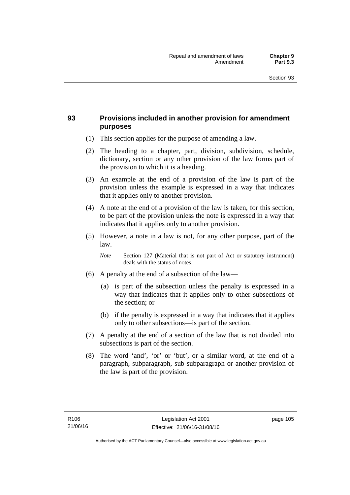### **93 Provisions included in another provision for amendment purposes**

- (1) This section applies for the purpose of amending a law.
- (2) The heading to a chapter, part, division, subdivision, schedule, dictionary, section or any other provision of the law forms part of the provision to which it is a heading.
- (3) An example at the end of a provision of the law is part of the provision unless the example is expressed in a way that indicates that it applies only to another provision.
- (4) A note at the end of a provision of the law is taken, for this section, to be part of the provision unless the note is expressed in a way that indicates that it applies only to another provision.
- (5) However, a note in a law is not, for any other purpose, part of the law.

*Note* Section 127 (Material that is not part of Act or statutory instrument) deals with the status of notes.

- (6) A penalty at the end of a subsection of the law—
	- (a) is part of the subsection unless the penalty is expressed in a way that indicates that it applies only to other subsections of the section; or
	- (b) if the penalty is expressed in a way that indicates that it applies only to other subsections—is part of the section.
- (7) A penalty at the end of a section of the law that is not divided into subsections is part of the section.
- (8) The word 'and', 'or' or 'but', or a similar word, at the end of a paragraph, subparagraph, sub-subparagraph or another provision of the law is part of the provision.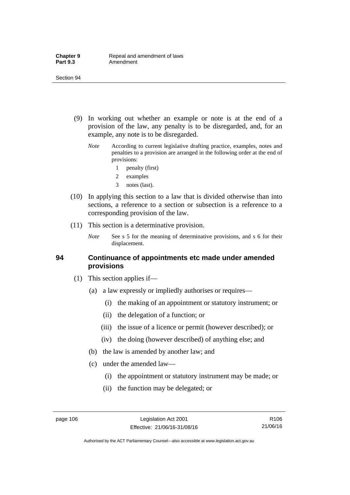- (9) In working out whether an example or note is at the end of a provision of the law, any penalty is to be disregarded, and, for an example, any note is to be disregarded.
	- *Note* According to current legislative drafting practice, examples, notes and penalties to a provision are arranged in the following order at the end of provisions:
		- 1 penalty (first)
		- 2 examples
		- 3 notes (last).
- (10) In applying this section to a law that is divided otherwise than into sections, a reference to a section or subsection is a reference to a corresponding provision of the law.
- (11) This section is a determinative provision.
	- *Note* See s 5 for the meaning of determinative provisions, and s 6 for their displacement.

### **94 Continuance of appointments etc made under amended provisions**

- (1) This section applies if—
	- (a) a law expressly or impliedly authorises or requires—
		- (i) the making of an appointment or statutory instrument; or
		- (ii) the delegation of a function; or
		- (iii) the issue of a licence or permit (however described); or
		- (iv) the doing (however described) of anything else; and
	- (b) the law is amended by another law; and
	- (c) under the amended law—
		- (i) the appointment or statutory instrument may be made; or
		- (ii) the function may be delegated; or

R106 21/06/16

Authorised by the ACT Parliamentary Counsel—also accessible at www.legislation.act.gov.au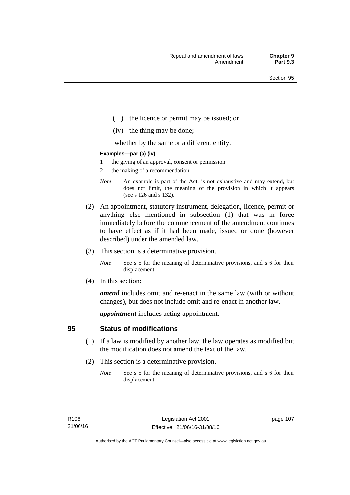- (iii) the licence or permit may be issued; or
- (iv) the thing may be done;

whether by the same or a different entity.

#### **Examples—par (a) (iv)**

- 1 the giving of an approval, consent or permission
- 2 the making of a recommendation
- *Note* An example is part of the Act, is not exhaustive and may extend, but does not limit, the meaning of the provision in which it appears (see s 126 and s 132).
- (2) An appointment, statutory instrument, delegation, licence, permit or anything else mentioned in subsection (1) that was in force immediately before the commencement of the amendment continues to have effect as if it had been made, issued or done (however described) under the amended law.
- (3) This section is a determinative provision.
	- *Note* See s 5 for the meaning of determinative provisions, and s 6 for their displacement.
- (4) In this section:

*amend* includes omit and re-enact in the same law (with or without changes), but does not include omit and re-enact in another law.

*appointment* includes acting appointment.

### **95 Status of modifications**

- (1) If a law is modified by another law, the law operates as modified but the modification does not amend the text of the law.
- (2) This section is a determinative provision.
	- *Note* See s 5 for the meaning of determinative provisions, and s 6 for their displacement.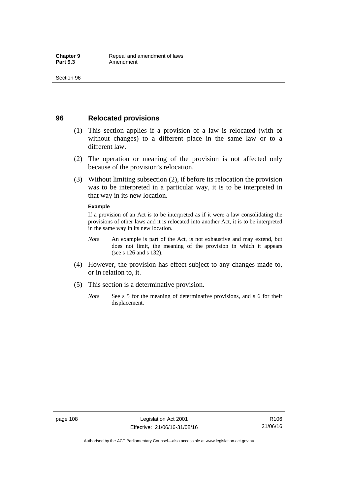### **96 Relocated provisions**

- (1) This section applies if a provision of a law is relocated (with or without changes) to a different place in the same law or to a different law.
- (2) The operation or meaning of the provision is not affected only because of the provision's relocation.
- (3) Without limiting subsection (2), if before its relocation the provision was to be interpreted in a particular way, it is to be interpreted in that way in its new location.

#### **Example**

If a provision of an Act is to be interpreted as if it were a law consolidating the provisions of other laws and it is relocated into another Act, it is to be interpreted in the same way in its new location.

- *Note* An example is part of the Act, is not exhaustive and may extend, but does not limit, the meaning of the provision in which it appears (see s 126 and s 132).
- (4) However, the provision has effect subject to any changes made to, or in relation to, it.
- (5) This section is a determinative provision.
	- *Note* See s 5 for the meaning of determinative provisions, and s 6 for their displacement.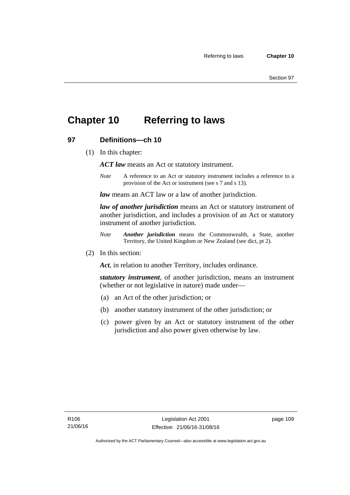## **Chapter 10 Referring to laws**

### **97 Definitions—ch 10**

(1) In this chapter:

*ACT law* means an Act or statutory instrument.

*Note* A reference to an Act or statutory instrument includes a reference to a provision of the Act or instrument (see s 7 and s 13).

*law* means an ACT law or a law of another jurisdiction.

*law of another jurisdiction* means an Act or statutory instrument of another jurisdiction, and includes a provision of an Act or statutory instrument of another jurisdiction.

- *Note Another jurisdiction* means the Commonwealth, a State, another Territory, the United Kingdom or New Zealand (see dict, pt 2).
- (2) In this section:

*Act*, in relation to another Territory, includes ordinance.

*statutory instrument*, of another jurisdiction, means an instrument (whether or not legislative in nature) made under—

- (a) an Act of the other jurisdiction; or
- (b) another statutory instrument of the other jurisdiction; or
- (c) power given by an Act or statutory instrument of the other jurisdiction and also power given otherwise by law.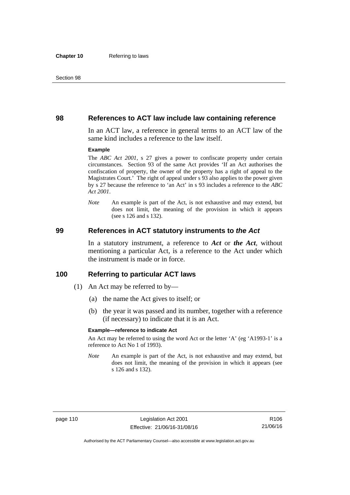### **98 References to ACT law include law containing reference**

In an ACT law, a reference in general terms to an ACT law of the same kind includes a reference to the law itself.

#### **Example**

The *ABC Act 2001*, s 27 gives a power to confiscate property under certain circumstances. Section 93 of the same Act provides 'If an Act authorises the confiscation of property, the owner of the property has a right of appeal to the Magistrates Court.' The right of appeal under s 93 also applies to the power given by s 27 because the reference to 'an Act' in s 93 includes a reference to the *ABC Act 2001*.

*Note* An example is part of the Act, is not exhaustive and may extend, but does not limit, the meaning of the provision in which it appears (see s 126 and s 132).

### **99 References in ACT statutory instruments to** *the Act*

In a statutory instrument, a reference to *Act* or *the Act*, without mentioning a particular Act, is a reference to the Act under which the instrument is made or in force.

### **100 Referring to particular ACT laws**

- (1) An Act may be referred to by—
	- (a) the name the Act gives to itself; or
	- (b) the year it was passed and its number, together with a reference (if necessary) to indicate that it is an Act.

#### **Example—reference to indicate Act**

An Act may be referred to using the word Act or the letter 'A' (eg 'A1993-1' is a reference to Act No 1 of 1993).

*Note* An example is part of the Act, is not exhaustive and may extend, but does not limit, the meaning of the provision in which it appears (see s 126 and s 132).

R106 21/06/16

Authorised by the ACT Parliamentary Counsel—also accessible at www.legislation.act.gov.au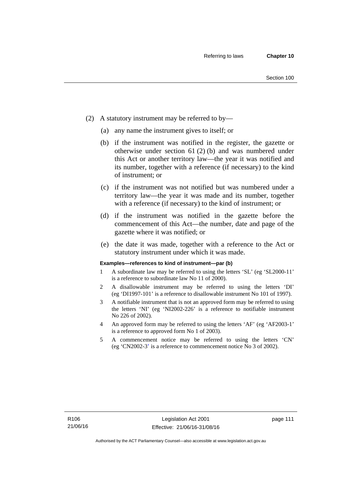- (2) A statutory instrument may be referred to by—
	- (a) any name the instrument gives to itself; or
	- (b) if the instrument was notified in the register, the gazette or otherwise under section 61 (2) (b) and was numbered under this Act or another territory law—the year it was notified and its number, together with a reference (if necessary) to the kind of instrument; or
	- (c) if the instrument was not notified but was numbered under a territory law—the year it was made and its number, together with a reference (if necessary) to the kind of instrument; or
	- (d) if the instrument was notified in the gazette before the commencement of this Act—the number, date and page of the gazette where it was notified; or
	- (e) the date it was made, together with a reference to the Act or statutory instrument under which it was made.

#### **Examples—references to kind of instrument—par (b)**

- 1 A subordinate law may be referred to using the letters 'SL' (eg 'SL2000-11' is a reference to subordinate law No 11 of 2000).
- 2 A disallowable instrument may be referred to using the letters 'DI' (eg 'DI1997-101' is a reference to disallowable instrument No 101 of 1997).
- 3 A notifiable instrument that is not an approved form may be referred to using the letters 'NI' (eg 'NI2002-226' is a reference to notifiable instrument No 226 of 2002).
- 4 An approved form may be referred to using the letters 'AF' (eg 'AF2003-1' is a reference to approved form No 1 of 2003).
- 5 A commencement notice may be referred to using the letters 'CN' (eg 'CN2002-3' is a reference to commencement notice No 3 of 2002).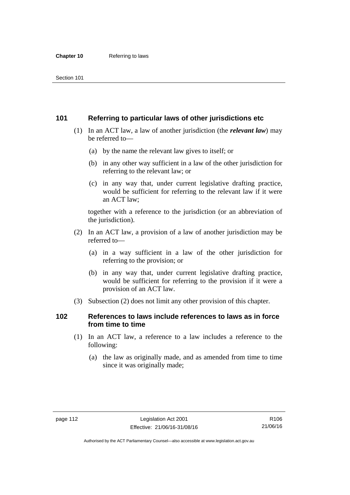### **101 Referring to particular laws of other jurisdictions etc**

- (1) In an ACT law, a law of another jurisdiction (the *relevant law*) may be referred to—
	- (a) by the name the relevant law gives to itself; or
	- (b) in any other way sufficient in a law of the other jurisdiction for referring to the relevant law; or
	- (c) in any way that, under current legislative drafting practice, would be sufficient for referring to the relevant law if it were an ACT law;

together with a reference to the jurisdiction (or an abbreviation of the jurisdiction).

- (2) In an ACT law, a provision of a law of another jurisdiction may be referred to—
	- (a) in a way sufficient in a law of the other jurisdiction for referring to the provision; or
	- (b) in any way that, under current legislative drafting practice, would be sufficient for referring to the provision if it were a provision of an ACT law.
- (3) Subsection (2) does not limit any other provision of this chapter.

### **102 References to laws include references to laws as in force from time to time**

- (1) In an ACT law, a reference to a law includes a reference to the following:
	- (a) the law as originally made, and as amended from time to time since it was originally made;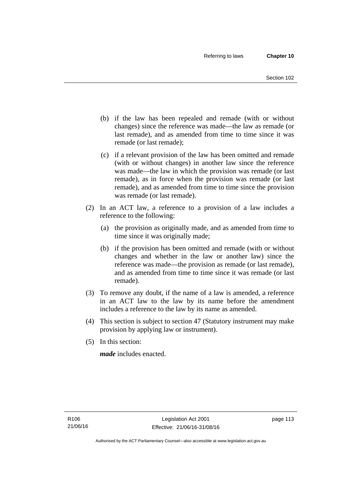- (b) if the law has been repealed and remade (with or without changes) since the reference was made—the law as remade (or last remade), and as amended from time to time since it was remade (or last remade);
- (c) if a relevant provision of the law has been omitted and remade (with or without changes) in another law since the reference was made—the law in which the provision was remade (or last remade), as in force when the provision was remade (or last remade), and as amended from time to time since the provision was remade (or last remade).
- (2) In an ACT law, a reference to a provision of a law includes a reference to the following:
	- (a) the provision as originally made, and as amended from time to time since it was originally made;
	- (b) if the provision has been omitted and remade (with or without changes and whether in the law or another law) since the reference was made—the provision as remade (or last remade), and as amended from time to time since it was remade (or last remade).
- (3) To remove any doubt, if the name of a law is amended, a reference in an ACT law to the law by its name before the amendment includes a reference to the law by its name as amended.
- (4) This section is subject to section 47 (Statutory instrument may make provision by applying law or instrument).
- (5) In this section:

*made* includes enacted.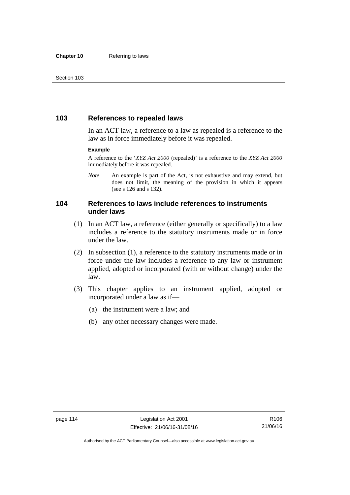### **103 References to repealed laws**

In an ACT law, a reference to a law as repealed is a reference to the law as in force immediately before it was repealed.

#### **Example**

A reference to the '*XYZ Act 2000* (repealed)' is a reference to the *XYZ Act 2000* immediately before it was repealed.

*Note* An example is part of the Act, is not exhaustive and may extend, but does not limit, the meaning of the provision in which it appears (see s 126 and s 132).

### **104 References to laws include references to instruments under laws**

- (1) In an ACT law, a reference (either generally or specifically) to a law includes a reference to the statutory instruments made or in force under the law.
- (2) In subsection (1), a reference to the statutory instruments made or in force under the law includes a reference to any law or instrument applied, adopted or incorporated (with or without change) under the law.
- (3) This chapter applies to an instrument applied, adopted or incorporated under a law as if—
	- (a) the instrument were a law; and
	- (b) any other necessary changes were made.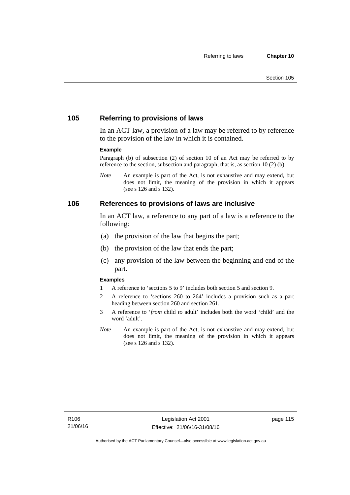### **105 Referring to provisions of laws**

In an ACT law, a provision of a law may be referred to by reference to the provision of the law in which it is contained.

#### **Example**

Paragraph (b) of subsection (2) of section 10 of an Act may be referred to by reference to the section, subsection and paragraph, that is, as section 10 (2) (b).

*Note* An example is part of the Act, is not exhaustive and may extend, but does not limit, the meaning of the provision in which it appears (see s 126 and s 132).

### **106 References to provisions of laws are inclusive**

In an ACT law, a reference to any part of a law is a reference to the following:

- (a) the provision of the law that begins the part;
- (b) the provision of the law that ends the part;
- (c) any provision of the law between the beginning and end of the part.

#### **Examples**

- 1 A reference to 'sections 5 to 9' includes both section 5 and section 9.
- 2 A reference to 'sections 260 to 264' includes a provision such as a part heading between section 260 and section 261.
- 3 A reference to '*from* child *to* adult' includes both the word 'child' and the word 'adult'.
- *Note* An example is part of the Act, is not exhaustive and may extend, but does not limit, the meaning of the provision in which it appears (see s 126 and s 132).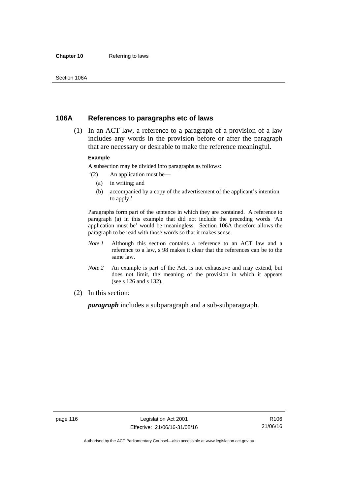#### **Chapter 10** Referring to laws

### **106A References to paragraphs etc of laws**

 (1) In an ACT law, a reference to a paragraph of a provision of a law includes any words in the provision before or after the paragraph that are necessary or desirable to make the reference meaningful.

#### **Example**

A subsection may be divided into paragraphs as follows:

- '(2) An application must be—
	- (a) in writing; and
	- (b) accompanied by a copy of the advertisement of the applicant's intention to apply.'

Paragraphs form part of the sentence in which they are contained. A reference to paragraph (a) in this example that did not include the preceding words 'An application must be' would be meaningless. Section 106A therefore allows the paragraph to be read with those words so that it makes sense.

- *Note 1* Although this section contains a reference to an ACT law and a reference to a law, s 98 makes it clear that the references can be to the same law.
- *Note 2* An example is part of the Act, is not exhaustive and may extend, but does not limit, the meaning of the provision in which it appears (see s 126 and s 132).
- (2) In this section:

*paragraph* includes a subparagraph and a sub-subparagraph.

R106 21/06/16

Authorised by the ACT Parliamentary Counsel—also accessible at www.legislation.act.gov.au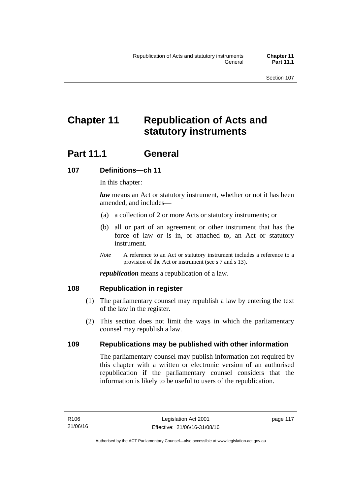# **Chapter 11 Republication of Acts and statutory instruments**

## Part 11.1 General

### **107 Definitions—ch 11**

In this chapter:

*law* means an Act or statutory instrument, whether or not it has been amended, and includes—

- (a) a collection of 2 or more Acts or statutory instruments; or
- (b) all or part of an agreement or other instrument that has the force of law or is in, or attached to, an Act or statutory instrument.
- *Note* A reference to an Act or statutory instrument includes a reference to a provision of the Act or instrument (see s 7 and s 13).

*republication* means a republication of a law.

### **108 Republication in register**

- (1) The parliamentary counsel may republish a law by entering the text of the law in the register.
- (2) This section does not limit the ways in which the parliamentary counsel may republish a law.

### **109 Republications may be published with other information**

The parliamentary counsel may publish information not required by this chapter with a written or electronic version of an authorised republication if the parliamentary counsel considers that the information is likely to be useful to users of the republication.

page 117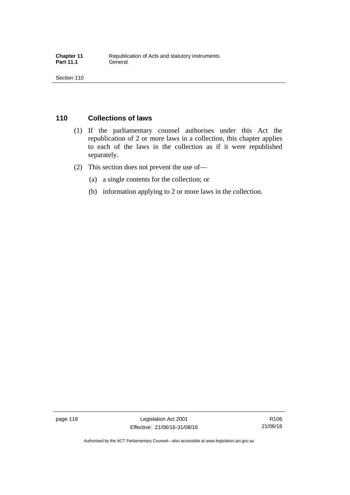## **110 Collections of laws**

- (1) If the parliamentary counsel authorises under this Act the republication of 2 or more laws in a collection, this chapter applies to each of the laws in the collection as if it were republished separately.
- (2) This section does not prevent the use of—
	- (a) a single contents for the collection; or
	- (b) information applying to 2 or more laws in the collection.

R106 21/06/16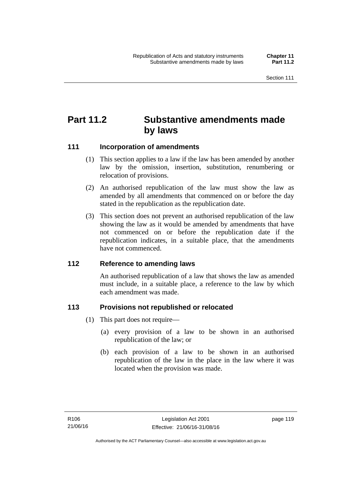## **Part 11.2 Substantive amendments made by laws**

### **111 Incorporation of amendments**

- (1) This section applies to a law if the law has been amended by another law by the omission, insertion, substitution, renumbering or relocation of provisions.
- (2) An authorised republication of the law must show the law as amended by all amendments that commenced on or before the day stated in the republication as the republication date.
- (3) This section does not prevent an authorised republication of the law showing the law as it would be amended by amendments that have not commenced on or before the republication date if the republication indicates, in a suitable place, that the amendments have not commenced.

### **112 Reference to amending laws**

An authorised republication of a law that shows the law as amended must include, in a suitable place, a reference to the law by which each amendment was made.

### **113 Provisions not republished or relocated**

- (1) This part does not require—
	- (a) every provision of a law to be shown in an authorised republication of the law; or
	- (b) each provision of a law to be shown in an authorised republication of the law in the place in the law where it was located when the provision was made.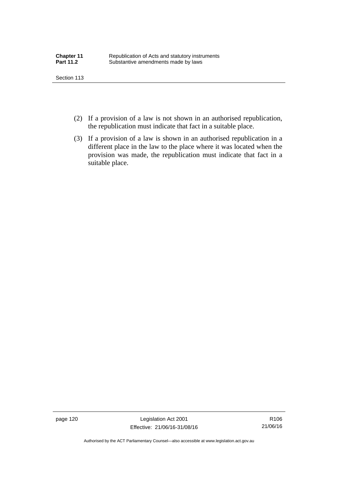- (2) If a provision of a law is not shown in an authorised republication, the republication must indicate that fact in a suitable place.
- (3) If a provision of a law is shown in an authorised republication in a different place in the law to the place where it was located when the provision was made, the republication must indicate that fact in a suitable place.

page 120 Legislation Act 2001 Effective: 21/06/16-31/08/16

R106 21/06/16

Authorised by the ACT Parliamentary Counsel—also accessible at www.legislation.act.gov.au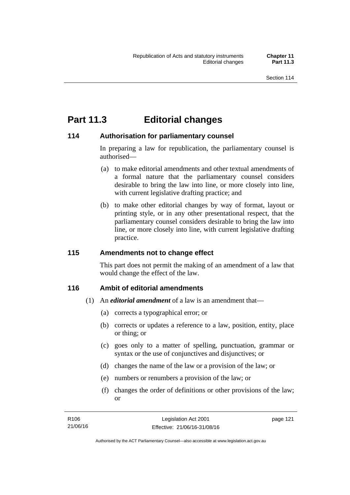## **Part 11.3 Editorial changes**

### **114 Authorisation for parliamentary counsel**

In preparing a law for republication, the parliamentary counsel is authorised—

- (a) to make editorial amendments and other textual amendments of a formal nature that the parliamentary counsel considers desirable to bring the law into line, or more closely into line, with current legislative drafting practice; and
- (b) to make other editorial changes by way of format, layout or printing style, or in any other presentational respect, that the parliamentary counsel considers desirable to bring the law into line, or more closely into line, with current legislative drafting practice.

### **115 Amendments not to change effect**

This part does not permit the making of an amendment of a law that would change the effect of the law.

### **116 Ambit of editorial amendments**

- (1) An *editorial amendment* of a law is an amendment that—
	- (a) corrects a typographical error; or
	- (b) corrects or updates a reference to a law, position, entity, place or thing; or
	- (c) goes only to a matter of spelling, punctuation, grammar or syntax or the use of conjunctives and disjunctives; or
	- (d) changes the name of the law or a provision of the law; or
	- (e) numbers or renumbers a provision of the law; or
	- (f) changes the order of definitions or other provisions of the law; or

page 121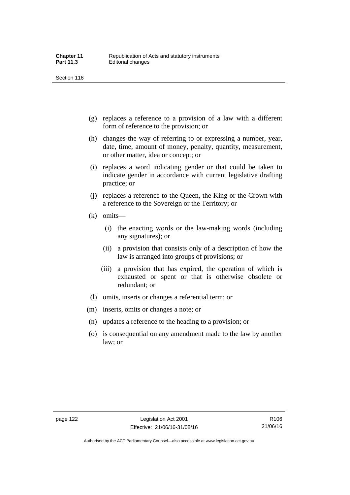- (g) replaces a reference to a provision of a law with a different form of reference to the provision; or
- (h) changes the way of referring to or expressing a number, year, date, time, amount of money, penalty, quantity, measurement, or other matter, idea or concept; or
- (i) replaces a word indicating gender or that could be taken to indicate gender in accordance with current legislative drafting practice; or
- (j) replaces a reference to the Queen, the King or the Crown with a reference to the Sovereign or the Territory; or
- (k) omits—
	- (i) the enacting words or the law-making words (including any signatures); or
	- (ii) a provision that consists only of a description of how the law is arranged into groups of provisions; or
	- (iii) a provision that has expired, the operation of which is exhausted or spent or that is otherwise obsolete or redundant; or
- (l) omits, inserts or changes a referential term; or
- (m) inserts, omits or changes a note; or
- (n) updates a reference to the heading to a provision; or
- (o) is consequential on any amendment made to the law by another law; or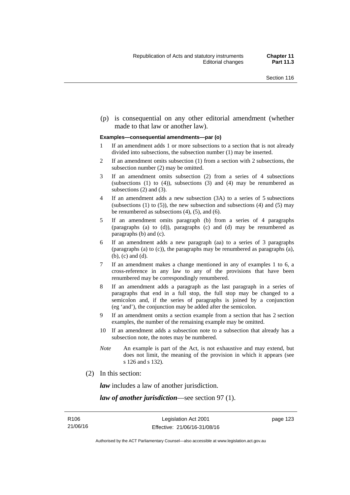(p) is consequential on any other editorial amendment (whether made to that law or another law).

#### **Examples—consequential amendments—par (o)**

- 1 If an amendment adds 1 or more subsections to a section that is not already divided into subsections, the subsection number (1) may be inserted.
- 2 If an amendment omits subsection (1) from a section with 2 subsections, the subsection number (2) may be omitted.
- 3 If an amendment omits subsection (2) from a series of 4 subsections (subsections  $(1)$  to  $(4)$ ), subsections  $(3)$  and  $(4)$  may be renumbered as subsections (2) and (3).
- 4 If an amendment adds a new subsection (3A) to a series of 5 subsections (subsections  $(1)$  to  $(5)$ ), the new subsection and subsections  $(4)$  and  $(5)$  may be renumbered as subsections (4), (5), and (6).
- 5 If an amendment omits paragraph (b) from a series of 4 paragraphs (paragraphs (a) to (d)), paragraphs (c) and (d) may be renumbered as paragraphs (b) and (c).
- 6 If an amendment adds a new paragraph (aa) to a series of 3 paragraphs (paragraphs (a) to (c)), the paragraphs may be renumbered as paragraphs (a), (b), (c) and (d).
- 7 If an amendment makes a change mentioned in any of examples 1 to 6, a cross-reference in any law to any of the provisions that have been renumbered may be correspondingly renumbered.
- 8 If an amendment adds a paragraph as the last paragraph in a series of paragraphs that end in a full stop, the full stop may be changed to a semicolon and, if the series of paragraphs is joined by a conjunction (eg 'and'), the conjunction may be added after the semicolon.
- 9 If an amendment omits a section example from a section that has 2 section examples, the number of the remaining example may be omitted.
- 10 If an amendment adds a subsection note to a subsection that already has a subsection note, the notes may be numbered.
- *Note* An example is part of the Act, is not exhaustive and may extend, but does not limit, the meaning of the provision in which it appears (see s 126 and s 132).
- (2) In this section:

*law* includes a law of another jurisdiction.

*law of another jurisdiction*—see section 97 (1).

page 123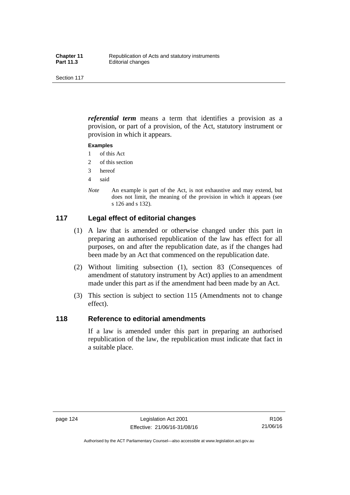*referential term* means a term that identifies a provision as a provision, or part of a provision, of the Act, statutory instrument or provision in which it appears.

#### **Examples**

- 1 of this Act
- 2 of this section
- 3 hereof
- 4 said
- *Note* An example is part of the Act, is not exhaustive and may extend, but does not limit, the meaning of the provision in which it appears (see s 126 and s 132).

### **117 Legal effect of editorial changes**

- (1) A law that is amended or otherwise changed under this part in preparing an authorised republication of the law has effect for all purposes, on and after the republication date, as if the changes had been made by an Act that commenced on the republication date.
- (2) Without limiting subsection (1), section 83 (Consequences of amendment of statutory instrument by Act) applies to an amendment made under this part as if the amendment had been made by an Act.
- (3) This section is subject to section 115 (Amendments not to change effect).

### **118 Reference to editorial amendments**

If a law is amended under this part in preparing an authorised republication of the law, the republication must indicate that fact in a suitable place.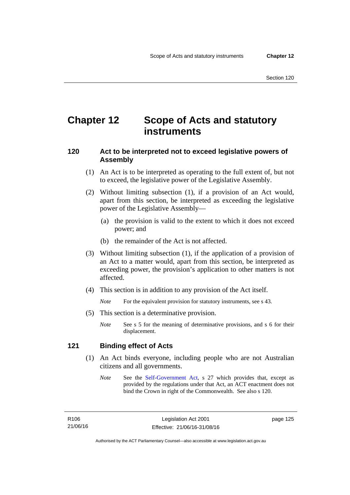## **Chapter 12 Scope of Acts and statutory instruments**

### **120 Act to be interpreted not to exceed legislative powers of Assembly**

- (1) An Act is to be interpreted as operating to the full extent of, but not to exceed, the legislative power of the Legislative Assembly.
- (2) Without limiting subsection (1), if a provision of an Act would, apart from this section, be interpreted as exceeding the legislative power of the Legislative Assembly—
	- (a) the provision is valid to the extent to which it does not exceed power; and
	- (b) the remainder of the Act is not affected.
- (3) Without limiting subsection (1), if the application of a provision of an Act to a matter would, apart from this section, be interpreted as exceeding power, the provision's application to other matters is not affected.
- (4) This section is in addition to any provision of the Act itself.

*Note* For the equivalent provision for statutory instruments, see s 43.

- (5) This section is a determinative provision.
	- *Note* See s 5 for the meaning of determinative provisions, and s 6 for their displacement.

### **121 Binding effect of Acts**

- (1) An Act binds everyone, including people who are not Australian citizens and all governments.
	- *Note* See the [Self-Government Act](http://www.comlaw.gov.au/Series/C2004A03699), s 27 which provides that, except as provided by the regulations under that Act, an ACT enactment does not bind the Crown in right of the Commonwealth. See also s 120.

page 125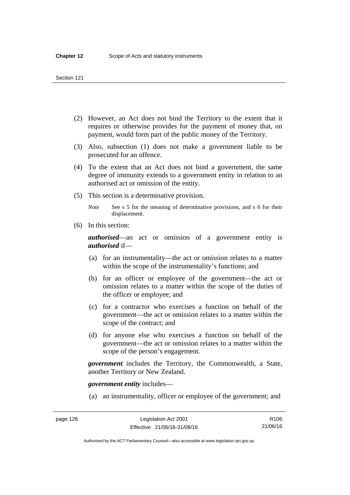- (2) However, an Act does not bind the Territory to the extent that it requires or otherwise provides for the payment of money that, on payment, would form part of the public money of the Territory.
- (3) Also, subsection (1) does not make a government liable to be prosecuted for an offence.
- (4) To the extent that an Act does not bind a government, the same degree of immunity extends to a government entity in relation to an authorised act or omission of the entity.
- (5) This section is a determinative provision.

*Note* See s 5 for the meaning of determinative provisions, and s 6 for their displacement.

(6) In this section:

*authorised*—an act or omission of a government entity is *authorised* if—

- (a) for an instrumentality—the act or omission relates to a matter within the scope of the instrumentality's functions; and
- (b) for an officer or employee of the government—the act or omission relates to a matter within the scope of the duties of the officer or employee; and
- (c) for a contractor who exercises a function on behalf of the government—the act or omission relates to a matter within the scope of the contract; and
- (d) for anyone else who exercises a function on behalf of the government—the act or omission relates to a matter within the scope of the person's engagement.

*government* includes the Territory, the Commonwealth, a State, another Territory or New Zealand.

*government entity* includes—

(a) an instrumentality, officer or employee of the government; and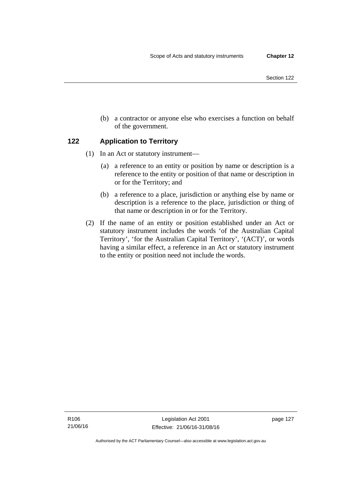- Section 122
- (b) a contractor or anyone else who exercises a function on behalf of the government.

### **122 Application to Territory**

- (1) In an Act or statutory instrument—
	- (a) a reference to an entity or position by name or description is a reference to the entity or position of that name or description in or for the Territory; and
	- (b) a reference to a place, jurisdiction or anything else by name or description is a reference to the place, jurisdiction or thing of that name or description in or for the Territory.
- (2) If the name of an entity or position established under an Act or statutory instrument includes the words 'of the Australian Capital Territory', 'for the Australian Capital Territory', '(ACT)', or words having a similar effect, a reference in an Act or statutory instrument to the entity or position need not include the words.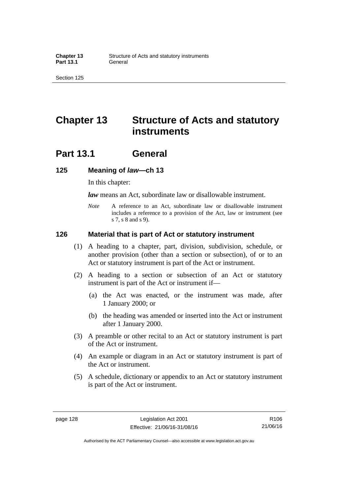## **Chapter 13 Structure of Acts and statutory instruments**

## **Part 13.1 General**

### **125 Meaning of** *law***—ch 13**

In this chapter:

*law* means an Act, subordinate law or disallowable instrument.

*Note* A reference to an Act, subordinate law or disallowable instrument includes a reference to a provision of the Act, law or instrument (see s 7, s 8 and s 9).

### **126 Material that is part of Act or statutory instrument**

- (1) A heading to a chapter, part, division, subdivision, schedule, or another provision (other than a section or subsection), of or to an Act or statutory instrument is part of the Act or instrument.
- (2) A heading to a section or subsection of an Act or statutory instrument is part of the Act or instrument if—
	- (a) the Act was enacted, or the instrument was made, after 1 January 2000; or
	- (b) the heading was amended or inserted into the Act or instrument after 1 January 2000.
- (3) A preamble or other recital to an Act or statutory instrument is part of the Act or instrument.
- (4) An example or diagram in an Act or statutory instrument is part of the Act or instrument.
- (5) A schedule, dictionary or appendix to an Act or statutory instrument is part of the Act or instrument.

R106 21/06/16

Authorised by the ACT Parliamentary Counsel—also accessible at www.legislation.act.gov.au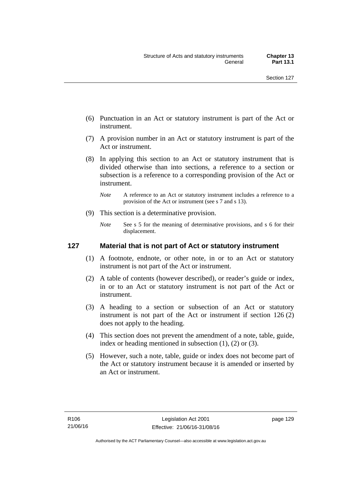- (6) Punctuation in an Act or statutory instrument is part of the Act or instrument.
- (7) A provision number in an Act or statutory instrument is part of the Act or instrument.
- (8) In applying this section to an Act or statutory instrument that is divided otherwise than into sections, a reference to a section or subsection is a reference to a corresponding provision of the Act or instrument.
	- *Note* A reference to an Act or statutory instrument includes a reference to a provision of the Act or instrument (see s 7 and s 13).
- (9) This section is a determinative provision.
	- *Note* See s 5 for the meaning of determinative provisions, and s 6 for their displacement.

### **127 Material that is not part of Act or statutory instrument**

- (1) A footnote, endnote, or other note, in or to an Act or statutory instrument is not part of the Act or instrument.
- (2) A table of contents (however described), or reader's guide or index, in or to an Act or statutory instrument is not part of the Act or instrument.
- (3) A heading to a section or subsection of an Act or statutory instrument is not part of the Act or instrument if section 126 (2) does not apply to the heading.
- (4) This section does not prevent the amendment of a note, table, guide, index or heading mentioned in subsection (1), (2) or (3).
- (5) However, such a note, table, guide or index does not become part of the Act or statutory instrument because it is amended or inserted by an Act or instrument.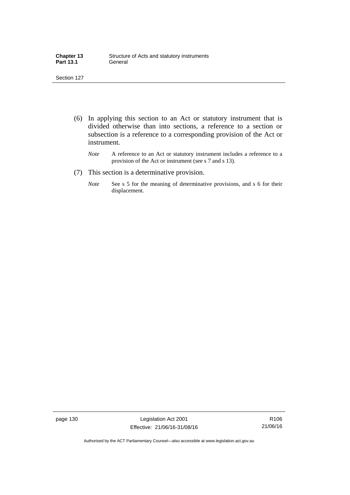| <b>Chapter 13</b> | Structure of Acts and statutory instruments |
|-------------------|---------------------------------------------|
| <b>Part 13.1</b>  | General                                     |

- (6) In applying this section to an Act or statutory instrument that is divided otherwise than into sections, a reference to a section or subsection is a reference to a corresponding provision of the Act or instrument.
	- *Note* A reference to an Act or statutory instrument includes a reference to a provision of the Act or instrument (see s 7 and s 13).
- (7) This section is a determinative provision.
	- *Note* See s 5 for the meaning of determinative provisions, and s 6 for their displacement.

page 130 Legislation Act 2001 Effective: 21/06/16-31/08/16

R106 21/06/16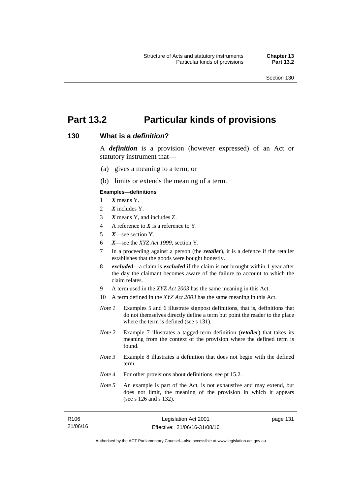page 131

# **Part 13.2 Particular kinds of provisions**

### **130 What is a** *definition***?**

A *definition* is a provision (however expressed) of an Act or statutory instrument that—

- (a) gives a meaning to a term; or
- (b) limits or extends the meaning of a term.

#### **Examples—definitions**

- 1 *X* means Y.
- 2 *X* includes Y.
- 3 *X* means Y, and includes Z.
- 4 A reference to *X* is a reference to Y.
- 5 *X*—see section Y.
- 6 *X*—see the *XYZ Act 1999*, section Y.
- 7 In a proceeding against a person (the *retailer*), it is a defence if the retailer establishes that the goods were bought honestly.
- 8 *excluded*—a claim is *excluded* if the claim is not brought within 1 year after the day the claimant becomes aware of the failure to account to which the claim relates.
- 9 A term used in the *XYZ Act 2003* has the same meaning in this Act.
- 10 A term defined in the *XYZ Act 2003* has the same meaning in this Act.
- *Note 1* Examples 5 and 6 illustrate signpost definitions, that is, definitions that do not themselves directly define a term but point the reader to the place where the term is defined (see s 131).
- *Note 2* Example 7 illustrates a tagged-term definition (*retailer*) that takes its meaning from the context of the provision where the defined term is found.
- *Note 3* Example 8 illustrates a definition that does not begin with the defined term.
- *Note 4* For other provisions about definitions, see pt 15.2.
- *Note 5* An example is part of the Act, is not exhaustive and may extend, but does not limit, the meaning of the provision in which it appears (see s 126 and s 132).

| R106     | Legislation Act 2001         |
|----------|------------------------------|
| 21/06/16 | Effective: 21/06/16-31/08/16 |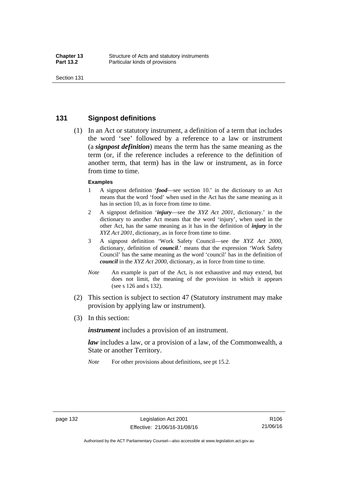### **131 Signpost definitions**

 (1) In an Act or statutory instrument, a definition of a term that includes the word 'see' followed by a reference to a law or instrument (a *signpost definition*) means the term has the same meaning as the term (or, if the reference includes a reference to the definition of another term, that term) has in the law or instrument, as in force from time to time.

#### **Examples**

- 1 A signpost definition '*food*—see section 10.' in the dictionary to an Act means that the word 'food' when used in the Act has the same meaning as it has in section 10, as in force from time to time.
- 2 A signpost definition '*injury*—see the *XYZ Act 2001*, dictionary.' in the dictionary to another Act means that the word 'injury', when used in the other Act, has the same meaning as it has in the definition of *injury* in the *XYZ Act 2001*, dictionary, as in force from time to time.
- 3 A signpost definition 'Work Safety Council—see the *XYZ Act 2000*, dictionary, definition of *council*.' means that the expression 'Work Safety Council' has the same meaning as the word 'council' has in the definition of *council* in the *XYZ Act 2000*, dictionary, as in force from time to time.
- *Note* An example is part of the Act, is not exhaustive and may extend, but does not limit, the meaning of the provision in which it appears (see s 126 and s 132).
- (2) This section is subject to section 47 (Statutory instrument may make provision by applying law or instrument).
- (3) In this section:

*instrument* includes a provision of an instrument.

*law* includes a law, or a provision of a law, of the Commonwealth, a State or another Territory.

*Note* For other provisions about definitions, see pt 15.2.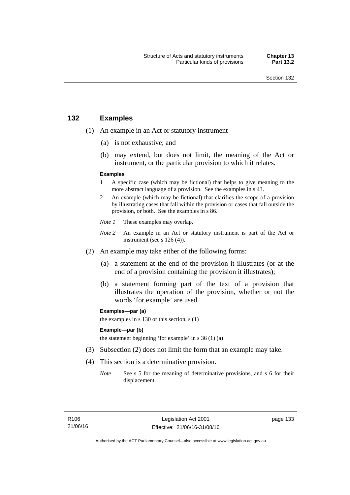### **132 Examples**

- (1) An example in an Act or statutory instrument—
	- (a) is not exhaustive; and
	- (b) may extend, but does not limit, the meaning of the Act or instrument, or the particular provision to which it relates.

#### **Examples**

- 1 A specific case (which may be fictional) that helps to give meaning to the more abstract language of a provision. See the examples in s 43.
- 2 An example (which may be fictional) that clarifies the scope of a provision by illustrating cases that fall within the provision or cases that fall outside the provision, or both. See the examples in s 86.
- *Note 1* These examples may overlap.
- *Note* 2 An example in an Act or statutory instrument is part of the Act or instrument (see s 126 (4)).
- (2) An example may take either of the following forms:
	- (a) a statement at the end of the provision it illustrates (or at the end of a provision containing the provision it illustrates);
	- (b) a statement forming part of the text of a provision that illustrates the operation of the provision, whether or not the words 'for example' are used.

**Examples—par (a)** 

the examples in s 130 or this section, s (1)

#### **Example—par (b)**

the statement beginning 'for example' in s 36 (1) (a)

- (3) Subsection (2) does not limit the form that an example may take.
- (4) This section is a determinative provision.
	- *Note* See s 5 for the meaning of determinative provisions, and s 6 for their displacement.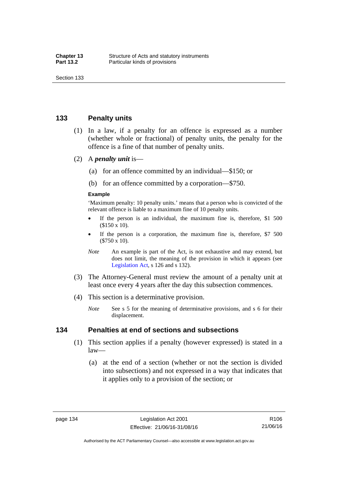### **133 Penalty units**

- (1) In a law, if a penalty for an offence is expressed as a number (whether whole or fractional) of penalty units, the penalty for the offence is a fine of that number of penalty units.
- (2) A *penalty unit* is—
	- (a) for an offence committed by an individual—\$150; or
	- (b) for an offence committed by a corporation—\$750.

#### **Example**

'Maximum penalty: 10 penalty units.' means that a person who is convicted of the relevant offence is liable to a maximum fine of 10 penalty units.

- If the person is an individual, the maximum fine is, therefore, \$1 500 (\$150 x 10).
- If the person is a corporation, the maximum fine is, therefore, \$7 500 (\$750 x 10).
- *Note* An example is part of the Act, is not exhaustive and may extend, but does not limit, the meaning of the provision in which it appears (see [Legislation Act,](http://www.legislation.act.gov.au/a/2001-14) s 126 and s 132).
- (3) The Attorney-General must review the amount of a penalty unit at least once every 4 years after the day this subsection commences.
- (4) This section is a determinative provision.
	- *Note* See s 5 for the meaning of determinative provisions, and s 6 for their displacement.

### **134 Penalties at end of sections and subsections**

- (1) This section applies if a penalty (however expressed) is stated in a law—
	- (a) at the end of a section (whether or not the section is divided into subsections) and not expressed in a way that indicates that it applies only to a provision of the section; or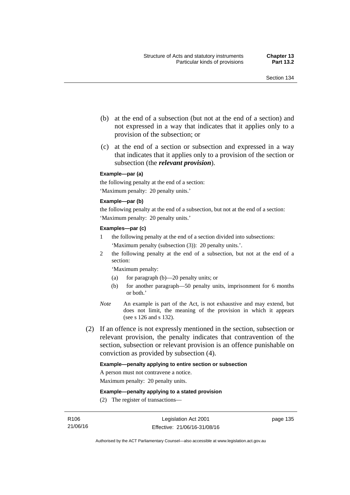- (b) at the end of a subsection (but not at the end of a section) and not expressed in a way that indicates that it applies only to a provision of the subsection; or
- (c) at the end of a section or subsection and expressed in a way that indicates that it applies only to a provision of the section or subsection (the *relevant provision*).

#### **Example—par (a)**

the following penalty at the end of a section: 'Maximum penalty: 20 penalty units.'

#### **Example—par (b)**

the following penalty at the end of a subsection, but not at the end of a section: 'Maximum penalty: 20 penalty units.'

#### **Examples—par (c)**

- 1 the following penalty at the end of a section divided into subsections: 'Maximum penalty (subsection (3)): 20 penalty units.'.
- 2 the following penalty at the end of a subsection, but not at the end of a section:

'Maximum penalty:

- (a) for paragraph (b)—20 penalty units; or
- (b) for another paragraph—50 penalty units, imprisonment for 6 months or both.'
- *Note* An example is part of the Act, is not exhaustive and may extend, but does not limit, the meaning of the provision in which it appears (see s 126 and s 132).
- (2) If an offence is not expressly mentioned in the section, subsection or relevant provision, the penalty indicates that contravention of the section, subsection or relevant provision is an offence punishable on conviction as provided by subsection (4).

#### **Example—penalty applying to entire section or subsection**

A person must not contravene a notice.

Maximum penalty: 20 penalty units.

**Example—penalty applying to a stated provision** 

(2) The register of transactions—

page 135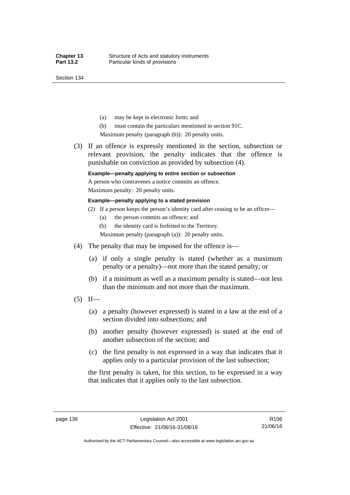Section 134

- (a) may be kept in electronic form; and
- (b) must contain the particulars mentioned in section 91C.

Maximum penalty (paragraph (b)): 20 penalty units.

 (3) If an offence is expressly mentioned in the section, subsection or relevant provision, the penalty indicates that the offence is punishable on conviction as provided by subsection (4).

### **Example—penalty applying to entire section or subsection**

A person who contravenes a notice commits an offence. Maximum penalty: 20 penalty units.

#### **Example—penalty applying to a stated provision**

- (2) If a person keeps the person's identity card after ceasing to be an officer—
	- (a) the person commits an offence; and
	- (b) the identity card is forfeited to the Territory.

Maximum penalty (paragraph (a)): 20 penalty units.

- (4) The penalty that may be imposed for the offence is—
	- (a) if only a single penalty is stated (whether as a maximum penalty or a penalty)—not more than the stated penalty; or
	- (b) if a minimum as well as a maximum penalty is stated—not less than the minimum and not more than the maximum.
- $(5)$  If—
	- (a) a penalty (however expressed) is stated in a law at the end of a section divided into subsections; and
	- (b) another penalty (however expressed) is stated at the end of another subsection of the section; and
	- (c) the first penalty is not expressed in a way that indicates that it applies only to a particular provision of the last subsection;

the first penalty is taken, for this section, to be expressed in a way that indicates that it applies only to the last subsection.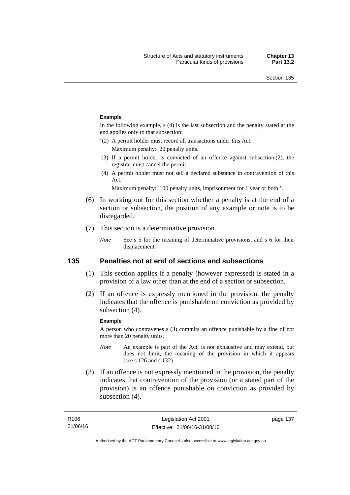#### **Example**

In the following example, s (4) is the last subsection and the penalty stated at the end applies only to that subsection:

'(2) A permit holder must record all transactions under this Act.

Maximum penalty: 20 penalty units.

- (3) If a permit holder is convicted of an offence against subsection (2), the registrar must cancel the permit.
- (4) A permit holder must not sell a declared substance in contravention of this Act.

Maximum penalty: 100 penalty units, imprisonment for 1 year or both.'.

- (6) In working out for this section whether a penalty is at the end of a section or subsection, the position of any example or note is to be disregarded.
- (7) This section is a determinative provision.
	- *Note* See s 5 for the meaning of determinative provisions, and s 6 for their displacement.

### **135 Penalties not at end of sections and subsections**

- (1) This section applies if a penalty (however expressed) is stated in a provision of a law other than at the end of a section or subsection.
- (2) If an offence is expressly mentioned in the provision, the penalty indicates that the offence is punishable on conviction as provided by subsection (4).

#### **Example**

A person who contravenes s (3) commits an offence punishable by a fine of not more than 20 penalty units.

- *Note* An example is part of the Act, is not exhaustive and may extend, but does not limit, the meaning of the provision in which it appears (see s 126 and s 132).
- (3) If an offence is not expressly mentioned in the provision, the penalty indicates that contravention of the provision (or a stated part of the provision) is an offence punishable on conviction as provided by subsection (4).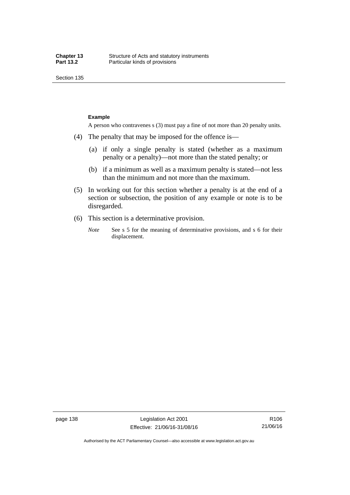Section 135

#### **Example**

A person who contravenes s (3) must pay a fine of not more than 20 penalty units.

- (4) The penalty that may be imposed for the offence is—
	- (a) if only a single penalty is stated (whether as a maximum penalty or a penalty)—not more than the stated penalty; or
	- (b) if a minimum as well as a maximum penalty is stated—not less than the minimum and not more than the maximum.
- (5) In working out for this section whether a penalty is at the end of a section or subsection, the position of any example or note is to be disregarded.
- (6) This section is a determinative provision.
	- *Note* See s 5 for the meaning of determinative provisions, and s 6 for their displacement.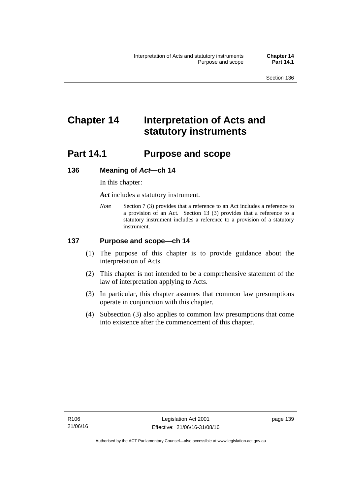# **Chapter 14 Interpretation of Acts and statutory instruments**

# **Part 14.1 Purpose and scope**

### **136 Meaning of** *Act***—ch 14**

In this chapter:

*Act* includes a statutory instrument.

*Note* Section 7 (3) provides that a reference to an Act includes a reference to a provision of an Act. Section 13 (3) provides that a reference to a statutory instrument includes a reference to a provision of a statutory instrument.

### **137 Purpose and scope—ch 14**

- (1) The purpose of this chapter is to provide guidance about the interpretation of Acts.
- (2) This chapter is not intended to be a comprehensive statement of the law of interpretation applying to Acts.
- (3) In particular, this chapter assumes that common law presumptions operate in conjunction with this chapter.
- (4) Subsection (3) also applies to common law presumptions that come into existence after the commencement of this chapter.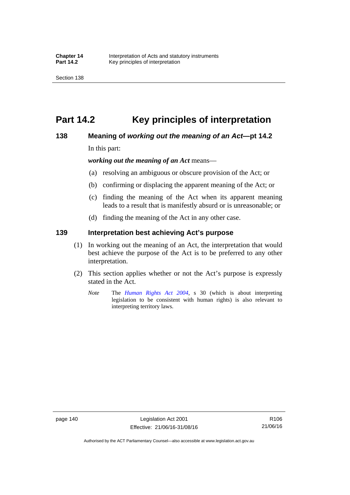# **Part 14.2 Key principles of interpretation**

### **138 Meaning of** *working out the meaning of an Act***—pt 14.2**

In this part:

*working out the meaning of an Act* means—

- (a) resolving an ambiguous or obscure provision of the Act; or
- (b) confirming or displacing the apparent meaning of the Act; or
- (c) finding the meaning of the Act when its apparent meaning leads to a result that is manifestly absurd or is unreasonable; or
- (d) finding the meaning of the Act in any other case.

### **139 Interpretation best achieving Act's purpose**

- (1) In working out the meaning of an Act, the interpretation that would best achieve the purpose of the Act is to be preferred to any other interpretation.
- (2) This section applies whether or not the Act's purpose is expressly stated in the Act.
	- *Note* The *[Human Rights Act 2004](http://www.legislation.act.gov.au/a/2004-5)*, s 30 (which is about interpreting legislation to be consistent with human rights) is also relevant to interpreting territory laws.

R106 21/06/16

Authorised by the ACT Parliamentary Counsel—also accessible at www.legislation.act.gov.au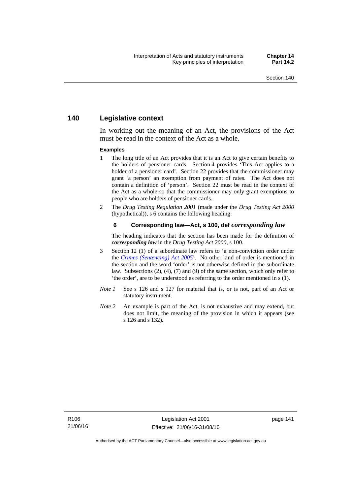### **140 Legislative context**

In working out the meaning of an Act, the provisions of the Act must be read in the context of the Act as a whole.

#### **Examples**

- 1 The long title of an Act provides that it is an Act to give certain benefits to the holders of pensioner cards. Section 4 provides 'This Act applies to a holder of a pensioner card'. Section 22 provides that the commissioner may grant 'a person' an exemption from payment of rates. The Act does not contain a definition of 'person'. Section 22 must be read in the context of the Act as a whole so that the commissioner may only grant exemptions to people who are holders of pensioner cards.
- 2 The *Drug Testing Regulation 2001* (made under the *Drug Testing Act 2000* (hypothetical)), s 6 contains the following heading:

#### **6 Corresponding law—Act, s 100, def** *corresponding law*

The heading indicates that the section has been made for the definition of *corresponding law* in the *Drug Testing Act 2000*, s 100.

- 3 Section 12 (1) of a subordinate law refers to 'a non-conviction order under the *[Crimes \(Sentencing\) Act 2005](http://www.legislation.act.gov.au/a/2005-58)*'. No other kind of order is mentioned in the section and the word 'order' is not otherwise defined in the subordinate law. Subsections (2), (4), (7) and (9) of the same section, which only refer to 'the order', are to be understood as referring to the order mentioned in s (1).
- *Note 1* See s 126 and s 127 for material that is, or is not, part of an Act or statutory instrument.
- *Note 2* An example is part of the Act, is not exhaustive and may extend, but does not limit, the meaning of the provision in which it appears (see s 126 and s 132).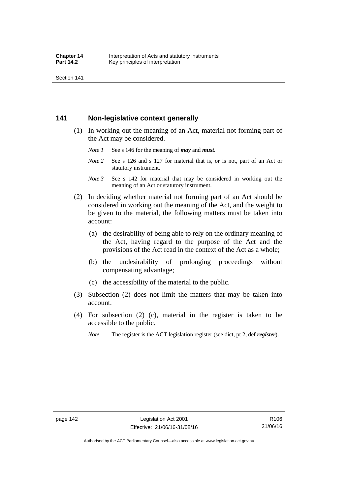Section 141

### **141 Non-legislative context generally**

- (1) In working out the meaning of an Act, material not forming part of the Act may be considered.
	- *Note 1* See s 146 for the meaning of *may* and *must*.
	- *Note* 2 See s 126 and s 127 for material that is, or is not, part of an Act or statutory instrument.
	- *Note 3* See s 142 for material that may be considered in working out the meaning of an Act or statutory instrument.
- (2) In deciding whether material not forming part of an Act should be considered in working out the meaning of the Act, and the weight to be given to the material, the following matters must be taken into account:
	- (a) the desirability of being able to rely on the ordinary meaning of the Act, having regard to the purpose of the Act and the provisions of the Act read in the context of the Act as a whole;
	- (b) the undesirability of prolonging proceedings without compensating advantage;
	- (c) the accessibility of the material to the public.
- (3) Subsection (2) does not limit the matters that may be taken into account.
- (4) For subsection (2) (c), material in the register is taken to be accessible to the public.
	- *Note* The register is the ACT legislation register (see dict, pt 2, def *register*).

R106 21/06/16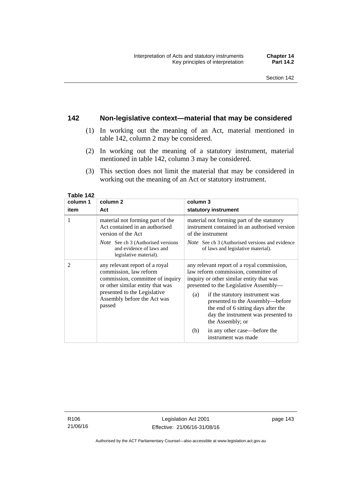### **142 Non-legislative context—material that may be considered**

- (1) In working out the meaning of an Act, material mentioned in table 142, column 2 may be considered.
- (2) In working out the meaning of a statutory instrument, material mentioned in table 142, column 3 may be considered.
- (3) This section does not limit the material that may be considered in working out the meaning of an Act or statutory instrument.

| column 1       | column <sub>2</sub>                                                                                                                                                                                       | column 3                                                                                                                                                                                                                                                                                                                                                |
|----------------|-----------------------------------------------------------------------------------------------------------------------------------------------------------------------------------------------------------|---------------------------------------------------------------------------------------------------------------------------------------------------------------------------------------------------------------------------------------------------------------------------------------------------------------------------------------------------------|
| item           | Act                                                                                                                                                                                                       | statutory instrument                                                                                                                                                                                                                                                                                                                                    |
| 1              | material not forming part of the<br>Act contained in an authorised<br>version of the Act                                                                                                                  | material not forming part of the statutory<br>instrument contained in an authorised version<br>of the instrument                                                                                                                                                                                                                                        |
|                | <i>Note</i> See ch 3 (Authorised versions<br>and evidence of laws and<br>legislative material).                                                                                                           | <i>Note</i> See ch 3 (Authorised versions and evidence<br>of laws and legislative material).                                                                                                                                                                                                                                                            |
| $\overline{c}$ | any relevant report of a royal<br>commission, law reform<br>commission, committee of inquiry<br>or other similar entity that was<br>presented to the Legislative<br>Assembly before the Act was<br>passed | any relevant report of a royal commission,<br>law reform commission, committee of<br>inquiry or other similar entity that was<br>presented to the Legislative Assembly—<br>if the statutory instrument was<br>(a)<br>presented to the Assembly-before<br>the end of 6 sitting days after the<br>day the instrument was presented to<br>the Assembly; or |
|                |                                                                                                                                                                                                           | in any other case—before the<br>(b)<br>instrument was made                                                                                                                                                                                                                                                                                              |

**Table 142** 

R106 21/06/16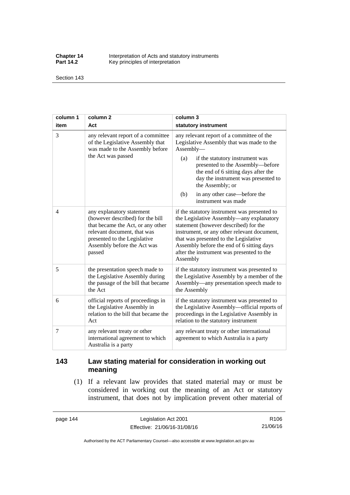**Chapter 14** Interpretation of Acts and statutory instruments<br>**Part 14.2** Key principles of interpretation Key principles of interpretation

Section 143

| column 1       | column <sub>2</sub>                                                                                                                                                                                        | column 3                                                                                                                                                                                                                                                                                                                                          |
|----------------|------------------------------------------------------------------------------------------------------------------------------------------------------------------------------------------------------------|---------------------------------------------------------------------------------------------------------------------------------------------------------------------------------------------------------------------------------------------------------------------------------------------------------------------------------------------------|
| item           | Act                                                                                                                                                                                                        | statutory instrument                                                                                                                                                                                                                                                                                                                              |
| 3              | any relevant report of a committee<br>of the Legislative Assembly that<br>was made to the Assembly before<br>the Act was passed                                                                            | any relevant report of a committee of the<br>Legislative Assembly that was made to the<br>Assembly-<br>(a)<br>if the statutory instrument was<br>presented to the Assembly-before<br>the end of 6 sitting days after the<br>day the instrument was presented to<br>the Assembly; or<br>in any other case—before the<br>(b)<br>instrument was made |
| $\overline{4}$ | any explanatory statement<br>(however described) for the bill<br>that became the Act, or any other<br>relevant document, that was<br>presented to the Legislative<br>Assembly before the Act was<br>passed | if the statutory instrument was presented to<br>the Legislative Assembly—any explanatory<br>statement (however described) for the<br>instrument, or any other relevant document,<br>that was presented to the Legislative<br>Assembly before the end of 6 sitting days<br>after the instrument was presented to the<br>Assembly                   |
| 5              | the presentation speech made to<br>the Legislative Assembly during<br>the passage of the bill that became<br>the Act                                                                                       | if the statutory instrument was presented to<br>the Legislative Assembly by a member of the<br>Assembly—any presentation speech made to<br>the Assembly                                                                                                                                                                                           |
| 6              | official reports of proceedings in<br>the Legislative Assembly in<br>relation to the bill that became the<br>Act                                                                                           | if the statutory instrument was presented to<br>the Legislative Assembly-official reports of<br>proceedings in the Legislative Assembly in<br>relation to the statutory instrument                                                                                                                                                                |
| 7              | any relevant treaty or other<br>international agreement to which<br>Australia is a party                                                                                                                   | any relevant treaty or other international<br>agreement to which Australia is a party                                                                                                                                                                                                                                                             |

## **143 Law stating material for consideration in working out meaning**

 (1) If a relevant law provides that stated material may or must be considered in working out the meaning of an Act or statutory instrument, that does not by implication prevent other material of

page 144 Legislation Act 2001 Effective: 21/06/16-31/08/16

R106 21/06/16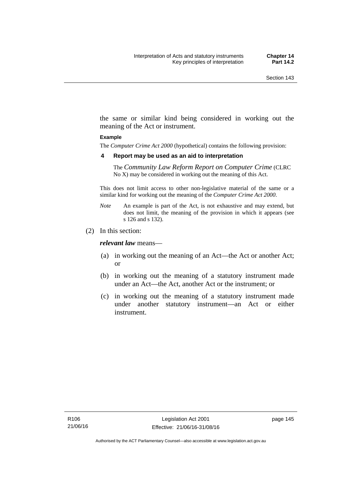the same or similar kind being considered in working out the meaning of the Act or instrument.

#### **Example**

The *Computer Crime Act 2000* (hypothetical) contains the following provision:

#### **4 Report may be used as an aid to interpretation**

The *Community Law Reform Report on Computer Crime* (CLRC No X) may be considered in working out the meaning of this Act.

This does not limit access to other non-legislative material of the same or a similar kind for working out the meaning of the *Computer Crime Act 2000*.

- *Note* An example is part of the Act, is not exhaustive and may extend, but does not limit, the meaning of the provision in which it appears (see s 126 and s 132).
- (2) In this section:

*relevant law* means—

- (a) in working out the meaning of an Act—the Act or another Act; or
- (b) in working out the meaning of a statutory instrument made under an Act—the Act, another Act or the instrument; or
- (c) in working out the meaning of a statutory instrument made under another statutory instrument—an Act or either instrument.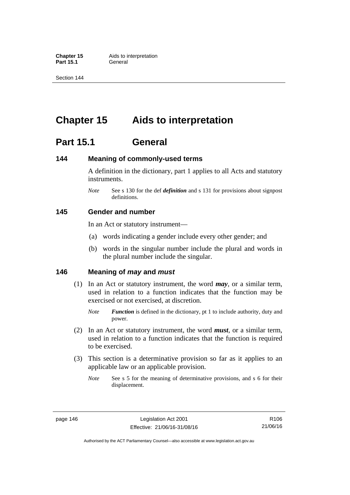**Part 15.1** 

Section 144

# **Chapter 15 Aids to interpretation**

# **Part 15.1 General**

### **144 Meaning of commonly-used terms**

A definition in the dictionary, part 1 applies to all Acts and statutory instruments.

*Note* See s 130 for the def *definition* and s 131 for provisions about signpost definitions.

### **145 Gender and number**

In an Act or statutory instrument—

- (a) words indicating a gender include every other gender; and
- (b) words in the singular number include the plural and words in the plural number include the singular.

### **146 Meaning of** *may* **and** *must*

- (1) In an Act or statutory instrument, the word *may*, or a similar term, used in relation to a function indicates that the function may be exercised or not exercised, at discretion.
	- *Note Function* is defined in the dictionary, pt 1 to include authority, duty and power.
- (2) In an Act or statutory instrument, the word *must*, or a similar term, used in relation to a function indicates that the function is required to be exercised.
- (3) This section is a determinative provision so far as it applies to an applicable law or an applicable provision.
	- *Note* See s 5 for the meaning of determinative provisions, and s 6 for their displacement.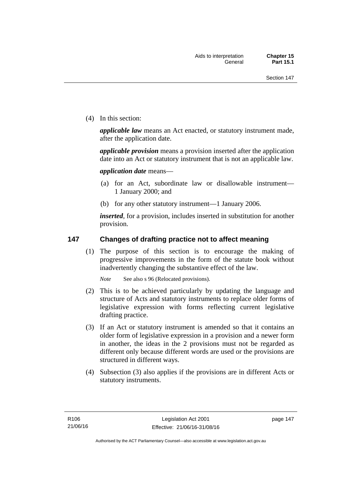(4) In this section:

*applicable law* means an Act enacted, or statutory instrument made, after the application date.

*applicable provision* means a provision inserted after the application date into an Act or statutory instrument that is not an applicable law.

*application date* means—

- (a) for an Act, subordinate law or disallowable instrument— 1 January 2000; and
- (b) for any other statutory instrument—1 January 2006.

*inserted*, for a provision, includes inserted in substitution for another provision.

### **147 Changes of drafting practice not to affect meaning**

(1) The purpose of this section is to encourage the making of progressive improvements in the form of the statute book without inadvertently changing the substantive effect of the law.

*Note* See also s 96 (Relocated provisions).

- (2) This is to be achieved particularly by updating the language and structure of Acts and statutory instruments to replace older forms of legislative expression with forms reflecting current legislative drafting practice.
- (3) If an Act or statutory instrument is amended so that it contains an older form of legislative expression in a provision and a newer form in another, the ideas in the 2 provisions must not be regarded as different only because different words are used or the provisions are structured in different ways.
- (4) Subsection (3) also applies if the provisions are in different Acts or statutory instruments.

page 147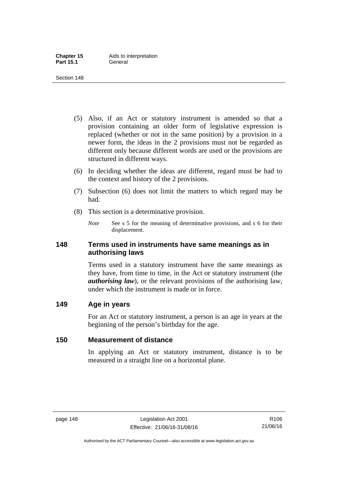- (5) Also, if an Act or statutory instrument is amended so that a provision containing an older form of legislative expression is replaced (whether or not in the same position) by a provision in a newer form, the ideas in the 2 provisions must not be regarded as different only because different words are used or the provisions are structured in different ways.
- (6) In deciding whether the ideas are different, regard must be had to the context and history of the 2 provisions.
- (7) Subsection (6) does not limit the matters to which regard may be had.
- (8) This section is a determinative provision.
	- *Note* See s 5 for the meaning of determinative provisions, and s 6 for their displacement.

### **148 Terms used in instruments have same meanings as in authorising laws**

Terms used in a statutory instrument have the same meanings as they have, from time to time, in the Act or statutory instrument (the *authorising law*), or the relevant provisions of the authorising law, under which the instrument is made or in force.

### **149 Age in years**

For an Act or statutory instrument, a person is an age in years at the beginning of the person's birthday for the age.

### **150 Measurement of distance**

In applying an Act or statutory instrument, distance is to be measured in a straight line on a horizontal plane.

Authorised by the ACT Parliamentary Counsel—also accessible at www.legislation.act.gov.au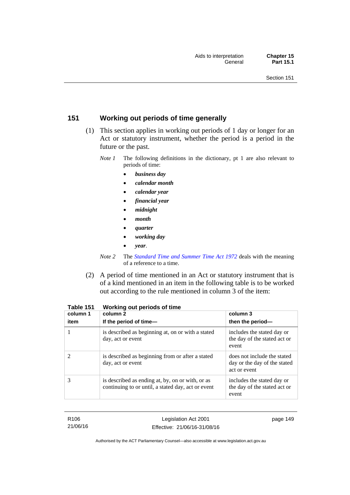### **151 Working out periods of time generally**

- (1) This section applies in working out periods of 1 day or longer for an Act or statutory instrument, whether the period is a period in the future or the past.
	- *Note 1* The following definitions in the dictionary, pt 1 are also relevant to periods of time:
		- *business day*
		- *calendar month*
		- *calendar year*
		- *financial year*
		- *midnight*
		- *month*
		- *quarter*
		- *working day*
		- *year*.
	- *Note 2* The *[Standard Time and Summer Time Act 1972](http://www.legislation.act.gov.au/a/1972-34)* deals with the meaning of a reference to a time.
- (2) A period of time mentioned in an Act or statutory instrument that is of a kind mentioned in an item in the following table is to be worked out according to the rule mentioned in column 3 of the item:

| column 1<br>item | column 2<br>If the period of time-                                                                     | column 3<br>then the period-                                                |
|------------------|--------------------------------------------------------------------------------------------------------|-----------------------------------------------------------------------------|
|                  | is described as beginning at, on or with a stated<br>day, act or event                                 | includes the stated day or<br>the day of the stated act or<br>event         |
|                  | is described as beginning from or after a stated<br>day, act or event                                  | does not include the stated<br>day or the day of the stated<br>act or event |
| 3                | is described as ending at, by, on or with, or as<br>continuing to or until, a stated day, act or event | includes the stated day or<br>the day of the stated act or<br>event         |

**Table 151 Working out periods of time** 

R106 21/06/16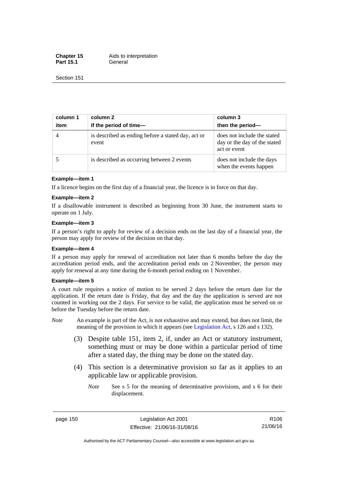**Chapter 15** Aids to interpretation Part 15.1 **General** 

Section 151

| column 1<br>item | column 2<br>If the period of time-                          | column 3<br>then the period-                                                |
|------------------|-------------------------------------------------------------|-----------------------------------------------------------------------------|
| $\overline{4}$   | is described as ending before a stated day, act or<br>event | does not include the stated<br>day or the day of the stated<br>act or event |
|                  | is described as occurring between 2 events                  | does not include the days<br>when the events happen                         |

#### **Example—item 1**

If a licence begins on the first day of a financial year, the licence is in force on that day.

#### **Example—item 2**

If a disallowable instrument is described as beginning from 30 June, the instrument starts to operate on 1 July.

#### **Example—item 3**

If a person's right to apply for review of a decision ends on the last day of a financial year, the person may apply for review of the decision on that day.

#### **Example—item 4**

If a person may apply for renewal of accreditation not later than 6 months before the day the accreditation period ends, and the accreditation period ends on 2 November, the person may apply for renewal at any time during the 6-month period ending on 1 November.

#### **Example—item 5**

A court rule requires a notice of motion to be served 2 days before the return date for the application. If the return date is Friday, that day and the day the application is served are not counted in working out the 2 days. For service to be valid, the application must be served on or before the Tuesday before the return date.

- *Note* An example is part of the Act, is not exhaustive and may extend, but does not limit, the meaning of the provision in which it appears (see [Legislation Act](http://www.legislation.act.gov.au/a/2001-14), s 126 and s 132).
	- (3) Despite table 151, item 2, if, under an Act or statutory instrument, something must or may be done within a particular period of time after a stated day, the thing may be done on the stated day.
	- (4) This section is a determinative provision so far as it applies to an applicable law or applicable provision.
		- *Note* See s 5 for the meaning of determinative provisions, and s 6 for their displacement.

page 150 Legislation Act 2001 Effective: 21/06/16-31/08/16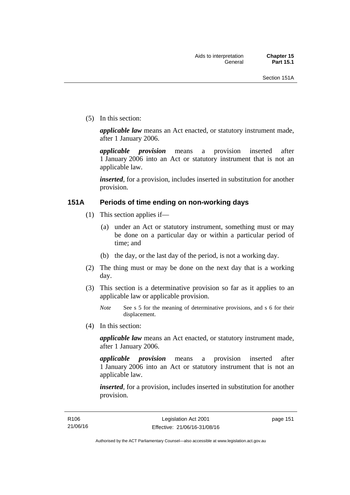(5) In this section:

*applicable law* means an Act enacted, or statutory instrument made, after 1 January 2006.

*applicable provision* means a provision inserted after 1 January 2006 into an Act or statutory instrument that is not an applicable law.

*inserted*, for a provision, includes inserted in substitution for another provision.

### **151A Periods of time ending on non-working days**

- (1) This section applies if—
	- (a) under an Act or statutory instrument, something must or may be done on a particular day or within a particular period of time; and
	- (b) the day, or the last day of the period, is not a working day.
- (2) The thing must or may be done on the next day that is a working day.
- (3) This section is a determinative provision so far as it applies to an applicable law or applicable provision.

(4) In this section:

*applicable law* means an Act enacted, or statutory instrument made, after 1 January 2006.

*applicable provision* means a provision inserted after 1 January 2006 into an Act or statutory instrument that is not an applicable law.

*inserted*, for a provision, includes inserted in substitution for another provision.

*Note* See s 5 for the meaning of determinative provisions, and s 6 for their displacement.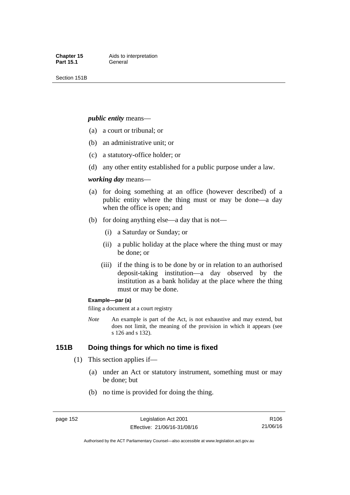Section 151B

#### *public entity* means—

- (a) a court or tribunal; or
- (b) an administrative unit; or
- (c) a statutory-office holder; or
- (d) any other entity established for a public purpose under a law.

#### *working day* means—

- (a) for doing something at an office (however described) of a public entity where the thing must or may be done—a day when the office is open; and
- (b) for doing anything else—a day that is not—
	- (i) a Saturday or Sunday; or
	- (ii) a public holiday at the place where the thing must or may be done; or
	- (iii) if the thing is to be done by or in relation to an authorised deposit-taking institution—a day observed by the institution as a bank holiday at the place where the thing must or may be done.

#### **Example—par (a)**

filing a document at a court registry

*Note* An example is part of the Act, is not exhaustive and may extend, but does not limit, the meaning of the provision in which it appears (see s 126 and s 132).

### **151B Doing things for which no time is fixed**

- (1) This section applies if—
	- (a) under an Act or statutory instrument, something must or may be done; but
	- (b) no time is provided for doing the thing.

R106 21/06/16

Authorised by the ACT Parliamentary Counsel—also accessible at www.legislation.act.gov.au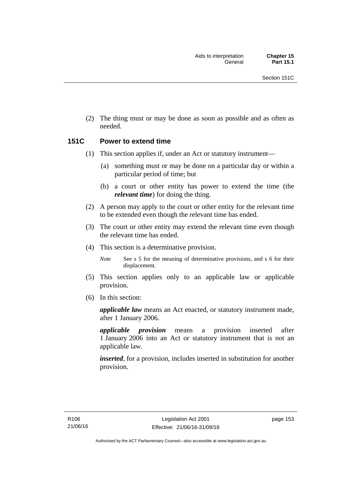(2) The thing must or may be done as soon as possible and as often as needed.

### **151C Power to extend time**

- (1) This section applies if, under an Act or statutory instrument—
	- (a) something must or may be done on a particular day or within a particular period of time; but
	- (b) a court or other entity has power to extend the time (the *relevant time*) for doing the thing.
- (2) A person may apply to the court or other entity for the relevant time to be extended even though the relevant time has ended.
- (3) The court or other entity may extend the relevant time even though the relevant time has ended.
- (4) This section is a determinative provision.

*Note* See s 5 for the meaning of determinative provisions, and s 6 for their displacement.

- (5) This section applies only to an applicable law or applicable provision.
- (6) In this section:

*applicable law* means an Act enacted, or statutory instrument made, after 1 January 2006.

*applicable provision* means a provision inserted after 1 January 2006 into an Act or statutory instrument that is not an applicable law.

*inserted*, for a provision, includes inserted in substitution for another provision.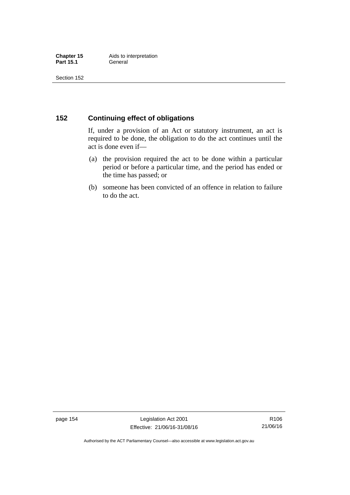### **152 Continuing effect of obligations**

If, under a provision of an Act or statutory instrument, an act is required to be done, the obligation to do the act continues until the act is done even if—

- (a) the provision required the act to be done within a particular period or before a particular time, and the period has ended or the time has passed; or
- (b) someone has been convicted of an offence in relation to failure to do the act.

page 154 Legislation Act 2001 Effective: 21/06/16-31/08/16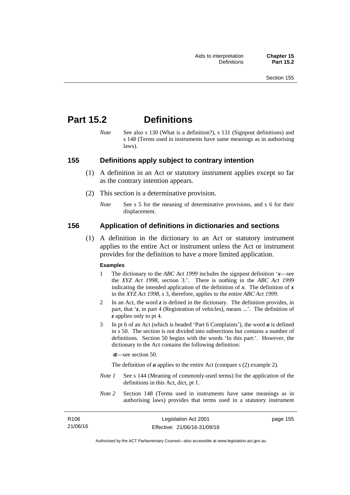155

# **Part 15.2 Definitions**

*Note* See also s 130 (What is a definition?), s 131 (Signpost definitions) and s 148 (Terms used in instruments have same meanings as in authorising laws).

### **155 Definitions apply subject to contrary intention**

- (1) A definition in an Act or statutory instrument applies except so far as the contrary intention appears.
- (2) This section is a determinative provision.
	- *Note* See s 5 for the meaning of determinative provisions, and s 6 for their displacement.

### **156 Application of definitions in dictionaries and sections**

 (1) A definition in the dictionary to an Act or statutory instrument applies to the entire Act or instrument unless the Act or instrument provides for the definition to have a more limited application.

#### **Examples**

- 1 The dictionary to the *ABC Act 1999* includes the signpost definition '*x*—see the *XYZ Act 1998*, section 3.'. There is nothing in the *ABC Act 1999* indicating the intended application of the definition of  $x$ . The definition of  $x$ in the *XYZ Act 1998*, s 3, therefore, applies to the entire *ABC Act 1999*.
- 2 In an Act, the word *z* is defined in the dictionary. The definition provides, in part, that '*z*, in part 4 (Registration of vehicles), means ...'. The definition of *z* applies only to pt 4.
- 3 In pt 6 of an Act (which is headed 'Part 6 Complaints'), the word *a* is defined in s 50. The section is not divided into subsections but contains a number of definitions. Section 50 begins with the words 'In this part:'. However, the dictionary to the Act contains the following definition:

*a*—see section 50.

The definition of *a* applies to the entire Act (compare s (2) example 2).

- *Note 1* See s 144 (Meaning of commonly-used terms) for the application of the definitions in this Act, dict, pt 1.
- *Note 2* Section 148 (Terms used in instruments have same meanings as in authorising laws) provides that terms used in a statutory instrument

| R106     | Legislation Act 2001         | page |
|----------|------------------------------|------|
| 21/06/16 | Effective: 21/06/16-31/08/16 |      |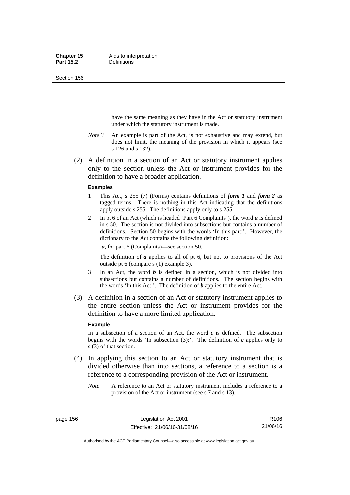Section 156

have the same meaning as they have in the Act or statutory instrument under which the statutory instrument is made.

- *Note 3* An example is part of the Act, is not exhaustive and may extend, but does not limit, the meaning of the provision in which it appears (see s 126 and s 132).
- (2) A definition in a section of an Act or statutory instrument applies only to the section unless the Act or instrument provides for the definition to have a broader application.

#### **Examples**

- 1 This Act, s 255 (7) (Forms) contains definitions of *form 1* and *form 2* as tagged terms. There is nothing in this Act indicating that the definitions apply outside s 255. The definitions apply only to s 255.
- 2 In pt 6 of an Act (which is headed 'Part 6 Complaints'), the word *a* is defined in s 50. The section is not divided into subsections but contains a number of definitions. Section 50 begins with the words 'In this part:'. However, the dictionary to the Act contains the following definition:

*a*, for part 6 (Complaints)—see section 50.

The definition of *a* applies to all of pt 6, but not to provisions of the Act outside pt 6 (compare s (1) example 3).

- 3 In an Act, the word *b* is defined in a section, which is not divided into subsections but contains a number of definitions. The section begins with the words 'In this Act:'. The definition of *b* applies to the entire Act.
- (3) A definition in a section of an Act or statutory instrument applies to the entire section unless the Act or instrument provides for the definition to have a more limited application.

#### **Example**

In a subsection of a section of an Act, the word  $c$  is defined. The subsection begins with the words 'In subsection  $(3)$ :'. The definition of  $c$  applies only to s (3) of that section.

- (4) In applying this section to an Act or statutory instrument that is divided otherwise than into sections, a reference to a section is a reference to a corresponding provision of the Act or instrument.
	- *Note* A reference to an Act or statutory instrument includes a reference to a provision of the Act or instrument (see s 7 and s 13).

page 156 Legislation Act 2001 Effective: 21/06/16-31/08/16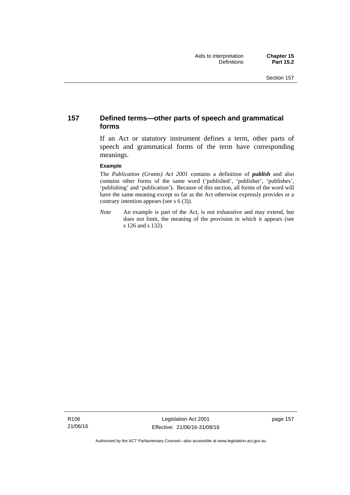### **157 Defined terms—other parts of speech and grammatical forms**

If an Act or statutory instrument defines a term, other parts of speech and grammatical forms of the term have corresponding meanings.

#### **Example**

The *Publication (Grants) Act 2001* contains a definition of *publish* and also contains other forms of the same word ('published', 'publisher', 'publishes', 'publishing' and 'publication'). Because of this section, all forms of the word will have the same meaning except so far as the Act otherwise expressly provides or a contrary intention appears (see s 6 (3)).

*Note* An example is part of the Act, is not exhaustive and may extend, but does not limit, the meaning of the provision in which it appears (see s 126 and s 132).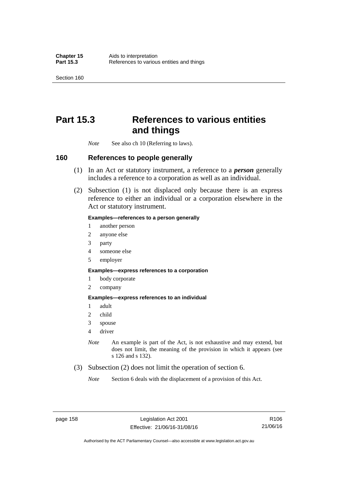Section 160

# **Part 15.3 References to various entities and things**

*Note* See also ch 10 (Referring to laws).

### **160 References to people generally**

- (1) In an Act or statutory instrument, a reference to a *person* generally includes a reference to a corporation as well as an individual.
- (2) Subsection (1) is not displaced only because there is an express reference to either an individual or a corporation elsewhere in the Act or statutory instrument.

#### **Examples—references to a person generally**

- 1 another person
- 2 anyone else
- 3 party
- 4 someone else
- 5 employer

#### **Examples—express references to a corporation**

- 1 body corporate
- 2 company

#### **Examples—express references to an individual**

- 1 adult
- 2 child
- 3 spouse
- 4 driver
- *Note* An example is part of the Act, is not exhaustive and may extend, but does not limit, the meaning of the provision in which it appears (see s 126 and s 132).
- (3) Subsection (2) does not limit the operation of section 6.
	- *Note* Section 6 deals with the displacement of a provision of this Act.

R106 21/06/16

Authorised by the ACT Parliamentary Counsel—also accessible at www.legislation.act.gov.au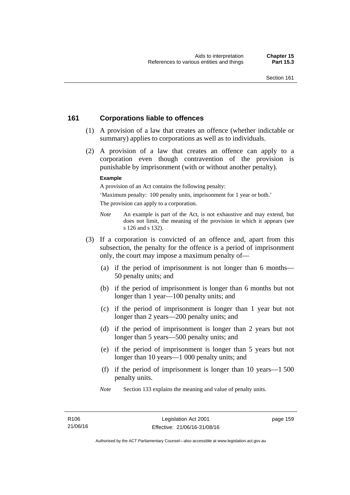### **161 Corporations liable to offences**

- (1) A provision of a law that creates an offence (whether indictable or summary) applies to corporations as well as to individuals.
- (2) A provision of a law that creates an offence can apply to a corporation even though contravention of the provision is punishable by imprisonment (with or without another penalty).

#### **Example**

A provision of an Act contains the following penalty:

'Maximum penalty: 100 penalty units, imprisonment for 1 year or both.' The provision can apply to a corporation.

- *Note* An example is part of the Act, is not exhaustive and may extend, but does not limit, the meaning of the provision in which it appears (see s 126 and s 132).
- (3) If a corporation is convicted of an offence and, apart from this subsection, the penalty for the offence is a period of imprisonment only, the court may impose a maximum penalty of—
	- (a) if the period of imprisonment is not longer than 6 months— 50 penalty units; and
	- (b) if the period of imprisonment is longer than 6 months but not longer than 1 year—100 penalty units; and
	- (c) if the period of imprisonment is longer than 1 year but not longer than 2 years—200 penalty units; and
	- (d) if the period of imprisonment is longer than 2 years but not longer than 5 years—500 penalty units; and
	- (e) if the period of imprisonment is longer than 5 years but not longer than 10 years—1 000 penalty units; and
	- (f) if the period of imprisonment is longer than 10 years—1 500 penalty units.
	- *Note* Section 133 explains the meaning and value of penalty units.

page 159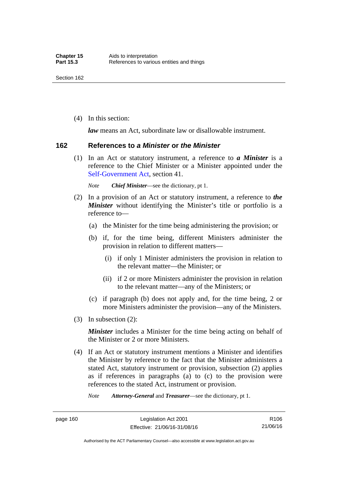(4) In this section:

*law* means an Act, subordinate law or disallowable instrument.

#### **162 References to** *a Minister* **or** *the Minister*

 (1) In an Act or statutory instrument, a reference to *a Minister* is a reference to the Chief Minister or a Minister appointed under the [Self-Government Act,](http://www.comlaw.gov.au/Series/C2004A03699) section 41.

*Note Chief Minister*—see the dictionary, pt 1.

- (2) In a provision of an Act or statutory instrument, a reference to *the Minister* without identifying the Minister's title or portfolio is a reference to—
	- (a) the Minister for the time being administering the provision; or
	- (b) if, for the time being, different Ministers administer the provision in relation to different matters—
		- (i) if only 1 Minister administers the provision in relation to the relevant matter—the Minister; or
		- (ii) if 2 or more Ministers administer the provision in relation to the relevant matter—any of the Ministers; or
	- (c) if paragraph (b) does not apply and, for the time being, 2 or more Ministers administer the provision—any of the Ministers.
- (3) In subsection (2):

*Minister* includes a Minister for the time being acting on behalf of the Minister or 2 or more Ministers.

 (4) If an Act or statutory instrument mentions a Minister and identifies the Minister by reference to the fact that the Minister administers a stated Act, statutory instrument or provision, subsection (2) applies as if references in paragraphs (a) to (c) to the provision were references to the stated Act, instrument or provision.

*Note Attorney-General* and *Treasurer*—see the dictionary, pt 1.

page 160 Legislation Act 2001 Effective: 21/06/16-31/08/16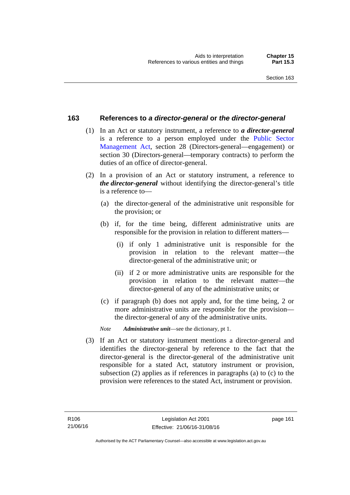### **163 References to** *a director-general* **or** *the director-general*

- (1) In an Act or statutory instrument, a reference to *a director-general* is a reference to a person employed under the [Public Sector](http://www.legislation.act.gov.au/a/1994-37)  [Management Act,](http://www.legislation.act.gov.au/a/1994-37) section 28 (Directors-general—engagement) or section 30 (Directors-general—temporary contracts) to perform the duties of an office of director-general.
- (2) In a provision of an Act or statutory instrument, a reference to *the director-general* without identifying the director-general's title is a reference to—
	- (a) the director-general of the administrative unit responsible for the provision; or
	- (b) if, for the time being, different administrative units are responsible for the provision in relation to different matters—
		- (i) if only 1 administrative unit is responsible for the provision in relation to the relevant matter—the director-general of the administrative unit; or
		- (ii) if 2 or more administrative units are responsible for the provision in relation to the relevant matter—the director-general of any of the administrative units; or
	- (c) if paragraph (b) does not apply and, for the time being, 2 or more administrative units are responsible for the provision the director-general of any of the administrative units.
	- *Note Administrative unit*—see the dictionary, pt 1.
- (3) If an Act or statutory instrument mentions a director-general and identifies the director-general by reference to the fact that the director-general is the director-general of the administrative unit responsible for a stated Act, statutory instrument or provision, subsection (2) applies as if references in paragraphs (a) to (c) to the provision were references to the stated Act, instrument or provision.

page 161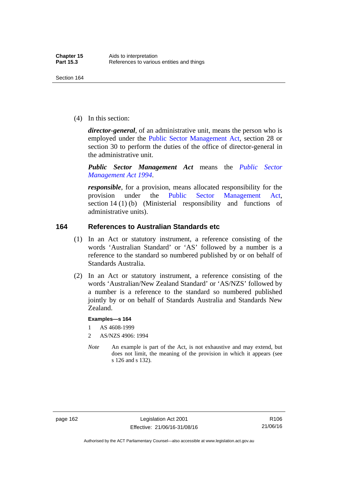(4) In this section:

*director-general*, of an administrative unit, means the person who is employed under the [Public Sector Management Act,](http://www.legislation.act.gov.au/a/1994-37) section 28 or section 30 to perform the duties of the office of director-general in the administrative unit.

*Public Sector Management Act* means the *[Public Sector](http://www.legislation.act.gov.au/a/1994-37)  [Management Act 1994](http://www.legislation.act.gov.au/a/1994-37)*.

*responsible*, for a provision, means allocated responsibility for the provision under the [Public Sector Management Act](http://www.legislation.act.gov.au/a/1994-37), section 14 (1) (b) (Ministerial responsibility and functions of administrative units).

### **164 References to Australian Standards etc**

- (1) In an Act or statutory instrument, a reference consisting of the words 'Australian Standard' or 'AS' followed by a number is a reference to the standard so numbered published by or on behalf of Standards Australia.
- (2) In an Act or statutory instrument, a reference consisting of the words 'Australian/New Zealand Standard' or 'AS/NZS' followed by a number is a reference to the standard so numbered published jointly by or on behalf of Standards Australia and Standards New Zealand.

#### **Examples—s 164**

- 1 AS 4608-1999
- 2 AS/NZS 4906: 1994
- *Note* An example is part of the Act, is not exhaustive and may extend, but does not limit, the meaning of the provision in which it appears (see s 126 and s 132).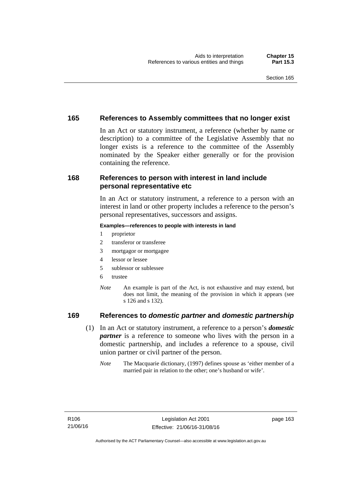### **165 References to Assembly committees that no longer exist**

In an Act or statutory instrument, a reference (whether by name or description) to a committee of the Legislative Assembly that no longer exists is a reference to the committee of the Assembly nominated by the Speaker either generally or for the provision containing the reference.

### **168 References to person with interest in land include personal representative etc**

In an Act or statutory instrument, a reference to a person with an interest in land or other property includes a reference to the person's personal representatives, successors and assigns.

#### **Examples—references to people with interests in land**

- 1 proprietor
- 2 transferor or transferee
- 3 mortgagor or mortgagee
- 4 lessor or lessee
- 5 sublessor or sublessee
- 6 trustee
- *Note* An example is part of the Act, is not exhaustive and may extend, but does not limit, the meaning of the provision in which it appears (see s 126 and s 132).

### **169 References to** *domestic partner* **and** *domestic partnership*

- (1) In an Act or statutory instrument, a reference to a person's *domestic partner* is a reference to someone who lives with the person in a domestic partnership, and includes a reference to a spouse, civil union partner or civil partner of the person.
	- *Note* The Macquarie dictionary, (1997) defines spouse as 'either member of a married pair in relation to the other; one's husband or wife'.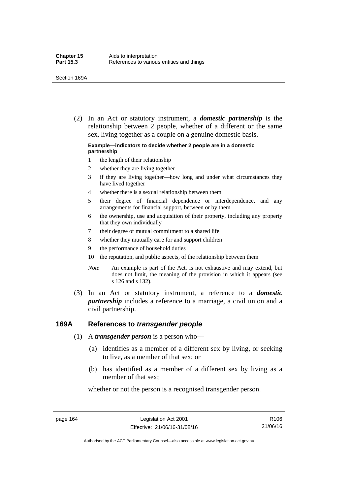(2) In an Act or statutory instrument, a *domestic partnership* is the relationship between 2 people, whether of a different or the same sex, living together as a couple on a genuine domestic basis.

#### **Example—indicators to decide whether 2 people are in a domestic partnership**

- 1 the length of their relationship
- 2 whether they are living together
- 3 if they are living together—how long and under what circumstances they have lived together
- 4 whether there is a sexual relationship between them
- 5 their degree of financial dependence or interdependence, and any arrangements for financial support, between or by them
- 6 the ownership, use and acquisition of their property, including any property that they own individually
- 7 their degree of mutual commitment to a shared life
- 8 whether they mutually care for and support children
- 9 the performance of household duties
- 10 the reputation, and public aspects, of the relationship between them
- *Note* An example is part of the Act, is not exhaustive and may extend, but does not limit, the meaning of the provision in which it appears (see s 126 and s 132).
- (3) In an Act or statutory instrument, a reference to a *domestic partnership* includes a reference to a marriage, a civil union and a civil partnership.

### **169A References to** *transgender people*

- (1) A *transgender person* is a person who—
	- (a) identifies as a member of a different sex by living, or seeking to live, as a member of that sex; or
	- (b) has identified as a member of a different sex by living as a member of that sex;

whether or not the person is a recognised transgender person.

page 164 Legislation Act 2001 Effective: 21/06/16-31/08/16

R106 21/06/16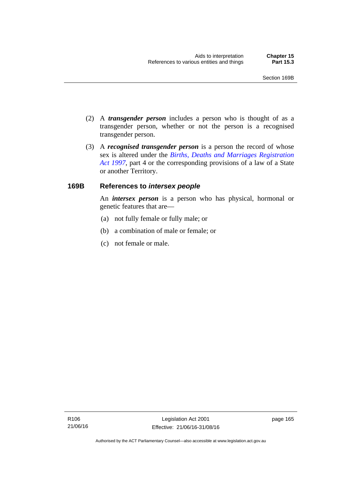- (2) A *transgender person* includes a person who is thought of as a transgender person, whether or not the person is a recognised transgender person.
- (3) A *recognised transgender person* is a person the record of whose sex is altered under the *[Births, Deaths and Marriages Registration](http://www.legislation.act.gov.au/a/1997-112)  [Act 1997](http://www.legislation.act.gov.au/a/1997-112)*, part 4 or the corresponding provisions of a law of a State or another Territory.

# **169B References to** *intersex people*

An *intersex person* is a person who has physical, hormonal or genetic features that are—

- (a) not fully female or fully male; or
- (b) a combination of male or female; or
- (c) not female or male.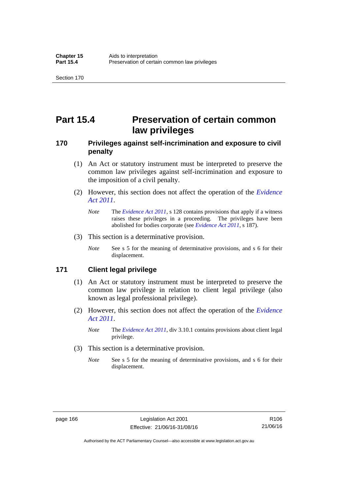# **Part 15.4 Preservation of certain common law privileges**

# **170 Privileges against self-incrimination and exposure to civil penalty**

- (1) An Act or statutory instrument must be interpreted to preserve the common law privileges against self-incrimination and exposure to the imposition of a civil penalty.
- (2) However, this section does not affect the operation of the *[Evidence](http://www.legislation.act.gov.au/a/2011-12)  [Act 2011](http://www.legislation.act.gov.au/a/2011-12)*.
	- *Note* The *[Evidence Act 2011](http://www.legislation.act.gov.au/a/2011-12)*, s 128 contains provisions that apply if a witness raises these privileges in a proceeding. The privileges have been abolished for bodies corporate (see *[Evidence Act 2011](http://www.legislation.act.gov.au/a/2011-12)*, s 187).
- (3) This section is a determinative provision.
	- *Note* See s 5 for the meaning of determinative provisions, and s 6 for their displacement.

# **171 Client legal privilege**

- (1) An Act or statutory instrument must be interpreted to preserve the common law privilege in relation to client legal privilege (also known as legal professional privilege).
- (2) However, this section does not affect the operation of the *[Evidence](http://www.legislation.act.gov.au/a/2011-12)  [Act 2011](http://www.legislation.act.gov.au/a/2011-12)*.
	- *Note* The *[Evidence Act 2011](http://www.legislation.act.gov.au/a/2011-12)*, div 3.10.1 contains provisions about client legal privilege.
- (3) This section is a determinative provision.
	- *Note* See s 5 for the meaning of determinative provisions, and s 6 for their displacement.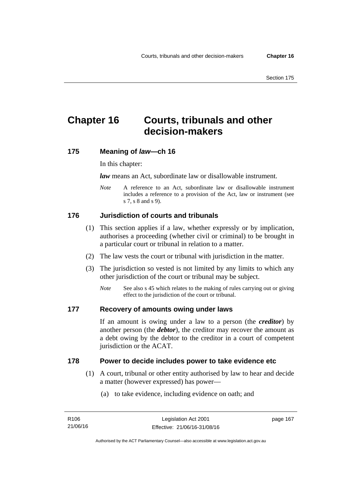# **Chapter 16 Courts, tribunals and other decision-makers**

# **175 Meaning of** *law***—ch 16**

In this chapter:

*law* means an Act, subordinate law or disallowable instrument.

*Note* A reference to an Act, subordinate law or disallowable instrument includes a reference to a provision of the Act, law or instrument (see s 7, s 8 and s 9).

# **176 Jurisdiction of courts and tribunals**

- (1) This section applies if a law, whether expressly or by implication, authorises a proceeding (whether civil or criminal) to be brought in a particular court or tribunal in relation to a matter.
- (2) The law vests the court or tribunal with jurisdiction in the matter.
- (3) The jurisdiction so vested is not limited by any limits to which any other jurisdiction of the court or tribunal may be subject.
	- *Note* See also s 45 which relates to the making of rules carrying out or giving effect to the jurisdiction of the court or tribunal.

# **177 Recovery of amounts owing under laws**

If an amount is owing under a law to a person (the *creditor*) by another person (the *debtor*), the creditor may recover the amount as a debt owing by the debtor to the creditor in a court of competent jurisdiction or the ACAT.

# **178 Power to decide includes power to take evidence etc**

- (1) A court, tribunal or other entity authorised by law to hear and decide a matter (however expressed) has power—
	- (a) to take evidence, including evidence on oath; and

page 167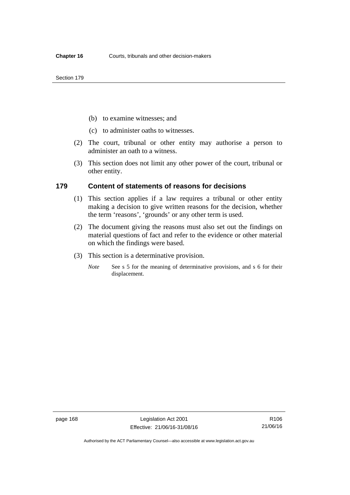- (b) to examine witnesses; and
- (c) to administer oaths to witnesses.
- (2) The court, tribunal or other entity may authorise a person to administer an oath to a witness.
- (3) This section does not limit any other power of the court, tribunal or other entity.

### **179 Content of statements of reasons for decisions**

- (1) This section applies if a law requires a tribunal or other entity making a decision to give written reasons for the decision, whether the term 'reasons', 'grounds' or any other term is used.
- (2) The document giving the reasons must also set out the findings on material questions of fact and refer to the evidence or other material on which the findings were based.
- (3) This section is a determinative provision.
	- *Note* See s 5 for the meaning of determinative provisions, and s 6 for their displacement.

Authorised by the ACT Parliamentary Counsel—also accessible at www.legislation.act.gov.au

R106 21/06/16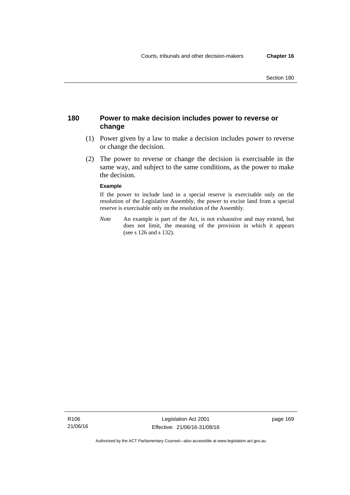# **180 Power to make decision includes power to reverse or change**

- (1) Power given by a law to make a decision includes power to reverse or change the decision.
- (2) The power to reverse or change the decision is exercisable in the same way, and subject to the same conditions, as the power to make the decision.

#### **Example**

If the power to include land in a special reserve is exercisable only on the resolution of the Legislative Assembly, the power to excise land from a special reserve is exercisable only on the resolution of the Assembly.

*Note* An example is part of the Act, is not exhaustive and may extend, but does not limit, the meaning of the provision in which it appears (see s 126 and s 132).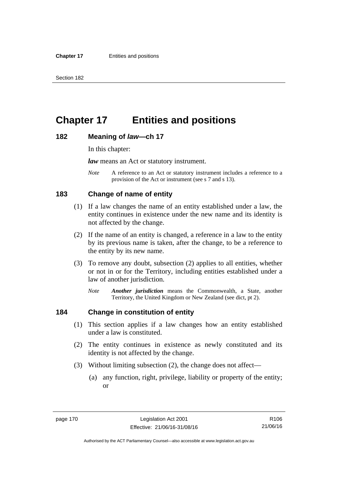# **Chapter 17 Entities and positions**

### **182 Meaning of** *law***—ch 17**

In this chapter:

*law* means an Act or statutory instrument.

*Note* A reference to an Act or statutory instrument includes a reference to a provision of the Act or instrument (see s 7 and s 13).

# **183 Change of name of entity**

- (1) If a law changes the name of an entity established under a law, the entity continues in existence under the new name and its identity is not affected by the change.
- (2) If the name of an entity is changed, a reference in a law to the entity by its previous name is taken, after the change, to be a reference to the entity by its new name.
- (3) To remove any doubt, subsection (2) applies to all entities, whether or not in or for the Territory, including entities established under a law of another jurisdiction.
	- *Note Another jurisdiction* means the Commonwealth, a State, another Territory, the United Kingdom or New Zealand (see dict, pt 2).

# **184 Change in constitution of entity**

- (1) This section applies if a law changes how an entity established under a law is constituted.
- (2) The entity continues in existence as newly constituted and its identity is not affected by the change.
- (3) Without limiting subsection (2), the change does not affect—
	- (a) any function, right, privilege, liability or property of the entity; or

R106 21/06/16

Authorised by the ACT Parliamentary Counsel—also accessible at www.legislation.act.gov.au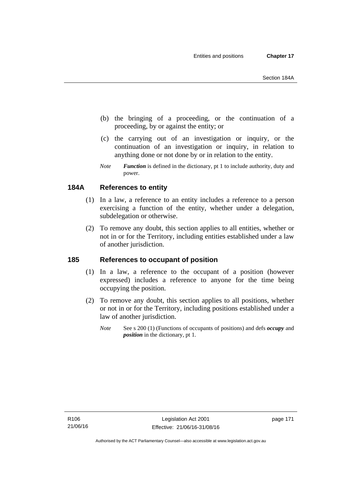- (b) the bringing of a proceeding, or the continuation of a proceeding, by or against the entity; or
- (c) the carrying out of an investigation or inquiry, or the continuation of an investigation or inquiry, in relation to anything done or not done by or in relation to the entity.
- *Note Function* is defined in the dictionary, pt 1 to include authority, duty and power.

# **184A References to entity**

- (1) In a law, a reference to an entity includes a reference to a person exercising a function of the entity, whether under a delegation, subdelegation or otherwise.
- (2) To remove any doubt, this section applies to all entities, whether or not in or for the Territory, including entities established under a law of another jurisdiction.

# **185 References to occupant of position**

- (1) In a law, a reference to the occupant of a position (however expressed) includes a reference to anyone for the time being occupying the position.
- (2) To remove any doubt, this section applies to all positions, whether or not in or for the Territory, including positions established under a law of another jurisdiction.
	- *Note* See s 200 (1) (Functions of occupants of positions) and defs *occupy* and *position* in the dictionary, pt 1.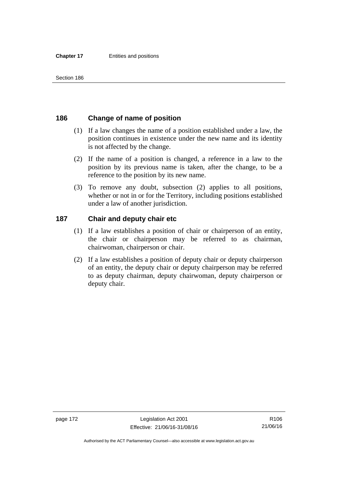# **186 Change of name of position**

- (1) If a law changes the name of a position established under a law, the position continues in existence under the new name and its identity is not affected by the change.
- (2) If the name of a position is changed, a reference in a law to the position by its previous name is taken, after the change, to be a reference to the position by its new name.
- (3) To remove any doubt, subsection (2) applies to all positions, whether or not in or for the Territory, including positions established under a law of another jurisdiction.

# **187 Chair and deputy chair etc**

- (1) If a law establishes a position of chair or chairperson of an entity, the chair or chairperson may be referred to as chairman, chairwoman, chairperson or chair.
- (2) If a law establishes a position of deputy chair or deputy chairperson of an entity, the deputy chair or deputy chairperson may be referred to as deputy chairman, deputy chairwoman, deputy chairperson or deputy chair.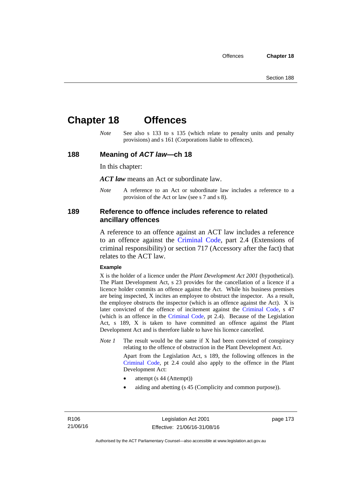# **Chapter 18 Offences**

*Note* See also s 133 to s 135 (which relate to penalty units and penalty provisions) and s 161 (Corporations liable to offences).

## **188 Meaning of** *ACT law***—ch 18**

In this chapter:

*ACT law* means an Act or subordinate law.

*Note* A reference to an Act or subordinate law includes a reference to a provision of the Act or law (see s 7 and s 8).

# **189 Reference to offence includes reference to related ancillary offences**

A reference to an offence against an ACT law includes a reference to an offence against the [Criminal Code,](http://www.legislation.act.gov.au/a/2002-51) part 2.4 (Extensions of criminal responsibility) or section 717 (Accessory after the fact) that relates to the ACT law.

#### **Example**

X is the holder of a licence under the *Plant Development Act 2001* (hypothetical). The Plant Development Act, s 23 provides for the cancellation of a licence if a licence holder commits an offence against the Act. While his business premises are being inspected, X incites an employee to obstruct the inspector. As a result, the employee obstructs the inspector (which is an offence against the Act). X is later convicted of the offence of incitement against the [Criminal Code](http://www.legislation.act.gov.au/a/2002-51), s 47 (which is an offence in the [Criminal Code,](http://www.legislation.act.gov.au/a/2002-51) pt 2.4). Because of the Legislation Act, s 189, X is taken to have committed an offence against the Plant Development Act and is therefore liable to have his licence cancelled.

*Note 1* The result would be the same if X had been convicted of conspiracy relating to the offence of obstruction in the Plant Development Act.

> Apart from the Legislation Act, s 189, the following offences in the [Criminal Code,](http://www.legislation.act.gov.au/a/2002-51) pt 2.4 could also apply to the offence in the Plant Development Act:

- attempt (s 44 (Attempt))
- aiding and abetting (s 45 (Complicity and common purpose)).

page 173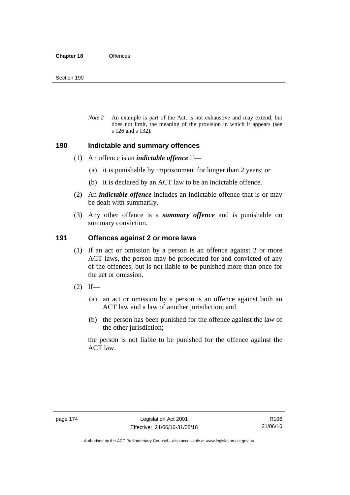*Note 2* An example is part of the Act, is not exhaustive and may extend, but does not limit, the meaning of the provision in which it appears (see s 126 and s 132).

### **190 Indictable and summary offences**

- (1) An offence is an *indictable offence* if—
	- (a) it is punishable by imprisonment for longer than 2 years; or
	- (b) it is declared by an ACT law to be an indictable offence.
- (2) An *indictable offence* includes an indictable offence that is or may be dealt with summarily.
- (3) Any other offence is a *summary offence* and is punishable on summary conviction.

### **191 Offences against 2 or more laws**

- (1) If an act or omission by a person is an offence against 2 or more ACT laws, the person may be prosecuted for and convicted of any of the offences, but is not liable to be punished more than once for the act or omission.
- $(2)$  If—
	- (a) an act or omission by a person is an offence against both an ACT law and a law of another jurisdiction; and
	- (b) the person has been punished for the offence against the law of the other jurisdiction;

the person is not liable to be punished for the offence against the ACT law.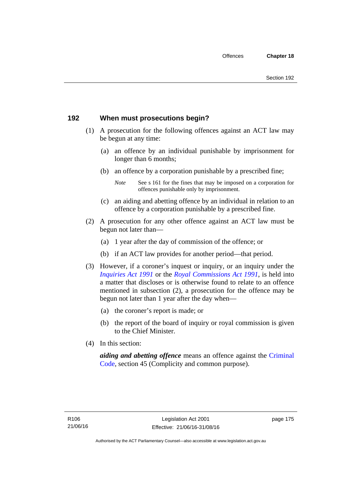# **192 When must prosecutions begin?**

- (1) A prosecution for the following offences against an ACT law may be begun at any time:
	- (a) an offence by an individual punishable by imprisonment for longer than 6 months;
	- (b) an offence by a corporation punishable by a prescribed fine;
		- *Note* See s 161 for the fines that may be imposed on a corporation for offences punishable only by imprisonment.
	- (c) an aiding and abetting offence by an individual in relation to an offence by a corporation punishable by a prescribed fine.
- (2) A prosecution for any other offence against an ACT law must be begun not later than—
	- (a) 1 year after the day of commission of the offence; or
	- (b) if an ACT law provides for another period—that period.
- (3) However, if a coroner's inquest or inquiry, or an inquiry under the *[Inquiries Act 1991](http://www.legislation.act.gov.au/a/1991-2)* or the *[Royal Commissions Act 1991](http://www.legislation.act.gov.au/a/1991-1)*, is held into a matter that discloses or is otherwise found to relate to an offence mentioned in subsection (2), a prosecution for the offence may be begun not later than 1 year after the day when—
	- (a) the coroner's report is made; or
	- (b) the report of the board of inquiry or royal commission is given to the Chief Minister.
- (4) In this section:

*aiding and abetting offence* means an offence against the [Criminal](http://www.legislation.act.gov.au/a/2002-51)  [Code](http://www.legislation.act.gov.au/a/2002-51), section 45 (Complicity and common purpose).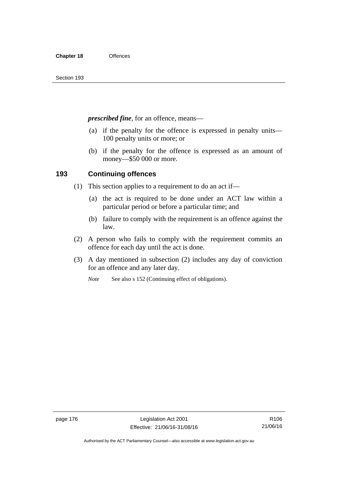*prescribed fine*, for an offence, means—

- (a) if the penalty for the offence is expressed in penalty units— 100 penalty units or more; or
- (b) if the penalty for the offence is expressed as an amount of money—\$50 000 or more.

# **193 Continuing offences**

- (1) This section applies to a requirement to do an act if—
	- (a) the act is required to be done under an ACT law within a particular period or before a particular time; and
	- (b) failure to comply with the requirement is an offence against the law.
- (2) A person who fails to comply with the requirement commits an offence for each day until the act is done.
- (3) A day mentioned in subsection (2) includes any day of conviction for an offence and any later day.

*Note* See also s 152 (Continuing effect of obligations).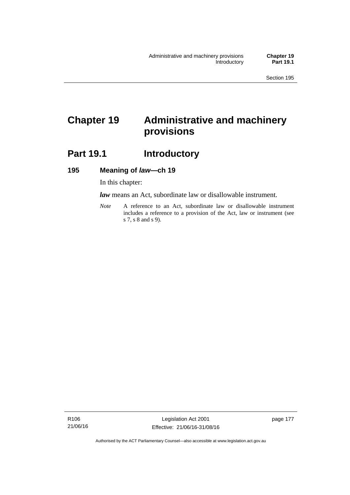# **Chapter 19 Administrative and machinery provisions**

# Part 19.1 **Introductory**

# **195 Meaning of** *law***—ch 19**

In this chapter:

*law* means an Act, subordinate law or disallowable instrument.

*Note* A reference to an Act, subordinate law or disallowable instrument includes a reference to a provision of the Act, law or instrument (see s 7, s 8 and s 9).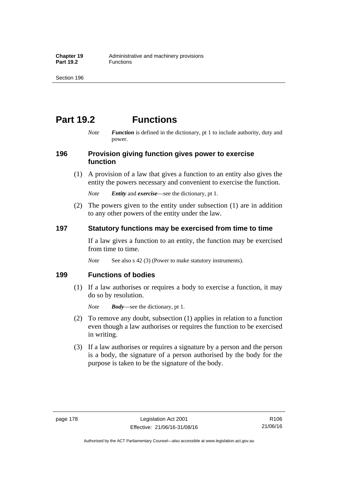# **Part 19.2 Functions**

*Note Function* is defined in the dictionary, pt 1 to include authority, duty and power.

# **196 Provision giving function gives power to exercise function**

 (1) A provision of a law that gives a function to an entity also gives the entity the powers necessary and convenient to exercise the function.

*Note Entity* and *exercise*—see the dictionary, pt 1.

 (2) The powers given to the entity under subsection (1) are in addition to any other powers of the entity under the law.

# **197 Statutory functions may be exercised from time to time**

If a law gives a function to an entity, the function may be exercised from time to time.

*Note* See also s 42 (3) (Power to make statutory instruments).

# **199 Functions of bodies**

 (1) If a law authorises or requires a body to exercise a function, it may do so by resolution.

*Note Body*—see the dictionary, pt 1.

- (2) To remove any doubt, subsection (1) applies in relation to a function even though a law authorises or requires the function to be exercised in writing.
- (3) If a law authorises or requires a signature by a person and the person is a body, the signature of a person authorised by the body for the purpose is taken to be the signature of the body.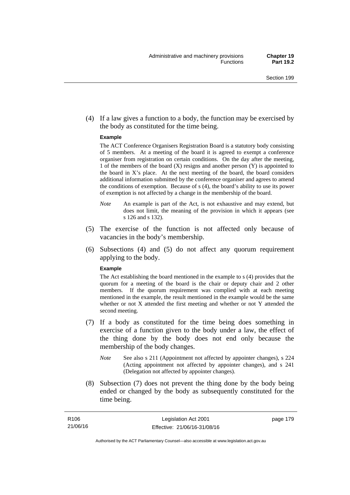(4) If a law gives a function to a body, the function may be exercised by the body as constituted for the time being.

#### **Example**

The ACT Conference Organisers Registration Board is a statutory body consisting of 5 members. At a meeting of the board it is agreed to exempt a conference organiser from registration on certain conditions. On the day after the meeting, 1 of the members of the board (X) resigns and another person (Y) is appointed to the board in  $X$ 's place. At the next meeting of the board, the board considers additional information submitted by the conference organiser and agrees to amend the conditions of exemption. Because of s (4), the board's ability to use its power of exemption is not affected by a change in the membership of the board.

- *Note* An example is part of the Act, is not exhaustive and may extend, but does not limit, the meaning of the provision in which it appears (see s 126 and s 132).
- (5) The exercise of the function is not affected only because of vacancies in the body's membership.
- (6) Subsections (4) and (5) do not affect any quorum requirement applying to the body.

#### **Example**

The Act establishing the board mentioned in the example to s (4) provides that the quorum for a meeting of the board is the chair or deputy chair and 2 other members. If the quorum requirement was complied with at each meeting mentioned in the example, the result mentioned in the example would be the same whether or not X attended the first meeting and whether or not Y attended the second meeting.

- (7) If a body as constituted for the time being does something in exercise of a function given to the body under a law, the effect of the thing done by the body does not end only because the membership of the body changes.
	- *Note* See also s 211 (Appointment not affected by appointer changes), s 224 (Acting appointment not affected by appointer changes), and s 241 (Delegation not affected by appointer changes).
- (8) Subsection (7) does not prevent the thing done by the body being ended or changed by the body as subsequently constituted for the time being.

page 179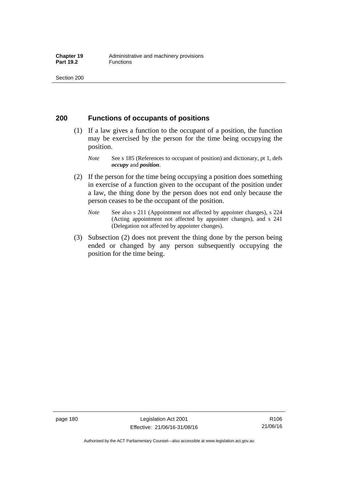# **200 Functions of occupants of positions**

- (1) If a law gives a function to the occupant of a position, the function may be exercised by the person for the time being occupying the position.
	- *Note* See s 185 (References to occupant of position) and dictionary, pt 1, defs *occupy* and *position*.
- (2) If the person for the time being occupying a position does something in exercise of a function given to the occupant of the position under a law, the thing done by the person does not end only because the person ceases to be the occupant of the position.
	- *Note* See also s 211 (Appointment not affected by appointer changes), s 224 (Acting appointment not affected by appointer changes), and s 241 (Delegation not affected by appointer changes).
- (3) Subsection (2) does not prevent the thing done by the person being ended or changed by any person subsequently occupying the position for the time being.

R106 21/06/16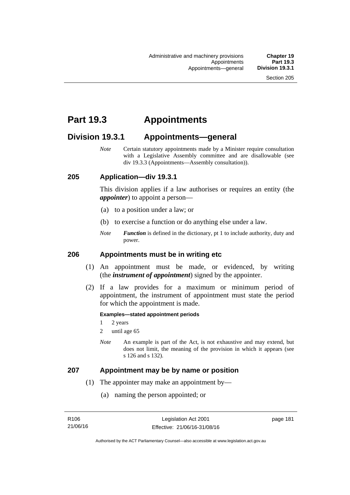# **Part 19.3 Appointments**

# **Division 19.3.1 Appointments—general**

*Note* Certain statutory appointments made by a Minister require consultation with a Legislative Assembly committee and are disallowable (see div 19.3.3 (Appointments—Assembly consultation)).

# **205 Application—div 19.3.1**

This division applies if a law authorises or requires an entity (the *appointer*) to appoint a person—

- (a) to a position under a law; or
- (b) to exercise a function or do anything else under a law.
- *Note Function* is defined in the dictionary, pt 1 to include authority, duty and power.

### **206 Appointments must be in writing etc**

- (1) An appointment must be made, or evidenced, by writing (the *instrument of appointment*) signed by the appointer.
- (2) If a law provides for a maximum or minimum period of appointment, the instrument of appointment must state the period for which the appointment is made.

#### **Examples—stated appointment periods**

- 1 2 years
- 2 until age 65
- *Note* An example is part of the Act, is not exhaustive and may extend, but does not limit, the meaning of the provision in which it appears (see s 126 and s 132).

### **207 Appointment may be by name or position**

- (1) The appointer may make an appointment by—
	- (a) naming the person appointed; or

page 181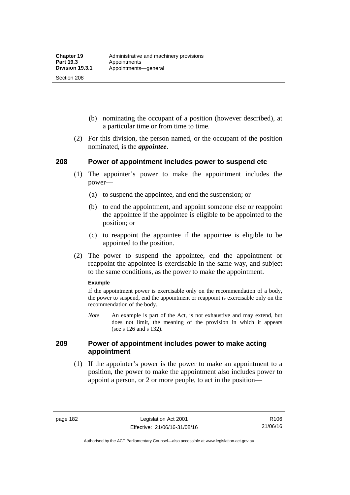Section 208

- (b) nominating the occupant of a position (however described), at a particular time or from time to time.
- (2) For this division, the person named, or the occupant of the position nominated, is the *appointee*.

# **208 Power of appointment includes power to suspend etc**

- (1) The appointer's power to make the appointment includes the power—
	- (a) to suspend the appointee, and end the suspension; or
	- (b) to end the appointment, and appoint someone else or reappoint the appointee if the appointee is eligible to be appointed to the position; or
	- (c) to reappoint the appointee if the appointee is eligible to be appointed to the position.
- (2) The power to suspend the appointee, end the appointment or reappoint the appointee is exercisable in the same way, and subject to the same conditions, as the power to make the appointment.

#### **Example**

If the appointment power is exercisable only on the recommendation of a body, the power to suspend, end the appointment or reappoint is exercisable only on the recommendation of the body.

*Note* An example is part of the Act, is not exhaustive and may extend, but does not limit, the meaning of the provision in which it appears (see s 126 and s 132).

# **209 Power of appointment includes power to make acting appointment**

 (1) If the appointer's power is the power to make an appointment to a position, the power to make the appointment also includes power to appoint a person, or 2 or more people, to act in the position—

Authorised by the ACT Parliamentary Counsel—also accessible at www.legislation.act.gov.au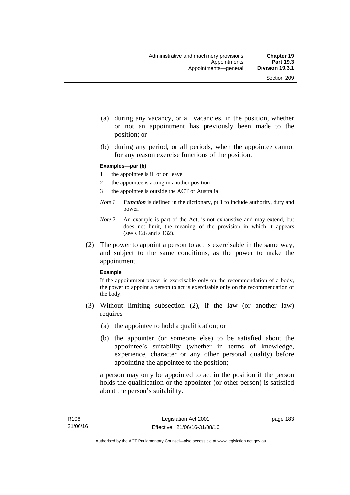- (a) during any vacancy, or all vacancies, in the position, whether or not an appointment has previously been made to the position; or
- (b) during any period, or all periods, when the appointee cannot for any reason exercise functions of the position.

#### **Examples—par (b)**

- 1 the appointee is ill or on leave
- 2 the appointee is acting in another position
- 3 the appointee is outside the ACT or Australia
- *Note 1 Function* is defined in the dictionary, pt 1 to include authority, duty and power.
- *Note 2* An example is part of the Act, is not exhaustive and may extend, but does not limit, the meaning of the provision in which it appears (see s 126 and s 132).
- (2) The power to appoint a person to act is exercisable in the same way, and subject to the same conditions, as the power to make the appointment.

#### **Example**

If the appointment power is exercisable only on the recommendation of a body, the power to appoint a person to act is exercisable only on the recommendation of the body.

- (3) Without limiting subsection (2), if the law (or another law) requires—
	- (a) the appointee to hold a qualification; or
	- (b) the appointer (or someone else) to be satisfied about the appointee's suitability (whether in terms of knowledge, experience, character or any other personal quality) before appointing the appointee to the position;

a person may only be appointed to act in the position if the person holds the qualification or the appointer (or other person) is satisfied about the person's suitability.

page 183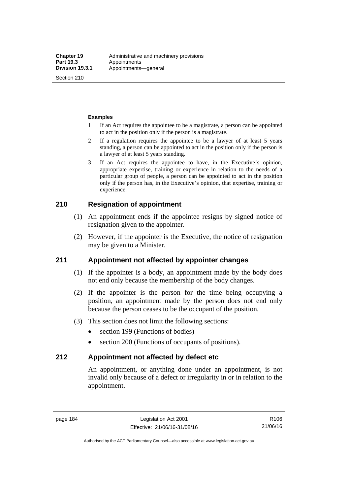Section 210

#### **Examples**

- 1 If an Act requires the appointee to be a magistrate, a person can be appointed to act in the position only if the person is a magistrate.
- 2 If a regulation requires the appointee to be a lawyer of at least 5 years standing, a person can be appointed to act in the position only if the person is a lawyer of at least 5 years standing.
- 3 If an Act requires the appointee to have, in the Executive's opinion, appropriate expertise, training or experience in relation to the needs of a particular group of people, a person can be appointed to act in the position only if the person has, in the Executive's opinion, that expertise, training or experience.

# **210 Resignation of appointment**

- (1) An appointment ends if the appointee resigns by signed notice of resignation given to the appointer.
- (2) However, if the appointer is the Executive, the notice of resignation may be given to a Minister.

# **211 Appointment not affected by appointer changes**

- (1) If the appointer is a body, an appointment made by the body does not end only because the membership of the body changes.
- (2) If the appointer is the person for the time being occupying a position, an appointment made by the person does not end only because the person ceases to be the occupant of the position.
- (3) This section does not limit the following sections:
	- section 199 (Functions of bodies)
	- section 200 (Functions of occupants of positions).

# **212 Appointment not affected by defect etc**

An appointment, or anything done under an appointment, is not invalid only because of a defect or irregularity in or in relation to the appointment.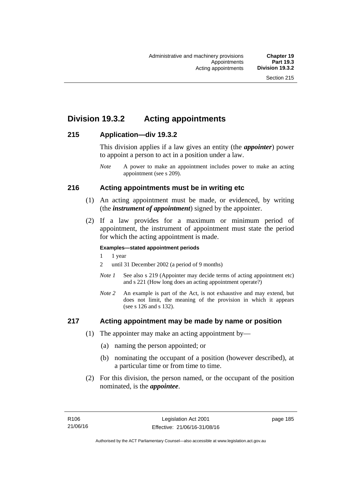# **Division 19.3.2 Acting appointments**

# **215 Application—div 19.3.2**

This division applies if a law gives an entity (the *appointer*) power to appoint a person to act in a position under a law.

# **216 Acting appointments must be in writing etc**

- (1) An acting appointment must be made, or evidenced, by writing (the *instrument of appointment*) signed by the appointer.
- (2) If a law provides for a maximum or minimum period of appointment, the instrument of appointment must state the period for which the acting appointment is made.

### **Examples—stated appointment periods**

- 1 1 year
- 2 until 31 December 2002 (a period of 9 months)
- *Note 1* See also s 219 (Appointer may decide terms of acting appointment etc) and s 221 (How long does an acting appointment operate?)
- *Note 2* An example is part of the Act, is not exhaustive and may extend, but does not limit, the meaning of the provision in which it appears (see s 126 and s 132).

# **217 Acting appointment may be made by name or position**

- (1) The appointer may make an acting appointment by—
	- (a) naming the person appointed; or
	- (b) nominating the occupant of a position (however described), at a particular time or from time to time.
- (2) For this division, the person named, or the occupant of the position nominated, is the *appointee*.

*Note* A power to make an appointment includes power to make an acting appointment (see s 209).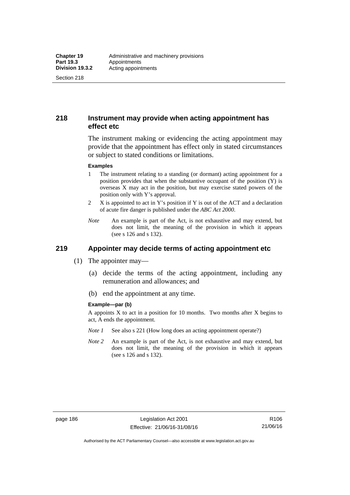Section 218

# **218 Instrument may provide when acting appointment has effect etc**

The instrument making or evidencing the acting appointment may provide that the appointment has effect only in stated circumstances or subject to stated conditions or limitations.

#### **Examples**

- 1 The instrument relating to a standing (or dormant) acting appointment for a position provides that when the substantive occupant of the position (Y) is overseas X may act in the position, but may exercise stated powers of the position only with Y's approval.
- 2 X is appointed to act in Y's position if Y is out of the ACT and a declaration of acute fire danger is published under the *ABC Act 2000*.
- *Note* An example is part of the Act, is not exhaustive and may extend, but does not limit, the meaning of the provision in which it appears (see s 126 and s 132).

# **219 Appointer may decide terms of acting appointment etc**

- (1) The appointer may—
	- (a) decide the terms of the acting appointment, including any remuneration and allowances; and
	- (b) end the appointment at any time.

#### **Example—par (b)**

A appoints  $X$  to act in a position for 10 months. Two months after  $X$  begins to act, A ends the appointment.

- *Note 1* See also s 221 (How long does an acting appointment operate?)
- *Note 2* An example is part of the Act, is not exhaustive and may extend, but does not limit, the meaning of the provision in which it appears (see s 126 and s 132).

R106 21/06/16

Authorised by the ACT Parliamentary Counsel—also accessible at www.legislation.act.gov.au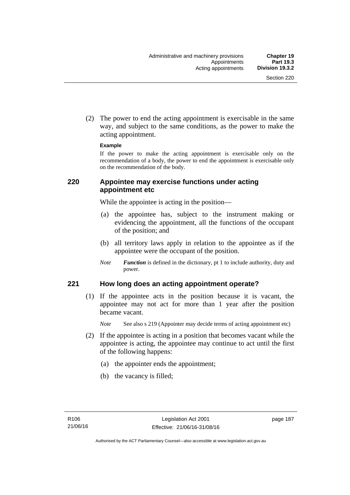(2) The power to end the acting appointment is exercisable in the same way, and subject to the same conditions, as the power to make the acting appointment.

#### **Example**

If the power to make the acting appointment is exercisable only on the recommendation of a body, the power to end the appointment is exercisable only on the recommendation of the body.

# **220 Appointee may exercise functions under acting appointment etc**

While the appointee is acting in the position—

- (a) the appointee has, subject to the instrument making or evidencing the appointment, all the functions of the occupant of the position; and
- (b) all territory laws apply in relation to the appointee as if the appointee were the occupant of the position.
- *Note Function* is defined in the dictionary, pt 1 to include authority, duty and power.

# **221 How long does an acting appointment operate?**

 (1) If the appointee acts in the position because it is vacant, the appointee may not act for more than 1 year after the position became vacant.

*Note* See also s 219 (Appointer may decide terms of acting appointment etc)

- (2) If the appointee is acting in a position that becomes vacant while the appointee is acting, the appointee may continue to act until the first of the following happens:
	- (a) the appointer ends the appointment;
	- (b) the vacancy is filled;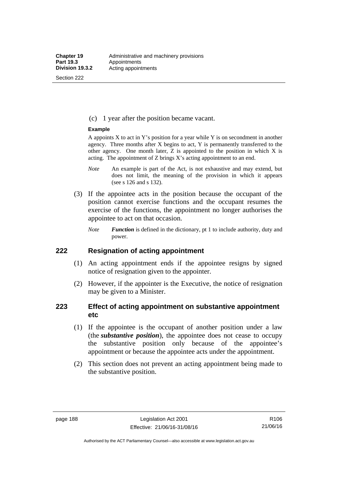Section 222

(c) 1 year after the position became vacant.

#### **Example**

A appoints  $X$  to act in Y's position for a year while Y is on secondment in another agency. Three months after X begins to act, Y is permanently transferred to the other agency. One month later,  $Z$  is appointed to the position in which  $X$  is acting. The appointment of Z brings X's acting appointment to an end.

- *Note* An example is part of the Act, is not exhaustive and may extend, but does not limit, the meaning of the provision in which it appears (see s 126 and s 132).
- (3) If the appointee acts in the position because the occupant of the position cannot exercise functions and the occupant resumes the exercise of the functions, the appointment no longer authorises the appointee to act on that occasion.
	- *Note Function* is defined in the dictionary, pt 1 to include authority, duty and power.

# **222 Resignation of acting appointment**

- (1) An acting appointment ends if the appointee resigns by signed notice of resignation given to the appointer.
- (2) However, if the appointer is the Executive, the notice of resignation may be given to a Minister.

# **223 Effect of acting appointment on substantive appointment etc**

- (1) If the appointee is the occupant of another position under a law (the *substantive position*), the appointee does not cease to occupy the substantive position only because of the appointee's appointment or because the appointee acts under the appointment.
- (2) This section does not prevent an acting appointment being made to the substantive position.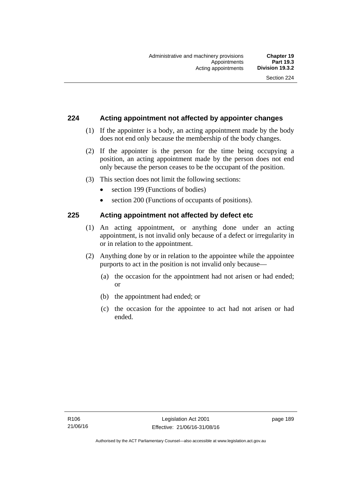# **224 Acting appointment not affected by appointer changes**

- (1) If the appointer is a body, an acting appointment made by the body does not end only because the membership of the body changes.
- (2) If the appointer is the person for the time being occupying a position, an acting appointment made by the person does not end only because the person ceases to be the occupant of the position.
- (3) This section does not limit the following sections:
	- section 199 (Functions of bodies)
	- section 200 (Functions of occupants of positions).

# **225 Acting appointment not affected by defect etc**

- (1) An acting appointment, or anything done under an acting appointment, is not invalid only because of a defect or irregularity in or in relation to the appointment.
- (2) Anything done by or in relation to the appointee while the appointee purports to act in the position is not invalid only because—
	- (a) the occasion for the appointment had not arisen or had ended; or
	- (b) the appointment had ended; or
	- (c) the occasion for the appointee to act had not arisen or had ended.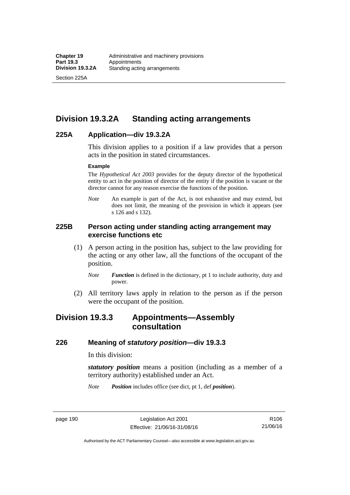Section 225A

# **Division 19.3.2A Standing acting arrangements**

# **225A Application—div 19.3.2A**

This division applies to a position if a law provides that a person acts in the position in stated circumstances.

#### **Example**

The *Hypothetical Act 2003* provides for the deputy director of the hypothetical entity to act in the position of director of the entity if the position is vacant or the director cannot for any reason exercise the functions of the position.

*Note* An example is part of the Act, is not exhaustive and may extend, but does not limit, the meaning of the provision in which it appears (see s 126 and s 132).

# **225B Person acting under standing acting arrangement may exercise functions etc**

- (1) A person acting in the position has, subject to the law providing for the acting or any other law, all the functions of the occupant of the position.
	- *Note Function* is defined in the dictionary, pt 1 to include authority, duty and power.
- (2) All territory laws apply in relation to the person as if the person were the occupant of the position.

# **Division 19.3.3 Appointments—Assembly consultation**

# **226 Meaning of** *statutory position***—div 19.3.3**

In this division:

*statutory position* means a position (including as a member of a territory authority) established under an Act.

*Note Position* includes office (see dict, pt 1, def *position*).

page 190 Legislation Act 2001 Effective: 21/06/16-31/08/16

R106 21/06/16

Authorised by the ACT Parliamentary Counsel—also accessible at www.legislation.act.gov.au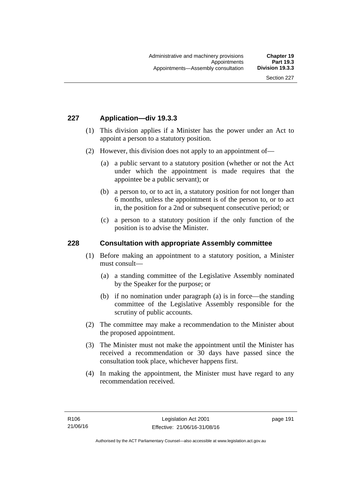# **227 Application—div 19.3.3**

- (1) This division applies if a Minister has the power under an Act to appoint a person to a statutory position.
- (2) However, this division does not apply to an appointment of—
	- (a) a public servant to a statutory position (whether or not the Act under which the appointment is made requires that the appointee be a public servant); or
	- (b) a person to, or to act in, a statutory position for not longer than 6 months, unless the appointment is of the person to, or to act in, the position for a 2nd or subsequent consecutive period; or
	- (c) a person to a statutory position if the only function of the position is to advise the Minister.

## **228 Consultation with appropriate Assembly committee**

- (1) Before making an appointment to a statutory position, a Minister must consult—
	- (a) a standing committee of the Legislative Assembly nominated by the Speaker for the purpose; or
	- (b) if no nomination under paragraph (a) is in force—the standing committee of the Legislative Assembly responsible for the scrutiny of public accounts.
- (2) The committee may make a recommendation to the Minister about the proposed appointment.
- (3) The Minister must not make the appointment until the Minister has received a recommendation or 30 days have passed since the consultation took place, whichever happens first.
- (4) In making the appointment, the Minister must have regard to any recommendation received.

page 191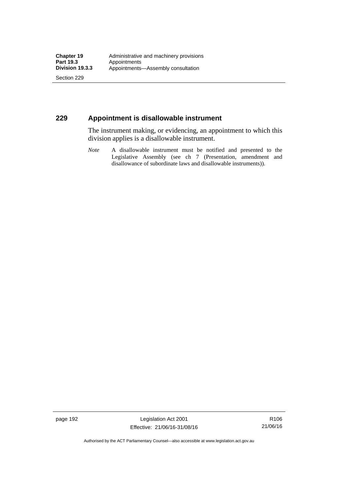Section 229

# **229 Appointment is disallowable instrument**

The instrument making, or evidencing, an appointment to which this division applies is a disallowable instrument.

*Note* A disallowable instrument must be notified and presented to the Legislative Assembly (see ch 7 (Presentation, amendment and disallowance of subordinate laws and disallowable instruments)).

page 192 Legislation Act 2001 Effective: 21/06/16-31/08/16

R106 21/06/16

Authorised by the ACT Parliamentary Counsel—also accessible at www.legislation.act.gov.au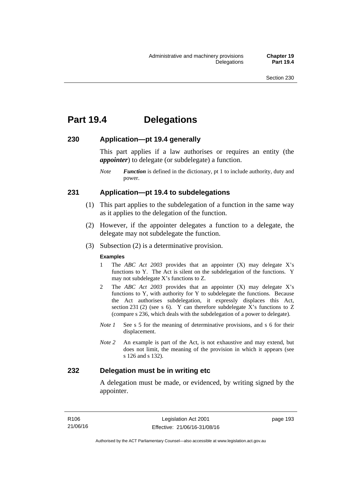# **Part 19.4 Delegations**

# **230 Application—pt 19.4 generally**

This part applies if a law authorises or requires an entity (the *appointer*) to delegate (or subdelegate) a function.

*Note Function* is defined in the dictionary, pt 1 to include authority, duty and power.

# **231 Application—pt 19.4 to subdelegations**

- (1) This part applies to the subdelegation of a function in the same way as it applies to the delegation of the function.
- (2) However, if the appointer delegates a function to a delegate, the delegate may not subdelegate the function.
- (3) Subsection (2) is a determinative provision.

#### **Examples**

- 1 The *ABC Act 2003* provides that an appointer (X) may delegate X's functions to Y. The Act is silent on the subdelegation of the functions. Y may not subdelegate X's functions to Z.
- 2 The *ABC Act 2003* provides that an appointer (X) may delegate X's functions to Y, with authority for Y to subdelegate the functions. Because the Act authorises subdelegation, it expressly displaces this Act, section 231 (2) (see s 6). Y can therefore subdelegate  $\overline{X}$ 's functions to Z (compare s 236, which deals with the subdelegation of a power to delegate)*.*
- *Note 1* See s 5 for the meaning of determinative provisions, and s 6 for their displacement.
- *Note 2* An example is part of the Act, is not exhaustive and may extend, but does not limit, the meaning of the provision in which it appears (see s 126 and s 132).

# **232 Delegation must be in writing etc**

A delegation must be made, or evidenced, by writing signed by the appointer.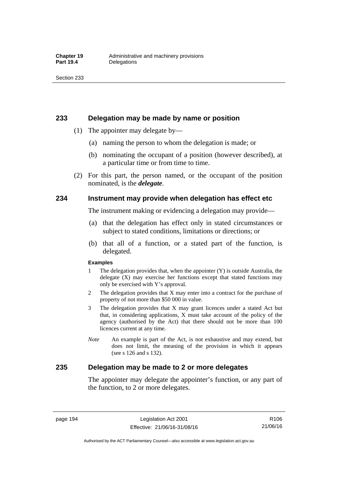### **233 Delegation may be made by name or position**

- (1) The appointer may delegate by—
	- (a) naming the person to whom the delegation is made; or
	- (b) nominating the occupant of a position (however described), at a particular time or from time to time.
- (2) For this part, the person named, or the occupant of the position nominated, is the *delegate*.

# **234 Instrument may provide when delegation has effect etc**

The instrument making or evidencing a delegation may provide—

- (a) that the delegation has effect only in stated circumstances or subject to stated conditions, limitations or directions; or
- (b) that all of a function, or a stated part of the function, is delegated.

#### **Examples**

- 1 The delegation provides that, when the appointer (Y) is outside Australia, the delegate (X) may exercise her functions except that stated functions may only be exercised with Y's approval.
- 2 The delegation provides that X may enter into a contract for the purchase of property of not more than \$50 000 in value.
- 3 The delegation provides that X may grant licences under a stated Act but that, in considering applications, X must take account of the policy of the agency (authorised by the Act) that there should not be more than 100 licences current at any time.
- *Note* An example is part of the Act, is not exhaustive and may extend, but does not limit, the meaning of the provision in which it appears (see s 126 and s 132).

# **235 Delegation may be made to 2 or more delegates**

The appointer may delegate the appointer's function, or any part of the function, to 2 or more delegates.

page 194 Legislation Act 2001 Effective: 21/06/16-31/08/16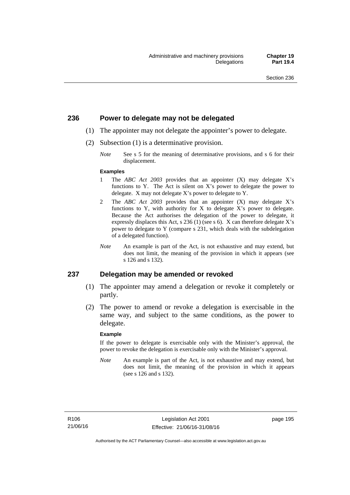# **236 Power to delegate may not be delegated**

- (1) The appointer may not delegate the appointer's power to delegate.
- (2) Subsection (1) is a determinative provision.
	- *Note* See s 5 for the meaning of determinative provisions, and s 6 for their displacement.

#### **Examples**

- 1 The *ABC Act 2003* provides that an appointer (X) may delegate X's functions to Y. The Act is silent on X's power to delegate the power to delegate. X may not delegate X's power to delegate to Y.
- 2 The *ABC Act 2003* provides that an appointer (X) may delegate X's functions to Y, with authority for X to delegate X's power to delegate. Because the Act authorises the delegation of the power to delegate, it expressly displaces this Act, s 236 (1) (see s 6). X can therefore delegate X's power to delegate to Y (compare s 231, which deals with the subdelegation of a delegated function).
- *Note* An example is part of the Act, is not exhaustive and may extend, but does not limit, the meaning of the provision in which it appears (see s 126 and s 132).

### **237 Delegation may be amended or revoked**

- (1) The appointer may amend a delegation or revoke it completely or partly.
- (2) The power to amend or revoke a delegation is exercisable in the same way, and subject to the same conditions, as the power to delegate.

#### **Example**

If the power to delegate is exercisable only with the Minister's approval, the power to revoke the delegation is exercisable only with the Minister's approval.

*Note* An example is part of the Act, is not exhaustive and may extend, but does not limit, the meaning of the provision in which it appears (see s 126 and s 132).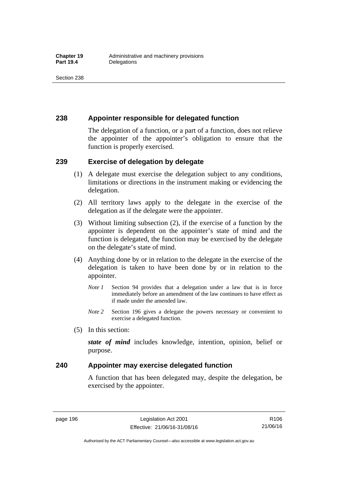# **238 Appointer responsible for delegated function**

The delegation of a function, or a part of a function, does not relieve the appointer of the appointer's obligation to ensure that the function is properly exercised.

# **239 Exercise of delegation by delegate**

- (1) A delegate must exercise the delegation subject to any conditions, limitations or directions in the instrument making or evidencing the delegation.
- (2) All territory laws apply to the delegate in the exercise of the delegation as if the delegate were the appointer.
- (3) Without limiting subsection (2), if the exercise of a function by the appointer is dependent on the appointer's state of mind and the function is delegated, the function may be exercised by the delegate on the delegate's state of mind.
- (4) Anything done by or in relation to the delegate in the exercise of the delegation is taken to have been done by or in relation to the appointer.
	- *Note 1* Section 94 provides that a delegation under a law that is in force immediately before an amendment of the law continues to have effect as if made under the amended law.
	- *Note 2* Section 196 gives a delegate the powers necessary or convenient to exercise a delegated function.
- (5) In this section:

*state of mind* includes knowledge, intention, opinion, belief or purpose.

# **240 Appointer may exercise delegated function**

A function that has been delegated may, despite the delegation, be exercised by the appointer.

page 196 Legislation Act 2001 Effective: 21/06/16-31/08/16

Authorised by the ACT Parliamentary Counsel—also accessible at www.legislation.act.gov.au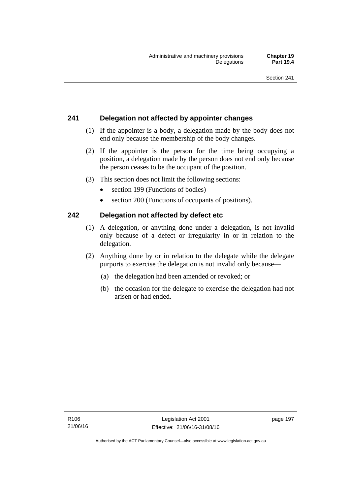# **241 Delegation not affected by appointer changes**

- (1) If the appointer is a body, a delegation made by the body does not end only because the membership of the body changes.
- (2) If the appointer is the person for the time being occupying a position, a delegation made by the person does not end only because the person ceases to be the occupant of the position.
- (3) This section does not limit the following sections:
	- section 199 (Functions of bodies)
	- section 200 (Functions of occupants of positions).

# **242 Delegation not affected by defect etc**

- (1) A delegation, or anything done under a delegation, is not invalid only because of a defect or irregularity in or in relation to the delegation.
- (2) Anything done by or in relation to the delegate while the delegate purports to exercise the delegation is not invalid only because—
	- (a) the delegation had been amended or revoked; or
	- (b) the occasion for the delegate to exercise the delegation had not arisen or had ended.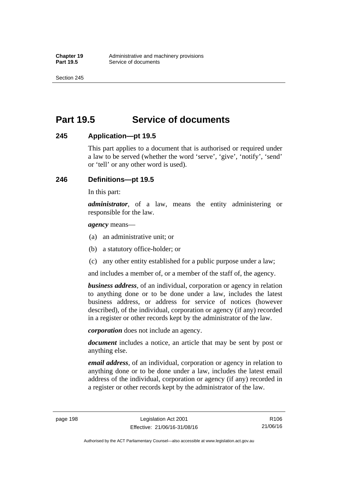Section 245

# **Part 19.5 Service of documents**

# **245 Application—pt 19.5**

This part applies to a document that is authorised or required under a law to be served (whether the word 'serve', 'give', 'notify', 'send' or 'tell' or any other word is used).

# **246 Definitions—pt 19.5**

In this part:

*administrator*, of a law, means the entity administering or responsible for the law.

*agency* means—

- (a) an administrative unit; or
- (b) a statutory office-holder; or
- (c) any other entity established for a public purpose under a law;

and includes a member of, or a member of the staff of, the agency.

*business address*, of an individual, corporation or agency in relation to anything done or to be done under a law, includes the latest business address, or address for service of notices (however described), of the individual, corporation or agency (if any) recorded in a register or other records kept by the administrator of the law.

*corporation* does not include an agency.

*document* includes a notice, an article that may be sent by post or anything else.

*email address*, of an individual, corporation or agency in relation to anything done or to be done under a law, includes the latest email address of the individual, corporation or agency (if any) recorded in a register or other records kept by the administrator of the law.

page 198 Legislation Act 2001 Effective: 21/06/16-31/08/16

Authorised by the ACT Parliamentary Counsel—also accessible at www.legislation.act.gov.au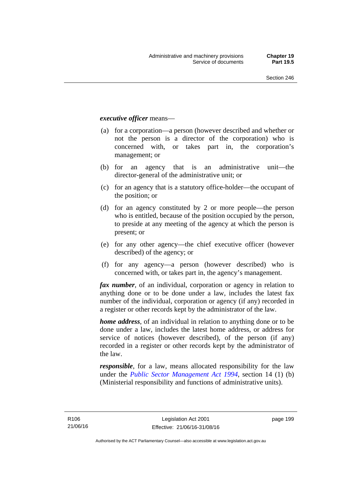### *executive officer* means—

- (a) for a corporation—a person (however described and whether or not the person is a director of the corporation) who is concerned with, or takes part in, the corporation's management; or
- (b) for an agency that is an administrative unit—the director-general of the administrative unit; or
- (c) for an agency that is a statutory office-holder—the occupant of the position; or
- (d) for an agency constituted by 2 or more people—the person who is entitled, because of the position occupied by the person, to preside at any meeting of the agency at which the person is present; or
- (e) for any other agency—the chief executive officer (however described) of the agency; or
- (f) for any agency—a person (however described) who is concerned with, or takes part in, the agency's management.

*fax number*, of an individual, corporation or agency in relation to anything done or to be done under a law, includes the latest fax number of the individual, corporation or agency (if any) recorded in a register or other records kept by the administrator of the law.

*home address*, of an individual in relation to anything done or to be done under a law, includes the latest home address, or address for service of notices (however described), of the person (if any) recorded in a register or other records kept by the administrator of the law.

*responsible*, for a law, means allocated responsibility for the law under the *[Public Sector Management Act 1994](http://www.legislation.act.gov.au/a/1994-37)*, section 14 (1) (b) (Ministerial responsibility and functions of administrative units).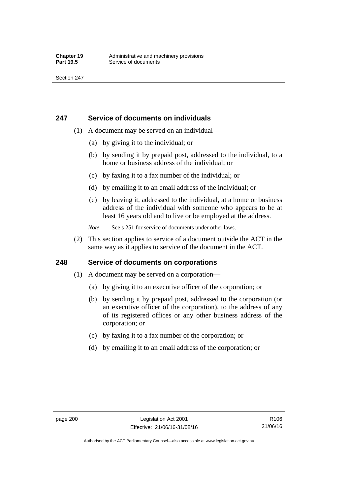# **247 Service of documents on individuals**

- (1) A document may be served on an individual—
	- (a) by giving it to the individual; or
	- (b) by sending it by prepaid post, addressed to the individual, to a home or business address of the individual; or
	- (c) by faxing it to a fax number of the individual; or
	- (d) by emailing it to an email address of the individual; or
	- (e) by leaving it, addressed to the individual, at a home or business address of the individual with someone who appears to be at least 16 years old and to live or be employed at the address.
	- *Note* See s 251 for service of documents under other laws.
- (2) This section applies to service of a document outside the ACT in the same way as it applies to service of the document in the ACT.

# **248 Service of documents on corporations**

- (1) A document may be served on a corporation—
	- (a) by giving it to an executive officer of the corporation; or
	- (b) by sending it by prepaid post, addressed to the corporation (or an executive officer of the corporation), to the address of any of its registered offices or any other business address of the corporation; or
	- (c) by faxing it to a fax number of the corporation; or
	- (d) by emailing it to an email address of the corporation; or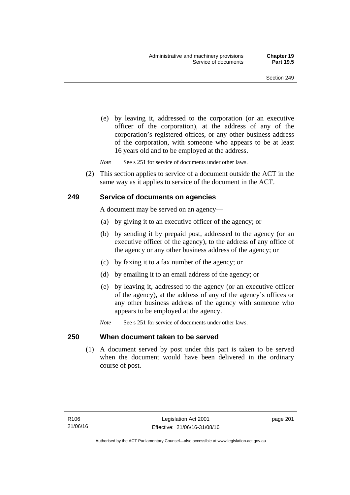(e) by leaving it, addressed to the corporation (or an executive officer of the corporation), at the address of any of the corporation's registered offices, or any other business address of the corporation, with someone who appears to be at least 16 years old and to be employed at the address.

*Note* See s 251 for service of documents under other laws.

 (2) This section applies to service of a document outside the ACT in the same way as it applies to service of the document in the ACT.

## **249 Service of documents on agencies**

A document may be served on an agency—

- (a) by giving it to an executive officer of the agency; or
- (b) by sending it by prepaid post, addressed to the agency (or an executive officer of the agency), to the address of any office of the agency or any other business address of the agency; or
- (c) by faxing it to a fax number of the agency; or
- (d) by emailing it to an email address of the agency; or
- (e) by leaving it, addressed to the agency (or an executive officer of the agency), at the address of any of the agency's offices or any other business address of the agency with someone who appears to be employed at the agency.
- *Note* See s 251 for service of documents under other laws.

## **250 When document taken to be served**

 (1) A document served by post under this part is taken to be served when the document would have been delivered in the ordinary course of post.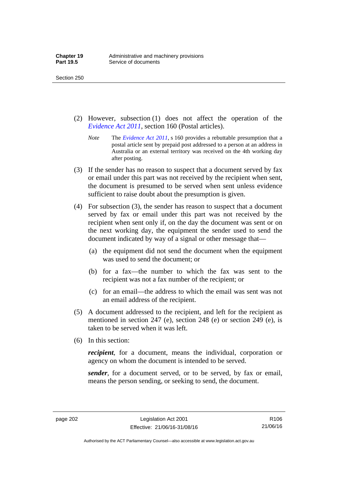Section 250

- (2) However, subsection (1) does not affect the operation of the *[Evidence Act 2011](http://www.legislation.act.gov.au/a/2011-12)*, section 160 (Postal articles).
	- *Note* The *[Evidence Act 2011](http://www.legislation.act.gov.au/a/2011-12)*, s 160 provides a rebuttable presumption that a postal article sent by prepaid post addressed to a person at an address in Australia or an external territory was received on the 4th working day after posting.
- (3) If the sender has no reason to suspect that a document served by fax or email under this part was not received by the recipient when sent, the document is presumed to be served when sent unless evidence sufficient to raise doubt about the presumption is given.
- (4) For subsection (3), the sender has reason to suspect that a document served by fax or email under this part was not received by the recipient when sent only if, on the day the document was sent or on the next working day, the equipment the sender used to send the document indicated by way of a signal or other message that—
	- (a) the equipment did not send the document when the equipment was used to send the document; or
	- (b) for a fax—the number to which the fax was sent to the recipient was not a fax number of the recipient; or
	- (c) for an email—the address to which the email was sent was not an email address of the recipient.
- (5) A document addressed to the recipient, and left for the recipient as mentioned in section 247 (e), section 248 (e) or section 249 (e), is taken to be served when it was left.
- (6) In this section:

*recipient*, for a document, means the individual, corporation or agency on whom the document is intended to be served.

*sender*, for a document served, or to be served, by fax or email, means the person sending, or seeking to send, the document.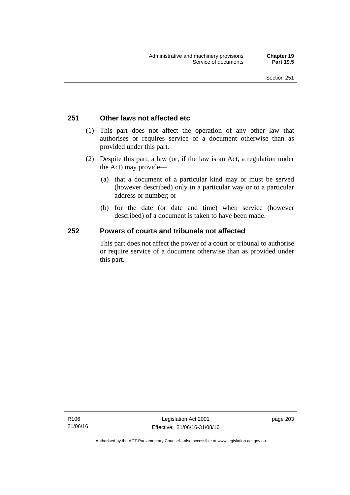# **251 Other laws not affected etc**

- (1) This part does not affect the operation of any other law that authorises or requires service of a document otherwise than as provided under this part.
- (2) Despite this part, a law (or, if the law is an Act, a regulation under the Act) may provide—
	- (a) that a document of a particular kind may or must be served (however described) only in a particular way or to a particular address or number; or
	- (b) for the date (or date and time) when service (however described) of a document is taken to have been made.

# **252 Powers of courts and tribunals not affected**

This part does not affect the power of a court or tribunal to authorise or require service of a document otherwise than as provided under this part.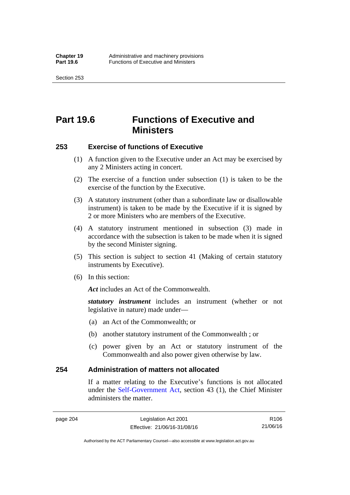Section 253

# **Part 19.6 Functions of Executive and Ministers**

## **253 Exercise of functions of Executive**

- (1) A function given to the Executive under an Act may be exercised by any 2 Ministers acting in concert.
- (2) The exercise of a function under subsection (1) is taken to be the exercise of the function by the Executive.
- (3) A statutory instrument (other than a subordinate law or disallowable instrument) is taken to be made by the Executive if it is signed by 2 or more Ministers who are members of the Executive.
- (4) A statutory instrument mentioned in subsection (3) made in accordance with the subsection is taken to be made when it is signed by the second Minister signing.
- (5) This section is subject to section 41 (Making of certain statutory instruments by Executive).
- (6) In this section:

Act includes an Act of the Commonwealth.

*statutory instrument* includes an instrument (whether or not legislative in nature) made under—

- (a) an Act of the Commonwealth; or
- (b) another statutory instrument of the Commonwealth ; or
- (c) power given by an Act or statutory instrument of the Commonwealth and also power given otherwise by law.

## **254 Administration of matters not allocated**

If a matter relating to the Executive's functions is not allocated under the [Self-Government Act,](http://www.comlaw.gov.au/Series/C2004A03699) section 43 (1), the Chief Minister administers the matter.

page 204 Legislation Act 2001 Effective: 21/06/16-31/08/16

R106 21/06/16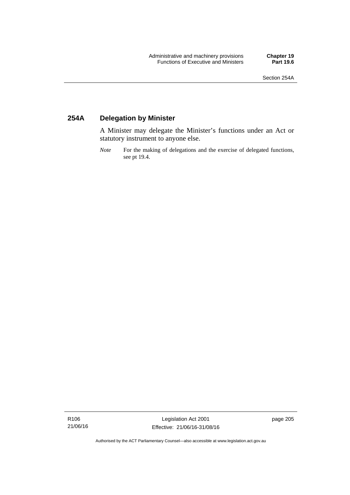# **254A Delegation by Minister**

A Minister may delegate the Minister's functions under an Act or statutory instrument to anyone else.

*Note* For the making of delegations and the exercise of delegated functions, see pt 19.4.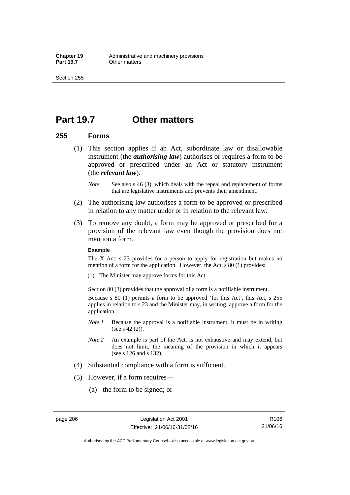# **Part 19.7 Other matters**

## **255 Forms**

- (1) This section applies if an Act, subordinate law or disallowable instrument (the *authorising law*) authorises or requires a form to be approved or prescribed under an Act or statutory instrument (the *relevant law*).
	- *Note* See also s 46 (3), which deals with the repeal and replacement of forms that are legislative instruments and prevents their amendment.
- (2) The authorising law authorises a form to be approved or prescribed in relation to any matter under or in relation to the relevant law.
- (3) To remove any doubt, a form may be approved or prescribed for a provision of the relevant law even though the provision does not mention a form.

### **Example**

The X Act, s 23 provides for a person to apply for registration but makes no mention of a form for the application. However, the Act, s 80 (1) provides:

(1) The Minister may approve forms for this Act.

Section 80 (3) provides that the approval of a form is a notifiable instrument.

Because s 80 (1) permits a form to be approved 'for this Act', this Act, s 255 applies in relation to s 23 and the Minister may, in writing, approve a form for the application.

- *Note 1* Because the approval is a notifiable instrument, it must be in writing (see s 42 (2)).
- *Note 2* An example is part of the Act, is not exhaustive and may extend, but does not limit, the meaning of the provision in which it appears (see s 126 and s 132).
- (4) Substantial compliance with a form is sufficient.
- (5) However, if a form requires—
	- (a) the form to be signed; or

Authorised by the ACT Parliamentary Counsel—also accessible at www.legislation.act.gov.au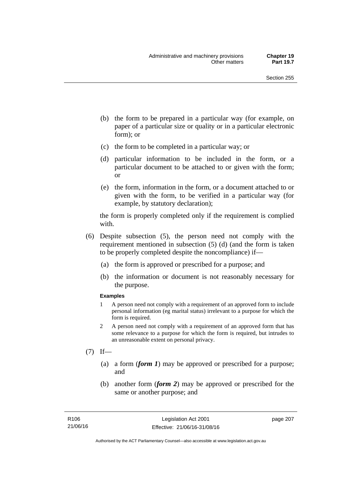- (b) the form to be prepared in a particular way (for example, on paper of a particular size or quality or in a particular electronic form); or
- (c) the form to be completed in a particular way; or
- (d) particular information to be included in the form, or a particular document to be attached to or given with the form; or
- (e) the form, information in the form, or a document attached to or given with the form, to be verified in a particular way (for example, by statutory declaration);

the form is properly completed only if the requirement is complied with.

- (6) Despite subsection (5), the person need not comply with the requirement mentioned in subsection (5) (d) (and the form is taken to be properly completed despite the noncompliance) if—
	- (a) the form is approved or prescribed for a purpose; and
	- (b) the information or document is not reasonably necessary for the purpose.

### **Examples**

- 1 A person need not comply with a requirement of an approved form to include personal information (eg marital status) irrelevant to a purpose for which the form is required.
- 2 A person need not comply with a requirement of an approved form that has some relevance to a purpose for which the form is required, but intrudes to an unreasonable extent on personal privacy.
- $(7)$  If—
	- (a) a form (*form 1*) may be approved or prescribed for a purpose; and
	- (b) another form (*form 2*) may be approved or prescribed for the same or another purpose; and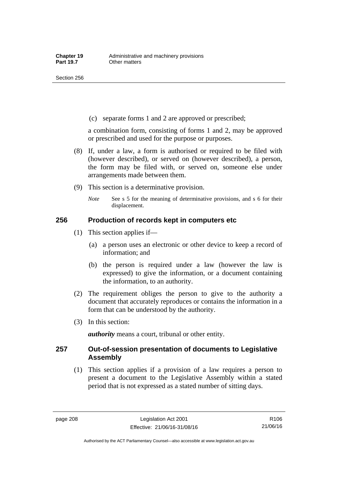Section 256

(c) separate forms 1 and 2 are approved or prescribed;

a combination form, consisting of forms 1 and 2, may be approved or prescribed and used for the purpose or purposes.

- (8) If, under a law, a form is authorised or required to be filed with (however described), or served on (however described), a person, the form may be filed with, or served on, someone else under arrangements made between them.
- (9) This section is a determinative provision.
	- *Note* See s 5 for the meaning of determinative provisions, and s 6 for their displacement.

## **256 Production of records kept in computers etc**

- (1) This section applies if—
	- (a) a person uses an electronic or other device to keep a record of information; and
	- (b) the person is required under a law (however the law is expressed) to give the information, or a document containing the information, to an authority.
- (2) The requirement obliges the person to give to the authority a document that accurately reproduces or contains the information in a form that can be understood by the authority.
- (3) In this section:

*authority* means a court, tribunal or other entity.

## **257 Out-of-session presentation of documents to Legislative Assembly**

 (1) This section applies if a provision of a law requires a person to present a document to the Legislative Assembly within a stated period that is not expressed as a stated number of sitting days.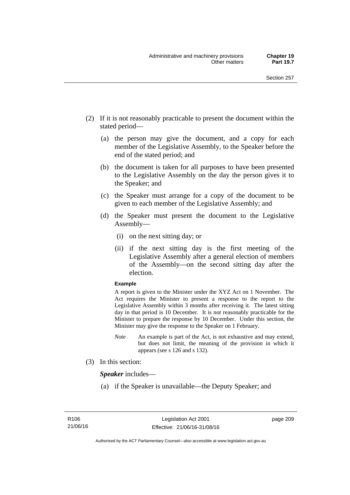- (2) If it is not reasonably practicable to present the document within the stated period—
	- (a) the person may give the document, and a copy for each member of the Legislative Assembly, to the Speaker before the end of the stated period; and
	- (b) the document is taken for all purposes to have been presented to the Legislative Assembly on the day the person gives it to the Speaker; and
	- (c) the Speaker must arrange for a copy of the document to be given to each member of the Legislative Assembly; and
	- (d) the Speaker must present the document to the Legislative Assembly—
		- (i) on the next sitting day; or
		- (ii) if the next sitting day is the first meeting of the Legislative Assembly after a general election of members of the Assembly—on the second sitting day after the election.

### **Example**

A report is given to the Minister under the XYZ Act on 1 November. The Act requires the Minister to present a response to the report to the Legislative Assembly within 3 months after receiving it. The latest sitting day in that period is 10 December. It is not reasonably practicable for the Minister to prepare the response by 10 December. Under this section, the Minister may give the response to the Speaker on 1 February.

- *Note* An example is part of the Act, is not exhaustive and may extend, but does not limit, the meaning of the provision in which it appears (see s 126 and s 132).
- (3) In this section:

*Speaker* includes—

(a) if the Speaker is unavailable—the Deputy Speaker; and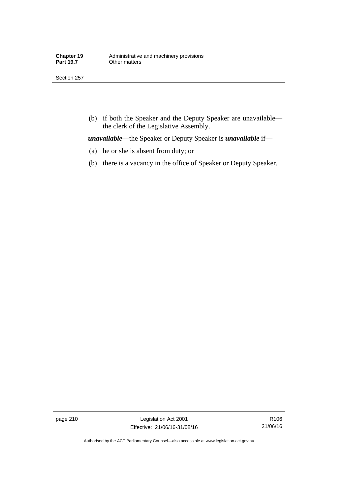Section 257

 (b) if both the Speaker and the Deputy Speaker are unavailable the clerk of the Legislative Assembly.

*unavailable*—the Speaker or Deputy Speaker is *unavailable* if—

- (a) he or she is absent from duty; or
- (b) there is a vacancy in the office of Speaker or Deputy Speaker.

page 210 Legislation Act 2001 Effective: 21/06/16-31/08/16

R106 21/06/16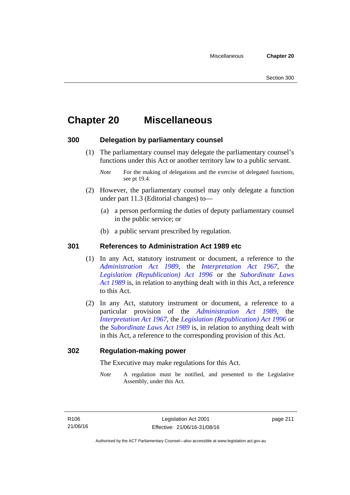# **Chapter 20 Miscellaneous**

## **300 Delegation by parliamentary counsel**

 (1) The parliamentary counsel may delegate the parliamentary counsel's functions under this Act or another territory law to a public servant.

- (2) However, the parliamentary counsel may only delegate a function under part 11.3 (Editorial changes) to—
	- (a) a person performing the duties of deputy parliamentary counsel in the public service; or
	- (b) a public servant prescribed by regulation.

## **301 References to Administration Act 1989 etc**

- (1) In any Act, statutory instrument or document, a reference to the *[Administration Act 1989](http://www.legislation.act.gov.au/a/alt_a1989-41co)*, the *[Interpretation Act 1967](http://www.legislation.act.gov.au/a/1967-48)*, the *[Legislation \(Republication\) Act 1996](http://www.legislation.act.gov.au/a/1996-51)* or the *[Subordinate Laws](http://www.legislation.act.gov.au/a/alt_a1989-24co)  [Act 1989](http://www.legislation.act.gov.au/a/alt_a1989-24co)* is, in relation to anything dealt with in this Act, a reference to this Act.
- (2) In any Act, statutory instrument or document, a reference to a particular provision of the *[Administration Act 1989](http://www.legislation.act.gov.au/a/alt_a1989-41co)*, the *[Interpretation Act 1967](http://www.legislation.act.gov.au/a/1967-48)*, the *[Legislation \(Republication\) Act 1996](http://www.legislation.act.gov.au/a/1996-51)* or the *[Subordinate Laws Act 1989](http://www.legislation.act.gov.au/a/alt_a1989-24co)* is, in relation to anything dealt with in this Act, a reference to the corresponding provision of this Act.

## **302 Regulation-making power**

The Executive may make regulations for this Act.

*Note* A regulation must be notified, and presented to the Legislative Assembly, under this Act.

*Note* For the making of delegations and the exercise of delegated functions, see pt 19.4.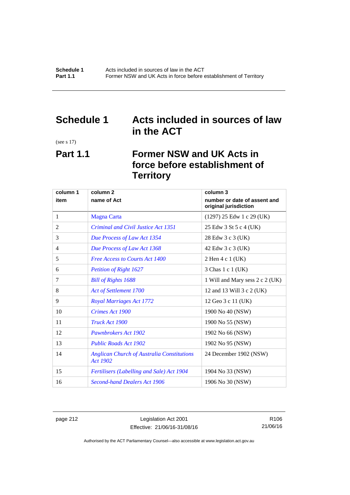# **Schedule 1 Acts included in sources of law in the ACT**

(see s 17)

# **Part 1.1 Former NSW and UK Acts in force before establishment of Territory**

| column 1 | column <sub>2</sub>                                           | column 3                                              |
|----------|---------------------------------------------------------------|-------------------------------------------------------|
| item     | name of Act                                                   | number or date of assent and<br>original jurisdiction |
| 1        | <b>Magna Carta</b>                                            | $(1297)$ 25 Edw 1 c 29 (UK)                           |
| 2        | <b>Criminal and Civil Justice Act 1351</b>                    | 25 Edw 3 St 5 c 4 (UK)                                |
| 3        | Due Process of Law Act 1354                                   | 28 Edw 3 c 3 (UK)                                     |
| 4        | Due Process of Law Act 1368                                   | 42 Edw 3 c 3 (UK)                                     |
| 5        | <b>Free Access to Courts Act 1400</b>                         | 2 Hen 4 c 1 (UK)                                      |
| 6        | <b>Petition of Right 1627</b>                                 | 3 Chas 1 c 1 (UK)                                     |
| 7        | <b>Bill of Rights 1688</b>                                    | 1 Will and Mary sess 2 c 2 (UK)                       |
| 8        | Act of Settlement 1700                                        | 12 and 13 Will 3 c 2 (UK)                             |
| 9        | <b>Royal Marriages Act 1772</b>                               | 12 Geo 3 c 11 (UK)                                    |
| 10       | Crimes Act 1900                                               | 1900 No 40 (NSW)                                      |
| 11       | Truck Act 1900                                                | 1900 No 55 (NSW)                                      |
| 12       | Pawnbrokers Act 1902                                          | 1902 No 66 (NSW)                                      |
| 13       | <b>Public Roads Act 1902</b>                                  | 1902 No 95 (NSW)                                      |
| 14       | <b>Anglican Church of Australia Constitutions</b><br>Act 1902 | 24 December 1902 (NSW)                                |
| 15       | <b>Fertilisers (Labelling and Sale) Act 1904</b>              | 1904 No 33 (NSW)                                      |
| 16       | <b>Second-hand Dealers Act 1906</b>                           | 1906 No 30 (NSW)                                      |

page 212 Legislation Act 2001 Effective: 21/06/16-31/08/16

R106 21/06/16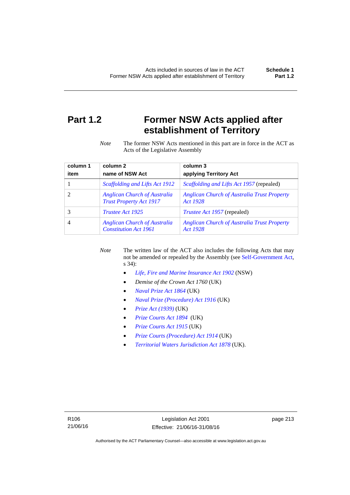# **Part 1.2 Former NSW Acts applied after establishment of Territory**

*Note* The former NSW Acts mentioned in this part are in force in the ACT as Acts of the Legislative Assembly

| column 1 | column <sub>2</sub>                                                   | column 3                                                       |
|----------|-----------------------------------------------------------------------|----------------------------------------------------------------|
| item     | name of NSW Act                                                       | applying Territory Act                                         |
|          | Scaffolding and Lifts Act 1912                                        | <i>Scaffolding and Lifts Act 1957</i> (repealed)               |
|          | <b>Anglican Church of Australia</b><br><b>Trust Property Act 1917</b> | <b>Anglican Church of Australia Trust Property</b><br>Act 1928 |
|          | <i>Trustee Act 1925</i>                                               | <i>Trustee Act 1957</i> (repealed)                             |
| 4        | <b>Anglican Church of Australia</b><br><b>Constitution Act 1961</b>   | <b>Anglican Church of Australia Trust Property</b><br>Act 1928 |

*Note* The written law of the ACT also includes the following Acts that may not be amended or repealed by the Assembly (see [Self-Government Act,](http://www.comlaw.gov.au/Series/C2004A03699) s 34):

- *[Life, Fire and Marine Insurance Act 1902](http://www.legislation.nsw.gov.au/maintop/scanact/sessional/NONE/0)* (NSW)
- *Demise of the Crown Act 1760* (UK)
- *[Naval Prize Act 1864](http://www.legislation.gov.uk/ukpga/Vict/27-28/25/contents)* (UK)
- *[Naval Prize \(Procedure\) Act 1916](http://www.legislation.gov.uk/ukpga/Geo5/6-7/2/contents)* (UK)
- *[Prize Act \(1939\)](http://www.legislation.gov.uk/ukpga/Geo6/2-3/65/contents)* (UK)
- *[Prize Courts Act 1894](http://www.legislation.gov.uk/ukpga/Vict/57-58/39/contents)* (UK)
- *[Prize Courts Act 1915](http://www.legislation.gov.uk/ukpga/Geo5/5-6/57/contents)* (UK)
- *[Prize Courts \(Procedure\) Act 1914](http://www.legislation.gov.uk/ukpga/Geo5/4-5/13/contents)* (UK)
- *[Territorial Waters Jurisdiction Act 1878](http://www.legislation.gov.uk/ukpga/Vict/41-42/73/contents)* (UK).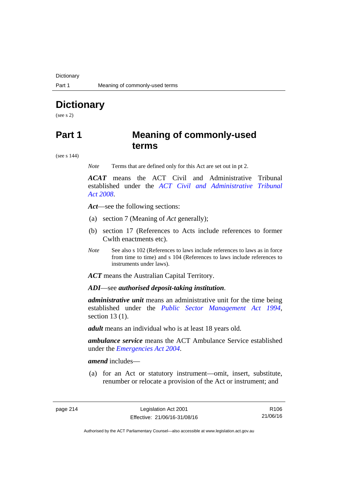**Dictionary** 

# **Dictionary**

(see s 2)

# **Part 1 Meaning of commonly-used terms**

(see s 144)

*Note* Terms that are defined only for this Act are set out in pt 2.

*ACAT* means the ACT Civil and Administrative Tribunal established under the *[ACT Civil and Administrative Tribunal](http://www.legislation.act.gov.au/a/2008-35)  [Act 2008](http://www.legislation.act.gov.au/a/2008-35)*.

*Act*—see the following sections:

- (a) section 7 (Meaning of *Act* generally);
- (b) section 17 (References to Acts include references to former Cwlth enactments etc).
- *Note* See also s 102 (References to laws include references to laws as in force from time to time) and s 104 (References to laws include references to instruments under laws).

*ACT* means the Australian Capital Territory.

*ADI*—see *authorised deposit-taking institution*.

*administrative unit* means an administrative unit for the time being established under the *[Public Sector Management Act 1994](http://www.legislation.act.gov.au/a/1994-37)*, section 13 (1).

*adult* means an individual who is at least 18 years old.

*ambulance service* means the ACT Ambulance Service established under the *[Emergencies Act 2004](http://www.legislation.act.gov.au/a/2004-28)*.

*amend* includes—

(a) for an Act or statutory instrument—omit, insert, substitute, renumber or relocate a provision of the Act or instrument; and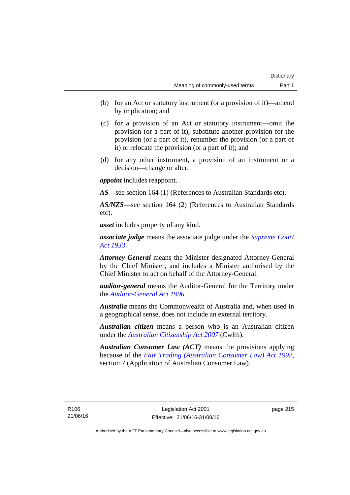- (b) for an Act or statutory instrument (or a provision of it)—amend by implication; and
- (c) for a provision of an Act or statutory instrument—omit the provision (or a part of it), substitute another provision for the provision (or a part of it), renumber the provision (or a part of it) or relocate the provision (or a part of it); and
- (d) for any other instrument, a provision of an instrument or a decision—change or alter.

*appoint* includes reappoint.

*AS*—see section 164 (1) (References to Australian Standards etc).

*AS/NZS*—see section 164 (2) (References to Australian Standards etc).

*asset* includes property of any kind.

*associate judge* means the associate judge under the *[Supreme Court](http://www.legislation.act.gov.au/a/1933-34)  [Act 1933](http://www.legislation.act.gov.au/a/1933-34)*.

*Attorney-General* means the Minister designated Attorney-General by the Chief Minister, and includes a Minister authorised by the Chief Minister to act on behalf of the Attorney-General.

*auditor-general* means the Auditor-General for the Territory under the *[Auditor-General Act 1996](http://www.legislation.act.gov.au/a/1996-23)*.

*Australia* means the Commonwealth of Australia and, when used in a geographical sense, does not include an external territory.

*Australian citizen* means a person who is an Australian citizen under the *[Australian Citizenship Act 2007](http://www.comlaw.gov.au/Series/C2007A00020)* (Cwlth).

*Australian Consumer Law (ACT)* means the provisions applying because of the *[Fair Trading \(Australian Consumer Law\) Act 1992](http://www.legislation.act.gov.au/a/1992-72)*, section 7 (Application of Australian Consumer Law).

R106 21/06/16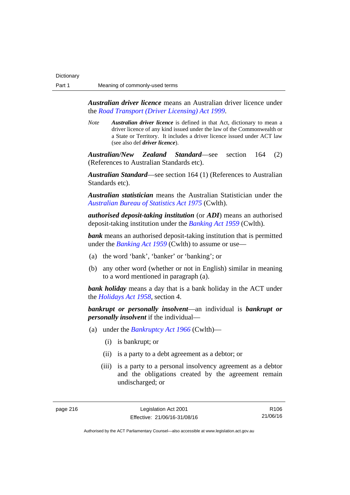*Australian driver licence* means an Australian driver licence under the *[Road Transport \(Driver Licensing\) Act 1999](http://www.legislation.act.gov.au/a/1999-78)*.

*Note Australian driver licence* is defined in that Act, dictionary to mean a driver licence of any kind issued under the law of the Commonwealth or a State or Territory. It includes a driver licence issued under ACT law (see also def *driver licence*).

*Australian/New Zealand Standard*—see section 164 (2) (References to Australian Standards etc).

*Australian Standard*—see section 164 (1) (References to Australian Standards etc).

*Australian statistician* means the Australian Statistician under the *[Australian Bureau of Statistics Act 1975](http://www.comlaw.gov.au/Series/C2004A00282)* (Cwlth).

*authorised deposit-taking institution* (or *ADI*) means an authorised deposit-taking institution under the *[Banking Act 1959](http://www.comlaw.gov.au/Series/C2004A07357)* (Cwlth).

**bank** means an authorised deposit-taking institution that is permitted under the *[Banking Act 1959](http://www.comlaw.gov.au/Series/C2004A07357)* (Cwlth) to assume or use—

- (a) the word 'bank', 'banker' or 'banking'; or
- (b) any other word (whether or not in English) similar in meaning to a word mentioned in paragraph (a).

*bank holiday* means a day that is a bank holiday in the ACT under the *[Holidays Act 1958](http://www.legislation.act.gov.au/a/1958-19)*, section 4.

*bankrupt or personally insolvent*—an individual is *bankrupt or personally insolvent* if the individual—

- (a) under the *[Bankruptcy Act 1966](http://www.comlaw.gov.au/Series/C2004A07422)* (Cwlth)—
	- (i) is bankrupt; or
	- (ii) is a party to a debt agreement as a debtor; or
	- (iii) is a party to a personal insolvency agreement as a debtor and the obligations created by the agreement remain undischarged; or

page 216 Legislation Act 2001 Effective: 21/06/16-31/08/16

R106 21/06/16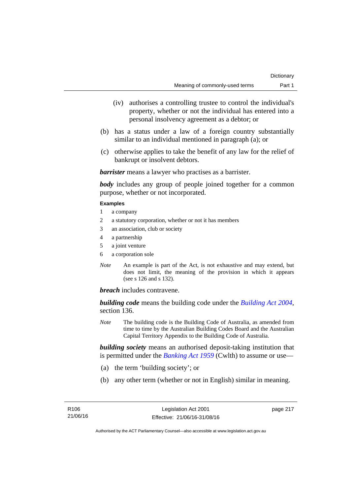- (iv) authorises a controlling trustee to control the individual's property, whether or not the individual has entered into a personal insolvency agreement as a debtor; or
- (b) has a status under a law of a foreign country substantially similar to an individual mentioned in paragraph (a); or
- (c) otherwise applies to take the benefit of any law for the relief of bankrupt or insolvent debtors.

*barrister* means a lawyer who practises as a barrister.

*body* includes any group of people joined together for a common purpose, whether or not incorporated.

### **Examples**

- 1 a company
- 2 a statutory corporation, whether or not it has members
- 3 an association, club or society
- 4 a partnership
- 5 a joint venture
- 6 a corporation sole
- *Note* An example is part of the Act, is not exhaustive and may extend, but does not limit, the meaning of the provision in which it appears (see s 126 and s 132).

*breach* includes contravene.

*building code* means the building code under the *[Building Act 2004](http://www.legislation.act.gov.au/a/2004-11)*, section 136.

*Note* The building code is the Building Code of Australia, as amended from time to time by the Australian Building Codes Board and the Australian Capital Territory Appendix to the Building Code of Australia.

*building society* means an authorised deposit-taking institution that is permitted under the *[Banking Act 1959](http://www.comlaw.gov.au/Series/C2004A07357)* (Cwlth) to assume or use—

- (a) the term 'building society'; or
- (b) any other term (whether or not in English) similar in meaning.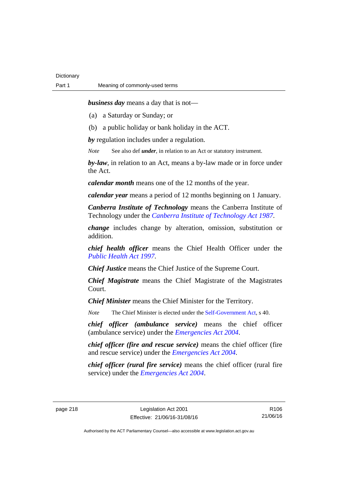*business day* means a day that is not—

- (a) a Saturday or Sunday; or
- (b) a public holiday or bank holiday in the ACT.

*by* regulation includes under a regulation.

*Note* See also def *under*, in relation to an Act or statutory instrument.

*by-law*, in relation to an Act, means a by-law made or in force under the Act.

*calendar month* means one of the 12 months of the year.

*calendar year* means a period of 12 months beginning on 1 January.

*Canberra Institute of Technology* means the Canberra Institute of Technology under the *[Canberra Institute of Technology Act 1987](http://www.legislation.act.gov.au/a/1987-71)*.

*change* includes change by alteration, omission, substitution or addition.

*chief health officer* means the Chief Health Officer under the *[Public Health Act 1997](http://www.legislation.act.gov.au/a/1997-69)*.

*Chief Justice* means the Chief Justice of the Supreme Court.

*Chief Magistrate* means the Chief Magistrate of the Magistrates Court.

*Chief Minister* means the Chief Minister for the Territory.

*Note* The Chief Minister is elected under the [Self-Government Act](http://www.comlaw.gov.au/Series/C2004A03699), s 40.

*chief officer (ambulance service)* means the chief officer (ambulance service) under the *[Emergencies Act 2004](http://www.legislation.act.gov.au/a/2004-28)*.

*chief officer (fire and rescue service)* means the chief officer (fire and rescue service) under the *[Emergencies Act 2004](http://www.legislation.act.gov.au/a/2004-28)*.

*chief officer (rural fire service)* means the chief officer (rural fire service) under the *[Emergencies Act 2004](http://www.legislation.act.gov.au/a/2004-28)*.

page 218 Legislation Act 2001 Effective: 21/06/16-31/08/16

R106 21/06/16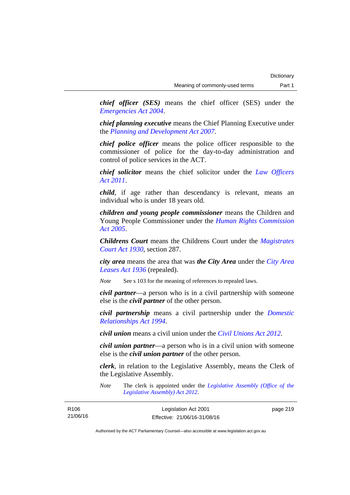*chief officer (SES)* means the chief officer (SES) under the *[Emergencies Act 2004](http://www.legislation.act.gov.au/a/2004-28)*.

*chief planning executive* means the Chief Planning Executive under the *[Planning and Development Act 2007](http://www.legislation.act.gov.au/a/2007-24)*.

*chief police officer* means the police officer responsible to the commissioner of police for the day-to-day administration and control of police services in the ACT.

*chief solicitor* means the chief solicitor under the *[Law Officers](http://www.legislation.act.gov.au/a/2011-30)  [Act 2011](http://www.legislation.act.gov.au/a/2011-30)*.

*child*, if age rather than descendancy is relevant, means an individual who is under 18 years old.

*children and young people commissioner* means the Children and Young People Commissioner under the *[Human Rights Commission](http://www.legislation.act.gov.au/a/2005-40)  [Act 2005](http://www.legislation.act.gov.au/a/2005-40)*.

*Childrens Court* means the Childrens Court under the *[Magistrates](http://www.legislation.act.gov.au/a/1930-21)  [Court Act 1930](http://www.legislation.act.gov.au/a/1930-21)*, section 287.

*city area* means the area that was *the City Area* under the *[City Area](http://www.legislation.act.gov.au/a/1936-31)  [Leases Act 1936](http://www.legislation.act.gov.au/a/1936-31)* (repealed).

*Note* See s 103 for the meaning of references to repealed laws.

*civil partner*—a person who is in a civil partnership with someone else is the *civil partner* of the other person.

*civil partnership* means a civil partnership under the *[Domestic](http://www.legislation.act.gov.au/a/1994-28)  [Relationships Act 1994](http://www.legislation.act.gov.au/a/1994-28)*.

*civil union* means a civil union under the *[Civil Unions Act 2012](http://www.legislation.act.gov.au/a/2012-40)*.

*civil union partner*—a person who is in a civil union with someone else is the *civil union partner* of the other person.

*clerk*, in relation to the Legislative Assembly, means the Clerk of the Legislative Assembly.

*Note* The clerk is appointed under the *[Legislative Assembly \(Office of the](http://www.legislation.act.gov.au/a/2012-26)  [Legislative Assembly\) Act 2012](http://www.legislation.act.gov.au/a/2012-26)*.

| R <sub>106</sub> | Legislation Act 2001         | page 219 |
|------------------|------------------------------|----------|
| 21/06/16         | Effective: 21/06/16-31/08/16 |          |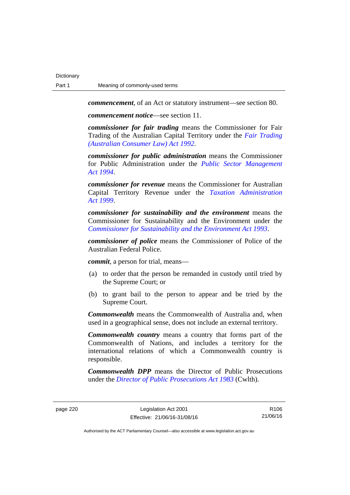*commencement*, of an Act or statutory instrument—see section 80.

*commencement notice*—see section 11.

*commissioner for fair trading* means the Commissioner for Fair Trading of the Australian Capital Territory under the *[Fair Trading](http://www.legislation.act.gov.au/a/1992-72)  [\(Australian Consumer Law\) Act 1992](http://www.legislation.act.gov.au/a/1992-72)*.

*commissioner for public administration* means the Commissioner for Public Administration under the *[Public Sector Management](http://www.legislation.act.gov.au/a/1994-37)  [Act 1994](http://www.legislation.act.gov.au/a/1994-37)*.

*commissioner for revenue* means the Commissioner for Australian Capital Territory Revenue under the *[Taxation Administration](http://www.legislation.act.gov.au/a/1999-4)  [Act 1999](http://www.legislation.act.gov.au/a/1999-4)*.

*commissioner for sustainability and the environment* means the Commissioner for Sustainability and the Environment under the *[Commissioner for Sustainability and the Environment Act 1993](http://www.legislation.act.gov.au/a/1993-37)*.

*commissioner of police* means the Commissioner of Police of the Australian Federal Police.

*commit*, a person for trial, means—

- (a) to order that the person be remanded in custody until tried by the Supreme Court; or
- (b) to grant bail to the person to appear and be tried by the Supreme Court.

*Commonwealth* means the Commonwealth of Australia and, when used in a geographical sense, does not include an external territory.

*Commonwealth country* means a country that forms part of the Commonwealth of Nations, and includes a territory for the international relations of which a Commonwealth country is responsible.

*Commonwealth DPP* means the Director of Public Prosecutions under the *[Director of Public Prosecutions Act 1983](http://www.comlaw.gov.au/Series/C2004A02830)* (Cwlth).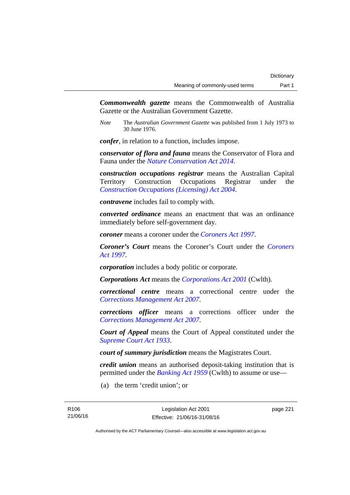*Commonwealth gazette* means the Commonwealth of Australia Gazette or the Australian Government Gazette.

*Note* The *Australian Government Gazette* was published from 1 July 1973 to 30 June 1976.

*confer*, in relation to a function, includes impose.

*conservator of flora and fauna* means the Conservator of Flora and Fauna under the *[Nature Conservation Act 2014](http://www.legislation.act.gov.au/a/2014-59)*.

*construction occupations registrar* means the Australian Capital Territory Construction Occupations Registrar under the *[Construction Occupations \(Licensing\) Act 2004](http://www.legislation.act.gov.au/a/2004-12)*.

*contravene* includes fail to comply with.

*converted ordinance* means an enactment that was an ordinance immediately before self-government day.

*coroner* means a coroner under the *[Coroners Act 1997](http://www.legislation.act.gov.au/a/1997-57)*.

*Coroner's Court* means the Coroner's Court under the *[Coroners](http://www.legislation.act.gov.au/a/1997-57)  [Act 1997](http://www.legislation.act.gov.au/a/1997-57)*.

*corporation* includes a body politic or corporate.

*Corporations Act* means the *[Corporations Act 2001](http://www.comlaw.gov.au/Series/C2004A00818)* (Cwlth).

*correctional centre* means a correctional centre under the *[Corrections Management Act 2007](http://www.legislation.act.gov.au/a/2007-15)*.

*corrections officer* means a corrections officer under the *[Corrections Management Act 2007](http://www.legislation.act.gov.au/a/2007-15)*.

*Court of Appeal* means the Court of Appeal constituted under the *[Supreme Court Act 1933](http://www.legislation.act.gov.au/a/1933-34)*.

*court of summary jurisdiction* means the Magistrates Court.

*credit union* means an authorised deposit-taking institution that is permitted under the *[Banking Act 1959](http://www.comlaw.gov.au/Series/C2004A07357)* (Cwlth) to assume or use—

(a) the term 'credit union'; or

page 221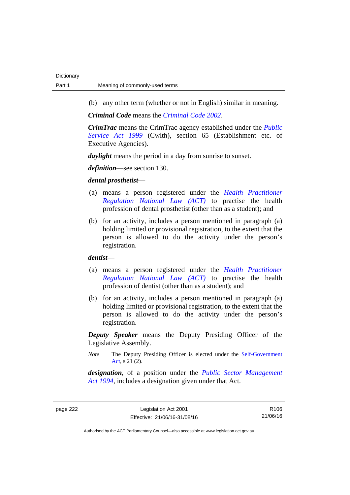(b) any other term (whether or not in English) similar in meaning.

*Criminal Code* means the *[Criminal Code 2002](http://www.legislation.act.gov.au/a/2002-51)*.

*CrimTrac* means the CrimTrac agency established under the *[Public](http://www.comlaw.gov.au/Series/C2004A00538)  [Service Act 1999](http://www.comlaw.gov.au/Series/C2004A00538)* (Cwlth), section 65 (Establishment etc. of Executive Agencies).

*daylight* means the period in a day from sunrise to sunset.

*definition*—see section 130.

## *dental prosthetist*—

- (a) means a person registered under the *[Health Practitioner](http://www.legislation.act.gov.au/a/db_39269/default.asp)  [Regulation National Law \(ACT\)](http://www.legislation.act.gov.au/a/db_39269/default.asp)* to practise the health profession of dental prosthetist (other than as a student); and
- (b) for an activity, includes a person mentioned in paragraph (a) holding limited or provisional registration, to the extent that the person is allowed to do the activity under the person's registration.

## *dentist*—

- (a) means a person registered under the *[Health Practitioner](http://www.legislation.act.gov.au/a/db_39269/default.asp)  [Regulation National Law \(ACT\)](http://www.legislation.act.gov.au/a/db_39269/default.asp)* to practise the health profession of dentist (other than as a student); and
- (b) for an activity, includes a person mentioned in paragraph (a) holding limited or provisional registration, to the extent that the person is allowed to do the activity under the person's registration.

*Deputy Speaker* means the Deputy Presiding Officer of the Legislative Assembly.

*Note* The Deputy Presiding Officer is elected under the [Self-Government](http://www.comlaw.gov.au/Series/C2004A03699)  [Act](http://www.comlaw.gov.au/Series/C2004A03699), s 21 (2).

*designation*, of a position under the *[Public Sector Management](http://www.legislation.act.gov.au/a/1994-37)  [Act 1994](http://www.legislation.act.gov.au/a/1994-37)*, includes a designation given under that Act.

page 222 Legislation Act 2001 Effective: 21/06/16-31/08/16

R106 21/06/16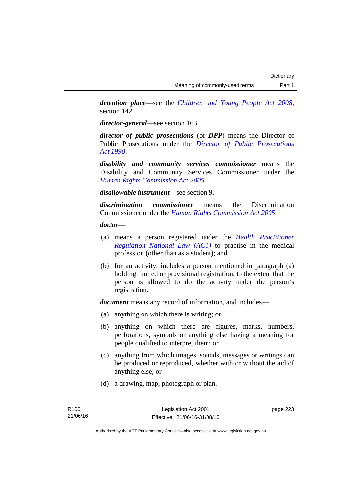*detention place*—see the *[Children and Young People Act 2008](http://www.legislation.act.gov.au/a/2008-19)*, section 142.

*director-general*—see section 163.

*director of public prosecutions* (or *DPP*) means the Director of Public Prosecutions under the *[Director of Public Prosecutions](http://www.legislation.act.gov.au/a/1990-22)  [Act 1990](http://www.legislation.act.gov.au/a/1990-22)*.

*disability and community services commissioner* means the Disability and Community Services Commissioner under the *[Human Rights Commission Act 2005](http://www.legislation.act.gov.au/a/2005-40)*.

*disallowable instrument*—see section 9.

*discrimination commissioner* means the Discrimination Commissioner under the *[Human Rights Commission Act 2005](http://www.legislation.act.gov.au/a/2005-40)*.

*doctor*—

- (a) means a person registered under the *[Health Practitioner](http://www.legislation.act.gov.au/a/db_39269/default.asp)  [Regulation National Law \(ACT\)](http://www.legislation.act.gov.au/a/db_39269/default.asp)* to practise in the medical profession (other than as a student); and
- (b) for an activity, includes a person mentioned in paragraph (a) holding limited or provisional registration, to the extent that the person is allowed to do the activity under the person's registration.

*document* means any record of information, and includes—

- (a) anything on which there is writing; or
- (b) anything on which there are figures, marks, numbers, perforations, symbols or anything else having a meaning for people qualified to interpret them; or
- (c) anything from which images, sounds, messages or writings can be produced or reproduced, whether with or without the aid of anything else; or
- (d) a drawing, map, photograph or plan.

page 223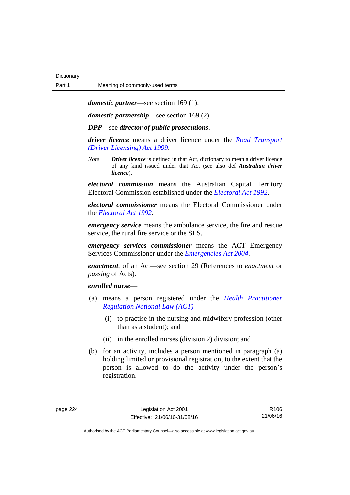*domestic partner*—see section 169 (1).

*domestic partnership*—see section 169 (2).

*DPP*—see *director of public prosecutions*.

*driver licence* means a driver licence under the *[Road Transport](http://www.legislation.act.gov.au/a/1999-78)  [\(Driver Licensing\) Act 1999](http://www.legislation.act.gov.au/a/1999-78)*.

*Note Driver licence* is defined in that Act, dictionary to mean a driver licence of any kind issued under that Act (see also def *Australian driver licence*).

*electoral commission* means the Australian Capital Territory Electoral Commission established under the *[Electoral Act 1992](http://www.legislation.act.gov.au/a/1992-71)*.

*electoral commissioner* means the Electoral Commissioner under the *[Electoral Act 1992](http://www.legislation.act.gov.au/a/1992-71)*.

*emergency service* means the ambulance service, the fire and rescue service, the rural fire service or the SES.

*emergency services commissioner* means the ACT Emergency Services Commissioner under the *[Emergencies Act 2004](http://www.legislation.act.gov.au/a/2004-28)*.

*enactment*, of an Act—see section 29 (References to *enactment* or *passing* of Acts).

## *enrolled nurse*—

- (a) means a person registered under the *[Health Practitioner](http://www.legislation.act.gov.au/a/db_39269/default.asp)  [Regulation National Law \(ACT\)](http://www.legislation.act.gov.au/a/db_39269/default.asp)*—
	- (i) to practise in the nursing and midwifery profession (other than as a student); and
	- (ii) in the enrolled nurses (division 2) division; and
- (b) for an activity, includes a person mentioned in paragraph (a) holding limited or provisional registration, to the extent that the person is allowed to do the activity under the person's registration.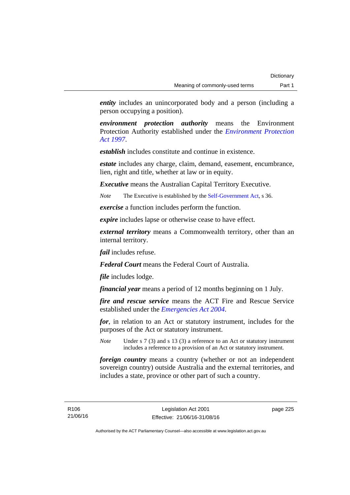*entity* includes an unincorporated body and a person (including a person occupying a position).

*environment protection authority* means the Environment Protection Authority established under the *[Environment Protection](http://www.legislation.act.gov.au/a/1997-92)  [Act 1997](http://www.legislation.act.gov.au/a/1997-92)*.

*establish* includes constitute and continue in existence.

*estate* includes any charge, claim, demand, easement, encumbrance, lien, right and title, whether at law or in equity.

*Executive* means the Australian Capital Territory Executive.

*Note* The Executive is established by the [Self-Government Act](http://www.comlaw.gov.au/Series/C2004A03699), s 36.

*exercise* a function includes perform the function.

*expire* includes lapse or otherwise cease to have effect.

*external territory* means a Commonwealth territory, other than an internal territory.

*fail* includes refuse.

*Federal Court* means the Federal Court of Australia.

*file* includes lodge.

*financial year* means a period of 12 months beginning on 1 July.

*fire and rescue service* means the ACT Fire and Rescue Service established under the *[Emergencies Act 2004](http://www.legislation.act.gov.au/a/2004-28)*.

*for*, in relation to an Act or statutory instrument, includes for the purposes of the Act or statutory instrument.

*Note* Under s 7 (3) and s 13 (3) a reference to an Act or statutory instrument includes a reference to a provision of an Act or statutory instrument.

*foreign country* means a country (whether or not an independent sovereign country) outside Australia and the external territories, and includes a state, province or other part of such a country.

R106 21/06/16 page 225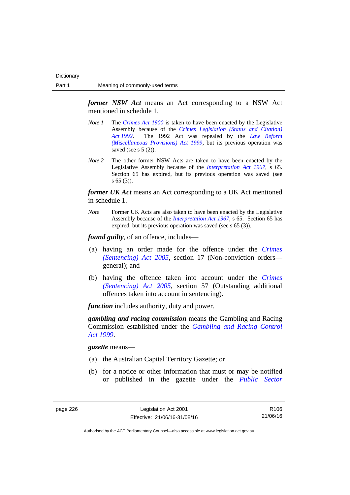*former NSW Act* means an Act corresponding to a NSW Act mentioned in schedule 1.

- *Note 1* The *[Crimes Act 1900](http://www.legislation.act.gov.au/a/1900-40)* is taken to have been enacted by the Legislative Assembly because of the *[Crimes Legislation \(Status and Citation\)](http://www.legislation.act.gov.au/a/1992-6)  [Act 1992](http://www.legislation.act.gov.au/a/1992-6)*. The 1992 Act was repealed by the *[Law Reform](http://www.legislation.act.gov.au/a/1999-66)  [\(Miscellaneous Provisions\) Act 1999](http://www.legislation.act.gov.au/a/1999-66)*, but its previous operation was saved (see s  $5(2)$ ).
- *Note 2* The other former NSW Acts are taken to have been enacted by the Legislative Assembly because of the *[Interpretation Act 1967](http://www.legislation.act.gov.au/a/1967-48)*, s 65. Section 65 has expired, but its previous operation was saved (see s 65 (3)).

*former UK Act* means an Act corresponding to a UK Act mentioned in schedule 1.

*Note* Former UK Acts are also taken to have been enacted by the Legislative Assembly because of the *[Interpretation Act 1967](http://www.legislation.act.gov.au/a/1967-48)*, s 65. Section 65 has expired, but its previous operation was saved (see s 65 (3)).

*found guilty*, of an offence, includes—

- (a) having an order made for the offence under the *[Crimes](http://www.legislation.act.gov.au/a/2005-58)  [\(Sentencing\) Act 2005](http://www.legislation.act.gov.au/a/2005-58)*, section 17 (Non-conviction orders general); and
- (b) having the offence taken into account under the *[Crimes](http://www.legislation.act.gov.au/a/2005-58)  [\(Sentencing\) Act 2005](http://www.legislation.act.gov.au/a/2005-58)*, section 57 (Outstanding additional offences taken into account in sentencing).

*function* includes authority, duty and power.

*gambling and racing commission* means the Gambling and Racing Commission established under the *[Gambling and Racing Control](http://www.legislation.act.gov.au/a/1999-46)  [Act 1999](http://www.legislation.act.gov.au/a/1999-46)*.

*gazette* means—

- (a) the Australian Capital Territory Gazette; or
- (b) for a notice or other information that must or may be notified or published in the gazette under the *[Public Sector](http://www.legislation.act.gov.au/a/1994-37)*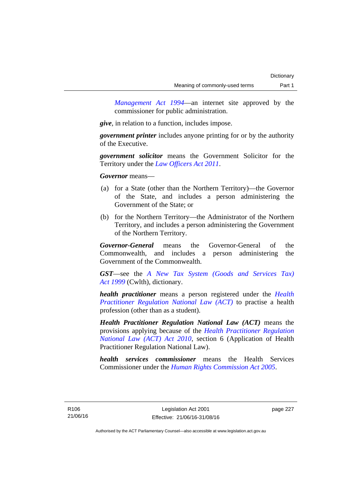*Management Act 1994*—an internet site approved by the commissioner for public administration.

*give*, in relation to a function, includes impose.

*government printer* includes anyone printing for or by the authority of the Executive.

*government solicitor* means the Government Solicitor for the Territory under the *[Law Officers Act 2011](http://www.legislation.act.gov.au/a/2011-30)*.

*Governor* means—

- (a) for a State (other than the Northern Territory)—the Governor of the State, and includes a person administering the Government of the State; or
- (b) for the Northern Territory—the Administrator of the Northern Territory, and includes a person administering the Government of the Northern Territory.

*Governor-General* means the Governor-General of the Commonwealth, and includes a person administering the Government of the Commonwealth.

*GST*—see the *[A New Tax System \(Goods and Services Tax\)](http://www.comlaw.gov.au/Series/C2004A00446)  [Act 1999](http://www.comlaw.gov.au/Series/C2004A00446)* (Cwlth), dictionary.

*health practitioner* means a person registered under the *[Health](http://www.legislation.act.gov.au/a/db_39269/default.asp)  [Practitioner Regulation National Law \(ACT\)](http://www.legislation.act.gov.au/a/db_39269/default.asp)* to practise a health profession (other than as a student).

*Health Practitioner Regulation National Law (ACT)* means the provisions applying because of the *[Health Practitioner Regulation](http://www.legislation.act.gov.au/a/2010-10)  [National Law \(ACT\) Act 2010](http://www.legislation.act.gov.au/a/2010-10)*, section 6 (Application of Health Practitioner Regulation National Law).

*health services commissioner* means the Health Services Commissioner under the *[Human Rights Commission Act 2005](http://www.legislation.act.gov.au/a/2005-40)*.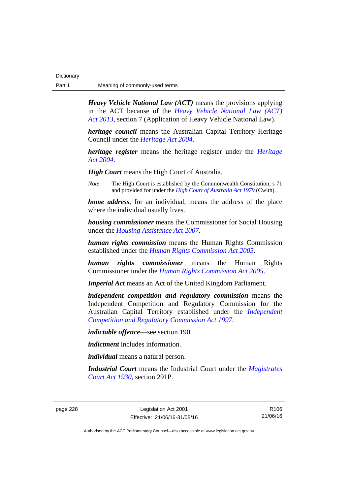| Dictionary |                                |
|------------|--------------------------------|
| Part 1     | Meaning of commonly-used terms |

*Heavy Vehicle National Law (ACT)* means the provisions applying in the ACT because of the *[Heavy Vehicle National Law \(ACT\)](http://www.legislation.act.gov.au/a/2013-51/default.asp)  [Act 2013](http://www.legislation.act.gov.au/a/2013-51/default.asp)*, section 7 (Application of Heavy Vehicle National Law).

*heritage council* means the Australian Capital Territory Heritage Council under the *[Heritage Act 2004](http://www.legislation.act.gov.au/a/2004-57)*.

*heritage register* means the heritage register under the *[Heritage](http://www.legislation.act.gov.au/a/2004-57)  [Act 2004](http://www.legislation.act.gov.au/a/2004-57)*.

*High Court* means the High Court of Australia.

*Note* The High Court is established by the Commonwealth Constitution, s 71 and provided for under the *[High Court of Australia Act 1979](http://www.comlaw.gov.au/Series/C2004A02147)* (Cwlth).

*home address*, for an individual, means the address of the place where the individual usually lives.

*housing commissioner* means the Commissioner for Social Housing under the *[Housing Assistance Act 2007](http://www.legislation.act.gov.au/a/2007-8)*.

*human rights commission* means the Human Rights Commission established under the *[Human Rights Commission Act 2005](http://www.legislation.act.gov.au/a/2005-40)*.

*human rights commissioner* means the Human Rights Commissioner under the *[Human Rights Commission Act 2005](http://www.legislation.act.gov.au/a/2005-40)*.

*Imperial Act* means an Act of the United Kingdom Parliament.

*independent competition and regulatory commission* means the Independent Competition and Regulatory Commission for the Australian Capital Territory established under the *[Independent](http://www.legislation.act.gov.au/a/1997-77)  [Competition and Regulatory Commission Act 1997](http://www.legislation.act.gov.au/a/1997-77)*.

*indictable offence*—see section 190.

*indictment* includes information.

*individual* means a natural person.

*Industrial Court* means the Industrial Court under the *[Magistrates](http://www.legislation.act.gov.au/a/1930-21)  [Court Act 1930](http://www.legislation.act.gov.au/a/1930-21)*, section 291P.

page 228 Legislation Act 2001 Effective: 21/06/16-31/08/16

R106 21/06/16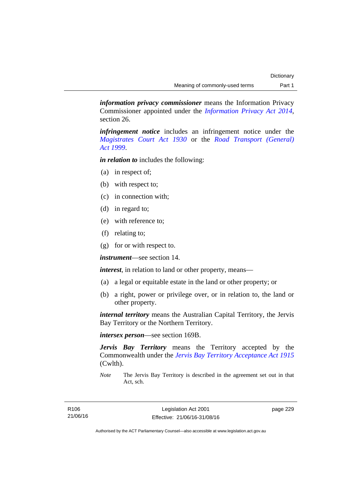*information privacy commissioner* means the Information Privacy Commissioner appointed under the *[Information Privacy Act 2014](http://www.legislation.act.gov.au/a/2014-24/default.asp)*, section 26.

*infringement notice* includes an infringement notice under the *[Magistrates Court Act 1930](http://www.legislation.act.gov.au/a/1930-21)* or the *[Road Transport \(General\)](http://www.legislation.act.gov.au/a/1999-77)  [Act 1999](http://www.legislation.act.gov.au/a/1999-77)*.

*in relation to* includes the following:

- (a) in respect of;
- (b) with respect to;
- (c) in connection with;
- (d) in regard to;
- (e) with reference to;
- (f) relating to;
- (g) for or with respect to.

*instrument*—see section 14.

*interest*, in relation to land or other property, means—

- (a) a legal or equitable estate in the land or other property; or
- (b) a right, power or privilege over, or in relation to, the land or other property.

*internal territory* means the Australian Capital Territory, the Jervis Bay Territory or the Northern Territory.

*intersex person*—see section 169B.

*Jervis Bay Territory* means the Territory accepted by the Commonwealth under the *[Jervis Bay Territory Acceptance Act 1915](http://www.comlaw.gov.au/Series/C2004A07489)* (Cwlth).

*Note* The Jervis Bay Territory is described in the agreement set out in that Act, sch.

page 229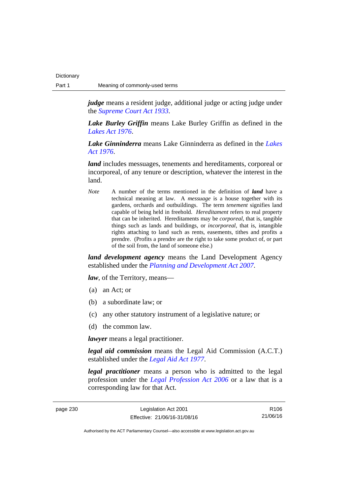*judge* means a resident judge, additional judge or acting judge under the *[Supreme Court Act 1933](http://www.legislation.act.gov.au/a/1933-34)*.

*Lake Burley Griffin* means Lake Burley Griffin as defined in the *[Lakes Act 1976](http://www.legislation.act.gov.au/a/1976-65)*.

*Lake Ginninderra* means Lake Ginninderra as defined in the *[Lakes](http://www.legislation.act.gov.au/a/1976-65)  [Act 1976](http://www.legislation.act.gov.au/a/1976-65)*.

*land* includes messuages, tenements and hereditaments, corporeal or incorporeal, of any tenure or description, whatever the interest in the land.

*Note* A number of the terms mentioned in the definition of *land* have a technical meaning at law. A *messuage* is a house together with its gardens, orchards and outbuildings. The term *tenement* signifies land capable of being held in freehold. *Hereditament* refers to real property that can be inherited. Hereditaments may be *corporeal*, that is, tangible things such as lands and buildings, or *incorporeal*, that is, intangible rights attaching to land such as rents, easements, tithes and profits a prendre. (Profits a prendre are the right to take some product of, or part of the soil from, the land of someone else.)

*land development agency* means the Land Development Agency established under the *[Planning and Development Act 2007](http://www.legislation.act.gov.au/a/2007-24)*.

*law*, of the Territory, means—

- (a) an Act; or
- (b) a subordinate law; or
- (c) any other statutory instrument of a legislative nature; or
- (d) the common law.

*lawyer* means a legal practitioner.

*legal aid commission* means the Legal Aid Commission (A.C.T.) established under the *[Legal Aid Act 1977](http://www.legislation.act.gov.au/a/1977-31)*.

*legal practitioner* means a person who is admitted to the legal profession under the *[Legal Profession Act 2006](http://www.legislation.act.gov.au/a/2006-25)* or a law that is a corresponding law for that Act.

page 230 Legislation Act 2001 Effective: 21/06/16-31/08/16

R106 21/06/16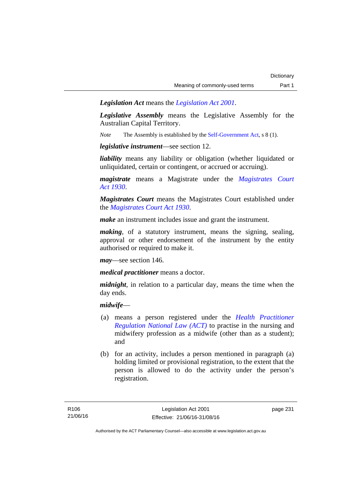*Legislation Act* means the *[Legislation Act 2001](http://www.legislation.act.gov.au/a/2001-14)*.

*Legislative Assembly* means the Legislative Assembly for the Australian Capital Territory.

*Note* The Assembly is established by the [Self-Government Act](http://www.comlaw.gov.au/Series/C2004A03699), s 8 (1).

*legislative instrument*—see section 12.

*liability* means any liability or obligation (whether liquidated or unliquidated, certain or contingent, or accrued or accruing).

*magistrate* means a Magistrate under the *[Magistrates Court](http://www.legislation.act.gov.au/a/1930-21)  [Act 1930](http://www.legislation.act.gov.au/a/1930-21)*.

*Magistrates Court* means the Magistrates Court established under the *[Magistrates Court Act 1930](http://www.legislation.act.gov.au/a/1930-21)*.

*make* an instrument includes issue and grant the instrument.

*making*, of a statutory instrument, means the signing, sealing, approval or other endorsement of the instrument by the entity authorised or required to make it.

*may*—see section 146.

*medical practitioner* means a doctor.

*midnight*, in relation to a particular day, means the time when the day ends.

## *midwife*—

- (a) means a person registered under the *[Health Practitioner](http://www.legislation.act.gov.au/a/db_39269/default.asp)  [Regulation National Law \(ACT\)](http://www.legislation.act.gov.au/a/db_39269/default.asp)* to practise in the nursing and midwifery profession as a midwife (other than as a student); and
- (b) for an activity, includes a person mentioned in paragraph (a) holding limited or provisional registration, to the extent that the person is allowed to do the activity under the person's registration.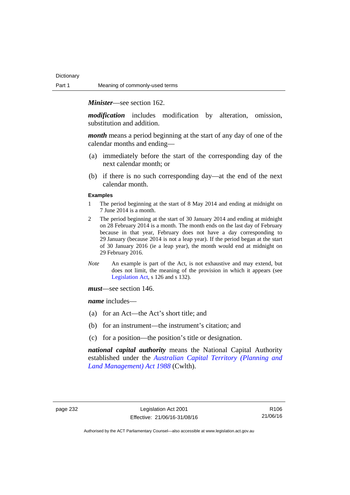*Minister*—see section 162.

*modification* includes modification by alteration, omission, substitution and addition.

*month* means a period beginning at the start of any day of one of the calendar months and ending—

- (a) immediately before the start of the corresponding day of the next calendar month; or
- (b) if there is no such corresponding day—at the end of the next calendar month.

### **Examples**

- 1 The period beginning at the start of 8 May 2014 and ending at midnight on 7 June 2014 is a month.
- 2 The period beginning at the start of 30 January 2014 and ending at midnight on 28 February 2014 is a month. The month ends on the last day of February because in that year, February does not have a day corresponding to 29 January (because 2014 is not a leap year). If the period began at the start of 30 January 2016 (ie a leap year), the month would end at midnight on 29 February 2016.
- *Note* An example is part of the Act, is not exhaustive and may extend, but does not limit, the meaning of the provision in which it appears (see [Legislation Act,](http://www.legislation.act.gov.au/a/2001-14) s 126 and s 132).

*must*—see section 146.

*name* includes—

- (a) for an Act—the Act's short title; and
- (b) for an instrument—the instrument's citation; and
- (c) for a position—the position's title or designation.

*national capital authority* means the National Capital Authority established under the *[Australian Capital Territory \(Planning and](http://www.comlaw.gov.au/Series/C2004A03701)  [Land Management\) Act 1988](http://www.comlaw.gov.au/Series/C2004A03701)* (Cwlth).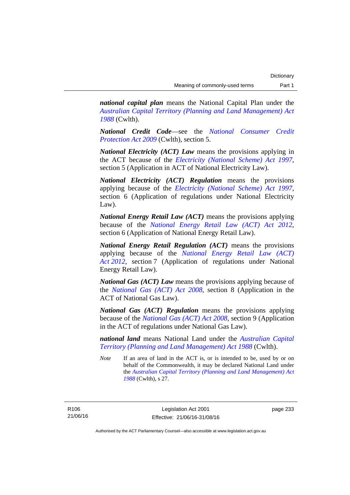*national capital plan* means the National Capital Plan under the *[Australian Capital Territory \(Planning and Land Management\) Act](http://www.comlaw.gov.au/Series/C2004A03701)  [1988](http://www.comlaw.gov.au/Series/C2004A03701)* (Cwlth).

*National Credit Code*—see the *[National Consumer Credit](http://www.comlaw.gov.au/Series/C2009A00134)  [Protection Act 2009](http://www.comlaw.gov.au/Series/C2009A00134)* (Cwlth), section 5.

*National Electricity (ACT) Law* means the provisions applying in the ACT because of the *[Electricity \(National Scheme\) Act 1997](http://www.legislation.act.gov.au/a/1997-79)*, section 5 (Application in ACT of National Electricity Law).

*National Electricity (ACT) Regulation* means the provisions applying because of the *[Electricity \(National Scheme\) Act 1997](http://www.legislation.act.gov.au/a/1997-79)*, section 6 (Application of regulations under National Electricity Law).

*National Energy Retail Law (ACT)* means the provisions applying because of the *[National Energy Retail Law \(ACT\) Act 2012](http://www.legislation.act.gov.au/a/2012-31)*, section 6 (Application of National Energy Retail Law).

*National Energy Retail Regulation (ACT)* means the provisions applying because of the *[National Energy Retail Law \(ACT\)](http://www.legislation.act.gov.au/a/2012-31)  [Act 2012](http://www.legislation.act.gov.au/a/2012-31)*, section 7 (Application of regulations under National Energy Retail Law).

*National Gas (ACT) Law* means the provisions applying because of the *[National Gas \(ACT\) Act 2008](http://www.legislation.act.gov.au/a/2008-15)*, section 8 (Application in the ACT of National Gas Law).

*National Gas (ACT) Regulation* means the provisions applying because of the *[National Gas \(ACT\) Act 2008](http://www.legislation.act.gov.au/a/2008-15)*, section 9 (Application in the ACT of regulations under National Gas Law).

*national land* means National Land under the *[Australian Capital](http://www.comlaw.gov.au/Series/C2004A03701)  [Territory \(Planning and Land Management\) Act 1988](http://www.comlaw.gov.au/Series/C2004A03701)* (Cwlth).

*Note* If an area of land in the ACT is, or is intended to be, used by or on behalf of the Commonwealth, it may be declared National Land under the *[Australian Capital Territory \(Planning and Land Management\) Act](http://www.comlaw.gov.au/Series/C2004A03701)  [1988](http://www.comlaw.gov.au/Series/C2004A03701)* (Cwlth), s 27.

R106 21/06/16 page 233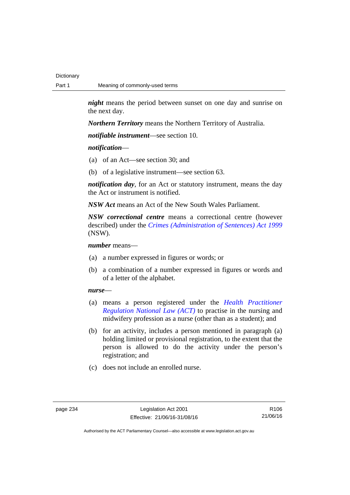*night* means the period between sunset on one day and sunrise on the next day.

*Northern Territory* means the Northern Territory of Australia.

*notifiable instrument*—see section 10.

## *notification*—

- (a) of an Act—see section 30; and
- (b) of a legislative instrument—see section 63.

*notification day*, for an Act or statutory instrument, means the day the Act or instrument is notified.

*NSW Act* means an Act of the New South Wales Parliament.

*NSW correctional centre* means a correctional centre (however described) under the *[Crimes \(Administration of Sentences\) Act 1999](http://www.legislation.nsw.gov.au/maintop/view/inforce/act+93+1999+cd+0+N)* (NSW).

*number* means—

- (a) a number expressed in figures or words; or
- (b) a combination of a number expressed in figures or words and of a letter of the alphabet.

## *nurse*—

- (a) means a person registered under the *[Health Practitioner](http://www.legislation.act.gov.au/a/db_39269/default.asp)  [Regulation National Law \(ACT\)](http://www.legislation.act.gov.au/a/db_39269/default.asp)* to practise in the nursing and midwifery profession as a nurse (other than as a student); and
- (b) for an activity, includes a person mentioned in paragraph (a) holding limited or provisional registration, to the extent that the person is allowed to do the activity under the person's registration; and
- (c) does not include an enrolled nurse.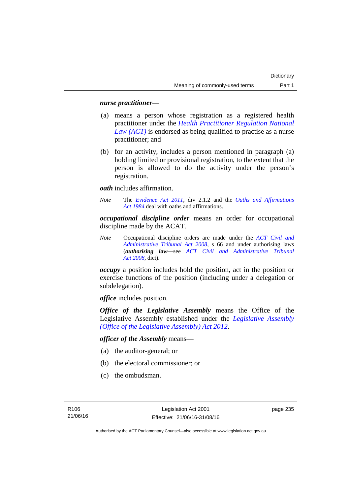## *nurse practitioner*—

- (a) means a person whose registration as a registered health practitioner under the *[Health Practitioner Regulation National](http://www.legislation.act.gov.au/a/db_39269/default.asp)  [Law \(ACT\)](http://www.legislation.act.gov.au/a/db_39269/default.asp)* is endorsed as being qualified to practise as a nurse practitioner; and
- (b) for an activity, includes a person mentioned in paragraph (a) holding limited or provisional registration, to the extent that the person is allowed to do the activity under the person's registration.

*oath* includes affirmation.

*Note* The *[Evidence Act 2011](http://www.legislation.act.gov.au/a/2011-12)*, div 2.1.2 and the *[Oaths and Affirmations](http://www.legislation.act.gov.au/a/1984-79)  [Act 1984](http://www.legislation.act.gov.au/a/1984-79)* deal with oaths and affirmations.

*occupational discipline order* means an order for occupational discipline made by the ACAT.

*Note* Occupational discipline orders are made under the *[ACT Civil and](http://www.legislation.act.gov.au/a/2008-35)  [Administrative Tribunal Act 2008](http://www.legislation.act.gov.au/a/2008-35)*, s 66 and under authorising laws (*authorising law*—see *[ACT Civil and Administrative Tribunal](http://www.legislation.act.gov.au/a/2008-35)  [Act 2008](http://www.legislation.act.gov.au/a/2008-35)*, dict).

*occupy* a position includes hold the position, act in the position or exercise functions of the position (including under a delegation or subdelegation).

*office* includes position.

*Office of the Legislative Assembly* means the Office of the Legislative Assembly established under the *[Legislative Assembly](http://www.legislation.act.gov.au/a/2012-26)  [\(Office of the Legislative Assembly\) Act 2012](http://www.legislation.act.gov.au/a/2012-26)*.

*officer of the Assembly* means—

- (a) the auditor-general; or
- (b) the electoral commissioner; or
- (c) the ombudsman.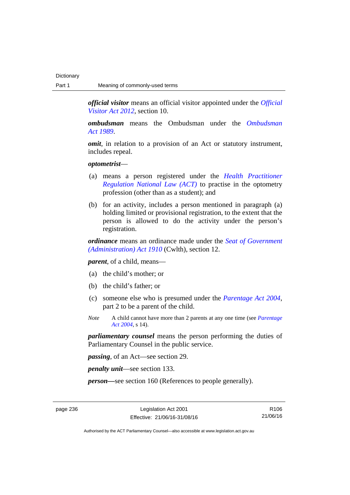*official visitor* means an official visitor appointed under the *[Official](http://www.legislation.act.gov.au/a/2012-33)  [Visitor Act 2012](http://www.legislation.act.gov.au/a/2012-33)*, section 10.

*ombudsman* means the Ombudsman under the *[Ombudsman](http://www.legislation.act.gov.au/a/alt_a1989-45co)  [Act 1989](http://www.legislation.act.gov.au/a/alt_a1989-45co)*.

*omit*, in relation to a provision of an Act or statutory instrument, includes repeal.

### *optometrist*—

- (a) means a person registered under the *[Health Practitioner](http://www.legislation.act.gov.au/a/db_39269/default.asp)  [Regulation National Law \(ACT\)](http://www.legislation.act.gov.au/a/db_39269/default.asp)* to practise in the optometry profession (other than as a student); and
- (b) for an activity, includes a person mentioned in paragraph (a) holding limited or provisional registration, to the extent that the person is allowed to do the activity under the person's registration.

*ordinance* means an ordinance made under the *[Seat of Government](http://www.comlaw.gov.au/Series/C2004A07446)  [\(Administration\) Act 1910](http://www.comlaw.gov.au/Series/C2004A07446)* (Cwlth), section 12.

*parent*, of a child, means—

- (a) the child's mother; or
- (b) the child's father; or
- (c) someone else who is presumed under the *[Parentage Act 2004](http://www.legislation.act.gov.au/a/2004-1)*, part 2 to be a parent of the child.
- *Note* A child cannot have more than 2 parents at any one time (see *[Parentage](http://www.legislation.act.gov.au/a/2004-1)  [Act 2004](http://www.legislation.act.gov.au/a/2004-1)*, s 14).

*parliamentary counsel* means the person performing the duties of Parliamentary Counsel in the public service.

*passing*, of an Act—see section 29.

*penalty unit*—see section 133.

*person—*see section 160 (References to people generally).

page 236 Legislation Act 2001 Effective: 21/06/16-31/08/16

R106 21/06/16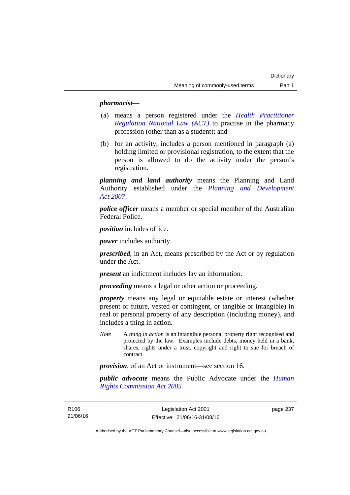## *pharmacist***—**

- (a) means a person registered under the *[Health Practitioner](http://www.legislation.act.gov.au/a/db_39269/default.asp)  [Regulation National Law \(ACT\)](http://www.legislation.act.gov.au/a/db_39269/default.asp)* to practise in the pharmacy profession (other than as a student); and
- (b) for an activity, includes a person mentioned in paragraph (a) holding limited or provisional registration, to the extent that the person is allowed to do the activity under the person's registration.

*planning and land authority* means the Planning and Land Authority established under the *[Planning and Development](http://www.legislation.act.gov.au/a/2007-24)  [Act 2007](http://www.legislation.act.gov.au/a/2007-24)*.

*police officer* means a member or special member of the Australian Federal Police.

*position* includes office.

*power* includes authority.

*prescribed*, in an Act, means prescribed by the Act or by regulation under the Act.

*present* an indictment includes lay an information.

*proceeding* means a legal or other action or proceeding.

*property* means any legal or equitable estate or interest (whether present or future, vested or contingent, or tangible or intangible) in real or personal property of any description (including money), and includes a thing in action.

*Note* A *thing in action* is an intangible personal property right recognised and protected by the law. Examples include debts, money held in a bank, shares, rights under a trust, copyright and right to sue for breach of contract.

*provision*, of an Act or instrument—see section 16.

*public advocate* means the Public Advocate under the *[Human](http://www.legislation.act.gov.au/a/2005-40)  [Rights Commission Act 2005](http://www.legislation.act.gov.au/a/2005-40)*

R106 21/06/16 page 237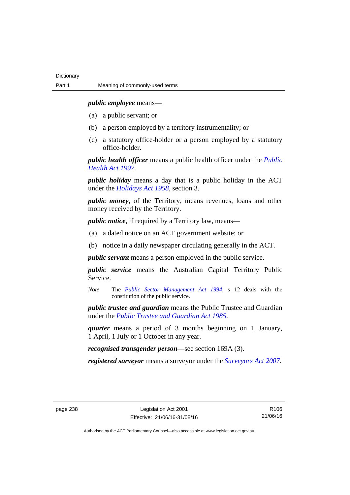*public employee* means—

- (a) a public servant; or
- (b) a person employed by a territory instrumentality; or
- (c) a statutory office-holder or a person employed by a statutory office-holder.

*public health officer* means a public health officer under the *[Public](http://www.legislation.act.gov.au/a/1997-69)  [Health Act 1997.](http://www.legislation.act.gov.au/a/1997-69)*

*public holiday* means a day that is a public holiday in the ACT under the *[Holidays Act 1958](http://www.legislation.act.gov.au/a/1958-19)*, section 3.

*public money*, of the Territory, means revenues, loans and other money received by the Territory.

*public notice*, if required by a Territory law, means—

- (a) a dated notice on an ACT government website; or
- (b) notice in a daily newspaper circulating generally in the ACT.

*public servant* means a person employed in the public service.

*public service* means the Australian Capital Territory Public Service.

*Note* The *[Public Sector Management Act 1994](http://www.legislation.act.gov.au/a/1994-37)*, s 12 deals with the constitution of the public service.

*public trustee and guardian* means the Public Trustee and Guardian under the *[Public Trustee and Guardian Act 1985](http://www.legislation.act.gov.au/a/1985-8/default.asp)*.

*quarter* means a period of 3 months beginning on 1 January, 1 April, 1 July or 1 October in any year.

*recognised transgender person*—see section 169A (3).

*registered surveyor* means a surveyor under the *[Surveyors Act 2007](http://www.legislation.act.gov.au/a/2007-33)*.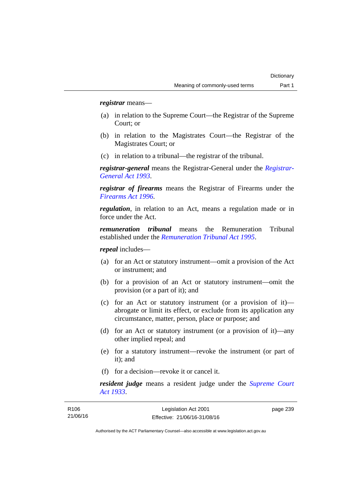*registrar* means—

- (a) in relation to the Supreme Court—the Registrar of the Supreme Court; or
- (b) in relation to the Magistrates Court—the Registrar of the Magistrates Court; or
- (c) in relation to a tribunal—the registrar of the tribunal.

*registrar-general* means the Registrar-General under the *[Registrar-](http://www.legislation.act.gov.au/a/1993-63)[General Act 1993](http://www.legislation.act.gov.au/a/1993-63)*.

*registrar of firearms* means the Registrar of Firearms under the *[Firearms Act 1996](http://www.legislation.act.gov.au/a/1996-74)*.

*regulation*, in relation to an Act, means a regulation made or in force under the Act.

*remuneration tribunal* means the Remuneration Tribunal established under the *[Remuneration Tribunal Act 1995](http://www.legislation.act.gov.au/a/1995-55)*.

*repeal* includes—

- (a) for an Act or statutory instrument—omit a provision of the Act or instrument; and
- (b) for a provision of an Act or statutory instrument—omit the provision (or a part of it); and
- (c) for an Act or statutory instrument (or a provision of it) abrogate or limit its effect, or exclude from its application any circumstance, matter, person, place or purpose; and
- (d) for an Act or statutory instrument (or a provision of it)—any other implied repeal; and
- (e) for a statutory instrument—revoke the instrument (or part of it); and
- (f) for a decision—revoke it or cancel it.

*resident judge* means a resident judge under the *[Supreme Court](http://www.legislation.act.gov.au/a/1933-34)  [Act 1933](http://www.legislation.act.gov.au/a/1933-34)*.

| R <sub>106</sub> | Legislation Act 2001         | page 239 |
|------------------|------------------------------|----------|
| 21/06/16         | Effective: 21/06/16-31/08/16 |          |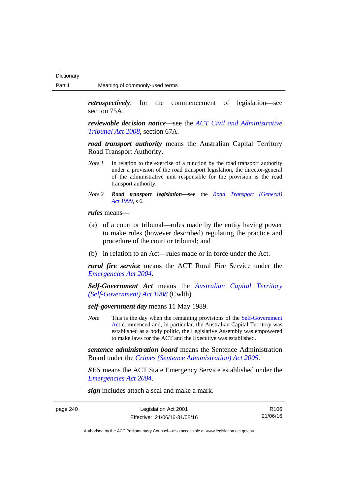*retrospectively*, for the commencement of legislation—see section 75A.

*reviewable decision notice*—see the *[ACT Civil and Administrative](http://www.legislation.act.gov.au/a/2008-35)  [Tribunal Act 2008](http://www.legislation.act.gov.au/a/2008-35)*, section 67A.

*road transport authority* means the Australian Capital Territory Road Transport Authority.

- *Note 1* In relation to the exercise of a function by the road transport authority under a provision of the road transport legislation, the director-general of the administrative unit responsible for the provision is the road transport authority.
- *Note 2 Road transport legislation––*see the *[Road Transport \(General\)](http://www.legislation.act.gov.au/a/1999-77)  [Act 1999](http://www.legislation.act.gov.au/a/1999-77)*, s 6.

*rules* means—

- (a) of a court or tribunal—rules made by the entity having power to make rules (however described) regulating the practice and procedure of the court or tribunal; and
- (b) in relation to an Act—rules made or in force under the Act.

*rural fire service* means the ACT Rural Fire Service under the *[Emergencies Act 2004](http://www.legislation.act.gov.au/a/2004-28)*.

*Self-Government Act* means the *[Australian Capital Territory](http://www.comlaw.gov.au/Series/C2004A03699)  [\(Self-Government\) Act 1988](http://www.comlaw.gov.au/Series/C2004A03699)* (Cwlth).

*self-government day* means 11 May 1989.

*Note* This is the day when the remaining provisions of the Self-Government [Act](http://www.comlaw.gov.au/Series/C2004A03699) commenced and, in particular, the Australian Capital Territory was established as a body politic, the Legislative Assembly was empowered to make laws for the ACT and the Executive was established.

*sentence administration board* means the Sentence Administration Board under the *[Crimes \(Sentence Administration\) Act 2005](http://www.legislation.act.gov.au/a/2005-59)*.

*SES* means the ACT State Emergency Service established under the *[Emergencies Act 2004](http://www.legislation.act.gov.au/a/2004-28)*.

*sign* includes attach a seal and make a mark.

page 240

| Legislation Act 2001         | R106     |
|------------------------------|----------|
| Effective: 21/06/16-31/08/16 | 21/06/16 |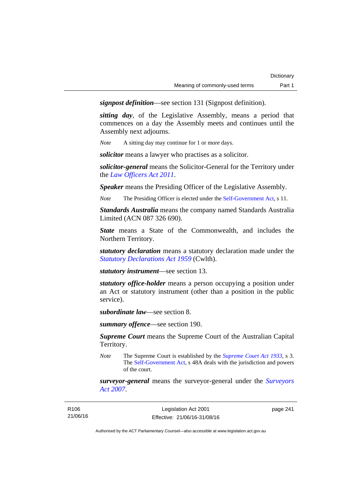*signpost definition*—see section 131 (Signpost definition).

*sitting day*, of the Legislative Assembly, means a period that commences on a day the Assembly meets and continues until the Assembly next adjourns.

*Note* A sitting day may continue for 1 or more days.

*solicitor* means a lawyer who practises as a solicitor.

*solicitor-general* means the Solicitor-General for the Territory under the *[Law Officers Act 2011](http://www.legislation.act.gov.au/a/2011-30)*.

*Speaker* means the Presiding Officer of the Legislative Assembly.

*Note* The Presiding Officer is elected under the [Self-Government Act](http://www.comlaw.gov.au/Series/C2004A03699), s 11.

*Standards Australia* means the company named Standards Australia Limited (ACN 087 326 690).

*State* means a State of the Commonwealth, and includes the Northern Territory.

*statutory declaration* means a statutory declaration made under the *[Statutory Declarations Act 1959](http://www.comlaw.gov.au/Series/C2004A07365)* (Cwlth).

*statutory instrument*—see section 13.

*statutory office-holder* means a person occupying a position under an Act or statutory instrument (other than a position in the public service).

*subordinate law*—see section 8.

*summary offence*—see section 190.

*Supreme Court* means the Supreme Court of the Australian Capital Territory.

*Note* The Supreme Court is established by the *[Supreme Court Act 1933](http://www.legislation.act.gov.au/a/1933-34)*, s 3. The [Self-Government Act](http://www.comlaw.gov.au/Series/C2004A03699), s 48A deals with the jurisdiction and powers of the court.

*surveyor-general* means the surveyor-general under the *[Surveyors](http://www.legislation.act.gov.au/a/2007-33)  [Act 2007](http://www.legislation.act.gov.au/a/2007-33)*.

| R106     |  |
|----------|--|
| 21/06/16 |  |

page 241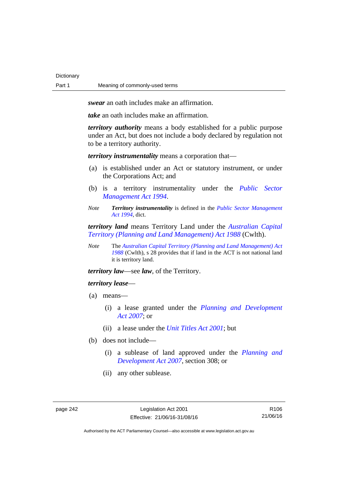**Dictionary** 

*swear* an oath includes make an affirmation.

*take* an oath includes make an affirmation.

*territory authority* means a body established for a public purpose under an Act, but does not include a body declared by regulation not to be a territory authority.

*territory instrumentality* means a corporation that—

- (a) is established under an Act or statutory instrument, or under the Corporations Act; and
- (b) is a territory instrumentality under the *[Public Sector](http://www.legislation.act.gov.au/a/1994-37)  [Management Act 1994](http://www.legislation.act.gov.au/a/1994-37)*.
- *Note Territory instrumentality* is defined in the *[Public Sector Management](http://www.legislation.act.gov.au/a/1994-37)  [Act 1994](http://www.legislation.act.gov.au/a/1994-37)*, dict.

*territory land* means Territory Land under the *[Australian Capital](http://www.comlaw.gov.au/Series/C2004A03701)  [Territory \(Planning and Land Management\) Act 1988](http://www.comlaw.gov.au/Series/C2004A03701)* (Cwlth).

*Note* The *[Australian Capital Territory \(Planning and Land Management\) Act](http://www.comlaw.gov.au/Series/C2004A03701)  [1988](http://www.comlaw.gov.au/Series/C2004A03701)* (Cwlth), s 28 provides that if land in the ACT is not national land it is territory land.

*territory law*—see *law*, of the Territory.

## *territory lease*—

- (a) means—
	- (i) a lease granted under the *[Planning and Development](http://www.legislation.act.gov.au/a/2007-24)  [Act 2007](http://www.legislation.act.gov.au/a/2007-24)*; or
	- (ii) a lease under the *[Unit Titles Act 2001](http://www.legislation.act.gov.au/a/2001-16)*; but
- (b) does not include—
	- (i) a sublease of land approved under the *[Planning and](http://www.legislation.act.gov.au/a/2007-24)  [Development Act 2007](http://www.legislation.act.gov.au/a/2007-24)*, section 308; or
	- (ii) any other sublease.

R106 21/06/16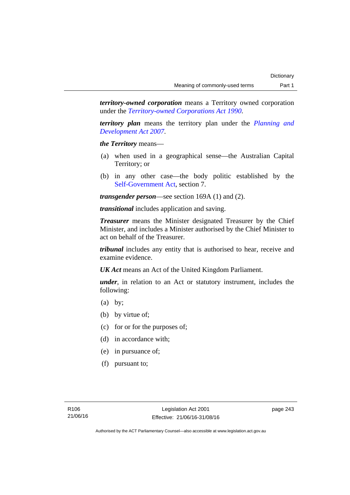*territory-owned corporation* means a Territory owned corporation under the *[Territory-owned Corporations Act 1990](http://www.legislation.act.gov.au/a/1990-53)*.

*territory plan* means the territory plan under the *[Planning and](http://www.legislation.act.gov.au/a/2007-24)  [Development Act 2007](http://www.legislation.act.gov.au/a/2007-24)*.

*the Territory* means—

- (a) when used in a geographical sense—the Australian Capital Territory; or
- (b) in any other case—the body politic established by the [Self-Government Act,](http://www.comlaw.gov.au/Series/C2004A03699) section 7.

*transgender person*—see section 169A (1) and (2).

*transitional* includes application and saving.

*Treasurer* means the Minister designated Treasurer by the Chief Minister, and includes a Minister authorised by the Chief Minister to act on behalf of the Treasurer.

*tribunal* includes any entity that is authorised to hear, receive and examine evidence.

*UK Act* means an Act of the United Kingdom Parliament.

*under*, in relation to an Act or statutory instrument, includes the following:

- (a) by;
- (b) by virtue of;
- (c) for or for the purposes of;
- (d) in accordance with;
- (e) in pursuance of;
- (f) pursuant to;

page 243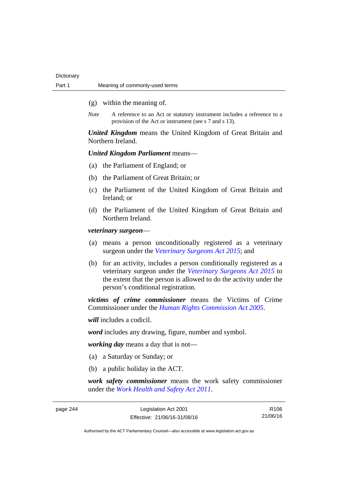- (g) within the meaning of.
- *Note* A reference to an Act or statutory instrument includes a reference to a provision of the Act or instrument (see s 7 and s 13).

*United Kingdom* means the United Kingdom of Great Britain and Northern Ireland.

## *United Kingdom Parliament* means—

- (a) the Parliament of England; or
- (b) the Parliament of Great Britain; or
- (c) the Parliament of the United Kingdom of Great Britain and Ireland; or
- (d) the Parliament of the United Kingdom of Great Britain and Northern Ireland.

*veterinary surgeon*—

- (a) means a person unconditionally registered as a veterinary surgeon under the *[Veterinary Surgeons Act 2015](http://www.legislation.act.gov.au/a/2015-29)*; and
- (b) for an activity, includes a person conditionally registered as a veterinary surgeon under the *[Veterinary Surgeons Act 2015](http://www.legislation.act.gov.au/a/2015-29)* to the extent that the person is allowed to do the activity under the person's conditional registration.

*victims of crime commissioner* means the Victims of Crime Commissioner under the *[Human Rights Commission Act 2005](http://www.legislation.act.gov.au/a/2005-40)*.

*will* includes a codicil.

*word* includes any drawing, figure, number and symbol.

*working day* means a day that is not—

- (a) a Saturday or Sunday; or
- (b) a public holiday in the ACT.

*work safety commissioner* means the work safety commissioner under the *[Work Health and Safety Act 2011](http://www.legislation.act.gov.au/a/2011-35)*.

R106 21/06/16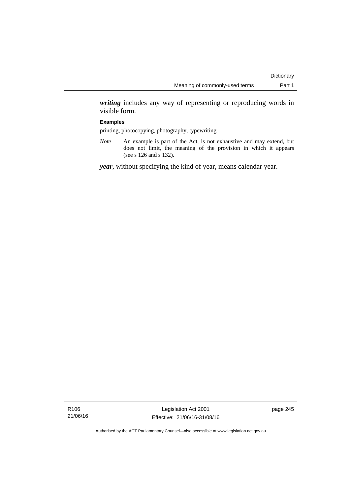*writing* includes any way of representing or reproducing words in visible form.

## **Examples**

printing, photocopying, photography, typewriting

*Note* An example is part of the Act, is not exhaustive and may extend, but does not limit, the meaning of the provision in which it appears (see s 126 and s 132).

*year*, without specifying the kind of year, means calendar year.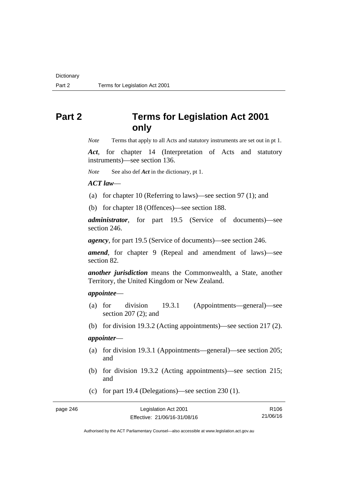# **Part 2 Terms for Legislation Act 2001 only**

*Note* Terms that apply to all Acts and statutory instruments are set out in pt 1.

*Act*, for chapter 14 (Interpretation of Acts and statutory instruments)—see section 136.

*Note* See also def *Act* in the dictionary, pt 1.

*ACT law*—

(a) for chapter 10 (Referring to laws)—see section 97 (1); and

(b) for chapter 18 (Offences)—see section 188.

*administrator*, for part 19.5 (Service of documents)—see section 246.

*agency*, for part 19.5 (Service of documents)—see section 246.

*amend*, for chapter 9 (Repeal and amendment of laws)—see section 82.

*another jurisdiction* means the Commonwealth, a State, another Territory, the United Kingdom or New Zealand.

## *appointee*—

- (a) for division 19.3.1 (Appointments—general)—see section 207 (2); and
- (b) for division 19.3.2 (Acting appointments)—see section 217 (2).

## *appointer*—

- (a) for division 19.3.1 (Appointments—general)—see section 205; and
- (b) for division 19.3.2 (Acting appointments)—see section 215; and
- (c) for part 19.4 (Delegations)—see section 230 (1).

| page 246 | Legislation Act 2001         | R <sub>106</sub> |
|----------|------------------------------|------------------|
|          | Effective: 21/06/16-31/08/16 | 21/06/16         |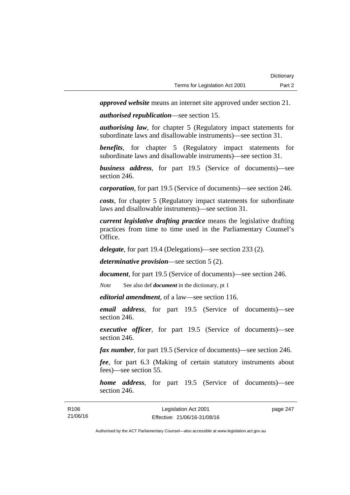*approved website* means an internet site approved under section 21.

*authorised republication*—see section 15.

*authorising law*, for chapter 5 (Regulatory impact statements for subordinate laws and disallowable instruments)—see section 31.

*benefits*, for chapter 5 (Regulatory impact statements for subordinate laws and disallowable instruments)—see section 31.

*business address*, for part 19.5 (Service of documents)—see section 246.

*corporation*, for part 19.5 (Service of documents)—see section 246.

*costs*, for chapter 5 (Regulatory impact statements for subordinate laws and disallowable instruments)—see section 31.

*current legislative drafting practice* means the legislative drafting practices from time to time used in the Parliamentary Counsel's Office.

*delegate*, for part 19.4 (Delegations)—see section 233 (2).

*determinative provision*—see section 5 (2).

*document*, for part 19.5 (Service of documents)—see section 246.

*Note* See also def *document* in the dictionary, pt 1

*editorial amendment*, of a law—see section 116.

*email address*, for part 19.5 (Service of documents)—see section 246.

*executive officer*, for part 19.5 (Service of documents)—see section 246.

*fax number*, for part 19.5 (Service of documents)—see section 246.

*fee*, for part 6.3 (Making of certain statutory instruments about fees)—see section 55.

*home address*, for part 19.5 (Service of documents)—see section 246.

| R <sub>106</sub> | Legislation Act 2001         | page 247 |
|------------------|------------------------------|----------|
| 21/06/16         | Effective: 21/06/16-31/08/16 |          |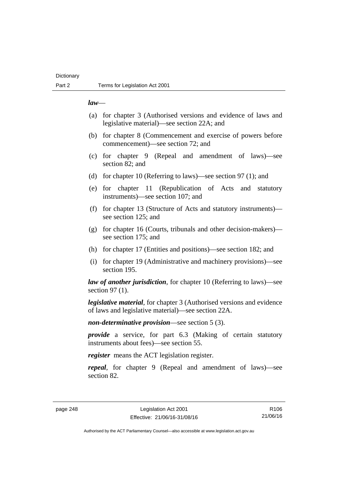## **Dictionary**

## *law*—

- (a) for chapter 3 (Authorised versions and evidence of laws and legislative material)—see section 22A; and
- (b) for chapter 8 (Commencement and exercise of powers before commencement)—see section 72; and
- (c) for chapter 9 (Repeal and amendment of laws)—see section 82; and
- (d) for chapter 10 (Referring to laws)—see section 97 (1); and
- (e) for chapter 11 (Republication of Acts and statutory instruments)—see section 107; and
- (f) for chapter 13 (Structure of Acts and statutory instruments) see section 125; and
- (g) for chapter 16 (Courts, tribunals and other decision-makers) see section 175; and
- (h) for chapter 17 (Entities and positions)—see section 182; and
- (i) for chapter 19 (Administrative and machinery provisions)—see section 195.

*law of another jurisdiction*, for chapter 10 (Referring to laws)—see section 97 (1).

*legislative material*, for chapter 3 (Authorised versions and evidence of laws and legislative material)—see section 22A.

*non-determinative provision*—see section 5 (3).

*provide* a service, for part 6.3 (Making of certain statutory instruments about fees)—see section 55.

*register* means the ACT legislation register.

*repeal*, for chapter 9 (Repeal and amendment of laws)—see section 82.

R106 21/06/16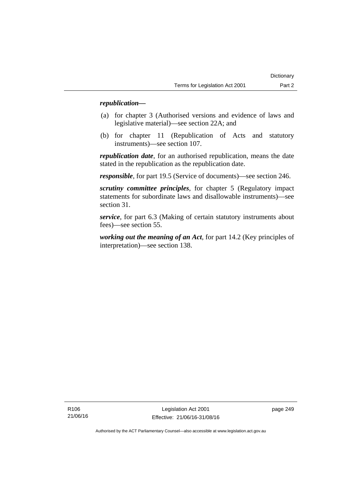## *republication—*

- (a) for chapter 3 (Authorised versions and evidence of laws and legislative material)—see section 22A; and
- (b) for chapter 11 (Republication of Acts and statutory instruments)—see section 107.

*republication date*, for an authorised republication, means the date stated in the republication as the republication date.

*responsible*, for part 19.5 (Service of documents)—see section 246.

*scrutiny committee principles*, for chapter 5 (Regulatory impact statements for subordinate laws and disallowable instruments)—see section 31.

*service*, for part 6.3 (Making of certain statutory instruments about fees)—see section 55.

*working out the meaning of an Act*, for part 14.2 (Key principles of interpretation)—see section 138.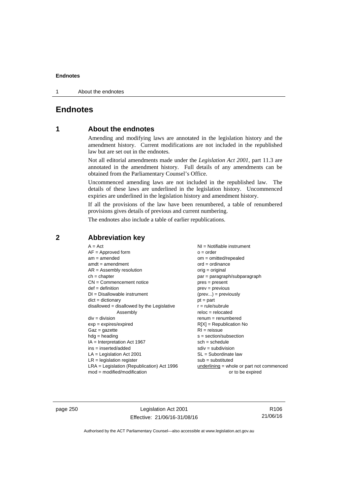1 About the endnotes

## **Endnotes**

## **1 About the endnotes**

Amending and modifying laws are annotated in the legislation history and the amendment history. Current modifications are not included in the republished law but are set out in the endnotes.

Not all editorial amendments made under the *Legislation Act 2001*, part 11.3 are annotated in the amendment history. Full details of any amendments can be obtained from the Parliamentary Counsel's Office.

Uncommenced amending laws are not included in the republished law. The details of these laws are underlined in the legislation history. Uncommenced expiries are underlined in the legislation history and amendment history.

If all the provisions of the law have been renumbered, a table of renumbered provisions gives details of previous and current numbering.

The endnotes also include a table of earlier republications.

**2 Abbreviation key** 

page 250 Legislation Act 2001 Effective: 21/06/16-31/08/16

R106 21/06/16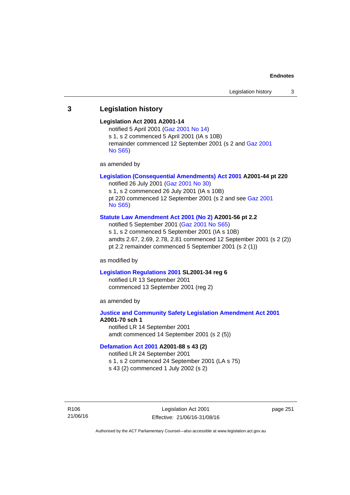## **3 Legislation history**

#### **Legislation Act 2001 A2001-14**

notified 5 April 2001 ([Gaz 2001 No 14](http://www.legislation.act.gov.au/gaz/2001-14/default.asp)) s 1, s 2 commenced 5 April 2001 (IA s 10B) remainder commenced 12 September 2001 (s 2 and [Gaz 2001](http://www.legislation.act.gov.au/gaz/2001-S65/default.asp)  [No S65](http://www.legislation.act.gov.au/gaz/2001-S65/default.asp))

as amended by

## **[Legislation \(Consequential Amendments\) Act 2001](http://www.legislation.act.gov.au/a/2001-44) A2001-44 pt 220**

notified 26 July 2001 ([Gaz 2001 No 30\)](http://www.legislation.act.gov.au/gaz/2001-30/default.asp) s 1, s 2 commenced 26 July 2001 (IA s 10B) pt 220 commenced 12 September 2001 (s 2 and see [Gaz 2001](http://www.legislation.act.gov.au/gaz/2001-S65/default.asp)  [No S65](http://www.legislation.act.gov.au/gaz/2001-S65/default.asp))

## **[Statute Law Amendment Act 2001 \(No 2\)](http://www.legislation.act.gov.au/a/2001-56) A2001-56 pt 2.2**

notified 5 September 2001 [\(Gaz 2001 No S65\)](http://www.legislation.act.gov.au/gaz/2001-S65/default.asp) s 1, s 2 commenced 5 September 2001 (IA s 10B) amdts 2.67, 2.69, 2.78, 2.81 commenced 12 September 2001 (s 2 (2)) pt 2.2 remainder commenced 5 September 2001 (s 2 (1))

as modified by

#### **[Legislation Regulations 2001](http://www.legislation.act.gov.au/sl/2001-34) SL2001-34 reg 6**

notified LR 13 September 2001 commenced 13 September 2001 (reg 2)

as amended by

## **[Justice and Community Safety Legislation Amendment Act 2001](http://www.legislation.act.gov.au/a/2001-70) A2001-70 sch 1**  notified LR 14 September 2001

amdt commenced 14 September 2001 (s 2 (5))

## **[Defamation Act 2001](http://www.legislation.act.gov.au/a/2001-88) A2001-88 s 43 (2)**

notified LR 24 September 2001

s 1, s 2 commenced 24 September 2001 (LA s 75)

s 43 (2) commenced 1 July 2002 (s 2)

R106 21/06/16

Legislation Act 2001 Effective: 21/06/16-31/08/16 page 251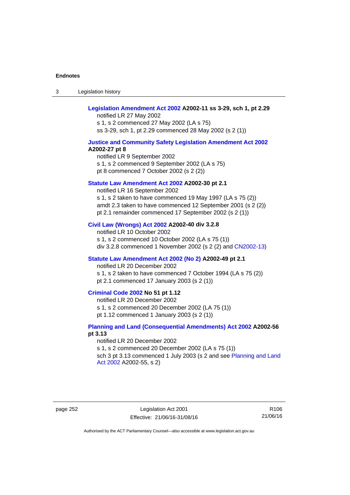3 Legislation history

## **[Legislation Amendment Act 2002](http://www.legislation.act.gov.au/a/2002-11) A2002-11 ss 3-29, sch 1, pt 2.29**

notified LR 27 May 2002 s 1, s 2 commenced 27 May 2002 (LA s 75) ss 3-29, sch 1, pt 2.29 commenced 28 May 2002 (s 2 (1))

### **[Justice and Community Safety Legislation Amendment Act 2002](http://www.legislation.act.gov.au/a/2002-27) A2002-27 pt 8**

notified LR 9 September 2002 s 1, s 2 commenced 9 September 2002 (LA s 75) pt 8 commenced 7 October 2002 (s 2 (2))

#### **[Statute Law Amendment Act 2002](http://www.legislation.act.gov.au/a/2002-30) A2002-30 pt 2.1**

notified LR 16 September 2002 s 1, s 2 taken to have commenced 19 May 1997 (LA s 75 (2)) amdt 2.3 taken to have commenced 12 September 2001 (s 2 (2)) pt 2.1 remainder commenced 17 September 2002 (s 2 (1))

#### **[Civil Law \(Wrongs\) Act 2002](http://www.legislation.act.gov.au/a/2002-40) A2002-40 div 3.2.8**

notified LR 10 October 2002 s 1, s 2 commenced 10 October 2002 (LA s 75 (1)) div 3.2.8 commenced 1 November 2002 (s 2 (2) and [CN2002-13](http://www.legislation.act.gov.au/cn/2002-13/default.asp))

## **[Statute Law Amendment Act 2002 \(No 2\)](http://www.legislation.act.gov.au/a/2002-49) A2002-49 pt 2.1**

notified LR 20 December 2002 s 1, s 2 taken to have commenced 7 October 1994 (LA s 75 (2)) pt 2.1 commenced 17 January 2003 (s 2 (1))

#### **[Criminal Code 2002](http://www.legislation.act.gov.au/a/2002-51) No 51 pt 1.12**

notified LR 20 December 2002 s 1, s 2 commenced 20 December 2002 (LA 75 (1)) pt 1.12 commenced 1 January 2003 (s 2 (1))

## **[Planning and Land \(Consequential Amendments\) Act 2002](http://www.legislation.act.gov.au/a/2002-56) A2002-56 pt 3.13**

notified LR 20 December 2002 s 1, s 2 commenced 20 December 2002 (LA s 75 (1)) sch 3 pt 3.13 commenced 1 July 2003 (s 2 and see Planning and Land [Act 2002](http://www.legislation.act.gov.au/a/2002-55) A2002-55, s 2)

page 252 Legislation Act 2001 Effective: 21/06/16-31/08/16

R106 21/06/16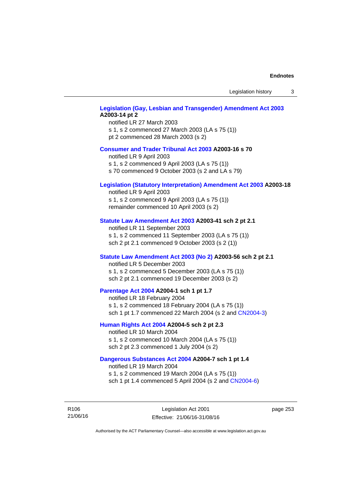Legislation history 3

## **[Legislation \(Gay, Lesbian and Transgender\) Amendment Act 2003](http://www.legislation.act.gov.au/a/2003-14) A2003-14 pt 2**

notified LR 27 March 2003 s 1, s 2 commenced 27 March 2003 (LA s 75 (1)) pt 2 commenced 28 March 2003 (s 2)

#### **[Consumer and Trader Tribunal Act 2003](http://www.legislation.act.gov.au/a/2003-16) A2003-16 s 70**

notified LR 9 April 2003

s 1, s 2 commenced 9 April 2003 (LA s 75 (1))

s 70 commenced 9 October 2003 (s 2 and LA s 79)

## **[Legislation \(Statutory Interpretation\) Amendment Act 2003](http://www.legislation.act.gov.au/a/2003-18) A2003-18**

notified LR 9 April 2003 s 1, s 2 commenced 9 April 2003 (LA s 75 (1)) remainder commenced 10 April 2003 (s 2)

#### **[Statute Law Amendment Act 2003](http://www.legislation.act.gov.au/a/2003-41) A2003-41 sch 2 pt 2.1**

notified LR 11 September 2003 s 1, s 2 commenced 11 September 2003 (LA s 75 (1)) sch 2 pt 2.1 commenced 9 October 2003 (s 2 (1))

## **[Statute Law Amendment Act 2003 \(No 2\)](http://www.legislation.act.gov.au/a/2003-56) A2003-56 sch 2 pt 2.1**

notified LR 5 December 2003 s 1, s 2 commenced 5 December 2003 (LA s 75 (1)) sch 2 pt 2.1 commenced 19 December 2003 (s 2)

## **[Parentage Act 2004](http://www.legislation.act.gov.au/a/2004-1) A2004-1 sch 1 pt 1.7**

notified LR 18 February 2004 s 1, s 2 commenced 18 February 2004 (LA s 75 (1)) sch 1 pt 1.7 commenced 22 March 2004 (s 2 and [CN2004-3\)](http://www.legislation.act.gov.au/cn/2004-3/default.asp)

## **[Human Rights Act 2004](http://www.legislation.act.gov.au/a/2004-5) A2004-5 sch 2 pt 2.3**

notified LR 10 March 2004 s 1, s 2 commenced 10 March 2004 (LA s 75 (1)) sch 2 pt 2.3 commenced 1 July 2004 (s 2)

## **[Dangerous Substances Act 2004](http://www.legislation.act.gov.au/a/2004-7) A2004-7 sch 1 pt 1.4**

notified LR 19 March 2004 s 1, s 2 commenced 19 March 2004 (LA s 75 (1)) sch 1 pt 1.4 commenced 5 April 2004 (s 2 and [CN2004-6](http://www.legislation.act.gov.au/cn/2004-6/default.asp))

R106 21/06/16 page 253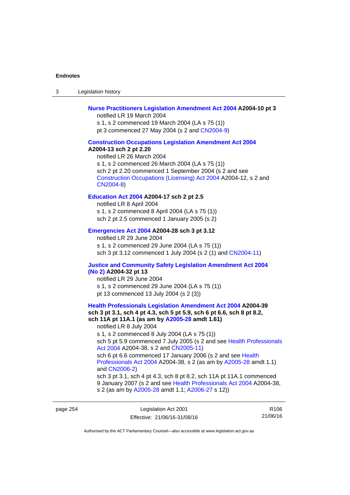3 Legislation history

## **[Nurse Practitioners Legislation Amendment Act 2004](http://www.legislation.act.gov.au/a/2004-10) A2004-10 pt 3**

notified LR 19 March 2004 s 1, s 2 commenced 19 March 2004 (LA s 75 (1)) pt 3 commenced 27 May 2004 (s 2 and [CN2004-9\)](http://www.legislation.act.gov.au/cn/2004-9/default.asp)

#### **[Construction Occupations Legislation Amendment Act 2004](http://www.legislation.act.gov.au/a/2004-13)**

#### **A2004-13 sch 2 pt 2.20**

notified LR 26 March 2004 s 1, s 2 commenced 26 March 2004 (LA s 75 (1)) sch 2 pt 2.20 commenced 1 September 2004 (s 2 and see [Construction Occupations \(Licensing\) Act 2004](http://www.legislation.act.gov.au/a/2004-12) A2004-12, s 2 and [CN2004-8\)](http://www.legislation.act.gov.au/cn/2004-8/default.asp)

## **[Education Act 2004](http://www.legislation.act.gov.au/a/2004-17) A2004-17 sch 2 pt 2.5**

notified LR 8 April 2004 s 1, s 2 commenced 8 April 2004 (LA s 75 (1)) sch 2 pt 2.5 commenced 1 January 2005 (s 2)

#### **[Emergencies Act 2004](http://www.legislation.act.gov.au/a/2004-28) A2004-28 sch 3 pt 3.12**

notified LR 29 June 2004 s 1, s 2 commenced 29 June 2004 (LA s 75 (1)) sch 3 pt 3.12 commenced 1 July 2004 (s 2 (1) and [CN2004-11](http://www.legislation.act.gov.au/cn/2004-11/default.asp))

## **[Justice and Community Safety Legislation Amendment Act 2004](http://www.legislation.act.gov.au/a/2004-32)**

## **[\(No 2\)](http://www.legislation.act.gov.au/a/2004-32) A2004-32 pt 13**

notified LR 29 June 2004 s 1, s 2 commenced 29 June 2004 (LA s 75 (1)) pt 13 commenced 13 July 2004 (s 2 (3))

## **[Health Professionals Legislation Amendment Act 2004](http://www.legislation.act.gov.au/a/2004-39) A2004-39 sch 3 pt 3.1, sch 4 pt 4.3, sch 5 pt 5.9, sch 6 pt 6.6, sch 8 pt 8.2, sch 11A pt 11A.1 (as am by [A2005-28](http://www.legislation.act.gov.au/a/2005-28) amdt 1.61)**  notified LR 8 July 2004 s 1, s 2 commenced 8 July 2004 (LA s 75 (1))

sch 5 pt 5.9 commenced 7 July 2005 (s 2 and see Health Professionals [Act 2004](http://www.legislation.act.gov.au/a/2004-38) A2004-38, s 2 and [CN2005-11\)](http://www.legislation.act.gov.au/cn/2005-11/default.asp)

sch 6 pt 6.6 commenced 17 January 2006 (s 2 and see Health [Professionals Act 2004](http://www.legislation.act.gov.au/a/2004-38) A2004-38, s 2 (as am by [A2005-28](http://www.legislation.act.gov.au/a/2005-28) amdt 1.1) and [CN2006-2](http://www.legislation.act.gov.au/cn/2006-2/default.asp))

sch 3 pt 3.1, sch 4 pt 4.3, sch 8 pt 8.2, sch 11A pt 11A.1 commenced 9 January 2007 (s 2 and see [Health Professionals Act 2004](http://www.legislation.act.gov.au/a/2004-38) A2004-38, s 2 (as am by [A2005-28](http://www.legislation.act.gov.au/a/2005-28) amdt 1.1; [A2006-27](http://www.legislation.act.gov.au/a/2006-27) s 12))

page 254 Legislation Act 2001 Effective: 21/06/16-31/08/16

R106 21/06/16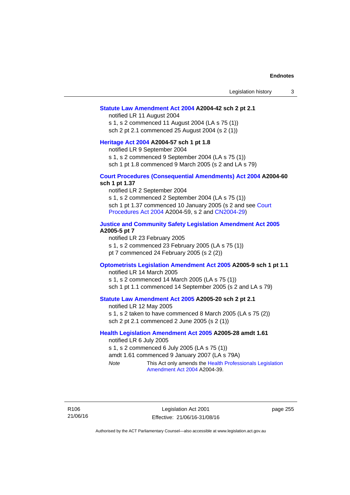#### **[Statute Law Amendment Act 2004](http://www.legislation.act.gov.au/a/2004-42) A2004-42 sch 2 pt 2.1**

notified LR 11 August 2004 s 1, s 2 commenced 11 August 2004 (LA s 75 (1)) sch 2 pt 2.1 commenced 25 August 2004 (s 2 (1))

#### **[Heritage Act 2004](http://www.legislation.act.gov.au/a/2004-57) A2004-57 sch 1 pt 1.8**

notified LR 9 September 2004

s 1, s 2 commenced 9 September 2004 (LA s 75 (1))

sch 1 pt 1.8 commenced 9 March 2005 (s 2 and LA s 79)

## **[Court Procedures \(Consequential Amendments\) Act 2004](http://www.legislation.act.gov.au/a/2004-60) A2004-60 sch 1 pt 1.37**

notified LR 2 September 2004 s 1, s 2 commenced 2 September 2004 (LA s 75 (1)) sch 1 pt 1.37 commenced 10 January 2005 (s 2 and see [Court](http://www.legislation.act.gov.au/a/2004-59)  [Procedures Act 2004](http://www.legislation.act.gov.au/a/2004-59) A2004-59, s 2 and [CN2004-29\)](http://www.legislation.act.gov.au/cn/2004-29/default.asp)

## **[Justice and Community Safety Legislation Amendment Act 2005](http://www.legislation.act.gov.au/a/2005-5) A2005-5 pt 7**

notified LR 23 February 2005 s 1, s 2 commenced 23 February 2005 (LA s 75 (1)) pt 7 commenced 24 February 2005 (s 2 (2))

#### **[Optometrists Legislation Amendment Act 2005](http://www.legislation.act.gov.au/a/2005-9) A2005-9 sch 1 pt 1.1**

notified LR 14 March 2005 s 1, s 2 commenced 14 March 2005 (LA s 75 (1)) sch 1 pt 1.1 commenced 14 September 2005 (s 2 and LA s 79)

## **[Statute Law Amendment Act 2005](http://www.legislation.act.gov.au/a/2005-20) A2005-20 sch 2 pt 2.1**

notified LR 12 May 2005 s 1, s 2 taken to have commenced 8 March 2005 (LA s 75 (2)) sch 2 pt 2.1 commenced 2 June 2005 (s 2 (1))

## **[Health Legislation Amendment Act 2005](http://www.legislation.act.gov.au/a/2005-28) A2005-28 amdt 1.61**

notified LR 6 July 2005 s 1, s 2 commenced 6 July 2005 (LA s 75 (1)) amdt 1.61 commenced 9 January 2007 (LA s 79A) *Note* This Act only amends the [Health Professionals Legislation](http://www.legislation.act.gov.au/a/2004-39)  [Amendment Act 2004](http://www.legislation.act.gov.au/a/2004-39) A2004-39.

R106 21/06/16

Legislation Act 2001 Effective: 21/06/16-31/08/16 page 255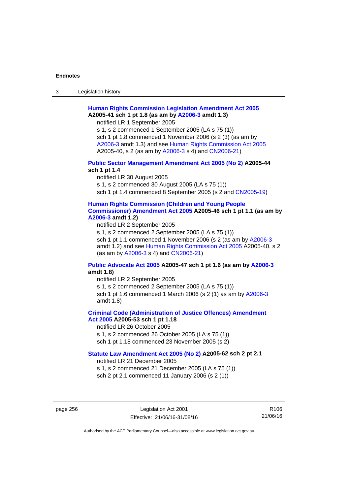3 Legislation history

## **[Human Rights Commission Legislation Amendment Act 2005](http://www.legislation.act.gov.au/a/2005-41) A2005-41 sch 1 pt 1.8 (as am by [A2006-3](http://www.legislation.act.gov.au/a/2006-3) amdt 1.3)**

notified LR 1 September 2005

s 1, s 2 commenced 1 September 2005 (LA s 75 (1)) sch 1 pt 1.8 commenced 1 November 2006 (s 2 (3) (as am by [A2006-3](http://www.legislation.act.gov.au/a/2006-3) amdt 1.3) and see [Human Rights Commission Act 2005](http://www.legislation.act.gov.au/a/2005-40) A2005-40, s 2 (as am by [A2006-3](http://www.legislation.act.gov.au/a/2006-3) s 4) and [CN2006-21](http://www.legislation.act.gov.au/cn/2006-21/default.asp))

## **[Public Sector Management Amendment Act 2005 \(No 2\)](http://www.legislation.act.gov.au/a/2005-44) A2005-44 sch 1 pt 1.4**

notified LR 30 August 2005 s 1, s 2 commenced 30 August 2005 (LA s 75 (1)) sch 1 pt 1.4 commenced 8 September 2005 (s 2 and [CN2005-19\)](http://www.legislation.act.gov.au/cn/2005-19/default.asp)

## **[Human Rights Commission \(Children and Young People](http://www.legislation.act.gov.au/a/2005-46)  [Commissioner\) Amendment Act 2005](http://www.legislation.act.gov.au/a/2005-46) A2005-46 sch 1 pt 1.1 (as am by [A2006-3](http://www.legislation.act.gov.au/a/2006-3) amdt 1.2)**

notified LR 2 September 2005

s 1, s 2 commenced 2 September 2005 (LA s 75 (1)) sch 1 pt 1.1 commenced 1 November 2006 (s 2 (as am by [A2006-3](http://www.legislation.act.gov.au/a/2006-3) amdt 1.2) and see [Human Rights Commission Act 2005](http://www.legislation.act.gov.au/a/2005-40) A2005-40, s 2 (as am by [A2006-3](http://www.legislation.act.gov.au/a/2006-3) s 4) and [CN2006-21](http://www.legislation.act.gov.au/cn/2006-21/default.asp))

## **[Public Advocate Act 2005](http://www.legislation.act.gov.au/a/2005-47) A2005-47 sch 1 pt 1.6 (as am by [A2006-3](http://www.legislation.act.gov.au/a/2006-3) amdt 1.8)**

notified LR 2 September 2005

s 1, s 2 commenced 2 September 2005 (LA s 75 (1)) sch 1 pt 1.6 commenced 1 March 2006 (s 2 (1) as am by [A2006-3](http://www.legislation.act.gov.au/a/2006-3) amdt 1.8)

## **[Criminal Code \(Administration of Justice Offences\) Amendment](http://www.legislation.act.gov.au/a/2005-53)**

**[Act 2005](http://www.legislation.act.gov.au/a/2005-53) A2005-53 sch 1 pt 1.18** 

notified LR 26 October 2005

s 1, s 2 commenced 26 October 2005 (LA s 75 (1))

sch 1 pt 1.18 commenced 23 November 2005 (s 2)

## **[Statute Law Amendment Act 2005 \(No 2\)](http://www.legislation.act.gov.au/a/2005-62) A2005-62 sch 2 pt 2.1**

notified LR 21 December 2005

s 1, s 2 commenced 21 December 2005 (LA s 75 (1)) sch 2 pt 2.1 commenced 11 January 2006 (s 2 (1))

page 256 Legislation Act 2001 Effective: 21/06/16-31/08/16

R106 21/06/16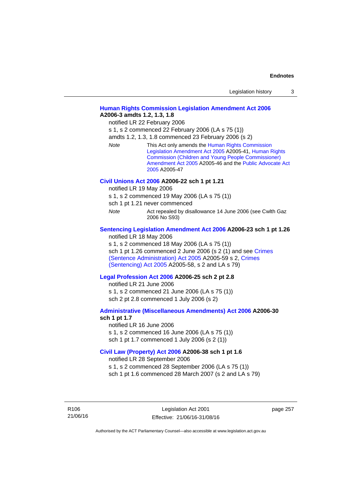| Legislation history |  |
|---------------------|--|
|---------------------|--|

## **[Human Rights Commission Legislation Amendment Act 2006](http://www.legislation.act.gov.au/a/2006-3) A2006-3 amdts 1.2, 1.3, 1.8**

notified LR 22 February 2006

s 1, s 2 commenced 22 February 2006 (LA s 75 (1))

amdts 1.2, 1.3, 1.8 commenced 23 February 2006 (s 2)

*Note* This Act only amends the [Human Rights Commission](http://www.legislation.act.gov.au/a/2005-41)  [Legislation Amendment Act 2005](http://www.legislation.act.gov.au/a/2005-41) A2005-41, [Human Rights](http://www.legislation.act.gov.au/a/2005-46)  [Commission \(Children and Young People Commissioner\)](http://www.legislation.act.gov.au/a/2005-46)  [Amendment Act 2005](http://www.legislation.act.gov.au/a/2005-46) A2005-46 and the [Public Advocate Act](http://www.legislation.act.gov.au/a/2005-47)  [2005](http://www.legislation.act.gov.au/a/2005-47) A2005-47

#### **[Civil Unions Act 2006](http://www.legislation.act.gov.au/a/2006-22) A2006-22 sch 1 pt 1.21**

notified LR 19 May 2006

s 1, s 2 commenced 19 May 2006 (LA s 75 (1))

sch 1 pt 1.21 never commenced

*Note* **Act repealed by disallowance 14 June 2006 (see Cwlth Gaz** 2006 No S93)

## **[Sentencing Legislation Amendment Act 2006](http://www.legislation.act.gov.au/a/2006-23) A2006-23 sch 1 pt 1.26**

notified LR 18 May 2006

s 1, s 2 commenced 18 May 2006 (LA s 75 (1)) sch 1 pt 1.26 commenced 2 June 2006 (s 2 (1) and see [Crimes](http://www.legislation.act.gov.au/a/2005-59)  [\(Sentence Administration\) Act 2005](http://www.legislation.act.gov.au/a/2005-59) A2005-59 s 2, [Crimes](http://www.legislation.act.gov.au/a/2005-58)  [\(Sentencing\) Act 2005](http://www.legislation.act.gov.au/a/2005-58) A2005-58, s 2 and LA s 79)

#### **[Legal Profession Act 2006](http://www.legislation.act.gov.au/a/2006-25) A2006-25 sch 2 pt 2.8**

notified LR 21 June 2006 s 1, s 2 commenced 21 June 2006 (LA s 75 (1)) sch 2 pt 2.8 commenced 1 July 2006 (s 2)

#### **[Administrative \(Miscellaneous Amendments\) Act 2006](http://www.legislation.act.gov.au/a/2006-30) A2006-30 sch 1 pt 1.7**

notified LR 16 June 2006 s 1, s 2 commenced 16 June 2006 (LA s 75 (1)) sch 1 pt 1.7 commenced 1 July 2006 (s 2 (1))

## **[Civil Law \(Property\) Act 2006](http://www.legislation.act.gov.au/a/2006-38) A2006-38 sch 1 pt 1.6**

notified LR 28 September 2006

s 1, s 2 commenced 28 September 2006 (LA s 75 (1))

sch 1 pt 1.6 commenced 28 March 2007 (s 2 and LA s 79)

R106 21/06/16 page 257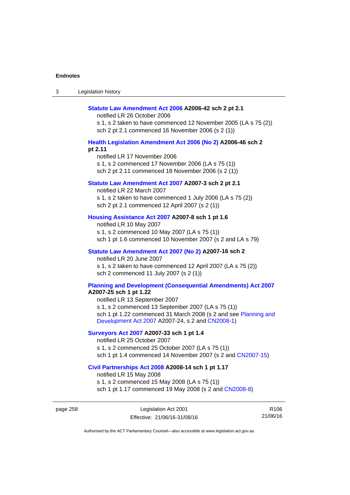| Legislation history<br>-3 |  |
|---------------------------|--|
|---------------------------|--|

#### **[Statute Law Amendment Act 2006](http://www.legislation.act.gov.au/a/2006-42) A2006-42 sch 2 pt 2.1**

notified LR 26 October 2006

s 1, s 2 taken to have commenced 12 November 2005 (LA s 75 (2)) sch 2 pt 2.1 commenced 16 November 2006 (s 2 (1))

## **[Health Legislation Amendment Act 2006 \(No 2\)](http://www.legislation.act.gov.au/a/2006-46) A2006-46 sch 2 pt 2.11**

notified LR 17 November 2006 s 1, s 2 commenced 17 November 2006 (LA s 75 (1)) sch 2 pt 2.11 commenced 18 November 2006 (s 2 (1))

#### **[Statute Law Amendment Act 2007](http://www.legislation.act.gov.au/a/2007-3) A2007-3 sch 2 pt 2.1**

notified LR 22 March 2007 s 1, s 2 taken to have commenced 1 July 2006 (LA s 75 (2)) sch 2 pt 2.1 commenced 12 April 2007 (s 2 (1))

## **[Housing Assistance Act 2007](http://www.legislation.act.gov.au/a/2007-8) A2007-8 sch 1 pt 1.6**

notified LR 10 May 2007 s 1, s 2 commenced 10 May 2007 (LA s 75 (1)) sch 1 pt 1.6 commenced 10 November 2007 (s 2 and LA s 79)

## **[Statute Law Amendment Act 2007 \(No 2\)](http://www.legislation.act.gov.au/a/2007-16) A2007-16 sch 2**

notified LR 20 June 2007 s 1, s 2 taken to have commenced 12 April 2007 (LA s 75 (2)) sch 2 commenced 11 July 2007 (s 2 (1))

## **[Planning and Development \(Consequential Amendments\) Act 2007](http://www.legislation.act.gov.au/a/2007-25)**

**A2007-25 sch 1 pt 1.22** 

notified LR 13 September 2007 s 1, s 2 commenced 13 September 2007 (LA s 75 (1)) sch 1 pt 1.22 commenced 31 March 2008 (s 2 and see [Planning and](http://www.legislation.act.gov.au/a/2007-24)  [Development Act 2007](http://www.legislation.act.gov.au/a/2007-24) A2007-24, s 2 and [CN2008-1](http://www.legislation.act.gov.au/cn/2008-1/default.asp))

## **[Surveyors Act 2007](http://www.legislation.act.gov.au/a/2007-33) A2007-33 sch 1 pt 1.4**

notified LR 25 October 2007 s 1, s 2 commenced 25 October 2007 (LA s 75 (1)) sch 1 pt 1.4 commenced 14 November 2007 (s 2 and [CN2007-15\)](http://www.legislation.act.gov.au/cn/2007-15/default.asp)

#### **[Civil Partnerships Act 2008](http://www.legislation.act.gov.au/a/2008-14) A2008-14 sch 1 pt 1.17**

notified LR 15 May 2008

s 1, s 2 commenced 15 May 2008 (LA s 75 (1)) sch 1 pt 1.17 commenced 19 May 2008 (s 2 and [CN2008-8](http://www.legislation.act.gov.au/cn/2008-8/default.asp))

page 258 Legislation Act 2001 Effective: 21/06/16-31/08/16

R106 21/06/16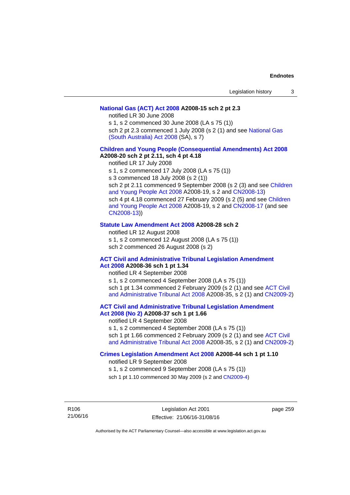## **[National Gas \(ACT\) Act 2008](http://www.legislation.act.gov.au/a/2008-15) A2008-15 sch 2 pt 2.3**

notified LR 30 June 2008

s 1, s 2 commenced 30 June 2008 (LA s 75 (1))

sch 2 pt 2.3 commenced 1 July 2008 (s 2 (1) and see [National Gas](http://www.legislation.sa.gov.au/LZ/C/A/NATIONAL GAS (SOUTH AUSTRALIA) ACT 2008.aspx)  [\(South Australia\) Act 2008](http://www.legislation.sa.gov.au/LZ/C/A/NATIONAL GAS (SOUTH AUSTRALIA) ACT 2008.aspx) (SA), s 7)

## **[Children and Young People \(Consequential Amendments\) Act 2008](http://www.legislation.act.gov.au/a/2008-20) A2008-20 sch 2 pt 2.11, sch 4 pt 4.18**

notified LR 17 July 2008

s 1, s 2 commenced 17 July 2008 (LA s 75 (1))

s 3 commenced 18 July 2008 (s 2 (1))

sch 2 pt 2.11 commenced 9 September 2008 (s 2 (3) and see [Children](http://www.legislation.act.gov.au/a/2008-19)  [and Young People Act 2008](http://www.legislation.act.gov.au/a/2008-19) A2008-19, s 2 and [CN2008-13](http://www.legislation.act.gov.au/cn/2008-13/default.asp)) sch 4 pt 4.18 commenced 27 February 2009 (s 2 (5) and see [Children](http://www.legislation.act.gov.au/a/2008-19)  [and Young People Act 2008](http://www.legislation.act.gov.au/a/2008-19) A2008-19, s 2 and [CN2008-17 \(](http://www.legislation.act.gov.au/cn/2008-17/default.asp)and see [CN2008-13](http://www.legislation.act.gov.au/cn/2008-13/default.asp)))

### **[Statute Law Amendment Act 2008](http://www.legislation.act.gov.au/a/2008-28) A2008-28 sch 2**

notified LR 12 August 2008 s 1, s 2 commenced 12 August 2008 (LA s 75 (1)) sch 2 commenced 26 August 2008 (s 2)

## **[ACT Civil and Administrative Tribunal Legislation Amendment](http://www.legislation.act.gov.au/a/2008-36)**

**[Act 2008](http://www.legislation.act.gov.au/a/2008-36) A2008-36 sch 1 pt 1.34**  notified LR 4 September 2008 s 1, s 2 commenced 4 September 2008 (LA s 75 (1)) sch 1 pt 1.34 commenced 2 February 2009 (s 2 (1) and see [ACT Civil](http://www.legislation.act.gov.au/a/2008-35)  [and Administrative Tribunal Act 2008](http://www.legislation.act.gov.au/a/2008-35) A2008-35, s 2 (1) and [CN2009-2](http://www.legislation.act.gov.au/cn/2009-2/default.asp))

## **[ACT Civil and Administrative Tribunal Legislation Amendment](http://www.legislation.act.gov.au/a/2008-37)**

**[Act 2008 \(No 2\)](http://www.legislation.act.gov.au/a/2008-37) A2008-37 sch 1 pt 1.66**  notified LR 4 September 2008

s 1, s 2 commenced 4 September 2008 (LA s 75 (1))

sch 1 pt 1.66 commenced 2 February 2009 (s 2 (1) and see [ACT Civil](http://www.legislation.act.gov.au/a/2008-35)  [and Administrative Tribunal Act 2008](http://www.legislation.act.gov.au/a/2008-35) A2008-35, s 2 (1) and [CN2009-2](http://www.legislation.act.gov.au/cn/2009-2/default.asp))

## **[Crimes Legislation Amendment Act 2008](http://www.legislation.act.gov.au/a/2008-44) A2008-44 sch 1 pt 1.10**

notified LR 9 September 2008

s 1, s 2 commenced 9 September 2008 (LA s 75 (1))

sch 1 pt 1.10 commenced 30 May 2009 (s 2 and [CN2009-4](http://www.legislation.act.gov.au/cn/2009-4/default.asp))

R106 21/06/16 page 259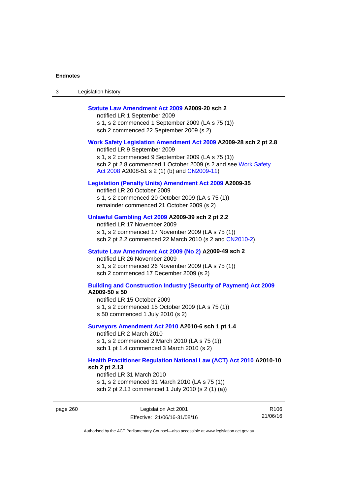| Legislation history<br>ు |
|--------------------------|
|--------------------------|

## **[Statute Law Amendment Act 2009](http://www.legislation.act.gov.au/a/2009-20) A2009-20 sch 2**

notified LR 1 September 2009 s 1, s 2 commenced 1 September 2009 (LA s 75 (1)) sch 2 commenced 22 September 2009 (s 2)

#### **[Work Safety Legislation Amendment Act 2009](http://www.legislation.act.gov.au/a/2009-28) A2009-28 sch 2 pt 2.8**

notified LR 9 September 2009 s 1, s 2 commenced 9 September 2009 (LA s 75 (1)) sch 2 pt 2.8 commenced 1 October 2009 (s 2 and see Work Safety [Act 2008](http://www.legislation.act.gov.au/a/2008-51) A2008-51 s 2 (1) (b) and [CN2009-11](http://www.legislation.act.gov.au/cn/2009-11/default.asp))

## **[Legislation \(Penalty Units\) Amendment Act 2009](http://www.legislation.act.gov.au/a/2009-35) A2009-35**

notified LR 20 October 2009 s 1, s 2 commenced 20 October 2009 (LA s 75 (1)) remainder commenced 21 October 2009 (s 2)

## **[Unlawful Gambling Act 2009](http://www.legislation.act.gov.au/a/2009-39) A2009-39 sch 2 pt 2.2**

notified LR 17 November 2009 s 1, s 2 commenced 17 November 2009 (LA s 75 (1)) sch 2 pt 2.2 commenced 22 March 2010 (s 2 and [CN2010-2\)](http://www.legislation.act.gov.au/cn/2010-2/default.asp)

#### **[Statute Law Amendment Act 2009 \(No 2\)](http://www.legislation.act.gov.au/a/2009-49) A2009-49 sch 2**

notified LR 26 November 2009 s 1, s 2 commenced 26 November 2009 (LA s 75 (1)) sch 2 commenced 17 December 2009 (s 2)

#### **[Building and Construction Industry \(Security of Payment\) Act 2009](http://www.legislation.act.gov.au/a/2009-50) A2009-50 s 50**

notified LR 15 October 2009 s 1, s 2 commenced 15 October 2009 (LA s 75 (1)) s 50 commenced 1 July 2010 (s 2)

#### **[Surveyors Amendment Act 2010](http://www.legislation.act.gov.au/a/2010-6) A2010-6 sch 1 pt 1.4**

notified LR 2 March 2010 s 1, s 2 commenced 2 March 2010 (LA s 75 (1)) sch 1 pt 1.4 commenced 3 March 2010 (s 2)

#### **[Health Practitioner Regulation National Law \(ACT\) Act 2010](http://www.legislation.act.gov.au/a/2010-10) A2010-10 sch 2 pt 2.13**

notified LR 31 March 2010 s 1, s 2 commenced 31 March 2010 (LA s 75 (1)) sch 2 pt 2.13 commenced 1 July 2010 (s 2 (1) (a))

page 260 Legislation Act 2001 Effective: 21/06/16-31/08/16

R106 21/06/16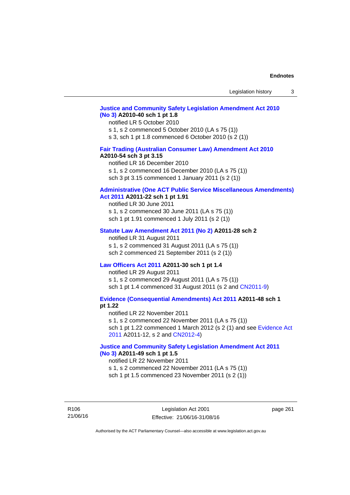## **[Justice and Community Safety Legislation Amendment Act 2010](http://www.legislation.act.gov.au/a/2010-40)  [\(No 3\)](http://www.legislation.act.gov.au/a/2010-40) A2010-40 sch 1 pt 1.8**

#### notified LR 5 October 2010

s 1, s 2 commenced 5 October 2010 (LA s 75 (1))

s 3, sch 1 pt 1.8 commenced 6 October 2010 (s 2 (1))

## **[Fair Trading \(Australian Consumer Law\) Amendment Act 2010](http://www.legislation.act.gov.au/a/2010-54)**

## **A2010-54 sch 3 pt 3.15**

notified LR 16 December 2010 s 1, s 2 commenced 16 December 2010 (LA s 75 (1)) sch 3 pt 3.15 commenced 1 January 2011 (s 2 (1))

## **[Administrative \(One ACT Public Service Miscellaneous Amendments\)](http://www.legislation.act.gov.au/a/2011-22)**

**[Act 2011](http://www.legislation.act.gov.au/a/2011-22) A2011-22 sch 1 pt 1.91**  notified LR 30 June 2011 s 1, s 2 commenced 30 June 2011 (LA s 75 (1))

sch 1 pt 1.91 commenced 1 July 2011 (s 2 (1))

#### **[Statute Law Amendment Act 2011 \(No 2\)](http://www.legislation.act.gov.au/a/2011-28) A2011-28 sch 2**

notified LR 31 August 2011 s 1, s 2 commenced 31 August 2011 (LA s 75 (1)) sch 2 commenced 21 September 2011 (s 2 (1))

## **[Law Officers Act 2011](http://www.legislation.act.gov.au/a/2011-30) A2011-30 sch 1 pt 1.4**

notified LR 29 August 2011 s 1, s 2 commenced 29 August 2011 (LA s 75 (1)) sch 1 pt 1.4 commenced 31 August 2011 (s 2 and [CN2011-9](http://www.legislation.act.gov.au/cn/2011-9/default.asp))

**[Evidence \(Consequential Amendments\) Act 2011](http://www.legislation.act.gov.au/a/2011-48) A2011-48 sch 1 pt 1.22** 

notified LR 22 November 2011 s 1, s 2 commenced 22 November 2011 (LA s 75 (1)) sch 1 pt 1.22 commenced 1 March 2012 (s 2 (1) and see [Evidence Act](http://www.legislation.act.gov.au/a/2011-12)  [2011](http://www.legislation.act.gov.au/a/2011-12) A2011-12, s 2 and [CN2012-4](http://www.legislation.act.gov.au/cn/2012-4/default.asp))

## **[Justice and Community Safety Legislation Amendment Act 2011](http://www.legislation.act.gov.au/a/2011-49)  [\(No 3\)](http://www.legislation.act.gov.au/a/2011-49) A2011-49 sch 1 pt 1.5**

#### notified LR 22 November 2011

s 1, s 2 commenced 22 November 2011 (LA s 75 (1))

sch 1 pt 1.5 commenced 23 November 2011 (s 2 (1))

R106 21/06/16 page 261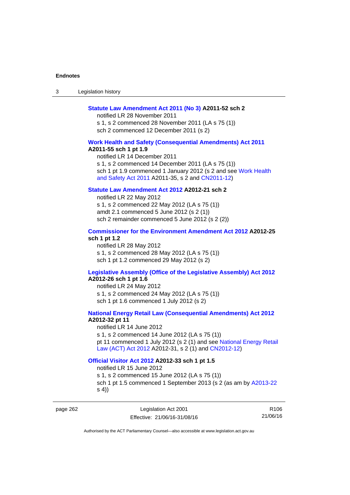3 Legislation history

#### **[Statute Law Amendment Act 2011 \(No 3\)](http://www.legislation.act.gov.au/a/2011-52) A2011-52 sch 2**

notified LR 28 November 2011 s 1, s 2 commenced 28 November 2011 (LA s 75 (1)) sch 2 commenced 12 December 2011 (s 2)

#### **[Work Health and Safety \(Consequential Amendments\) Act 2011](http://www.legislation.act.gov.au/a/2011-55)**

**A2011-55 sch 1 pt 1.9** 

notified LR 14 December 2011 s 1, s 2 commenced 14 December 2011 (LA s 75 (1)) sch 1 pt 1.9 commenced 1 January 2012 (s 2 and see Work Health [and Safety Act 2011](http://www.legislation.act.gov.au/a/2011-35) A2011-35, s 2 and [CN2011-12](http://www.legislation.act.gov.au/cn/2011-12/default.asp))

## **[Statute Law Amendment Act 2012](http://www.legislation.act.gov.au/a/2012-21) A2012-21 sch 2**

notified LR 22 May 2012 s 1, s 2 commenced 22 May 2012 (LA s 75 (1)) amdt 2.1 commenced 5 June 2012 (s 2 (1)) sch 2 remainder commenced 5 June 2012 (s 2 (2))

## **[Commissioner for the Environment Amendment Act 2012](http://www.legislation.act.gov.au/a/2012-25) A2012-25 sch 1 pt 1.2**

notified LR 28 May 2012 s 1, s 2 commenced 28 May 2012 (LA s 75 (1)) sch 1 pt 1.2 commenced 29 May 2012 (s 2)

## **[Legislative Assembly \(Office of the Legislative Assembly\) Act 2012](http://www.legislation.act.gov.au/a/2012-26)**

## **A2012-26 sch 1 pt 1.6**

notified LR 24 May 2012 s 1, s 2 commenced 24 May 2012 (LA s 75 (1)) sch 1 pt 1.6 commenced 1 July 2012 (s 2)

## **[National Energy Retail Law \(Consequential Amendments\) Act 2012](http://www.legislation.act.gov.au/a/2012-32) A2012-32 pt 11**

notified LR 14 June 2012 s 1, s 2 commenced 14 June 2012 (LA s 75 (1)) pt 11 commenced 1 July 2012 (s 2 (1) and see [National Energy Retail](http://www.legislation.act.gov.au/a/2012-31)  [Law \(ACT\) Act 2012](http://www.legislation.act.gov.au/a/2012-31) A2012-31, s 2 (1) and [CN2012-12](http://www.legislation.act.gov.au/cn/2012-12/default.asp))

#### **[Official Visitor Act 2012](http://www.legislation.act.gov.au/a/2012-33) A2012-33 sch 1 pt 1.5**

notified LR 15 June 2012 s 1, s 2 commenced 15 June 2012 (LA s 75 (1)) sch 1 pt 1.5 commenced 1 September 2013 (s 2 (as am by [A2013-22](http://www.legislation.act.gov.au/a/2013-22) s 4))

page 262 Legislation Act 2001 Effective: 21/06/16-31/08/16

R106 21/06/16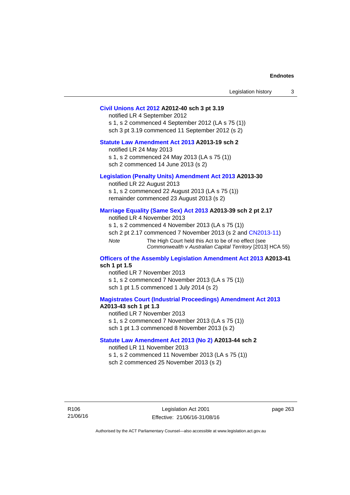| Legislation history |  |
|---------------------|--|
|---------------------|--|

#### **[Civil Unions Act 2012](http://www.legislation.act.gov.au/a/2012-40) A2012-40 sch 3 pt 3.19**

notified LR 4 September 2012 s 1, s 2 commenced 4 September 2012 (LA s 75 (1)) sch 3 pt 3.19 commenced 11 September 2012 (s 2)

## **[Statute Law Amendment Act 2013](http://www.legislation.act.gov.au/a/2013-19) A2013-19 sch 2**

notified LR 24 May 2013 s 1, s 2 commenced 24 May 2013 (LA s 75 (1)) sch 2 commenced 14 June 2013 (s 2)

#### **[Legislation \(Penalty Units\) Amendment Act 2013](http://www.legislation.act.gov.au/a/2013-30) A2013-30**

notified LR 22 August 2013 s 1, s 2 commenced 22 August 2013 (LA s 75 (1)) remainder commenced 23 August 2013 (s 2)

#### **[Marriage Equality \(Same Sex\) Act 2013](http://www.legislation.act.gov.au/a/2013-39) A2013-39 sch 2 pt 2.17**

notified LR 4 November 2013 s 1, s 2 commenced 4 November 2013 (LA s 75 (1)) sch 2 pt 2.17 commenced 7 November 2013 (s 2 and [CN2013-11\)](http://www.legislation.act.gov.au/cn/2013-11) *Note* The High Court held this Act to be of no effect (see *Commonwealth v Australian Capital Territory* [2013] HCA 55)

#### **[Officers of the Assembly Legislation Amendment Act 2013](http://www.legislation.act.gov.au/a/2013-41) A2013-41 sch 1 pt 1.5**

notified LR 7 November 2013 s 1, s 2 commenced 7 November 2013 (LA s 75 (1)) sch 1 pt 1.5 commenced 1 July 2014 (s 2)

## **[Magistrates Court \(Industrial Proceedings\) Amendment Act 2013](http://www.legislation.act.gov.au/a/2013-43) A2013-43 sch 1 pt 1.3**

notified LR 7 November 2013 s 1, s 2 commenced 7 November 2013 (LA s 75 (1)) sch 1 pt 1.3 commenced 8 November 2013 (s 2)

#### **[Statute Law Amendment Act 2013 \(No 2\)](http://www.legislation.act.gov.au/a/2013-44) A2013-44 sch 2**  notified LR 11 November 2013

s 1, s 2 commenced 11 November 2013 (LA s 75 (1))

sch 2 commenced 25 November 2013 (s 2)

R106 21/06/16 page 263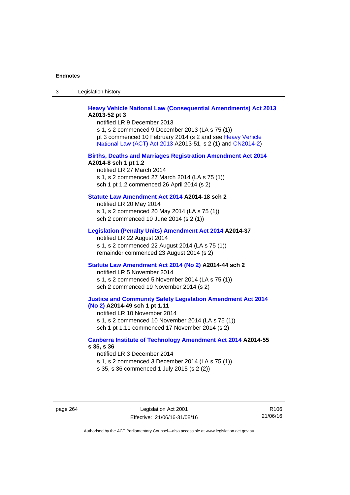3 Legislation history

## **[Heavy Vehicle National Law \(Consequential Amendments\) Act 2013](http://www.legislation.act.gov.au/a/2013-52) A2013-52 pt 3**

notified LR 9 December 2013 s 1, s 2 commenced 9 December 2013 (LA s 75 (1)) pt 3 commenced 10 February 2014 (s 2 and see [Heavy Vehicle](http://www.legislation.act.gov.au/a/2013-51/default.asp)  [National Law \(ACT\) Act 2013](http://www.legislation.act.gov.au/a/2013-51/default.asp) A2013-51, s 2 (1) and [CN2014-2](http://www.legislation.act.gov.au/cn/2014-2/default.asp))

#### **[Births, Deaths and Marriages Registration Amendment Act 2014](http://www.legislation.act.gov.au/a/2014-8) A2014-8 sch 1 pt 1.2**

notified LR 27 March 2014 s 1, s 2 commenced 27 March 2014 (LA s 75 (1)) sch 1 pt 1.2 commenced 26 April 2014 (s 2)

## **[Statute Law Amendment Act 2014](http://www.legislation.act.gov.au/a/2014-18) A2014-18 sch 2**

notified LR 20 May 2014 s 1, s 2 commenced 20 May 2014 (LA s 75 (1)) sch 2 commenced 10 June 2014 (s 2 (1))

## **[Legislation \(Penalty Units\) Amendment Act 2014](http://www.legislation.act.gov.au/a/2014-37) A2014-37**

notified LR 22 August 2014 s 1, s 2 commenced 22 August 2014 (LA s 75 (1)) remainder commenced 23 August 2014 (s 2)

#### **[Statute Law Amendment Act 2014 \(No 2\)](http://www.legislation.act.gov.au/a/2014-44) A2014-44 sch 2**

notified LR 5 November 2014 s 1, s 2 commenced 5 November 2014 (LA s 75 (1)) sch 2 commenced 19 November 2014 (s 2)

#### **[Justice and Community Safety Legislation Amendment Act 2014](http://www.legislation.act.gov.au/a/2014-49)  [\(No 2\)](http://www.legislation.act.gov.au/a/2014-49) A2014-49 sch 1 pt 1.11**

notified LR 10 November 2014 s 1, s 2 commenced 10 November 2014 (LA s 75 (1)) sch 1 pt 1.11 commenced 17 November 2014 (s 2)

## **[Canberra Institute of Technology Amendment Act 2014](http://www.legislation.act.gov.au/a/2014-55/default.asp) A2014-55 s 35, s 36**

notified LR 3 December 2014 s 1, s 2 commenced 3 December 2014 (LA s 75 (1)) s 35, s 36 commenced 1 July 2015 (s 2 (2))

page 264 Legislation Act 2001 Effective: 21/06/16-31/08/16

R106 21/06/16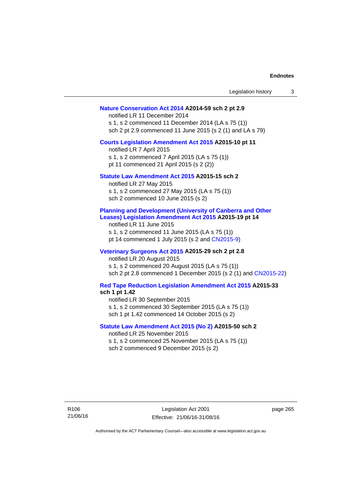| Legislation history                                                                                                                                                                                                                                       | 3 |
|-----------------------------------------------------------------------------------------------------------------------------------------------------------------------------------------------------------------------------------------------------------|---|
| Nature Conservation Act 2014 A2014-59 sch 2 pt 2.9<br>notified LR 11 December 2014<br>s 1, s 2 commenced 11 December 2014 (LA s 75 (1))<br>sch 2 pt 2.9 commenced 11 June 2015 (s 2 (1) and LA s 79)                                                      |   |
| Courts Legislation Amendment Act 2015 A2015-10 pt 11<br>notified LR 7 April 2015<br>s 1, s 2 commenced 7 April 2015 (LA s 75 (1))<br>pt 11 commenced 21 April 2015 (s 2 (2))                                                                              |   |
| Statute Law Amendment Act 2015 A2015-15 sch 2<br>notified LR 27 May 2015<br>s 1, s 2 commenced 27 May 2015 (LA s 75 (1))<br>sch 2 commenced 10 June 2015 (s 2)                                                                                            |   |
| <b>Planning and Development (University of Canberra and Other</b><br>Leases) Legislation Amendment Act 2015 A2015-19 pt 14<br>notified LR 11 June 2015<br>s 1, s 2 commenced 11 June 2015 (LA s 75 (1))<br>pt 14 commenced 1 July 2015 (s 2 and CN2015-9) |   |
| Veterinary Surgeons Act 2015 A2015-29 sch 2 pt 2.8<br>notified LR 20 August 2015<br>s 1, s 2 commenced 20 August 2015 (LA s 75 (1))<br>sch 2 pt 2.8 commenced 1 December 2015 (s 2 (1) and CN2015-22)                                                     |   |
| Red Tape Reduction Legislation Amendment Act 2015 A2015-33<br>sch 1 pt 1.42<br>notified LR 30 September 2015<br>s 1, s 2 commenced 30 September 2015 (LA s 75 (1))<br>sch 1 pt 1.42 commenced 14 October 2015 (s 2)                                       |   |
| Statute Law Amendment Act 2015 (No 2) A2015-50 sch 2<br>notified LR 25 November 2015<br>s 1, s 2 commenced 25 November 2015 (LA s 75 (1))<br>sch 2 commenced 9 December 2015 (s 2)                                                                        |   |
|                                                                                                                                                                                                                                                           |   |

page 265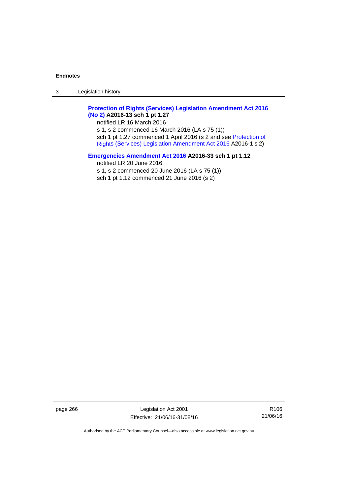3 Legislation history

## **[Protection of Rights \(Services\) Legislation Amendment Act 2016](http://www.legislation.act.gov.au/a/2016-13)  [\(No 2\)](http://www.legislation.act.gov.au/a/2016-13) A2016-13 sch 1 pt 1.27**

notified LR 16 March 2016 s 1, s 2 commenced 16 March 2016 (LA s 75 (1)) sch 1 pt 1.27 commenced 1 April 2016 (s 2 and see [Protection of](http://www.legislation.act.gov.au/a/2016-1/default.asp)  [Rights \(Services\) Legislation Amendment Act 2016](http://www.legislation.act.gov.au/a/2016-1/default.asp) A2016-1 s 2)

## **[Emergencies Amendment Act 2016](http://www.legislation.act.gov.au/a/2016-33) A2016-33 sch 1 pt 1.12**

notified LR 20 June 2016 s 1, s 2 commenced 20 June 2016 (LA s 75 (1)) sch 1 pt 1.12 commenced 21 June 2016 (s 2)

page 266 Legislation Act 2001 Effective: 21/06/16-31/08/16

R106 21/06/16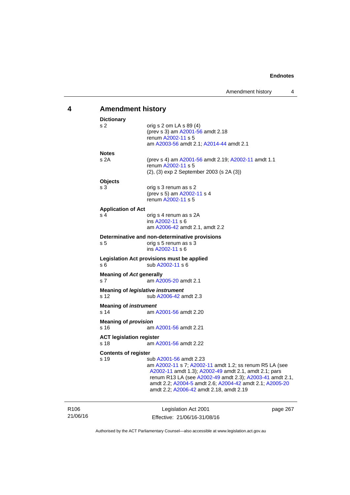# **4 Amendment history**

| <b>Dictionary</b>                       |                                                                                                                                                                                                                                                                                                              |
|-----------------------------------------|--------------------------------------------------------------------------------------------------------------------------------------------------------------------------------------------------------------------------------------------------------------------------------------------------------------|
| s <sub>2</sub>                          | orig s 2 om LA s 89 (4)<br>(prev s 3) am A2001-56 amdt 2.18<br>renum A2002-11 s 5<br>am A2003-56 amdt 2.1; A2014-44 amdt 2.1                                                                                                                                                                                 |
| <b>Notes</b>                            |                                                                                                                                                                                                                                                                                                              |
| s 2A                                    | (prev s 4) am A2001-56 amdt 2.19; A2002-11 amdt 1.1<br>renum A2002-11 s 5<br>(2), (3) exp 2 September 2003 (s 2A (3))                                                                                                                                                                                        |
| <b>Objects</b>                          |                                                                                                                                                                                                                                                                                                              |
| s 3                                     | orig s 3 renum as s 2<br>(prev s 5) am A2002-11 s 4<br>renum A2002-11 s 5                                                                                                                                                                                                                                    |
| <b>Application of Act</b>               |                                                                                                                                                                                                                                                                                                              |
| s 4                                     | orig s 4 renum as s 2A<br>ins A2002-11 s 6<br>am A2006-42 amdt 2.1, amdt 2.2                                                                                                                                                                                                                                 |
| s <sub>5</sub>                          | Determinative and non-determinative provisions<br>orig s 5 renum as s 3<br>ins A2002-11 s 6                                                                                                                                                                                                                  |
| s 6                                     | Legislation Act provisions must be applied<br>sub A2002-11 s 6                                                                                                                                                                                                                                               |
| <b>Meaning of Act generally</b><br>s 7  | am A2005-20 amdt 2.1                                                                                                                                                                                                                                                                                         |
| s 12                                    | Meaning of <i>legislative instrument</i><br>sub A2006-42 amdt 2.3                                                                                                                                                                                                                                            |
| <b>Meaning of instrument</b><br>s 14    | am A2001-56 amdt 2.20                                                                                                                                                                                                                                                                                        |
| <b>Meaning of provision</b><br>s 16     | am A2001-56 amdt 2.21                                                                                                                                                                                                                                                                                        |
| <b>ACT legislation register</b><br>s 18 | am A2001-56 amdt 2.22                                                                                                                                                                                                                                                                                        |
| <b>Contents of register</b>             |                                                                                                                                                                                                                                                                                                              |
| s 19                                    | sub A2001-56 amdt 2.23<br>am A2002-11 s 7; A2002-11 amdt 1.2; ss renum R5 LA (see<br>A2002-11 amdt 1.3); A2002-49 amdt 2.1, amdt 2.1; pars<br>renum R13 LA (see A2002-49 amdt 2.3); A2003-41 amdt 2.1,<br>amdt 2.2; A2004-5 amdt 2.6; A2004-42 amdt 2.1; A2005-20<br>amdt 2.2; A2006-42 amdt 2.18, amdt 2.19 |
|                                         | $L = L = L = L = L = 0004$<br>ິ                                                                                                                                                                                                                                                                              |

21/06/16

R106

Legislation Act 2001 Effective: 21/06/16-31/08/16 page 267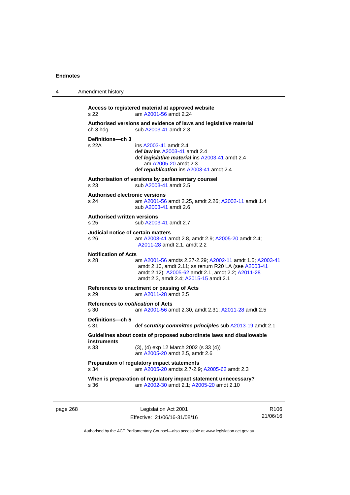4 Amendment history

| s 22                                                                | Access to registered material at approved website<br>am A2001-56 amdt 2.24                                                                                                                                    |  |  |
|---------------------------------------------------------------------|---------------------------------------------------------------------------------------------------------------------------------------------------------------------------------------------------------------|--|--|
| ch 3 hdg                                                            | Authorised versions and evidence of laws and legislative material<br>sub A2003-41 amdt 2.3                                                                                                                    |  |  |
| Definitions-ch 3<br>s 22A                                           | ins A2003-41 amdt 2.4<br>def <i>law</i> ins A2003-41 amdt 2.4<br>def <i>legislative material</i> ins A2003-41 amdt 2.4<br>am A2005-20 amdt 2.3<br>def republication ins A2003-41 amdt 2.4                     |  |  |
| s 23                                                                | Authorisation of versions by parliamentary counsel<br>sub A2003-41 amdt 2.5                                                                                                                                   |  |  |
| <b>Authorised electronic versions</b><br>s 24                       | am A2001-56 amdt 2.25, amdt 2.26; A2002-11 amdt 1.4<br>sub A2003-41 amdt 2.6                                                                                                                                  |  |  |
| <b>Authorised written versions</b><br>s 25<br>sub A2003-41 amdt 2.7 |                                                                                                                                                                                                               |  |  |
| Judicial notice of certain matters<br>$s\,26$                       | am A2003-41 amdt 2.8, amdt 2.9; A2005-20 amdt 2.4;<br>A2011-28 amdt 2.1, amdt 2.2                                                                                                                             |  |  |
| <b>Notification of Acts</b><br>s 28                                 | am A2001-56 amdts 2.27-2.29; A2002-11 amdt 1.5; A2003-41<br>amdt 2.10, amdt 2.11; ss renum R20 LA (see A2003-41<br>amdt 2.12); A2005-62 amdt 2.1, amdt 2.2; A2011-28<br>amdt 2.3, amdt 2.4; A2015-15 amdt 2.1 |  |  |
| s 29                                                                | References to enactment or passing of Acts<br>am A2011-28 amdt 2.5                                                                                                                                            |  |  |
| References to notification of Acts<br>s 30                          | am A2001-56 amdt 2.30, amdt 2.31; A2011-28 amdt 2.5                                                                                                                                                           |  |  |
| Definitions-ch 5<br>s 31                                            | def scrutiny committee principles sub A2013-19 amdt 2.1                                                                                                                                                       |  |  |
| instruments                                                         | Guidelines about costs of proposed subordinate laws and disallowable                                                                                                                                          |  |  |
| s 33                                                                | $(3)$ , $(4)$ exp 12 March 2002 (s 33 $(4)$ )<br>am A2005-20 amdt 2.5, amdt 2.6                                                                                                                               |  |  |
| s 34                                                                | Preparation of regulatory impact statements<br>am A2005-20 amdts 2.7-2.9; A2005-62 amdt 2.3                                                                                                                   |  |  |
| s 36                                                                | When is preparation of regulatory impact statement unnecessary?<br>am A2002-30 amdt 2.1; A2005-20 amdt 2.10                                                                                                   |  |  |

page 268 Legislation Act 2001 Effective: 21/06/16-31/08/16

R106 21/06/16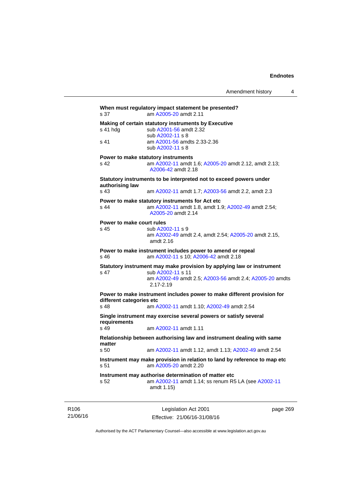| s 37                              | When must regulatory impact statement be presented?<br>am A2005-20 amdt 2.11                                              |
|-----------------------------------|---------------------------------------------------------------------------------------------------------------------------|
| s 41 hdg                          | Making of certain statutory instruments by Executive<br>sub A2001-56 amdt 2.32<br>sub A2002-11 s 8                        |
| s <sub>41</sub>                   | am A2001-56 amdts 2.33-2.36<br>sub A2002-11 s 8                                                                           |
|                                   | Power to make statutory instruments                                                                                       |
| s 42                              | am A2002-11 amdt 1.6; A2005-20 amdt 2.12, amdt 2.13;<br>A2006-42 amdt 2.18                                                |
| authorising law                   | Statutory instruments to be interpreted not to exceed powers under                                                        |
| s 43                              | am A2002-11 amdt 1.7; A2003-56 amdt 2.2, amdt 2.3                                                                         |
| s 44                              | Power to make statutory instruments for Act etc<br>am A2002-11 amdt 1.8, amdt 1.9; A2002-49 amdt 2.54;                    |
|                                   | A2005-20 amdt 2.14                                                                                                        |
| Power to make court rules<br>s 45 | sub A2002-11 s 9                                                                                                          |
|                                   | am A2002-49 amdt 2.4, amdt 2.54; A2005-20 amdt 2.15,<br>amdt 2.16                                                         |
| s 46                              | Power to make instrument includes power to amend or repeal<br>am A2002-11 s 10; A2006-42 amdt 2.18                        |
| s 47                              | Statutory instrument may make provision by applying law or instrument<br>sub A2002-11 s 11                                |
|                                   | am A2002-49 amdt 2.5; A2003-56 amdt 2.4; A2005-20 amdts<br>$2.17 - 2.19$                                                  |
| different categories etc          | Power to make instrument includes power to make different provision for                                                   |
| s 48                              | am A2002-11 amdt 1.10; A2002-49 amdt 2.54                                                                                 |
| requirements                      | Single instrument may exercise several powers or satisfy several                                                          |
| s 49                              | am A2002-11 amdt 1.11                                                                                                     |
| matter                            | Relationship between authorising law and instrument dealing with same                                                     |
| s <sub>50</sub>                   | am A2002-11 amdt 1.12, amdt 1.13; A2002-49 amdt 2.54                                                                      |
| s 51                              | Instrument may make provision in relation to land by reference to map etc<br>am A2005-20 amdt 2.20                        |
| s.52                              | Instrument may authorise determination of matter etc<br>am A2002-11 amdt 1.14; ss renum R5 LA (see A2002-11<br>amdt 1.15) |
|                                   |                                                                                                                           |

R106 21/06/16

Legislation Act 2001 Effective: 21/06/16-31/08/16 page 269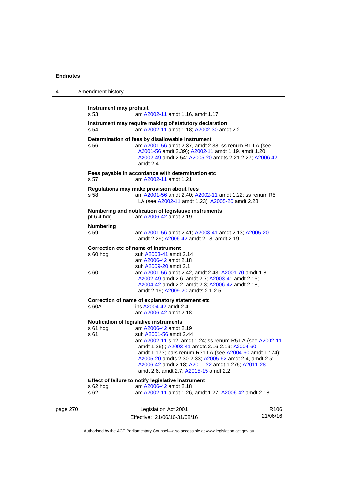| 4        | Amendment history               |                                                                                                                                                                                                                                                                                                                                                                                                                               |                              |
|----------|---------------------------------|-------------------------------------------------------------------------------------------------------------------------------------------------------------------------------------------------------------------------------------------------------------------------------------------------------------------------------------------------------------------------------------------------------------------------------|------------------------------|
|          | Instrument may prohibit<br>s 53 | am A2002-11 amdt 1.16, amdt 1.17                                                                                                                                                                                                                                                                                                                                                                                              |                              |
|          | s 54                            | Instrument may require making of statutory declaration<br>am A2002-11 amdt 1.18; A2002-30 amdt 2.2                                                                                                                                                                                                                                                                                                                            |                              |
|          | s 56                            | Determination of fees by disallowable instrument<br>am A2001-56 amdt 2.37, amdt 2.38; ss renum R1 LA (see<br>A2001-56 amdt 2.39); A2002-11 amdt 1.19, amdt 1.20;<br>A2002-49 amdt 2.54; A2005-20 amdts 2.21-2.27; A2006-42<br>amdt 2.4                                                                                                                                                                                        |                              |
|          | s 57                            | Fees payable in accordance with determination etc<br>am A2002-11 amdt 1.21                                                                                                                                                                                                                                                                                                                                                    |                              |
|          | s 58                            | Regulations may make provision about fees<br>am A2001-56 amdt 2.40; A2002-11 amdt 1.22; ss renum R5<br>LA (see A2002-11 amdt 1.23); A2005-20 amdt 2.28                                                                                                                                                                                                                                                                        |                              |
|          | pt 6.4 hdg                      | Numbering and notification of legislative instruments<br>am A2006-42 amdt 2.19                                                                                                                                                                                                                                                                                                                                                |                              |
|          | <b>Numbering</b><br>s 59        | am A2001-56 amdt 2.41; A2003-41 amdt 2.13; A2005-20<br>amdt 2.29; A2006-42 amdt 2.18, amdt 2.19                                                                                                                                                                                                                                                                                                                               |                              |
|          | s 60 hdg<br>s 60                | Correction etc of name of instrument<br>sub A2003-41 amdt 2.14<br>am A2006-42 amdt 2.18<br>sub A2009-20 amdt 2.1<br>am A2001-56 amdt 2.42, amdt 2.43; A2001-70 amdt 1.8;                                                                                                                                                                                                                                                      |                              |
|          |                                 | A2002-49 amdt 2.6, amdt 2.7; A2003-41 amdt 2.15;<br>A2004-42 amdt 2.2, amdt 2.3; A2006-42 amdt 2.18,<br>amdt 2.19; A2009-20 amdts 2.1-2.5                                                                                                                                                                                                                                                                                     |                              |
|          | s 60A                           | Correction of name of explanatory statement etc<br>ins A2004-42 amdt 2.4<br>am A2006-42 amdt 2.18                                                                                                                                                                                                                                                                                                                             |                              |
|          | s 61 hdg<br>s 61                | Notification of legislative instruments<br>am A2006-42 amdt 2.19<br>sub A2001-56 amdt 2.44<br>am A2002-11 s 12, amdt 1.24; ss renum R5 LA (see A2002-11<br>amdt 1.25); A2003-41 amdts 2.16-2.19; A2004-60<br>amdt 1.173; pars renum R31 LA (see A2004-60 amdt 1.174);<br>A2005-20 amdts 2.30-2.33; A2005-62 amdt 2.4, amdt 2.5;<br>A2006-42 amdt 2.18; A2011-22 amdt 1.275; A2011-28<br>amdt 2.6, amdt 2.7; A2015-15 amdt 2.2 |                              |
|          | s 62 hdg<br>s 62                | Effect of failure to notify legislative instrument<br>am A2006-42 amdt 2.18<br>am A2002-11 amdt 1.26, amdt 1.27; A2006-42 amdt 2.18                                                                                                                                                                                                                                                                                           |                              |
| page 270 |                                 | Legislation Act 2001<br>Effective: 21/06/16-31/08/16                                                                                                                                                                                                                                                                                                                                                                          | R <sub>106</sub><br>21/06/16 |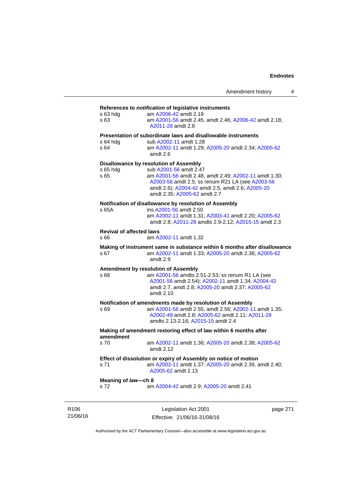## **References to** *notification* **of legislative instruments**

|                                                           | References to <i>hourication</i> or regislative instruments                                                                                                                                   |  |  |
|-----------------------------------------------------------|-----------------------------------------------------------------------------------------------------------------------------------------------------------------------------------------------|--|--|
| s 63 hdg<br>s 63                                          | am A2006-42 amdt 2.19<br>am A2001-56 amdt 2.45, amdt 2.46; A2006-42 amdt 2.18;<br>A2011-28 amdt 2.8                                                                                           |  |  |
|                                                           | Presentation of subordinate laws and disallowable instruments                                                                                                                                 |  |  |
| s 64 hda                                                  | sub A2002-11 amdt 1.28                                                                                                                                                                        |  |  |
| s 64                                                      | am A2002-11 amdt 1.29; A2005-20 amdt 2.34; A2005-62<br>amdt $2.6$                                                                                                                             |  |  |
|                                                           | <b>Disallowance by resolution of Assembly</b>                                                                                                                                                 |  |  |
| s 65 hda                                                  | sub A2001-56 amdt 2.47                                                                                                                                                                        |  |  |
| s 65                                                      | am A2001-56 amdt 2.48, amdt 2.49; A2002-11 amdt 1.30;<br>A2003-56 amdt 2.5; ss renum R21 LA (see A2003-56<br>amdt 2.6); A2004-42 amdt 2.5, amdt 2.6; A2005-20<br>amdt 2.35; A2005-62 amdt 2.7 |  |  |
|                                                           | Notification of disallowance by resolution of Assembly                                                                                                                                        |  |  |
| s 65A                                                     | ins A2001-56 amdt 2.50                                                                                                                                                                        |  |  |
|                                                           | am A2002-11 amdt 1.31; A2003-41 amdt 2.20; A2005-62<br>amdt 2.8; A2011-28 amdts 2.9-2.12; A2015-15 amdt 2.3                                                                                   |  |  |
| <b>Revival of affected laws</b>                           |                                                                                                                                                                                               |  |  |
| s 66                                                      | am A2002-11 amdt 1.32                                                                                                                                                                         |  |  |
|                                                           | Making of instrument same in substance within 6 months after disallowance                                                                                                                     |  |  |
| s 67                                                      | am A2002-11 amdt 1.33; A2005-20 amdt 2.36; A2005-62<br>amdt 2.9                                                                                                                               |  |  |
|                                                           | Amendment by resolution of Assembly                                                                                                                                                           |  |  |
| s 68                                                      | am A2001-56 amdts 2.51-2.53; ss renum R1 LA (see                                                                                                                                              |  |  |
|                                                           | A2001-56 amdt 2.54); A2002-11 amdt 1.34; A2004-42                                                                                                                                             |  |  |
|                                                           | amdt 2.7, amdt 2.8; A2005-20 amdt 2.37; A2005-62                                                                                                                                              |  |  |
|                                                           | amdt 2.10                                                                                                                                                                                     |  |  |
| Notification of amendments made by resolution of Assembly |                                                                                                                                                                                               |  |  |
| s 69                                                      | am A2001-56 amdt 2.55, amdt 2.56; A2002-11 amdt 1.35;                                                                                                                                         |  |  |
|                                                           | A2002-49 amdt 2.8; A2005-62 amdt 2.11; A2011-28                                                                                                                                               |  |  |
|                                                           | amdts 2.13-2.16; A2015-15 amdt 2.4                                                                                                                                                            |  |  |
| amendment                                                 | Making of amendment restoring effect of law within 6 months after                                                                                                                             |  |  |
| s 70                                                      | am A2002-11 amdt 1.36; A2005-20 amdt 2.38; A2005-62<br>amdt 2.12                                                                                                                              |  |  |
|                                                           | Effect of dissolution or expiry of Assembly on notice of motion                                                                                                                               |  |  |
| s 71                                                      | am A2002-11 amdt 1.37; A2005-20 amdt 2.39, amdt 2.40;<br>A2005-62 amdt 2.13                                                                                                                   |  |  |
| Meaning of law-ch 8                                       |                                                                                                                                                                                               |  |  |
| s 72                                                      | am A2004-42 amdt 2.9; A2005-20 amdt 2.41                                                                                                                                                      |  |  |
|                                                           |                                                                                                                                                                                               |  |  |

R106 21/06/16

Legislation Act 2001 Effective: 21/06/16-31/08/16 page 271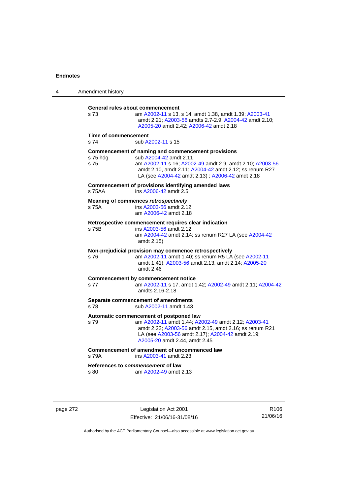| 4 | Amendment history                                                     |                                                                                                                                                                                                                                                       |  |
|---|-----------------------------------------------------------------------|-------------------------------------------------------------------------------------------------------------------------------------------------------------------------------------------------------------------------------------------------------|--|
|   | s 73                                                                  | General rules about commencement<br>am A2002-11 s 13, s 14, amdt 1.38, amdt 1.39; A2003-41<br>amdt 2.21; A2003-56 amdts 2.7-2.9; A2004-42 amdt 2.10;<br>A2005-20 amdt 2.42; A2006-42 amdt 2.18                                                        |  |
|   | Time of commencement<br>s <sub>74</sub><br>sub A2002-11 s 15          |                                                                                                                                                                                                                                                       |  |
|   | s 75 hdg<br>s 75                                                      | Commencement of naming and commencement provisions<br>sub A2004-42 amdt 2.11<br>am A2002-11 s 16; A2002-49 amdt 2.9, amdt 2.10; A2003-56<br>amdt 2.10, amdt 2.11; A2004-42 amdt 2.12; ss renum R27<br>LA (see A2004-42 amdt 2.13); A2006-42 amdt 2.18 |  |
|   | s 75AA                                                                | Commencement of provisions identifying amended laws<br>ins A2006-42 amdt 2.5                                                                                                                                                                          |  |
|   | s 75A                                                                 | Meaning of commences retrospectively<br>ins A2003-56 amdt 2.12<br>am A2006-42 amdt 2.18                                                                                                                                                               |  |
|   | s 75B                                                                 | Retrospective commencement requires clear indication<br>ins A2003-56 amdt 2.12<br>am A2004-42 amdt 2.14; ss renum R27 LA (see A2004-42<br>amdt 2.15)                                                                                                  |  |
|   | s 76                                                                  | Non-prejudicial provision may commence retrospectively<br>am A2002-11 amdt 1.40; ss renum R5 LA (see A2002-11<br>amdt 1.41); A2003-56 amdt 2.13, amdt 2.14; A2005-20<br>amdt 2.46                                                                     |  |
|   | s 77                                                                  | <b>Commencement by commencement notice</b><br>am A2002-11 s 17, amdt 1.42; A2002-49 amdt 2.11; A2004-42<br>amdts 2.16-2.18                                                                                                                            |  |
|   | Separate commencement of amendments<br>s 78<br>sub A2002-11 amdt 1.43 |                                                                                                                                                                                                                                                       |  |
|   | s 79                                                                  | Automatic commencement of postponed law<br>am A2002-11 amdt 1.44; A2002-49 amdt 2.12; A2003-41<br>amdt 2.22; A2003-56 amdt 2.15, amdt 2.16; ss renum R21<br>LA (see A2003-56 amdt 2.17); A2004-42 amdt 2.19;<br>A2005-20 amdt 2.44, amdt 2.45         |  |
|   | s 79A                                                                 | Commencement of amendment of uncommenced law<br>ins A2003-41 amdt 2.23                                                                                                                                                                                |  |
|   | s 80                                                                  | References to commencement of law<br>am A2002-49 amdt 2.13                                                                                                                                                                                            |  |

page 272 Legislation Act 2001 Effective: 21/06/16-31/08/16

R106 21/06/16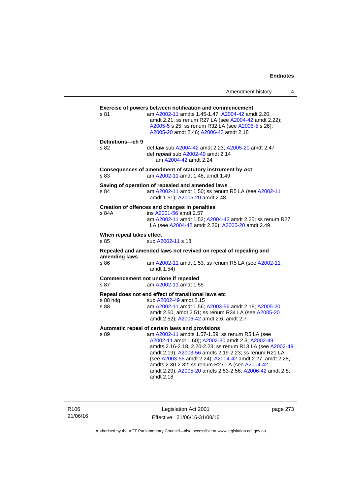|                                  | Amendment history                                                                                                                                                                                                                                                                                                                                                                                                                                                    | 4 |
|----------------------------------|----------------------------------------------------------------------------------------------------------------------------------------------------------------------------------------------------------------------------------------------------------------------------------------------------------------------------------------------------------------------------------------------------------------------------------------------------------------------|---|
| s 81                             | <b>Exercise of powers between notification and commencement</b><br>am A2002-11 amdts 1.45-1.47; A2004-42 amdt 2.20,<br>amdt 2.21; ss renum R27 LA (see A2004-42 amdt 2.22);<br>A2005-5 s 25; ss renum R32 LA (see A2005-5 s 26);<br>A2005-20 amdt 2.46; A2006-42 amdt 2.18                                                                                                                                                                                           |   |
| Definitions-ch 9<br>s 82         | def law sub A2004-42 amdt 2.23; A2005-20 amdt 2.47<br>def repeal sub A2002-49 amdt 2.14<br>am A2004-42 amdt 2.24                                                                                                                                                                                                                                                                                                                                                     |   |
| s 83                             | Consequences of amendment of statutory instrument by Act<br>am A2002-11 amdt 1.48, amdt 1.49                                                                                                                                                                                                                                                                                                                                                                         |   |
| s 84                             | Saving of operation of repealed and amended laws<br>am A2002-11 amdt 1.50; ss renum R5 LA (see A2002-11<br>amdt 1.51); A2005-20 amdt 2.48                                                                                                                                                                                                                                                                                                                            |   |
| s 84A                            | Creation of offences and changes in penalties<br>ins A2001-56 amdt 2.57<br>am A2002-11 amdt 1.52; A2004-42 amdt 2.25; ss renum R27<br>LA (see A2004-42 amdt 2.26); A2005-20 amdt 2.49                                                                                                                                                                                                                                                                                |   |
| When repeal takes effect<br>s 85 | sub A2002-11 s 18                                                                                                                                                                                                                                                                                                                                                                                                                                                    |   |
|                                  | Repealed and amended laws not revived on repeal of repealing and                                                                                                                                                                                                                                                                                                                                                                                                     |   |
| amending laws<br>s 86            | am A2002-11 amdt 1.53; ss renum R5 LA (see A2002-11<br>amdt 1.54)                                                                                                                                                                                                                                                                                                                                                                                                    |   |
| s 87                             | Commencement not undone if repealed<br>am A2002-11 amdt 1.55                                                                                                                                                                                                                                                                                                                                                                                                         |   |
| s 88 hda<br>s 88                 | Repeal does not end effect of transitional laws etc<br>sub A2002-49 amdt 2.15<br>am A2002-11 amdt 1.56; A2003-56 amdt 2.18; A2005-20<br>amdt 2.50, amdt 2.51; ss renum R34 LA (see A2005-20<br>amdt 2.52); A2006-42 amdt 2.6, amdt 2.7                                                                                                                                                                                                                               |   |
| s 89                             | Automatic repeal of certain laws and provisions<br>am A2002-11 amdts 1.57-1.59; ss renum R5 LA (see<br>A2002-11 amdt 1.60); A2002-30 amdt 2.3; A2002-49<br>amdts 2.16-2.18, 2.20-2.23; ss renum R13 LA (see A2002-49<br>amdt 2.19); A2003-56 amdts 2.19-2.23; ss renum R21 LA<br>(see A2003-56 amdt 2.24); A2004-42 amdt 2.27, amdt 2.28,<br>amdts 2.30-2.32; ss renum R27 LA (see A2004-42<br>amdt 2.29); A2005-20 amdts 2.53-2.56; A2006-42 amdt 2.8,<br>amdt 2.18 |   |

R106 21/06/16

Legislation Act 2001 Effective: 21/06/16-31/08/16 page 273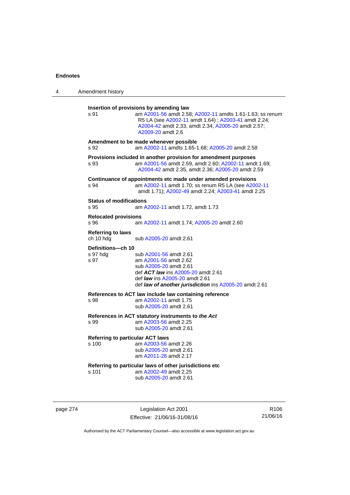| 4 | Amendment history                                |                                                                                                                                                                                                                                         |
|---|--------------------------------------------------|-----------------------------------------------------------------------------------------------------------------------------------------------------------------------------------------------------------------------------------------|
|   | s 91                                             | Insertion of provisions by amending law<br>am A2001-56 amdt 2.58; A2002-11 amdts 1.61-1.63; ss renum<br>R5 LA (see A2002-11 amdt 1.64) ; A2003-41 amdt 2.24;<br>A2004-42 amdt 2.33, amdt 2.34; A2005-20 amdt 2.57;<br>A2009-20 amdt 2.6 |
|   | s 92                                             | Amendment to be made whenever possible<br>am A2002-11 amdts 1.65-1.68; A2005-20 amdt 2.58                                                                                                                                               |
|   | s 93                                             | Provisions included in another provision for amendment purposes<br>am A2001-56 amdt 2.59, amdt 2.60; A2002-11 amdt 1.69;<br>A2004-42 amdt 2.35, amdt 2.36; A2005-20 amdt 2.59                                                           |
|   | s 94                                             | Continuance of appointments etc made under amended provisions<br>am A2002-11 amdt 1.70; ss renum R5 LA (see A2002-11<br>amdt 1.71); A2002-49 amdt 2.24; A2003-41 amdt 2.25                                                              |
|   | <b>Status of modifications</b><br>s 95           | am A2002-11 amdt 1.72, amdt 1.73                                                                                                                                                                                                        |
|   | <b>Relocated provisions</b><br>s 96              | am A2002-11 amdt 1.74; A2005-20 amdt 2.60                                                                                                                                                                                               |
|   | <b>Referring to laws</b><br>ch 10 hdg            | sub A2005-20 amdt 2.61                                                                                                                                                                                                                  |
|   | Definitions-ch 10<br>s 97 hda<br>s 97            | sub A2001-56 amdt 2.61<br>am A2001-56 amdt 2.62<br>sub A2005-20 amdt 2.61<br>def <b>ACT law</b> ins A2005-20 amdt 2.61<br>def <i>law</i> ins A2005-20 amdt 2.61<br>def law of another jurisdiction ins A2005-20 amdt 2.61               |
|   | s 98                                             | References to ACT law include law containing reference<br>am A2002-11 amdt 1.75<br>sub A2005-20 amdt 2.61                                                                                                                               |
|   | s 99                                             | References in ACT statutory instruments to the Act<br>am A2003-56 amdt 2.25<br>sub A2005-20 amdt 2.61                                                                                                                                   |
|   | <b>Referring to particular ACT laws</b><br>s 100 | am A2003-56 amdt 2.26<br>sub A2005-20 amdt 2.61<br>am A2011-28 amdt 2.17                                                                                                                                                                |
|   | s 101                                            | Referring to particular laws of other jurisdictions etc<br>am A2002-49 amdt 2.25<br>sub A2005-20 amdt 2.61                                                                                                                              |

page 274 Legislation Act 2001 Effective: 21/06/16-31/08/16

R106 21/06/16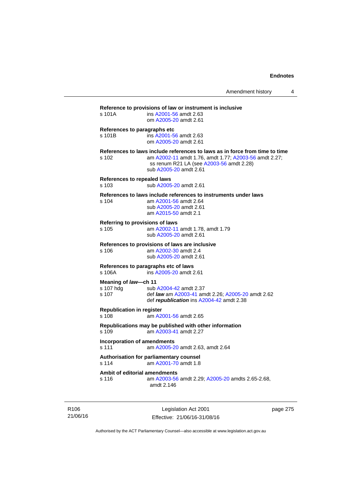| s 101A                                      | ins A2001-56 amdt 2.63<br>om A2005-20 amdt 2.61                                                                                                                                                            |
|---------------------------------------------|------------------------------------------------------------------------------------------------------------------------------------------------------------------------------------------------------------|
| s 101B                                      | References to paragraphs etc<br>ins A2001-56 amdt 2.63<br>om A2005-20 amdt 2.61                                                                                                                            |
| s 102                                       | References to laws include references to laws as in force from time to time<br>am A2002-11 amdt 1.76, amdt 1.77; A2003-56 amdt 2.27;<br>ss renum R21 LA (see A2003-56 amdt 2.28)<br>sub A2005-20 amdt 2.61 |
| <b>References to repealed laws</b><br>s 103 | sub A2005-20 amdt 2.61                                                                                                                                                                                     |
| s 104                                       | References to laws include references to instruments under laws<br>am A2001-56 amdt 2.64<br>sub A2005-20 amdt 2.61<br>am A2015-50 amdt 2.1                                                                 |
| s 105                                       | Referring to provisions of laws<br>am A2002-11 amdt 1.78, amdt 1.79<br>sub A2005-20 amdt 2.61                                                                                                              |
| s 106                                       | References to provisions of laws are inclusive<br>am A2002-30 amdt 2.4<br>sub A2005-20 amdt 2.61                                                                                                           |
| s 106A                                      | References to paragraphs etc of laws<br>ins A2005-20 amdt 2.61                                                                                                                                             |
| Meaning of law-ch 11<br>s 107 hdg<br>s 107  | sub A2004-42 amdt 2.37<br>def law am A2003-41 amdt 2.26; A2005-20 amdt 2.62<br>def republication ins A2004-42 amdt 2.38                                                                                    |
| <b>Republication in register</b><br>s 108   | am A2001-56 amdt 2.65                                                                                                                                                                                      |
| s 109                                       | Republications may be published with other information<br>am A2003-41 amdt 2.27                                                                                                                            |
| s 111                                       | <b>Incorporation of amendments</b><br>am A2005-20 amdt 2.63, amdt 2.64                                                                                                                                     |
| s 114                                       | Authorisation for parliamentary counsel<br>am A2001-70 amdt 1.8                                                                                                                                            |
| s 116                                       | Ambit of editorial amendments<br>am A2003-56 amdt 2.29; A2005-20 amdts 2.65-2.68,<br>amdt 2.146                                                                                                            |

R106 21/06/16

Legislation Act 2001 Effective: 21/06/16-31/08/16 page 275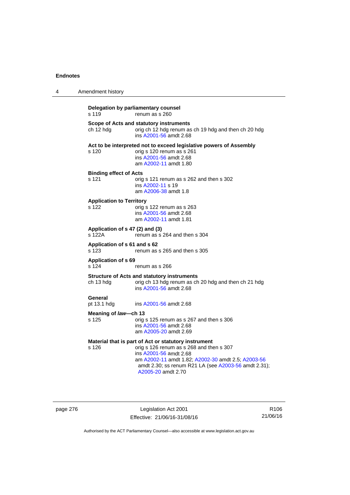| 4 | Amendment history                                                                                                                                                                                                                                                       |
|---|-------------------------------------------------------------------------------------------------------------------------------------------------------------------------------------------------------------------------------------------------------------------------|
|   | Delegation by parliamentary counsel<br>s 119<br>renum as s 260                                                                                                                                                                                                          |
|   | Scope of Acts and statutory instruments<br>orig ch 12 hdg renum as ch 19 hdg and then ch 20 hdg<br>ch 12 hdg<br>ins A2001-56 amdt 2.68                                                                                                                                  |
|   | Act to be interpreted not to exceed legislative powers of Assembly<br>s 120<br>orig s 120 renum as s 261<br>ins A2001-56 amdt 2.68<br>am A2002-11 amdt 1.80                                                                                                             |
|   | <b>Binding effect of Acts</b><br>s 121<br>orig s 121 renum as s 262 and then s 302<br>ins A2002-11 s 19<br>am A2006-38 amdt 1.8                                                                                                                                         |
|   | <b>Application to Territory</b><br>s 122<br>orig s 122 renum as s 263<br>ins A2001-56 amdt 2.68<br>am A2002-11 amdt 1.81                                                                                                                                                |
|   | Application of s 47 (2) and (3)<br>s 122A<br>renum as s 264 and then s 304                                                                                                                                                                                              |
|   | Application of s 61 and s 62<br>s 123<br>renum as s 265 and then s 305                                                                                                                                                                                                  |
|   | <b>Application of s 69</b><br>s 124<br>renum as s 266                                                                                                                                                                                                                   |
|   | <b>Structure of Acts and statutory instruments</b><br>orig ch 13 hdg renum as ch 20 hdg and then ch 21 hdg<br>ch 13 hdg<br>ins A2001-56 amdt 2.68                                                                                                                       |
|   | General<br>pt 13.1 hdg<br>ins A2001-56 amdt 2.68                                                                                                                                                                                                                        |
|   | Meaning of law—ch 13<br>s 125<br>orig s 125 renum as s 267 and then s 306<br>ins A2001-56 amdt 2.68<br>am A2005-20 amdt 2.69                                                                                                                                            |
|   | Material that is part of Act or statutory instrument<br>orig s 126 renum as s 268 and then s 307<br>s 126<br>ins A2001-56 amdt 2.68<br>am A2002-11 amdt 1.82; A2002-30 amdt 2.5; A2003-56<br>amdt 2.30; ss renum R21 LA (see A2003-56 amdt 2.31);<br>A2005-20 amdt 2.70 |

page 276 **Legislation Act 2001** Effective: 21/06/16-31/08/16

R106 21/06/16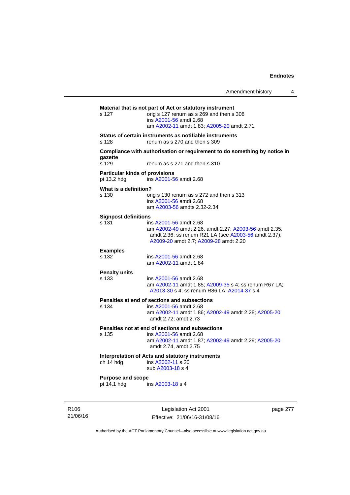|                                                      | Amendment history                                                                                                                                                                |          | 4 |
|------------------------------------------------------|----------------------------------------------------------------------------------------------------------------------------------------------------------------------------------|----------|---|
| s 127                                                | Material that is not part of Act or statutory instrument<br>orig s 127 renum as s 269 and then s 308<br>ins A2001-56 amdt 2.68<br>am A2002-11 amdt 1.83; A2005-20 amdt 2.71      |          |   |
| s 128                                                | Status of certain instruments as notifiable instruments<br>renum as s 270 and then s 309                                                                                         |          |   |
| gazette<br>s 129                                     | Compliance with authorisation or requirement to do something by notice in<br>renum as s 271 and then s 310                                                                       |          |   |
| <b>Particular kinds of provisions</b><br>pt 13.2 hdg | ins A2001-56 amdt 2.68                                                                                                                                                           |          |   |
| What is a definition?<br>s 130                       | orig s 130 renum as s 272 and then s 313<br>ins A2001-56 amdt 2.68<br>am A2003-56 amdts 2.32-2.34                                                                                |          |   |
| <b>Signpost definitions</b><br>s 131                 | ins A2001-56 amdt 2.68<br>am A2002-49 amdt 2.26, amdt 2.27; A2003-56 amdt 2.35,<br>amdt 2.36; ss renum R21 LA (see A2003-56 amdt 2.37);<br>A2009-20 amdt 2.7; A2009-28 amdt 2.20 |          |   |
| <b>Examples</b><br>s 132                             | ins A2001-56 amdt 2.68<br>am A2002-11 amdt 1.84                                                                                                                                  |          |   |
| <b>Penalty units</b><br>s 133                        | ins A2001-56 amdt 2.68<br>am A2002-11 amdt 1.85; A2009-35 s 4; ss renum R67 LA;<br>A2013-30 s 4; ss renum R86 LA; A2014-37 s 4                                                   |          |   |
| s 134                                                | Penalties at end of sections and subsections<br>ins A2001-56 amdt 2.68<br>am A2002-11 amdt 1.86; A2002-49 amdt 2.28; A2005-20<br>amdt 2.72; amdt 2.73                            |          |   |
| s 135                                                | Penalties not at end of sections and subsections<br>ins A2001-56 amdt 2.68<br>am A2002-11 amdt 1.87; A2002-49 amdt 2.29; A2005-20<br>amdt 2.74, amdt 2.75                        |          |   |
| ch 14 hdg                                            | Interpretation of Acts and statutory instruments<br>ins A2002-11 s 20<br>sub A2003-18 s 4                                                                                        |          |   |
| <b>Purpose and scope</b><br>pt 14.1 hdg              | ins A2003-18 s 4                                                                                                                                                                 |          |   |
|                                                      | Legislation Act 2001                                                                                                                                                             | page 277 |   |

21/06/16

R106

Effective: 21/06/16-31/08/16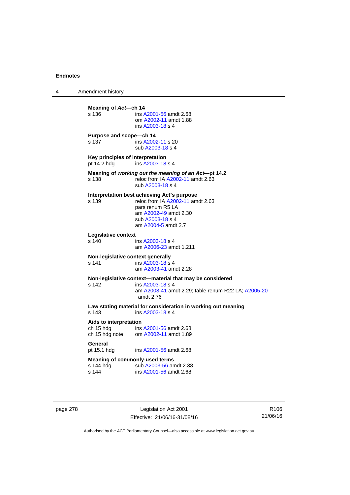4 Amendment history **Meaning of Act—ch 14**<br>s 136 **ins A** s 136 ins [A2001-56](http://www.legislation.act.gov.au/a/2001-56) amdt 2.68 om [A2002-11](http://www.legislation.act.gov.au/a/2002-11) amdt 1.88 ins [A2003-18](http://www.legislation.act.gov.au/a/2003-18) s 4 **Purpose and scope—ch 14**  s 137 ins [A2002-11](http://www.legislation.act.gov.au/a/2002-11) s 20 sub [A2003-18](http://www.legislation.act.gov.au/a/2003-18) s 4 **Key principles of interpretation**<br>pt 14.2 hdg ins A2003-18 ins [A2003-18](http://www.legislation.act.gov.au/a/2003-18) s 4 **Meaning of** *working out the meaning of an Act***—pt 14.2**  s 138 reloc from IA [A2002-11](http://www.legislation.act.gov.au/a/2002-11) amdt 2.63 sub [A2003-18](http://www.legislation.act.gov.au/a/2003-18) s 4 **Interpretation best achieving Act's purpose**  s 139 reloc from IA [A2002-11](http://www.legislation.act.gov.au/a/2002-11) amdt 2.63 pars renum R5 LA am [A2002-49](http://www.legislation.act.gov.au/a/2002-49) amdt 2.30 sub [A2003-18](http://www.legislation.act.gov.au/a/2003-18) s 4 am [A2004-5](http://www.legislation.act.gov.au/a/2004-5) amdt 2.7 **Legislative context**  ins [A2003-18](http://www.legislation.act.gov.au/a/2003-18) s 4 am [A2006-23](http://www.legislation.act.gov.au/a/2006-23) amdt 1.211 **Non-legislative context generally**  s 141 **ins [A2003-18](http://www.legislation.act.gov.au/a/2003-18) s** 4 am [A2003-41](http://www.legislation.act.gov.au/a/2003-41) amdt 2.28 **Non-legislative context—material that may be considered**  s 142 ins [A2003-18](http://www.legislation.act.gov.au/a/2003-18) s 4 am [A2003-41](http://www.legislation.act.gov.au/a/2003-41) amdt 2.29; table renum R22 LA; [A2005-20](http://www.legislation.act.gov.au/a/2005-20) amdt 2.76 **Law stating material for consideration in working out meaning**  ins [A2003-18](http://www.legislation.act.gov.au/a/2003-18) s 4 **Aids to interpretation**  ch 15 hdg ins [A2001-56](http://www.legislation.act.gov.au/a/2001-56) amdt 2.68 ch 15 hdg note om [A2002-11](http://www.legislation.act.gov.au/a/2002-11) amdt 1.89 General<br>pt 15.1 hdg ins [A2001-56](http://www.legislation.act.gov.au/a/2001-56) amdt 2.68 **Meaning of commonly-used terms**  s 144 hdg sub [A2003-56](http://www.legislation.act.gov.au/a/2003-56) amdt 2.38<br>s 144 ins A2001-56 amdt 2.68 ins [A2001-56](http://www.legislation.act.gov.au/a/2001-56) amdt 2.68

page 278 Legislation Act 2001 Effective: 21/06/16-31/08/16

R106 21/06/16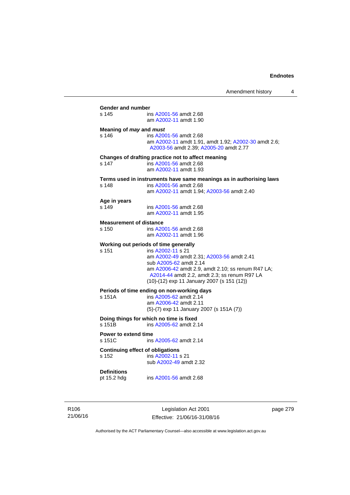| Gender and number                       |                                                                                                                                                                                                                                                                                      |
|-----------------------------------------|--------------------------------------------------------------------------------------------------------------------------------------------------------------------------------------------------------------------------------------------------------------------------------------|
| s 145                                   | ins A2001-56 amdt 2.68<br>am A2002-11 amdt 1.90                                                                                                                                                                                                                                      |
| Meaning of may and must<br>s 146        | ins A2001-56 amdt 2.68<br>am A2002-11 amdt 1.91, amdt 1.92; A2002-30 amdt 2.6;<br>A2003-56 amdt 2.39; A2005-20 amdt 2.77                                                                                                                                                             |
| s 147                                   | Changes of drafting practice not to affect meaning<br>ins A2001-56 amdt 2.68<br>am A2002-11 amdt 1.93                                                                                                                                                                                |
| s 148                                   | Terms used in instruments have same meanings as in authorising laws<br>ins A2001-56 amdt 2.68<br>am A2002-11 amdt 1.94; A2003-56 amdt 2.40                                                                                                                                           |
| Age in years<br>s 149                   | ins A2001-56 amdt 2.68<br>am A2002-11 amdt 1.95                                                                                                                                                                                                                                      |
| <b>Measurement of distance</b><br>s 150 | ins A2001-56 amdt 2.68<br>am A2002-11 amdt 1.96                                                                                                                                                                                                                                      |
| $s$ 151                                 | Working out periods of time generally<br>ins A2002-11 s 21<br>am A2002-49 amdt 2.31; A2003-56 amdt 2.41<br>sub A2005-62 amdt 2.14<br>am A2006-42 amdt 2.9, amdt 2.10; ss renum R47 LA;<br>A2014-44 amdt 2.2, amdt 2.3; ss renum R97 LA<br>(10)-(12) exp 11 January 2007 (s 151 (12)) |
| s 151A                                  | Periods of time ending on non-working days<br>ins A2005-62 amdt 2.14<br>am A2006-42 amdt 2.11<br>(5)-(7) exp 11 January 2007 (s 151A (7))                                                                                                                                            |
| s 151B                                  | Doing things for which no time is fixed<br>ins A2005-62 amdt 2.14                                                                                                                                                                                                                    |
| Power to extend time<br>s 151C          | ins A2005-62 amdt 2.14                                                                                                                                                                                                                                                               |
| s 152                                   | <b>Continuing effect of obligations</b><br>ins A2002-11 s 21<br>sub A2002-49 amdt 2.32                                                                                                                                                                                               |
| <b>Definitions</b><br>pt 15.2 hdg       | ins A2001-56 amdt 2.68                                                                                                                                                                                                                                                               |

R106 21/06/16

Legislation Act 2001 Effective: 21/06/16-31/08/16 page 279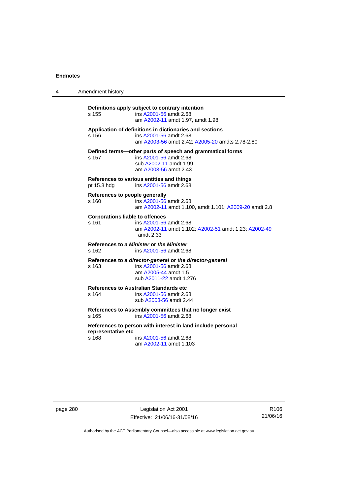| 4 | Amendment history                                  |                                                                                                                                        |
|---|----------------------------------------------------|----------------------------------------------------------------------------------------------------------------------------------------|
|   | s 155                                              | Definitions apply subject to contrary intention<br>ins A2001-56 amdt 2.68<br>am A2002-11 amdt 1.97, amdt 1.98                          |
|   | s 156                                              | Application of definitions in dictionaries and sections<br>ins A2001-56 amdt 2.68<br>am A2003-56 amdt 2.42; A2005-20 amdts 2.78-2.80   |
|   | s 157                                              | Defined terms-other parts of speech and grammatical forms<br>ins A2001-56 amdt 2.68<br>sub A2002-11 amdt 1.99<br>am A2003-56 amdt 2.43 |
|   | pt 15.3 hdg                                        | References to various entities and things<br>ins A2001-56 amdt 2.68                                                                    |
|   | References to people generally<br>s <sub>160</sub> | ins A2001-56 amdt 2.68<br>am A2002-11 amdt 1.100, amdt 1.101; A2009-20 amdt 2.8                                                        |
|   | <b>Corporations liable to offences</b><br>s 161    | ins A2001-56 amdt 2.68<br>am A2002-11 amdt 1.102; A2002-51 amdt 1.23; A2002-49<br>amdt $2.33$                                          |
|   | s 162                                              | References to a Minister or the Minister<br>ins A2001-56 amdt 2.68                                                                     |
|   | s 163                                              | References to a director-general or the director-general<br>ins A2001-56 amdt 2.68<br>am A2005-44 amdt 1.5<br>sub A2011-22 amdt 1.276  |
|   | s 164                                              | <b>References to Australian Standards etc</b><br>ins A2001-56 amdt 2.68<br>sub A2003-56 amdt 2.44                                      |
|   | s 165                                              | References to Assembly committees that no longer exist<br>ins A2001-56 amdt 2.68                                                       |
|   | representative etc                                 | References to person with interest in land include personal                                                                            |
|   | s 168                                              | ins A2001-56 amdt 2.68<br>am A2002-11 amdt 1.103                                                                                       |

page 280 Legislation Act 2001 Effective: 21/06/16-31/08/16

R106 21/06/16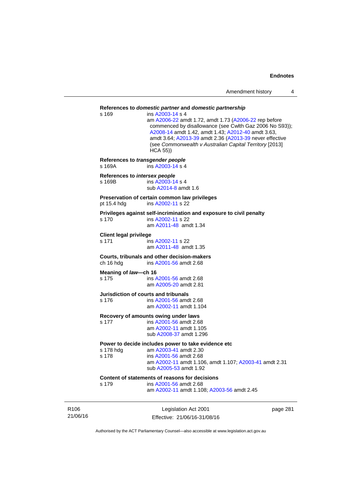| Amendment history |  |
|-------------------|--|
|-------------------|--|

### Legislation Act 2001 page 281 **References to** *domestic partner* **and** *domestic partnership*  s 169 ins [A2003-14](http://www.legislation.act.gov.au/a/2003-14) s 4 am [A2006-22](http://www.legislation.act.gov.au/a/2006-22) amdt 1.72, amdt 1.73 [\(A2006-22](http://www.legislation.act.gov.au/a/2006-22) rep before commenced by disallowance (see Cwlth Gaz 2006 No S93)); [A2008-14](http://www.legislation.act.gov.au/a/2008-14) amdt 1.42, amdt 1.43; [A2012-40](http://www.legislation.act.gov.au/a/2012-40) amdt 3.63, amdt 3.64; [A2013-39](http://www.legislation.act.gov.au/a/2013-39) amdt 2.36 [\(A2013-39](http://www.legislation.act.gov.au/a/2013-39) never effective (see *Commonwealth v Australian Capital Territory* [2013] HCA 55)) **References to** *transgender people*  s 169A ins [A2003-14](http://www.legislation.act.gov.au/a/2003-14) s 4 **References to** *intersex people*  s 169B ins [A2003-14](http://www.legislation.act.gov.au/a/2003-14) s 4 sub [A2014-8](http://www.legislation.act.gov.au/a/2014-8) amdt 1.6 **Preservation of certain common law privileges**  pt 15.4 hdg ins [A2002-11](http://www.legislation.act.gov.au/a/2002-11) s 22 **Privileges against self-incrimination and exposure to civil penalty**  s 170 ins [A2002-11](http://www.legislation.act.gov.au/a/2002-11) s 22 am [A2011-48](http://www.legislation.act.gov.au/a/2011-48) amdt 1.34 **Client legal privilege**  s 171 ins [A2002-11](http://www.legislation.act.gov.au/a/2002-11) s 22 am [A2011-48](http://www.legislation.act.gov.au/a/2011-48) amdt 1.35 **Courts, tribunals and other decision-makers**  ch 16 hdg ins [A2001-56](http://www.legislation.act.gov.au/a/2001-56) amdt 2.68 **Meaning of** *law***—ch 16**  s 175 ins [A2001-56](http://www.legislation.act.gov.au/a/2001-56) amdt 2.68 am [A2005-20](http://www.legislation.act.gov.au/a/2005-20) amdt 2.81 **Jurisdiction of courts and tribunals**  s 176 ins [A2001-56](http://www.legislation.act.gov.au/a/2001-56) amdt 2.68 am [A2002-11](http://www.legislation.act.gov.au/a/2002-11) amdt 1.104 **Recovery of amounts owing under laws**  s 177 ins [A2001-56](http://www.legislation.act.gov.au/a/2001-56) amdt 2.68 am [A2002-11](http://www.legislation.act.gov.au/a/2002-11) amdt 1.105 sub [A2008-37](http://www.legislation.act.gov.au/a/2008-37) amdt 1.296 **Power to decide includes power to take evidence etc**  s 178 hdg am [A2003-41](http://www.legislation.act.gov.au/a/2003-41) amdt 2.30 s 178 ins [A2001-56](http://www.legislation.act.gov.au/a/2001-56) amdt 2.68 am [A2002-11](http://www.legislation.act.gov.au/a/2002-11) amdt 1.106, amdt 1.107; [A2003-41](http://www.legislation.act.gov.au/a/2003-41) amdt 2.31 sub [A2005-53](http://www.legislation.act.gov.au/a/2005-53) amdt 1.92 **Content of statements of reasons for decisions**  s 179 ins [A2001-56](http://www.legislation.act.gov.au/a/2001-56) amdt 2.68 am [A2002-11](http://www.legislation.act.gov.au/a/2002-11) amdt 1.108; [A2003-56](http://www.legislation.act.gov.au/a/2003-56) amdt 2.45

R106 21/06/16

Effective: 21/06/16-31/08/16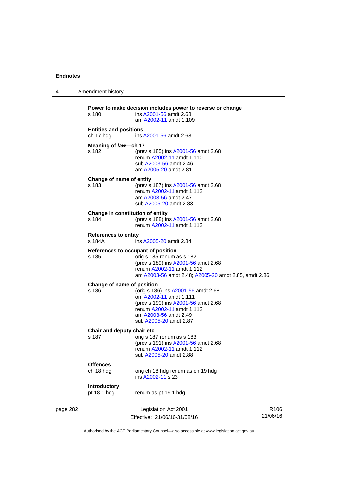| 4        | Amendment history                          |                                                                                                                                                                                             |                              |
|----------|--------------------------------------------|---------------------------------------------------------------------------------------------------------------------------------------------------------------------------------------------|------------------------------|
|          | s 180                                      | Power to make decision includes power to reverse or change<br>ins A2001-56 amdt 2.68<br>am A2002-11 amdt 1.109                                                                              |                              |
|          | <b>Entities and positions</b><br>ch 17 hdg | ins A2001-56 amdt 2.68                                                                                                                                                                      |                              |
|          | Meaning of law-ch 17                       |                                                                                                                                                                                             |                              |
|          | s 182                                      | (prev s 185) ins A2001-56 amdt 2.68<br>renum A2002-11 amdt 1.110<br>sub A2003-56 amdt 2.46<br>am A2005-20 amdt 2.81                                                                         |                              |
|          | Change of name of entity<br>s 183          | (prev s 187) ins A2001-56 amdt 2.68<br>renum A2002-11 amdt 1.112<br>am A2003-56 amdt 2.47<br>sub A2005-20 amdt 2.83                                                                         |                              |
|          | Change in constitution of entity<br>s 184  | (prev s 188) ins A2001-56 amdt 2.68<br>renum A2002-11 amdt 1.112                                                                                                                            |                              |
|          | <b>References to entity</b><br>s 184A      | ins A2005-20 amdt 2.84                                                                                                                                                                      |                              |
|          | s 185                                      | References to occupant of position<br>orig s 185 renum as s 182<br>(prev s 189) ins A2001-56 amdt 2.68<br>renum A2002-11 amdt 1.112<br>am A2003-56 amdt 2.48; A2005-20 amdt 2.85, amdt 2.86 |                              |
|          | Change of name of position                 |                                                                                                                                                                                             |                              |
|          | s 186                                      | (orig s 186) ins A2001-56 amdt 2.68<br>om A2002-11 amdt 1.111<br>(prev s 190) ins A2001-56 amdt 2.68<br>renum A2002-11 amdt 1.112<br>am A2003-56 amdt 2.49<br>sub A2005-20 amdt 2.87        |                              |
|          | Chair and deputy chair etc<br>s 187        | orig s 187 renum as s 183<br>(prev s 191) ins A2001-56 amdt 2.68<br>renum A2002-11 amdt 1.112<br>sub A2005-20 amdt 2.88                                                                     |                              |
|          | <b>Offences</b>                            |                                                                                                                                                                                             |                              |
|          | ch 18 hdg                                  | orig ch 18 hdg renum as ch 19 hdg<br>ins A2002-11 s 23                                                                                                                                      |                              |
|          | <b>Introductory</b><br>pt 18.1 hdg         | renum as pt 19.1 hdg                                                                                                                                                                        |                              |
| page 282 |                                            | Legislation Act 2001<br>Effective: 21/06/16-31/08/16                                                                                                                                        | R <sub>106</sub><br>21/06/16 |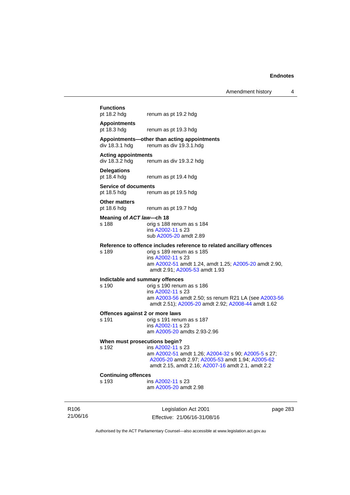Amendment history 4

# **Functions**<br>pt 18.2 hdg renum as pt 19.2 hdg **Appointments**  pt 18.3 hdg renum as pt 19.3 hdg **Appointments—other than acting appointments**  renum as div 19.3.1 hdg **Acting appointments**  div 18.3.2 hdg renum as div 19.3.2 hdg **Delegations**  renum as pt 19.4 hdg **Service of documents**  pt 18.5 hdg renum as pt 19.5 hdg **Other matters**  pt 18.6 hdg renum as pt 19.7 hdg **Meaning of** *ACT law***—ch 18**  s 188 orig s 188 renum as s 184 ins [A2002-11](http://www.legislation.act.gov.au/a/2002-11) s 23 sub [A2005-20](http://www.legislation.act.gov.au/a/2005-20) amdt 2.89 **Reference to offence includes reference to related ancillary offences**  s 189 orig s 189 renum as s 185 ins [A2002-11](http://www.legislation.act.gov.au/a/2002-11) s 23 am [A2002-51](http://www.legislation.act.gov.au/a/2002-51) amdt 1.24, amdt 1.25; [A2005-20](http://www.legislation.act.gov.au/a/2005-20) amdt 2.90, amdt 2.91; [A2005-53](http://www.legislation.act.gov.au/a/2005-53) amdt 1.93 **Indictable and summary offences**  orig s 190 renum as s 186 ins [A2002-11](http://www.legislation.act.gov.au/a/2002-11) s 23 am [A2003-56](http://www.legislation.act.gov.au/a/2003-56) amdt 2.50; ss renum R21 LA (see [A2003-56](http://www.legislation.act.gov.au/a/2003-56) amdt 2.51); [A2005-20](http://www.legislation.act.gov.au/a/2005-20) amdt 2.92; [A2008-44](http://www.legislation.act.gov.au/a/2008-44) amdt 1.62 **Offences against 2 or more laws**  s 191 orig s 191 renum as s 187 ins [A2002-11](http://www.legislation.act.gov.au/a/2002-11) s 23 am [A2005-20](http://www.legislation.act.gov.au/a/2005-20) amdts 2.93-2.96 **When must prosecutions begin?**  s 192 ins [A2002-11](http://www.legislation.act.gov.au/a/2002-11) s 23 am [A2002-51](http://www.legislation.act.gov.au/a/2002-51) amdt 1.26; [A2004-32](http://www.legislation.act.gov.au/a/2004-32) s 90; [A2005-5](http://www.legislation.act.gov.au/a/2005-5) s 27; [A2005-20](http://www.legislation.act.gov.au/a/2005-20) amdt 2.97; [A2005-53](http://www.legislation.act.gov.au/a/2005-53) amdt 1.94; [A2005-62](http://www.legislation.act.gov.au/a/2005-62) amdt 2.15, amdt 2.16; [A2007-16](http://www.legislation.act.gov.au/a/2007-16) amdt 2.1, amdt 2.2 **Continuing offences**

s 193 ins [A2002-11](http://www.legislation.act.gov.au/a/2002-11) s 23 am [A2005-20](http://www.legislation.act.gov.au/a/2005-20) amdt 2.98

R106 21/06/16

Legislation Act 2001 Effective: 21/06/16-31/08/16 page 283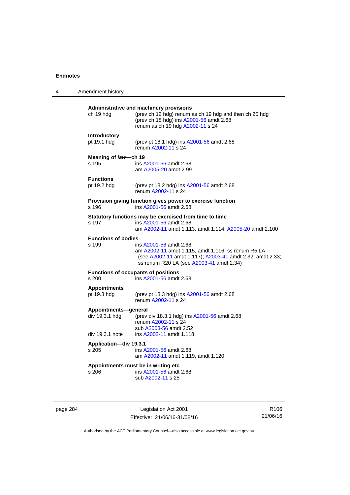| 4 | Amendment history                      |                                                                                                                                                                                       |
|---|----------------------------------------|---------------------------------------------------------------------------------------------------------------------------------------------------------------------------------------|
|   | ch 19 hdg                              | Administrative and machinery provisions<br>(prev ch 12 hdg) renum as ch 19 hdg and then ch 20 hdg<br>(prev ch 18 hdg) ins A2001-56 amdt 2.68<br>renum as ch 19 hdg A2002-11 s 24      |
|   | Introductory<br>pt 19.1 hdg            | (prev pt 18.1 hdg) ins A2001-56 amdt 2.68<br>renum A2002-11 s 24                                                                                                                      |
|   | Meaning of law-ch 19<br>s 195          | ins A2001-56 amdt 2.68<br>am A2005-20 amdt 2.99                                                                                                                                       |
|   | <b>Functions</b><br>pt 19.2 hdg        | (prev pt 18.2 hdg) ins A2001-56 amdt 2.68<br>renum A2002-11 s 24                                                                                                                      |
|   | s 196                                  | Provision giving function gives power to exercise function<br>ins A2001-56 amdt 2.68                                                                                                  |
|   | s 197                                  | Statutory functions may be exercised from time to time<br>ins A2001-56 amdt 2.68<br>am A2002-11 amdt 1.113, amdt 1.114; A2005-20 amdt 2.100                                           |
|   | <b>Functions of bodies</b><br>s 199    | ins A2001-56 amdt 2.68<br>am A2002-11 amdt 1.115, amdt 1.116; ss renum R5 LA<br>(see A2002-11 amdt 1.117); A2003-41 amdt 2.32, amdt 2.33;<br>ss renum R20 LA (see A2003-41 amdt 2.34) |
|   | s 200                                  | <b>Functions of occupants of positions</b><br>ins A2001-56 amdt 2.68                                                                                                                  |
|   | <b>Appointments</b><br>pt 19.3 hdg     | (prev pt 18.3 hdg) ins A2001-56 amdt 2.68<br>renum A2002-11 s 24                                                                                                                      |
|   | Appointments-general<br>div 19.3.1 hdg | (prev div 18.3.1 hdg) ins A2001-56 amdt 2.68<br>renum A2002-11 s 24<br>sub A2003-56 amdt 2.52                                                                                         |
|   | div 19.3.1 note                        | ins A2002-11 amdt 1.118                                                                                                                                                               |
|   | Application-div 19.3.1<br>s 205        | ins A2001-56 amdt 2.68<br>am A2002-11 amdt 1.119, amdt 1.120                                                                                                                          |
|   | s 206                                  | Appointments must be in writing etc<br>ins A2001-56 amdt 2.68<br>sub A2002-11 s 25                                                                                                    |

page 284 Legislation Act 2001 Effective: 21/06/16-31/08/16

R106 21/06/16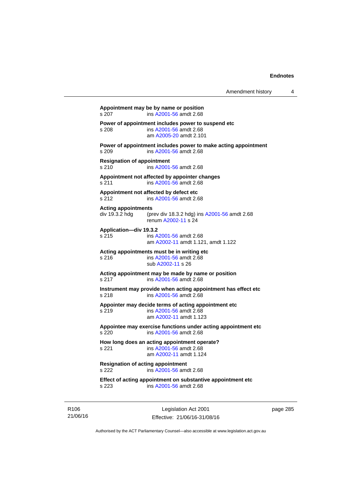**Appointment may be by name or position**  s 207 ins [A2001-56](http://www.legislation.act.gov.au/a/2001-56) amdt 2.68 **Power of appointment includes power to suspend etc**  s 208 ins [A2001-56](http://www.legislation.act.gov.au/a/2001-56) amdt 2.68 am [A2005-20](http://www.legislation.act.gov.au/a/2005-20) amdt 2.101 **Power of appointment includes power to make acting appointment**  s 209 ins [A2001-56](http://www.legislation.act.gov.au/a/2001-56) amdt 2.68 **Resignation of appointment**  s 210 ins [A2001-56](http://www.legislation.act.gov.au/a/2001-56) amdt 2.68 **Appointment not affected by appointer changes**  s 211 ins [A2001-56](http://www.legislation.act.gov.au/a/2001-56) amdt 2.68 **Appointment not affected by defect etc**  s 212 ins [A2001-56](http://www.legislation.act.gov.au/a/2001-56) amdt 2.68 **Acting appointments**  div 19.3.2 hdg (prev div 18.3.2 hdg) ins [A2001-56](http://www.legislation.act.gov.au/a/2001-56) amdt 2.68 renum [A2002-11](http://www.legislation.act.gov.au/a/2002-11) s 24 **Application—div 19.3.2**  s 215 ins [A2001-56](http://www.legislation.act.gov.au/a/2001-56) amdt 2.68 am [A2002-11](http://www.legislation.act.gov.au/a/2002-11) amdt 1.121, amdt 1.122 **Acting appointments must be in writing etc**  s 216 ins [A2001-56](http://www.legislation.act.gov.au/a/2001-56) amdt 2.68 sub [A2002-11](http://www.legislation.act.gov.au/a/2002-11) s 26 **Acting appointment may be made by name or position**  s 217 ins [A2001-56](http://www.legislation.act.gov.au/a/2001-56) amdt 2.68 **Instrument may provide when acting appointment has effect etc**  s 218 ins [A2001-56](http://www.legislation.act.gov.au/a/2001-56) amdt 2.68 **Appointer may decide terms of acting appointment etc**  s 219 ins [A2001-56](http://www.legislation.act.gov.au/a/2001-56) amdt 2.68 am [A2002-11](http://www.legislation.act.gov.au/a/2002-11) amdt 1.123 **Appointee may exercise functions under acting appointment etc**  s 220 ins [A2001-56](http://www.legislation.act.gov.au/a/2001-56) amdt 2.68 **How long does an acting appointment operate?**  s 221 ins [A2001-56](http://www.legislation.act.gov.au/a/2001-56) amdt 2.68 am [A2002-11](http://www.legislation.act.gov.au/a/2002-11) amdt 1.124 **Resignation of acting appointment**  s 222 ins [A2001-56](http://www.legislation.act.gov.au/a/2001-56) amdt 2.68

**Effect of acting appointment on substantive appointment etc**  s 223 ins [A2001-56](http://www.legislation.act.gov.au/a/2001-56) amdt 2.68

R106 21/06/16

Legislation Act 2001 Effective: 21/06/16-31/08/16 page 285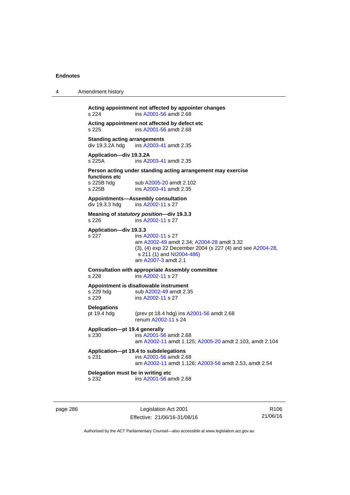| 4 | Amendment history                                      |                                                                                                                                                                                  |
|---|--------------------------------------------------------|----------------------------------------------------------------------------------------------------------------------------------------------------------------------------------|
|   | s 224                                                  | Acting appointment not affected by appointer changes<br>ins A2001-56 amdt 2.68                                                                                                   |
|   | s 225                                                  | Acting appointment not affected by defect etc<br>ins A2001-56 amdt 2.68                                                                                                          |
|   | <b>Standing acting arrangements</b><br>div 19.3.2A hdg | ins A2003-41 amdt 2.35                                                                                                                                                           |
|   | Application-div 19.3.2A<br>s 225A                      | ins A2003-41 amdt 2.35                                                                                                                                                           |
|   |                                                        | Person acting under standing acting arrangement may exercise                                                                                                                     |
|   | functions etc<br>s 225B hdg<br>s 225B                  | sub A2005-20 amdt 2.102<br>ins A2003-41 amdt 2.35                                                                                                                                |
|   | div 19.3.3 hdg                                         | Appointments-Assembly consultation<br>ins A2002-11 s 27                                                                                                                          |
|   | s 226                                                  | Meaning of statutory position-div 19.3.3<br>ins A2002-11 s 27                                                                                                                    |
|   | Application-div 19.3.3<br>s 227                        | ins A2002-11 s 27<br>am A2002-49 amdt 2.34; A2004-28 amdt 3.32<br>(3), (4) exp 22 December 2004 (s 227 (4) and see A2004-28,<br>s 211 (1) and NI2004-486)<br>am A2007-3 amdt 2.1 |
|   | s 228                                                  | <b>Consultation with appropriate Assembly committee</b><br>ins A2002-11 s 27                                                                                                     |
|   | s 229 hdg<br>s 229                                     | Appointment is disallowable instrument<br>sub A2002-49 amdt 2.35<br>ins A2002-11 s 27                                                                                            |
|   | <b>Delegations</b><br>pt 19.4 hdg                      | (prev pt 18.4 hdg) ins A2001-56 amdt 2.68<br>renum A2002-11 s 24                                                                                                                 |
|   | Application-pt 19.4 generally<br>s 230                 | ins A2001-56 amdt 2.68<br>am A2002-11 amdt 1.125; A2005-20 amdt 2.103, amdt 2.104                                                                                                |
|   | s 231                                                  | Application-pt 19.4 to subdelegations<br>ins A2001-56 amdt 2.68<br>am A2002-11 amdt 1.126; A2003-56 amdt 2.53, amdt 2.54                                                         |
|   | Delegation must be in writing etc<br>s 232             | ins A2001-56 amdt 2.68                                                                                                                                                           |
|   |                                                        |                                                                                                                                                                                  |

page 286 **Legislation Act 2001** Effective: 21/06/16-31/08/16

R106 21/06/16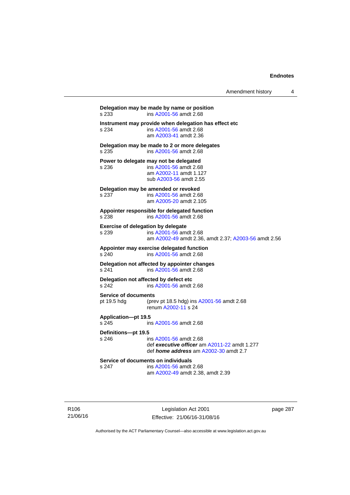| Amendment history |  |  |
|-------------------|--|--|
|-------------------|--|--|

**Delegation may be made by name or position**  s 233 ins [A2001-56](http://www.legislation.act.gov.au/a/2001-56) amdt 2.68 **Instrument may provide when delegation has effect etc**  s 234 ins [A2001-56](http://www.legislation.act.gov.au/a/2001-56) amdt 2.68 am [A2003-41](http://www.legislation.act.gov.au/a/2003-41) amdt 2.36 **Delegation may be made to 2 or more delegates**  s 235 ins [A2001-56](http://www.legislation.act.gov.au/a/2001-56) amdt 2.68 **Power to delegate may not be delegated**  s 236 ins [A2001-56](http://www.legislation.act.gov.au/a/2001-56) amdt 2.68 am [A2002-11](http://www.legislation.act.gov.au/a/2002-11) amdt 1.127 sub [A2003-56](http://www.legislation.act.gov.au/a/2003-56) amdt 2.55 **Delegation may be amended or revoked**  s 237 ins [A2001-56](http://www.legislation.act.gov.au/a/2001-56) amdt 2.68 am [A2005-20](http://www.legislation.act.gov.au/a/2005-20) amdt 2.105 **Appointer responsible for delegated function**  s 238 ins [A2001-56](http://www.legislation.act.gov.au/a/2001-56) amdt 2.68 **Exercise of delegation by delegate**  s 239 ins [A2001-56](http://www.legislation.act.gov.au/a/2001-56) amdt 2.68 am [A2002-49](http://www.legislation.act.gov.au/a/2002-49) amdt 2.36, amdt 2.37; [A2003-56](http://www.legislation.act.gov.au/a/2003-56) amdt 2.56 **Appointer may exercise delegated function**  s 240 ins [A2001-56](http://www.legislation.act.gov.au/a/2001-56) amdt 2.68 **Delegation not affected by appointer changes**  s 241 ins [A2001-56](http://www.legislation.act.gov.au/a/2001-56) amdt 2.68 **Delegation not affected by defect etc**<br>s 242 **ins A2001-56** amdt s 242 ins [A2001-56](http://www.legislation.act.gov.au/a/2001-56) amdt 2.68 **Service of documents**  pt 19.5 hdg (prev pt 18.5 hdg) ins [A2001-56](http://www.legislation.act.gov.au/a/2001-56) amdt 2.68 renum [A2002-11](http://www.legislation.act.gov.au/a/2002-11) s 24 **Application—pt 19.5**  s 245 ins [A2001-56](http://www.legislation.act.gov.au/a/2001-56) amdt 2.68 **Definitions—pt 19.5**  s 246 ins [A2001-56](http://www.legislation.act.gov.au/a/2001-56) amdt 2.68 def *executive officer* am [A2011-22](http://www.legislation.act.gov.au/a/2011-22) amdt 1.277 def *home address* am [A2002-30](http://www.legislation.act.gov.au/a/2002-30) amdt 2.7 **Service of documents on individuals**  s 247 ins [A2001-56](http://www.legislation.act.gov.au/a/2001-56) amdt 2.68 am [A2002-49](http://www.legislation.act.gov.au/a/2002-49) amdt 2.38, amdt 2.39

R106 21/06/16

Legislation Act 2001 Effective: 21/06/16-31/08/16 page 287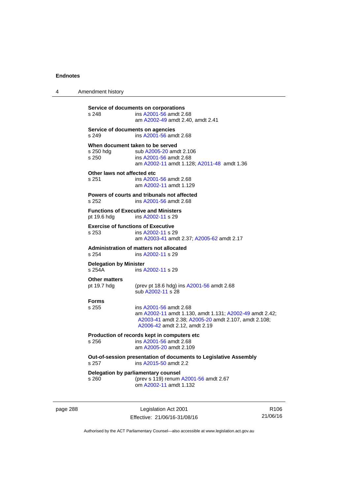4 Amendment history

**Service of documents on corporations**  s 248 ins [A2001-56](http://www.legislation.act.gov.au/a/2001-56) amdt 2.68 am [A2002-49](http://www.legislation.act.gov.au/a/2002-49) amdt 2.40, amdt 2.41 **Service of documents on agencies**  s 249 ins [A2001-56](http://www.legislation.act.gov.au/a/2001-56) amdt 2.68 **When document taken to be served**  s 250 hdg sub [A2005-20](http://www.legislation.act.gov.au/a/2005-20) amdt 2.106<br>s 250 sub A2001-56 amdt 2.68 s 250 ins [A2001-56](http://www.legislation.act.gov.au/a/2001-56) amdt 2.68 am [A2002-11](http://www.legislation.act.gov.au/a/2002-11) amdt 1.128; [A2011-48](http://www.legislation.act.gov.au/a/2011-48) amdt 1.36 **Other laws not affected etc**  s 251 ins [A2001-56](http://www.legislation.act.gov.au/a/2001-56) amdt 2.68 am [A2002-11](http://www.legislation.act.gov.au/a/2002-11) amdt 1.129 **Powers of courts and tribunals not affected**  s 252 ins [A2001-56](http://www.legislation.act.gov.au/a/2001-56) amdt 2.68 **Functions of Executive and Ministers**<br>pt 19.6 hdq ins A2002-11 s 29 ins [A2002-11](http://www.legislation.act.gov.au/a/2002-11) s 29 **Exercise of functions of Executive**  s 253 ins [A2002-11](http://www.legislation.act.gov.au/a/2002-11) s 29 am [A2003-41](http://www.legislation.act.gov.au/a/2003-41) amdt 2.37; [A2005-62](http://www.legislation.act.gov.au/a/2005-62) amdt 2.17 **Administration of matters not allocated**  ins [A2002-11](http://www.legislation.act.gov.au/a/2002-11) s 29 **Delegation by Minister**  s 254A ins [A2002-11](http://www.legislation.act.gov.au/a/2002-11) s 29 **Other matters**  (prev pt 18.6 hdg) ins  $A2001-56$  amdt 2.68 sub [A2002-11](http://www.legislation.act.gov.au/a/2002-11) s 28 **Forms**  s 255 ins [A2001-56](http://www.legislation.act.gov.au/a/2001-56) amdt 2.68 am [A2002-11](http://www.legislation.act.gov.au/a/2002-11) amdt 1.130, amdt 1.131; [A2002-49](http://www.legislation.act.gov.au/a/2002-49) amdt 2.42; [A2003-41](http://www.legislation.act.gov.au/a/2003-41) amdt 2.38; [A2005-20](http://www.legislation.act.gov.au/a/2005-20) amdt 2.107, amdt 2.108; [A2006-42](http://www.legislation.act.gov.au/a/2006-42) amdt 2.12, amdt 2.19 **Production of records kept in computers etc**  s 256 ins [A2001-56](http://www.legislation.act.gov.au/a/2001-56) amdt 2.68 am [A2005-20](http://www.legislation.act.gov.au/a/2005-20) amdt 2.109 **Out-of-session presentation of documents to Legislative Assembly**  s 257 ins [A2015-50](http://www.legislation.act.gov.au/a/2015-50) amdt 2.2 **Delegation by parliamentary counsel**  s 260 (prev s 119) renum [A2001-56](http://www.legislation.act.gov.au/a/2001-56) amdt 2.67 om [A2002-11](http://www.legislation.act.gov.au/a/2002-11) amdt 1.132

page 288 Legislation Act 2001 Effective: 21/06/16-31/08/16

R106 21/06/16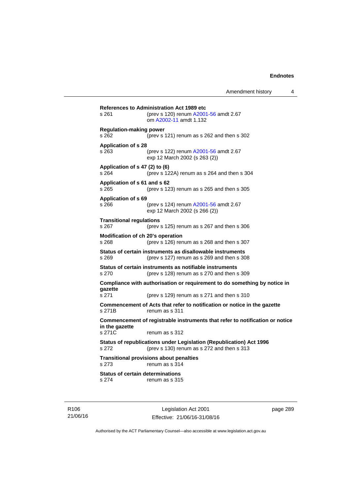| s 261                                    | <b>References to Administration Act 1989 etc</b><br>(prev s 120) renum A2001-56 amdt 2.67<br>om A2002-11 amdt 1.132 |
|------------------------------------------|---------------------------------------------------------------------------------------------------------------------|
| <b>Regulation-making power</b><br>s 262  | (prev s 121) renum as s 262 and then s 302                                                                          |
| <b>Application of s 28</b><br>s 263      | (prev s 122) renum A2001-56 amdt 2.67<br>exp 12 March 2002 (s 263 (2))                                              |
| Application of s 47 (2) to (6)<br>s 264  | (prev s 122A) renum as s 264 and then s 304                                                                         |
| Application of s 61 and s 62<br>s 265    | (prev s 123) renum as s 265 and then s 305                                                                          |
| <b>Application of s 69</b><br>s 266      | (prev s 124) renum A2001-56 amdt 2.67<br>exp 12 March 2002 (s 266 (2))                                              |
| <b>Transitional regulations</b><br>s 267 | (prev s $125$ ) renum as s $267$ and then s $306$                                                                   |
| s 268                                    | Modification of ch 20's operation<br>(prev s 126) renum as s 268 and then s 307                                     |
| s 269                                    | Status of certain instruments as disallowable instruments<br>(prev s 127) renum as s 269 and then s 308             |
| s 270                                    | Status of certain instruments as notifiable instruments<br>(prev s 128) renum as s 270 and then s 309               |
|                                          | Compliance with authorisation or requirement to do something by notice in                                           |
| qazette<br>s 271                         | (prev s 129) renum as s 271 and then s 310                                                                          |
| s 271B                                   | Commencement of Acts that refer to notification or notice in the gazette<br>renum as s 311                          |
| in the gazette                           | Commencement of registrable instruments that refer to notification or notice                                        |
| s 271C                                   | renum as s 312                                                                                                      |
| s 272                                    | Status of republications under Legislation (Republication) Act 1996<br>(prev s 130) renum as s 272 and then s 313   |
| s 273                                    | <b>Transitional provisions about penalties</b><br>renum as s 314                                                    |
| s 274                                    | <b>Status of certain determinations</b><br>renum as s 315                                                           |

R106 21/06/16

Legislation Act 2001 Effective: 21/06/16-31/08/16 page 289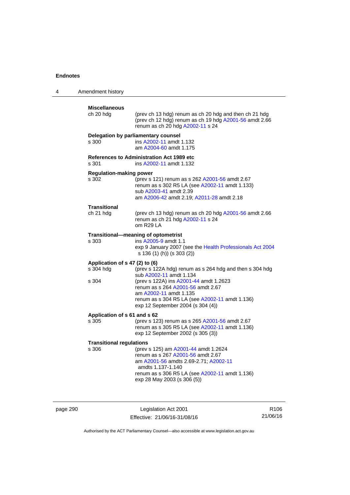| 4 | Amendment history                                    |                                                                                                                                                                                                                                                                                    |
|---|------------------------------------------------------|------------------------------------------------------------------------------------------------------------------------------------------------------------------------------------------------------------------------------------------------------------------------------------|
|   | <b>Miscellaneous</b><br>ch 20 hdg                    | (prev ch 13 hdg) renum as ch 20 hdg and then ch 21 hdg<br>(prev ch 12 hdg) renum as ch 19 hdg A2001-56 amdt 2.66<br>renum as ch 20 hdg A2002-11 s 24                                                                                                                               |
|   | s 300                                                | Delegation by parliamentary counsel<br>ins A2002-11 amdt 1.132<br>am A2004-60 amdt 1.175                                                                                                                                                                                           |
|   | s 301                                                | <b>References to Administration Act 1989 etc</b><br>ins A2002-11 amdt 1.132                                                                                                                                                                                                        |
|   | <b>Regulation-making power</b><br>s 302              | (prev s 121) renum as s 262 A2001-56 amdt 2.67<br>renum as s 302 R5 LA (see A2002-11 amdt 1.133)<br>sub A2003-41 amdt 2.39<br>am A2006-42 amdt 2.19; A2011-28 amdt 2.18                                                                                                            |
|   | <b>Transitional</b><br>ch 21 hdg                     | (prev ch 13 hdg) renum as ch 20 hdg A2001-56 amdt 2.66<br>renum as ch 21 hdg A2002-11 s 24<br>om R29 LA                                                                                                                                                                            |
|   | s 303                                                | Transitional-meaning of optometrist<br>ins A2005-9 amdt 1.1<br>exp 9 January 2007 (see the Health Professionals Act 2004<br>s 136 (1) (h)) (s 303 (2))                                                                                                                             |
|   | Application of s 47 (2) to (6)<br>s 304 hdg<br>s 304 | (prev s 122A hdg) renum as s 264 hdg and then s 304 hdg<br>sub A2002-11 amdt 1.134<br>(prev s 122A) ins A2001-44 amdt 1.2623<br>renum as s 264 A2001-56 amdt 2.67<br>am A2002-11 amdt 1.135<br>renum as s 304 R5 LA (see A2002-11 amdt 1.136)<br>exp 12 September 2004 (s 304 (4)) |
|   | Application of s 61 and s 62<br>s 305                | (prev s 123) renum as s 265 A2001-56 amdt 2.67<br>renum as s 305 R5 LA (see A2002-11 amdt 1.136)<br>exp 12 September 2002 (s 305 (3))                                                                                                                                              |
|   | <b>Transitional regulations</b><br>s 306             | (prev s 125) am A2001-44 amdt 1.2624<br>renum as s 267 A2001-56 amdt 2.67<br>am A2001-56 amdts 2.69-2.71; A2002-11<br>amdts 1.137-1.140<br>renum as s 306 R5 LA (see A2002-11 amdt 1.136)<br>exp 28 May 2003 (s 306 (5))                                                           |

page 290 **Legislation Act 2001** Effective: 21/06/16-31/08/16

R106 21/06/16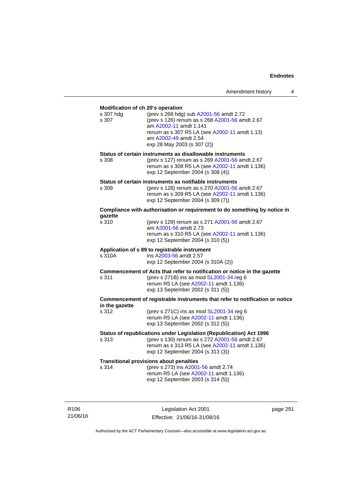|                                                         | Amendment history                                                                                                                                                                                                            | 4 |
|---------------------------------------------------------|------------------------------------------------------------------------------------------------------------------------------------------------------------------------------------------------------------------------------|---|
| Modification of ch 20's operation<br>s 307 hdg<br>s 307 | (prev s 268 hdg) sub A2001-56 amdt 2.72<br>(prev s 126) renum as s 268 A2001-56 amdt 2.67<br>am A2002-11 amdt 1.141<br>renum as s 307 R5 LA (see A2002-11 amdt 1.13)<br>am A2002-49 amdt 2.54<br>exp 28 May 2003 (s 307 (2)) |   |
| s 308                                                   | Status of certain instruments as disallowable instruments<br>(prev s 127) renum as s 269 A2001-56 amdt 2.67<br>renum as s 308 R5 LA (see A2002-11 amdt 1.136)<br>exp 12 September 2004 (s 308 (4))                           |   |
| s 309                                                   | Status of certain instruments as notifiable instruments<br>(prev s 128) renum as s 270 A2001-56 amdt 2.67<br>renum as s 309 R5 LA (see A2002-11 amdt 1.136)<br>exp 12 September 2004 (s 309 (7))                             |   |
|                                                         | Compliance with authorisation or requirement to do something by notice in                                                                                                                                                    |   |
| gazette<br>s 310                                        | (prev s 129) renum as s 271 A2001-56 amdt 2.67<br>am A2001-56 amdt 2.73<br>renum as s 310 R5 LA (see A2002-11 amdt 1.136)<br>exp 12 September 2004 (s 310 (5))                                                               |   |
| s 310A                                                  | Application of s 89 to registrable instrument<br>ins A2003-56 amdt 2.57<br>exp 12 September 2004 (s 310A (2))                                                                                                                |   |
| s 311                                                   | Commencement of Acts that refer to notification or notice in the gazette<br>(prev s 271B) ins as mod SL2001-34 reg 6<br>renum R5 LA (see A2002-11 amdt 1.136)<br>exp 13 September 2002 (s 311 (5))                           |   |
|                                                         | Commencement of registrable instruments that refer to notification or notice                                                                                                                                                 |   |
| in the gazette<br>s 312                                 | (prev s 271C) ins as mod SL2001-34 reg 6<br>renum R5 LA (see A2002-11 amdt 1.136)<br>exp 13 September 2002 (s 312 (5))                                                                                                       |   |
| s 313                                                   | Status of republications under Legislation (Republication) Act 1996<br>(prev s 130) renum as s 272 A2001-56 amdt 2.67<br>renum as s 313 R5 LA (see A2002-11 amdt 1.136)<br>exp 12 September 2004 (s 313 (3))                 |   |
| s 314                                                   | <b>Transitional provisions about penalties</b><br>(prev s 273) ins A2001-56 amdt 2.74<br>renum R5 LA (see A2002-11 amdt 1.136)<br>exp 12 September 2003 (s 314 (5))                                                          |   |
|                                                         |                                                                                                                                                                                                                              |   |

R106 21/06/16

Legislation Act 2001 Effective: 21/06/16-31/08/16 page 291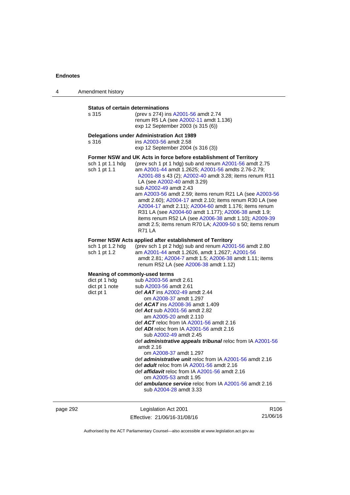| 4 | Amendment history                                                                     |                                                                                                                                                                                                                                                                                                                                                                                                                                                                                                                                                                                                                                                                                                                                                         |
|---|---------------------------------------------------------------------------------------|---------------------------------------------------------------------------------------------------------------------------------------------------------------------------------------------------------------------------------------------------------------------------------------------------------------------------------------------------------------------------------------------------------------------------------------------------------------------------------------------------------------------------------------------------------------------------------------------------------------------------------------------------------------------------------------------------------------------------------------------------------|
|   | <b>Status of certain determinations</b><br>s 315                                      | (prev s 274) ins A2001-56 amdt 2.74<br>renum R5 LA (see A2002-11 amdt 1.136)<br>exp 12 September 2003 (s 315 (6))                                                                                                                                                                                                                                                                                                                                                                                                                                                                                                                                                                                                                                       |
|   | s 316                                                                                 | <b>Delegations under Administration Act 1989</b><br>ins A2003-56 amdt 2.58<br>exp 12 September 2004 (s 316 (3))                                                                                                                                                                                                                                                                                                                                                                                                                                                                                                                                                                                                                                         |
|   | sch 1 pt 1.1 hdg<br>sch 1 pt 1.1                                                      | Former NSW and UK Acts in force before establishment of Territory<br>(prev sch 1 pt 1 hdg) sub and renum A2001-56 amdt 2.75<br>am A2001-44 amdt 1.2625; A2001-56 amdts 2.76-2.79;<br>A2001-88 s 43 (2); A2002-40 amdt 3.28; items renum R11<br>LA (see A2002-40 amdt 3.29)<br>sub A2002-49 amdt 2.43<br>am A2003-56 amdt 2.59; items renum R21 LA (see A2003-56<br>amdt 2.60); A2004-17 amdt 2.10; items renum R30 LA (see<br>A2004-17 amdt 2.11); A2004-60 amdt 1.176; items renum<br>R31 LA (see A2004-60 amdt 1.177); A2006-38 amdt 1.9;<br>items renum R52 LA (see A2006-38 amdt 1.10); A2009-39<br>amdt 2.5; items renum R70 LA; A2009-50 s 50; items renum<br><b>R71 LA</b>                                                                       |
|   | sch 1 pt 1.2 hdg<br>sch 1 pt 1.2                                                      | Former NSW Acts applied after establishment of Territory<br>(prev sch 1 pt 2 hdg) sub and renum A2001-56 amdt 2.80<br>am A2001-44 amdt 1.2626, amdt 1.2627; A2001-56<br>amdt 2.81; A2004-7 amdt 1.5; A2006-38 amdt 1.11; items<br>renum R52 LA (see A2006-38 amdt 1.12)                                                                                                                                                                                                                                                                                                                                                                                                                                                                                 |
|   | <b>Meaning of commonly-used terms</b><br>dict pt 1 hdg<br>dict pt 1 note<br>dict pt 1 | sub A2003-56 amdt 2.61<br>sub A2003-56 amdt 2.61<br>def $AAT$ ins $A2002-49$ amdt 2.44<br>om A2008-37 amdt 1.297<br>def <b>ACAT</b> ins A2008-36 amdt 1.409<br>def Act sub A2001-56 amdt 2.82<br>am A2005-20 amdt 2.110<br>def $ACT$ reloc from IA $A2001-56$ amdt 2.16<br>def ADI reloc from IA A2001-56 amdt 2.16<br>sub A2002-49 amdt 2.45<br>def administrative appeals tribunal reloc from IA A2001-56<br>amdt 2.16<br>om A2008-37 amdt 1.297<br>def <i>administrative unit</i> reloc from IA A2001-56 amdt 2.16<br>def <i>adult</i> reloc from IA A2001-56 amdt 2.16<br>def <i>affidavit</i> reloc from IA A2001-56 amdt 2.16<br>om A2005-53 amdt 1.95<br>def <b>ambulance service</b> reloc from IA A2001-56 amdt 2.16<br>sub A2004-28 amdt 3.33 |

page 292 **Legislation Act 2001** Effective: 21/06/16-31/08/16

R106 21/06/16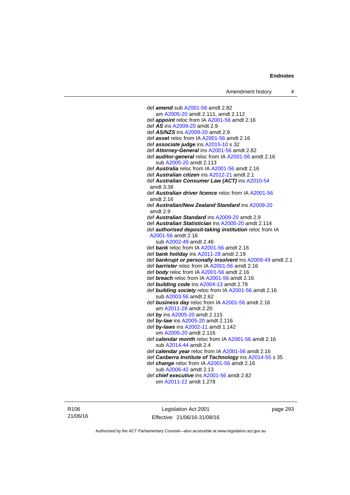def *amend* sub [A2001-56](http://www.legislation.act.gov.au/a/2001-56) amdt 2.82 am [A2005-20](http://www.legislation.act.gov.au/a/2005-20) amdt 2.111, amdt 2.112 def *appoint* reloc from IA [A2001-56](http://www.legislation.act.gov.au/a/2001-56) amdt 2.16 def *AS* ins [A2009-20](http://www.legislation.act.gov.au/a/2009-20) amdt 2.9 def *AS/NZS* ins [A2009-20](http://www.legislation.act.gov.au/a/2009-20) amdt 2.9 def *asset* reloc from IA [A2001-56](http://www.legislation.act.gov.au/a/2001-56) amdt 2.16 def *associate judge* ins [A2015-10](http://www.legislation.act.gov.au/a/2015-10) s 32 def *Attorney-General* ins [A2001-56](http://www.legislation.act.gov.au/a/2001-56) amdt 2.82 def *auditor-general* reloc from IA [A2001-56](http://www.legislation.act.gov.au/a/2001-56) amdt 2.16 sub [A2005-20](http://www.legislation.act.gov.au/a/2005-20) amdt 2.113 def *Australia* reloc from IA [A2001-56](http://www.legislation.act.gov.au/a/2001-56) amdt 2.16 def *Australian citizen* ins [A2012-21](http://www.legislation.act.gov.au/a/2012-21) amdt 2.1 def *Australian Consumer Law (ACT)* ins [A2010-54](http://www.legislation.act.gov.au/a/2010-54) amdt 3.38 def *Australian driver licence* reloc from IA [A2001-56](http://www.legislation.act.gov.au/a/2001-56) amdt 2.16 def *Australian/New Zealand Standard* ins [A2009-20](http://www.legislation.act.gov.au/a/2009-20) amdt 2.9 def *Australian Standard* ins [A2009-20](http://www.legislation.act.gov.au/a/2009-20) amdt 2.9 def *Australian Statistician* ins [A2005-20](http://www.legislation.act.gov.au/a/2005-20) amdt 2.114 def *authorised deposit-taking institution* reloc from IA [A2001-56](http://www.legislation.act.gov.au/a/2001-56) amdt 2.16 sub [A2002-49](http://www.legislation.act.gov.au/a/2002-49) amdt 2.46 def *bank* reloc from IA [A2001-56](http://www.legislation.act.gov.au/a/2001-56) amdt 2.16 def *bank holiday* ins [A2011-28](http://www.legislation.act.gov.au/a/2011-28) amdt 2.19 def *bankrupt or personally insolvent* ins [A2009-49](http://www.legislation.act.gov.au/a/2009-49) amdt 2.1 def *barrister* reloc from IA [A2001-56](http://www.legislation.act.gov.au/a/2001-56) amdt 2.16 def *body* reloc from IA [A2001-56](http://www.legislation.act.gov.au/a/2001-56) amdt 2.16 def *breach* reloc from IA [A2001-56](http://www.legislation.act.gov.au/a/2001-56) amdt 2.16 def *building code* ins [A2004-13](http://www.legislation.act.gov.au/a/2004-13) amdt 2.79 def *building society* reloc from IA [A2001-56](http://www.legislation.act.gov.au/a/2001-56) amdt 2.16 sub [A2003-56](http://www.legislation.act.gov.au/a/2003-56) amdt 2.62 def *business day* reloc from IA [A2001-56](http://www.legislation.act.gov.au/a/2001-56) amdt 2.16 am [A2011-28](http://www.legislation.act.gov.au/a/2011-28) amdt 2.20 def *by* ins [A2005-20](http://www.legislation.act.gov.au/a/2005-20) amdt 2.115 def *by-law* ins [A2005-20](http://www.legislation.act.gov.au/a/2005-20) amdt 2.116 def *by-laws* ins [A2002-11](http://www.legislation.act.gov.au/a/2002-11) amdt 1.142 om [A2005-20](http://www.legislation.act.gov.au/a/2005-20) amdt 2.116 def *calendar month* reloc from IA [A2001-56](http://www.legislation.act.gov.au/a/2001-56) amdt 2.16 sub [A2014-44](http://www.legislation.act.gov.au/a/2014-44) amdt 2.4 def *calendar year* reloc from IA [A2001-56](http://www.legislation.act.gov.au/a/2001-56) amdt 2.16 def *Canberra Institute of Technology* ins [A2014-55](http://www.legislation.act.gov.au/a/2014-55/default.asp) s 35 def *change* reloc from IA [A2001-56](http://www.legislation.act.gov.au/a/2001-56) amdt 2.16 sub [A2006-42](http://www.legislation.act.gov.au/a/2006-42) amdt 2.13

def *chief executive* ins [A2001-56](http://www.legislation.act.gov.au/a/2001-56) amdt 2.82 om [A2011-22](http://www.legislation.act.gov.au/a/2011-22) amdt 1.278

R106 21/06/16

Legislation Act 2001 Effective: 21/06/16-31/08/16 page 293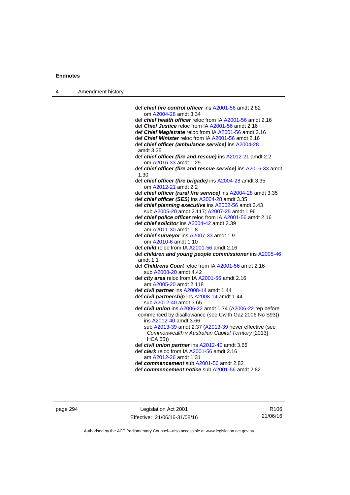| 4 | Amendment history |                                                                                                                                                 |
|---|-------------------|-------------------------------------------------------------------------------------------------------------------------------------------------|
|   |                   |                                                                                                                                                 |
|   |                   | def chief fire control officer ins A2001-56 amdt 2.82                                                                                           |
|   |                   | om A2004-28 amdt 3.34                                                                                                                           |
|   |                   | def chief health officer reloc from IA A2001-56 amdt 2.16                                                                                       |
|   |                   | def <i>Chief Justice</i> reloc from IA A2001-56 amdt 2.16                                                                                       |
|   |                   | def <i>Chief Magistrate</i> reloc from IA A2001-56 amdt 2.16                                                                                    |
|   |                   | def Chief Minister reloc from IA A2001-56 amdt 2.16                                                                                             |
|   |                   | def chief officer (ambulance service) ins A2004-28<br>amdt 3.35                                                                                 |
|   |                   | def chief officer (fire and rescue) ins A2012-21 amdt 2.2<br>om A2016-33 amdt 1.29                                                              |
|   |                   | def chief officer (fire and rescue service) ins A2016-33 amdt<br>1.30                                                                           |
|   |                   | def chief officer (fire brigade) ins A2004-28 amdt 3.35<br>om A2012-21 amdt 2.2                                                                 |
|   |                   | def chief officer (rural fire service) ins A2004-28 amdt 3.35                                                                                   |
|   |                   | def chief officer (SES) ins A2004-28 amdt 3.35                                                                                                  |
|   |                   | def chief planning executive ins A2002-56 amdt 3.43                                                                                             |
|   |                   | sub A2005-20 amdt 2.117; A2007-25 amdt 1.96                                                                                                     |
|   |                   | def chief police officer reloc from IA A2001-56 amdt 2.16                                                                                       |
|   |                   | def chief solicitor ins A2004-42 amdt 2.39                                                                                                      |
|   |                   | am A2011-30 amdt 1.8                                                                                                                            |
|   |                   | def chief surveyor ins A2007-33 amdt 1.9<br>om A2010-6 amdt 1.10                                                                                |
|   |                   | def child reloc from IA A2001-56 amdt 2.16                                                                                                      |
|   |                   | def children and young people commissioner ins A2005-46<br>amdt $1.1$                                                                           |
|   |                   | def <i>Childrens Court</i> reloc from IA A2001-56 amdt 2.16<br>sub A2008-20 amdt 4.42                                                           |
|   |                   | def <i>city area</i> reloc from IA $A2001-56$ amdt 2.16                                                                                         |
|   |                   | am A2005-20 amdt 2.118                                                                                                                          |
|   |                   | def civil partner ins A2008-14 amdt 1.44                                                                                                        |
|   |                   | def civil partnership ins A2008-14 amdt 1.44                                                                                                    |
|   |                   | sub A2012-40 amdt 3.65                                                                                                                          |
|   |                   | def civil union ins A2006-22 amdt 1.74 (A2006-22 rep before<br>commenced by disallowance (see Cwlth Gaz 2006 No S93))<br>ins A2012-40 amdt 3.66 |
|   |                   | sub A2013-39 amdt 2.37 (A2013-39 never effective (see                                                                                           |
|   |                   | Commonwealth v Australian Capital Territory [2013]<br><b>HCA 55))</b>                                                                           |
|   |                   | def civil union partner ins A2012-40 amdt 3.66                                                                                                  |
|   |                   | def clerk reloc from IA A2001-56 amdt 2.16                                                                                                      |
|   |                   | am A2012-26 amdt 1.31                                                                                                                           |
|   |                   | def commencement sub A2001-56 amdt 2.82                                                                                                         |
|   |                   | def commencement notice sub A2001-56 amdt 2.82                                                                                                  |
|   |                   |                                                                                                                                                 |

page 294 Legislation Act 2001 Effective: 21/06/16-31/08/16

R106 21/06/16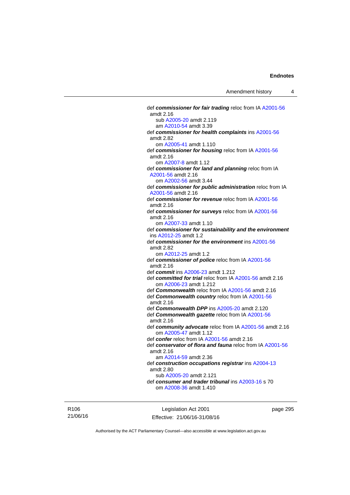def *commissioner for fair trading* reloc from IA [A2001-56](http://www.legislation.act.gov.au/a/2001-56) sub [A2005-20](http://www.legislation.act.gov.au/a/2005-20) amdt 2.119 am [A2010-54](http://www.legislation.act.gov.au/a/2010-54) amdt 3.39 def *commissioner for health complaints* ins [A2001-56](http://www.legislation.act.gov.au/a/2001-56) om [A2005-41](http://www.legislation.act.gov.au/a/2005-41) amdt 1.110 def *commissioner for housing* reloc from IA [A2001-56](http://www.legislation.act.gov.au/a/2001-56) om [A2007-8](http://www.legislation.act.gov.au/a/2007-8) amdt 1.12 def *commissioner for land and planning* reloc from IA om [A2002-56](http://www.legislation.act.gov.au/a/2002-56) amdt 3.44 def *commissioner for public administration* reloc from IA def *commissioner for revenue* reloc from IA [A2001-56](http://www.legislation.act.gov.au/a/2001-56)

amdt 2.16 def *commissioner for surveys* reloc from IA [A2001-56](http://www.legislation.act.gov.au/a/2001-56) amdt 2.16 om [A2007-33](http://www.legislation.act.gov.au/a/2007-33) amdt 1.10 def *commissioner for sustainability and the environment* ins [A2012-25](http://www.legislation.act.gov.au/a/2012-25) amdt 1.2 def *commissioner for the environment* ins [A2001-56](http://www.legislation.act.gov.au/a/2001-56) amdt 2.82 om [A2012-25](http://www.legislation.act.gov.au/a/2012-25) amdt 1.2 def *commissioner of police* reloc from IA [A2001-56](http://www.legislation.act.gov.au/a/2001-56) amdt 2.16 def *commit* ins [A2006-23](http://www.legislation.act.gov.au/a/2006-23) amdt 1.212 def *committed for trial* reloc from IA [A2001-56](http://www.legislation.act.gov.au/a/2001-56) amdt 2.16 om [A2006-23](http://www.legislation.act.gov.au/a/2006-23) amdt 1.212 def *Commonwealth* reloc from IA [A2001-56](http://www.legislation.act.gov.au/a/2001-56) amdt 2.16 def *Commonwealth country* reloc from IA [A2001-56](http://www.legislation.act.gov.au/a/2001-56) amdt 2.16 def *Commonwealth DPP* ins [A2005-20](http://www.legislation.act.gov.au/a/2005-20) amdt 2.120 def *Commonwealth gazette* reloc from IA [A2001-56](http://www.legislation.act.gov.au/a/2001-56) amdt 2.16 def *community advocate* reloc from IA [A2001-56](http://www.legislation.act.gov.au/a/2001-56) amdt 2.16 om [A2005-47](http://www.legislation.act.gov.au/a/2005-47) amdt 1.12 def *confer* reloc from IA [A2001-56](http://www.legislation.act.gov.au/a/2001-56) amdt 2.16 def *conservator of flora and fauna* reloc from IA [A2001-56](http://www.legislation.act.gov.au/a/2001-56) amdt 2.16 am [A2014-59](http://www.legislation.act.gov.au/a/2014-59) amdt 2.36 def *construction occupations registrar* ins [A2004-13](http://www.legislation.act.gov.au/a/2004-13) amdt 2.80 sub [A2005-20](http://www.legislation.act.gov.au/a/2005-20) amdt 2.121 def *consumer and trader tribunal* ins [A2003-16](http://www.legislation.act.gov.au/a/2003-16) s 70

om [A2008-36](http://www.legislation.act.gov.au/a/2008-36) amdt 1.410

R106 21/06/16

Legislation Act 2001 Effective: 21/06/16-31/08/16 page 295

Authorised by the ACT Parliamentary Counsel—also accessible at www.legislation.act.gov.au

amdt 2.16

amdt 2.82

amdt 2.16

[A2001-56](http://www.legislation.act.gov.au/a/2001-56) amdt 2.16

[A2001-56](http://www.legislation.act.gov.au/a/2001-56) amdt 2.16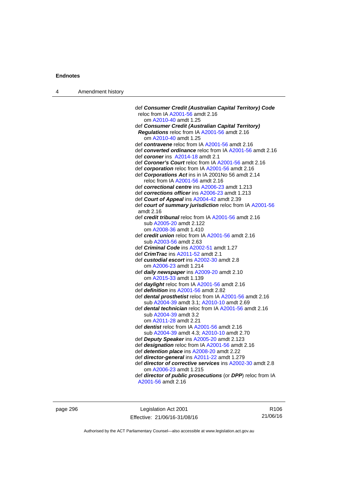| 4 | Amendment history |  |
|---|-------------------|--|
|---|-------------------|--|

| def Consumer Credit (Australian Capital Territory) Code    |
|------------------------------------------------------------|
| reloc from IA A2001-56 amdt 2.16                           |
| om A2010-40 amdt 1.25                                      |
| def Consumer Credit (Australian Capital Territory)         |
| Regulations reloc from IA A2001-56 amdt 2.16               |
| om A2010-40 amdt 1.25                                      |
| def contravene reloc from IA A2001-56 amdt 2.16            |
| def converted ordinance reloc from IA A2001-56 amdt 2.16   |
| def coroner ins A2014-18 amdt 2.1                          |
| def Coroner's Court reloc from IA A2001-56 amdt 2.16       |
| def corporation reloc from IA A2001-56 amdt 2.16           |
| def Corporations Act ins in IA 2001No 56 amdt 2.14         |
| reloc from IA A2001-56 amdt 2.16                           |
| def correctional centre ins A2006-23 amdt 1.213            |
| def corrections officer ins A2006-23 amdt 1.213            |
| def Court of Appeal ins A2004-42 amdt 2.39                 |
| def court of summary jurisdiction reloc from IA A2001-56   |
| amdt 2.16                                                  |
| def credit tribunal reloc from IA A2001-56 amdt 2.16       |
| sub A2005-20 amdt 2.122                                    |
| om A2008-36 amdt 1.410                                     |
| def <i>credit union</i> reloc from IA A2001-56 amdt 2.16   |
| sub A2003-56 amdt 2.63                                     |
| def Criminal Code ins A2002-51 amdt 1.27                   |
| def CrimTrac ins A2011-52 amdt 2.1                         |
| def custodial escort ins A2002-30 amdt 2.8                 |
| om A2006-23 amdt 1.214                                     |
| def daily newspaper ins A2009-20 amdt 2.10                 |
| om A2015-33 amdt 1.139                                     |
| def daylight reloc from IA A2001-56 amdt 2.16              |
| def <i>definition</i> ins A2001-56 amdt 2.82               |
| def dental prosthetist reloc from IA A2001-56 amdt 2.16    |
| sub A2004-39 amdt 3.1; A2010-10 amdt 2.69                  |
| def dental technician reloc from IA A2001-56 amdt 2.16     |
| sub A2004-39 amdt 3.2                                      |
| om A2011-28 amdt 2.21                                      |
| def <i>dentist</i> reloc from IA A2001-56 amdt 2.16        |
| sub A2004-39 amdt 4.3; A2010-10 amdt 2.70                  |
|                                                            |
| def Deputy Speaker ins A2005-20 amdt 2.123                 |
| def designation reloc from IA A2001-56 amdt 2.16           |
| def detention place ins A2008-20 amdt 2.22                 |
| def director-general ins A2011-22 amdt 1.279               |
| def director of corrective services ins A2002-30 amdt 2.8  |
| om A2006-23 amdt 1.215                                     |
| def director of public prosecutions (or DPP) reloc from IA |
| A2001-56 amdt 2.16                                         |

page 296 **Legislation Act 2001** Effective: 21/06/16-31/08/16

R106 21/06/16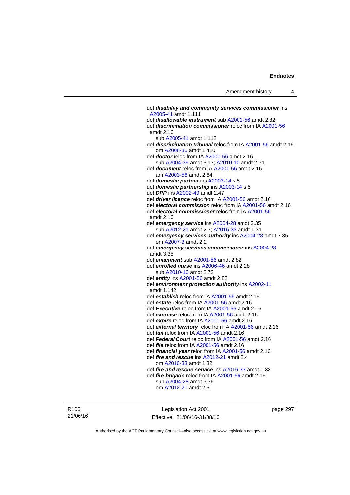def *disability and community services commissioner* ins [A2005-41](http://www.legislation.act.gov.au/a/2005-41) amdt 1.111 def *disallowable instrument* sub [A2001-56](http://www.legislation.act.gov.au/a/2001-56) amdt 2.82 def *discrimination commissioner* reloc from IA [A2001-56](http://www.legislation.act.gov.au/a/2001-56) amdt 2.16 sub [A2005-41](http://www.legislation.act.gov.au/a/2005-41) amdt 1.112 def *discrimination tribunal* reloc from IA [A2001-56](http://www.legislation.act.gov.au/a/2001-56) amdt 2.16 om [A2008-36](http://www.legislation.act.gov.au/a/2008-36) amdt 1.410 def *doctor* reloc from IA [A2001-56](http://www.legislation.act.gov.au/a/2001-56) amdt 2.16 sub [A2004-39](http://www.legislation.act.gov.au/a/2004-39) amdt 5.13; [A2010-10](http://www.legislation.act.gov.au/a/2010-10) amdt 2.71 def *document* reloc from IA [A2001-56](http://www.legislation.act.gov.au/a/2001-56) amdt 2.16 am [A2003-56](http://www.legislation.act.gov.au/a/2003-56) amdt 2.64 def *domestic partner* ins [A2003-14](http://www.legislation.act.gov.au/a/2003-14) s 5 def *domestic partnership* ins [A2003-14](http://www.legislation.act.gov.au/a/2003-14) s 5 def *DPP* ins [A2002-49](http://www.legislation.act.gov.au/a/2002-49) amdt 2.47 def *driver licence* reloc from IA [A2001-56](http://www.legislation.act.gov.au/a/2001-56) amdt 2.16 def *electoral commission* reloc from IA [A2001-56](http://www.legislation.act.gov.au/a/2001-56) amdt 2.16 def *electoral commissioner* reloc from IA [A2001-56](http://www.legislation.act.gov.au/a/2001-56) amdt 2.16 def *emergency service* ins [A2004-28](http://www.legislation.act.gov.au/a/2004-28) amdt 3.35 sub [A2012-21](http://www.legislation.act.gov.au/a/2012-21) amdt 2.3; [A2016-33](http://www.legislation.act.gov.au/a/2016-33) amdt 1.31 def *emergency services authority* ins [A2004-28](http://www.legislation.act.gov.au/a/2004-28) amdt 3.35 om [A2007-3](http://www.legislation.act.gov.au/a/2007-3) amdt 2.2 def *emergency services commissioner* ins [A2004-28](http://www.legislation.act.gov.au/a/2004-28) amdt 3.35 def *enactment* sub [A2001-56](http://www.legislation.act.gov.au/a/2001-56) amdt 2.82 def *enrolled nurse* ins [A2006-46](http://www.legislation.act.gov.au/a/2006-46) amdt 2.28 sub [A2010-10](http://www.legislation.act.gov.au/a/2010-10) amdt 2.72 def *entity* ins [A2001-56](http://www.legislation.act.gov.au/a/2001-56) amdt 2.82 def *environment protection authority* ins [A2002-11](http://www.legislation.act.gov.au/a/2002-11) amdt 1.142 def *establish* reloc from IA [A2001-56](http://www.legislation.act.gov.au/a/2001-56) amdt 2.16 def *estate* reloc from IA [A2001-56](http://www.legislation.act.gov.au/a/2001-56) amdt 2.16 def *Executive* reloc from IA [A2001-56](http://www.legislation.act.gov.au/a/2001-56) amdt 2.16 def *exercise* reloc from IA [A2001-56](http://www.legislation.act.gov.au/a/2001-56) amdt 2.16 def *expire* reloc from IA [A2001-56](http://www.legislation.act.gov.au/a/2001-56) amdt 2.16 def *external territory* reloc from IA [A2001-56](http://www.legislation.act.gov.au/a/2001-56) amdt 2.16 def *fail* reloc from IA [A2001-56](http://www.legislation.act.gov.au/a/2001-56) amdt 2.16 def *Federal Court* reloc from IA [A2001-56](http://www.legislation.act.gov.au/a/2001-56) amdt 2.16 def *file* reloc from IA [A2001-56](http://www.legislation.act.gov.au/a/2001-56) amdt 2.16 def *financial year* reloc from IA [A2001-56](http://www.legislation.act.gov.au/a/2001-56) amdt 2.16 def *fire and rescue* ins [A2012-21](http://www.legislation.act.gov.au/a/2012-21) amdt 2.4 om [A2016-33](http://www.legislation.act.gov.au/a/2016-33) amdt 1.32 def *fire and rescue service* ins [A2016-33](http://www.legislation.act.gov.au/a/2016-33) amdt 1.33 def *fire brigade* reloc from IA [A2001-56](http://www.legislation.act.gov.au/a/2001-56) amdt 2.16 sub [A2004-28](http://www.legislation.act.gov.au/a/2004-28) amdt 3.36 om [A2012-21](http://www.legislation.act.gov.au/a/2012-21) amdt 2.5

R106 21/06/16

Legislation Act 2001 Effective: 21/06/16-31/08/16 page 297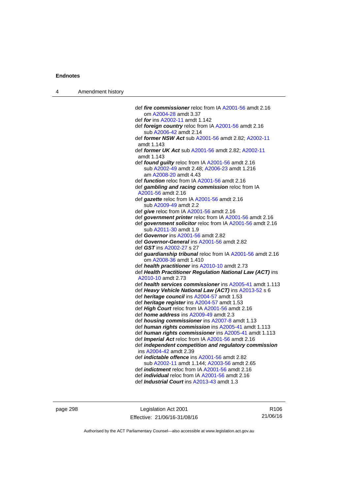| $\boldsymbol{\Lambda}$ | Amendment history |  |
|------------------------|-------------------|--|
|------------------------|-------------------|--|

| def <i>fire commissioner</i> reloc from IA A2001-56 amdt 2.16                                                |
|--------------------------------------------------------------------------------------------------------------|
| om A2004-28 amdt 3.37                                                                                        |
| def for ins A2002-11 amdt 1.142                                                                              |
| def foreign country reloc from IA A2001-56 amdt 2.16<br>sub A2006-42 amdt 2.14                               |
| def former NSW Act sub A2001-56 amdt 2.82; A2002-11<br>amdt 1.143                                            |
| def former UK Act sub A2001-56 amdt 2.82; A2002-11                                                           |
| amdt 1.143                                                                                                   |
| def found guilty reloc from IA A2001-56 amdt 2.16                                                            |
| sub A2002-49 amdt 2.48; A2006-23 amdt 1.216                                                                  |
| am A2008-20 amdt 4.43                                                                                        |
| def function reloc from IA A2001-56 amdt 2.16                                                                |
| def gambling and racing commission reloc from IA                                                             |
| A2001-56 amdt 2.16                                                                                           |
| def gazette reloc from IA A2001-56 amdt 2.16                                                                 |
| sub A2009-49 amdt 2.2                                                                                        |
| def give reloc from IA A2001-56 amdt 2.16                                                                    |
| def government printer reloc from IA A2001-56 amdt 2.16                                                      |
| def government solicitor reloc from IA A2001-56 amdt 2.16                                                    |
| sub A2011-30 amdt 1.9                                                                                        |
| def Governor ins A2001-56 amdt 2.82                                                                          |
| def Governor-General ins A2001-56 amdt 2.82                                                                  |
| def GST ins A2002-27 s 27                                                                                    |
| def guardianship tribunal reloc from IA A2001-56 amdt 2.16                                                   |
| om A2008-36 amdt 1.410                                                                                       |
| def health practitioner ins A2010-10 amdt 2.73                                                               |
| def Health Practitioner Regulation National Law (ACT) ins                                                    |
| A2010-10 amdt 2.73                                                                                           |
| def health services commissioner ins A2005-41 amdt 1.113                                                     |
| def Heavy Vehicle National Law (ACT) ins A2013-52 s 6                                                        |
| def heritage council ins A2004-57 amdt 1.53                                                                  |
| def heritage register ins A2004-57 amdt 1.53                                                                 |
| def High Court reloc from IA A2001-56 amdt 2.16                                                              |
| def <i>home address</i> ins A2009-49 amdt 2.3                                                                |
| def <i>housing commissioner</i> ins A2007-8 amdt 1.13                                                        |
| def human rights commission ins A2005-41 amdt 1.113<br>def human rights commissioner ins A2005-41 amdt 1.113 |
| def Imperial Act reloc from IA A2001-56 amdt 2.16                                                            |
| def independent competition and regulatory commission                                                        |
| ins A2004-42 amdt 2.39                                                                                       |
| def <i>indictable</i> offence ins A2001-56 amdt 2.82                                                         |
| sub A2002-11 amdt 1.144; A2003-56 amdt 2.65                                                                  |
| def <i>indictment</i> reloc from IA A2001-56 amdt 2.16                                                       |
| def <i>individual</i> reloc from IA A2001-56 amdt 2.16                                                       |
| def <i>Industrial Court</i> ins A2013-43 amdt 1.3                                                            |
|                                                                                                              |

page 298 Legislation Act 2001 Effective: 21/06/16-31/08/16

R106 21/06/16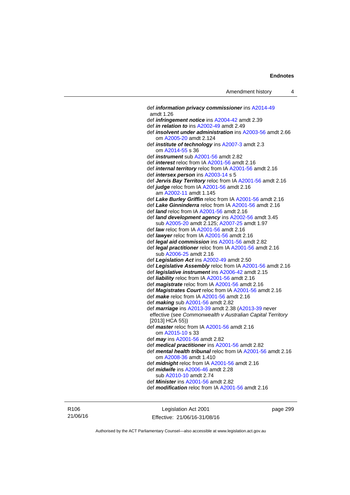def *information privacy commissioner* ins [A2014-49](http://www.legislation.act.gov.au/a/2014-49) amdt 1.26 def *infringement notice* ins [A2004-42](http://www.legislation.act.gov.au/a/2004-42) amdt 2.39 def *in relation to* ins [A2002-49](http://www.legislation.act.gov.au/a/2002-49) amdt 2.49 def *insolvent under administration* ins [A2003-56](http://www.legislation.act.gov.au/a/2003-56) amdt 2.66 om [A2005-20](http://www.legislation.act.gov.au/a/2005-20) amdt 2.124 def *institute of technology* ins [A2007-3](http://www.legislation.act.gov.au/a/2007-3) amdt 2.3 om [A2014-55](http://www.legislation.act.gov.au/a/2014-55/default.asp) s 36 def *instrument* sub [A2001-56](http://www.legislation.act.gov.au/a/2001-56) amdt 2.82 def *interest* reloc from IA [A2001-56](http://www.legislation.act.gov.au/a/2001-56) amdt 2.16 def *internal territory* reloc from IA [A2001-56](http://www.legislation.act.gov.au/a/2001-56) amdt 2.16 def *intersex person* ins [A2003-14](http://www.legislation.act.gov.au/a/2003-14) s 5 def *Jervis Bay Territory* reloc from IA [A2001-56](http://www.legislation.act.gov.au/a/2001-56) amdt 2.16 def *judge* reloc from IA [A2001-56](http://www.legislation.act.gov.au/a/2001-56) amdt 2.16 am [A2002-11](http://www.legislation.act.gov.au/a/2002-11) amdt 1.145 def *Lake Burley Griffin* reloc from IA [A2001-56](http://www.legislation.act.gov.au/a/2001-56) amdt 2.16 def *Lake Ginninderra* reloc from IA [A2001-56](http://www.legislation.act.gov.au/a/2001-56) amdt 2.16 def *land* reloc from IA [A2001-56](http://www.legislation.act.gov.au/a/2001-56) amdt 2.16 def *land development agency* ins [A2002-56](http://www.legislation.act.gov.au/a/2002-56) amdt 3.45 sub [A2005-20](http://www.legislation.act.gov.au/a/2005-20) amdt 2.125; [A2007-25](http://www.legislation.act.gov.au/a/2007-25) amdt 1.97 def *law* reloc from IA [A2001-56](http://www.legislation.act.gov.au/a/2001-56) amdt 2.16 def *lawyer* reloc from IA [A2001-56](http://www.legislation.act.gov.au/a/2001-56) amdt 2.16 def *legal aid commission* ins [A2001-56](http://www.legislation.act.gov.au/a/2001-56) amdt 2.82 def *legal practitioner* reloc from IA [A2001-56](http://www.legislation.act.gov.au/a/2001-56) amdt 2.16 sub [A2006-25](http://www.legislation.act.gov.au/a/2006-25) amdt 2.16 def *Legislation Act* ins [A2002-49](http://www.legislation.act.gov.au/a/2002-49) amdt 2.50 def *Legislative Assembly* reloc from IA [A2001-56](http://www.legislation.act.gov.au/a/2001-56) amdt 2.16 def *legislative instrument* ins [A2006-42](http://www.legislation.act.gov.au/a/2006-42) amdt 2.15 def *liability* reloc from IA [A2001-56](http://www.legislation.act.gov.au/a/2001-56) amdt 2.16 def *magistrate* reloc from IA [A2001-56](http://www.legislation.act.gov.au/a/2001-56) amdt 2.16 def *Magistrates Court* reloc from IA [A2001-56](http://www.legislation.act.gov.au/a/2001-56) amdt 2.16 def *make* reloc from IA [A2001-56](http://www.legislation.act.gov.au/a/2001-56) amdt 2.16 def *making* sub [A2001-56](http://www.legislation.act.gov.au/a/2001-56) amdt 2.82 def *marriage* ins [A2013-39](http://www.legislation.act.gov.au/a/2013-39) amdt 2.38 ([A2013-39](http://www.legislation.act.gov.au/a/2013-39) never effective (see *Commonwealth v Australian Capital Territory* [2013] HCA 55)) def *master* reloc from IA [A2001-56](http://www.legislation.act.gov.au/a/2001-56) amdt 2.16 om [A2015-10](http://www.legislation.act.gov.au/a/2015-10) s 33 def *may* ins [A2001-56](http://www.legislation.act.gov.au/a/2001-56) amdt 2.82 def *medical practitioner* ins [A2001-56](http://www.legislation.act.gov.au/a/2001-56) amdt 2.82 def *mental health tribunal* reloc from IA [A2001-56](http://www.legislation.act.gov.au/a/2001-56) amdt 2.16 om [A2008-36](http://www.legislation.act.gov.au/a/2008-36) amdt 1.410 def *midnight* reloc from IA [A2001-56](http://www.legislation.act.gov.au/a/2001-56) amdt 2.16 def *midwife* ins [A2006-46](http://www.legislation.act.gov.au/a/2006-46) amdt 2.28 sub [A2010-10](http://www.legislation.act.gov.au/a/2010-10) amdt 2.74 def *Minister* ins [A2001-56](http://www.legislation.act.gov.au/a/2001-56) amdt 2.82 def *modification* reloc from IA [A2001-56](http://www.legislation.act.gov.au/a/2001-56) amdt 2.16

R106 21/06/16

Legislation Act 2001 Effective: 21/06/16-31/08/16 page 299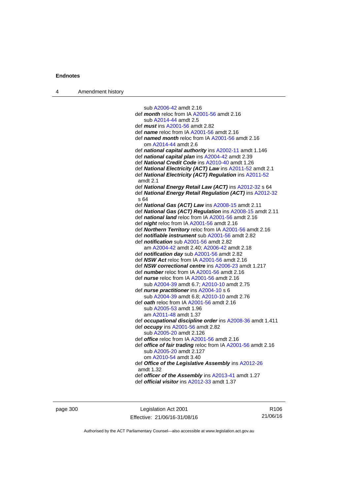| 4 | Amendment history |  |
|---|-------------------|--|
|---|-------------------|--|

 sub [A2006-42](http://www.legislation.act.gov.au/a/2006-42) amdt 2.16 def *month* reloc from IA [A2001-56](http://www.legislation.act.gov.au/a/2001-56) amdt 2.16 sub [A2014-44](http://www.legislation.act.gov.au/a/2014-44) amdt 2.5 def *must* ins [A2001-56](http://www.legislation.act.gov.au/a/2001-56) amdt 2.82 def *name* reloc from IA [A2001-56](http://www.legislation.act.gov.au/a/2001-56) amdt 2.16 def *named month* reloc from IA [A2001-56](http://www.legislation.act.gov.au/a/2001-56) amdt 2.16 om [A2014-44](http://www.legislation.act.gov.au/a/2014-44) amdt 2.6 def *national capital authority* ins [A2002-11](http://www.legislation.act.gov.au/a/2002-11) amdt 1.146 def *national capital plan* ins [A2004-42](http://www.legislation.act.gov.au/a/2004-42) amdt 2.39 def *National Credit Code* ins [A2010-40](http://www.legislation.act.gov.au/a/2010-40) amdt 1.26 def *National Electricity (ACT) Law* ins [A2011-52](http://www.legislation.act.gov.au/a/2011-52) amdt 2.1 def *National Electricity (ACT) Regulation* ins [A2011-52](http://www.legislation.act.gov.au/a/2011-52) amdt 2.1 def *National Energy Retail Law (ACT)* ins [A2012-32](http://www.legislation.act.gov.au/a/2012-32) s 64 def *National Energy Retail Regulation (ACT)* ins [A2012-32](http://www.legislation.act.gov.au/a/2012-32) s 64 def *National Gas (ACT) Law* ins [A2008-15](http://www.legislation.act.gov.au/a/2008-15) amdt 2.11 def *National Gas (ACT) Regulation* ins [A2008-15](http://www.legislation.act.gov.au/a/2008-15) amdt 2.11 def *national land* reloc from IA [A2001-56](http://www.legislation.act.gov.au/a/2001-56) amdt 2.16 def *night* reloc from IA [A2001-56](http://www.legislation.act.gov.au/a/2001-56) amdt 2.16 def *Northern Territory* reloc from IA [A2001-56](http://www.legislation.act.gov.au/a/2001-56) amdt 2.16 def *notifiable instrument* sub [A2001-56](http://www.legislation.act.gov.au/a/2001-56) amdt 2.82 def *notification* sub [A2001-56](http://www.legislation.act.gov.au/a/2001-56) amdt 2.82 am [A2004-42](http://www.legislation.act.gov.au/a/2004-42) amdt 2.40; [A2006-42](http://www.legislation.act.gov.au/a/2006-42) amdt 2.18 def *notification day* sub [A2001-56](http://www.legislation.act.gov.au/a/2001-56) amdt 2.82 def *NSW Act* reloc from IA [A2001-56](http://www.legislation.act.gov.au/a/2001-56) amdt 2.16 def *NSW correctional centre* ins [A2006-23](http://www.legislation.act.gov.au/a/2006-23) amdt 1.217 def *number* reloc from IA [A2001-56](http://www.legislation.act.gov.au/a/2001-56) amdt 2.16 def *nurse* reloc from IA [A2001-56](http://www.legislation.act.gov.au/a/2001-56) amdt 2.16 sub [A2004-39](http://www.legislation.act.gov.au/a/2004-39) amdt 6.7; [A2010-10](http://www.legislation.act.gov.au/a/2010-10) amdt 2.75 def *nurse practitioner* ins [A2004-10](http://www.legislation.act.gov.au/a/2004-10) s 6 sub [A2004-39](http://www.legislation.act.gov.au/a/2004-39) amdt 6.8; [A2010-10](http://www.legislation.act.gov.au/a/2010-10) amdt 2.76 def *oath* reloc from IA [A2001-56](http://www.legislation.act.gov.au/a/2001-56) amdt 2.16 sub [A2005-53](http://www.legislation.act.gov.au/a/2005-53) amdt 1.96 am [A2011-48](http://www.legislation.act.gov.au/a/2011-48) amdt 1.37 def *occupational discipline order* ins [A2008-36](http://www.legislation.act.gov.au/a/2008-36) amdt 1.411 def *occupy* ins [A2001-56](http://www.legislation.act.gov.au/a/2001-56) amdt 2.82 sub [A2005-20](http://www.legislation.act.gov.au/a/2005-20) amdt 2.126 def *office* reloc from IA [A2001-56](http://www.legislation.act.gov.au/a/2001-56) amdt 2.16 def *office of fair trading* reloc from IA [A2001-56](http://www.legislation.act.gov.au/a/2001-56) amdt 2.16 sub [A2005-20](http://www.legislation.act.gov.au/a/2005-20) amdt 2.127 om [A2010-54](http://www.legislation.act.gov.au/a/2010-54) amdt 3.40 def *Office of the Legislative Assembly* ins [A2012-26](http://www.legislation.act.gov.au/a/2012-26) amdt 1.32 def *officer of the Assembly* ins [A2013-41](http://www.legislation.act.gov.au/a/2013-41/default.asp) amdt 1.27 def *official visitor* ins [A2012-33](http://www.legislation.act.gov.au/a/2002-49) amdt 1.37

page 300 Legislation Act 2001 Effective: 21/06/16-31/08/16

R106 21/06/16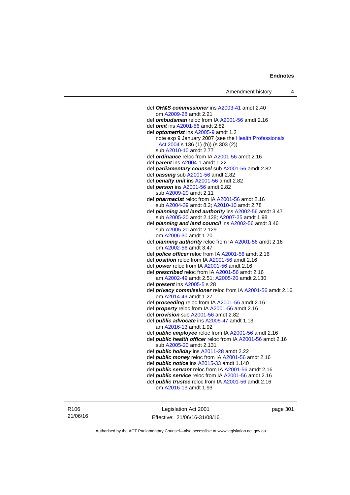def *OH&S commissioner* ins [A2003-41](http://www.legislation.act.gov.au/a/2003-41) amdt 2.40 om [A2009-28](http://www.legislation.act.gov.au/a/2009-28) amdt 2.21 def *ombudsman* reloc from IA [A2001-56](http://www.legislation.act.gov.au/a/2001-56) amdt 2.16 def *omit* ins [A2001-56](http://www.legislation.act.gov.au/a/2001-56) amdt 2.82 def *optometrist* ins [A2005-9](http://www.legislation.act.gov.au/a/2005-9) amdt 1.2 note exp 9 January 2007 (see the [Health Professionals](http://www.legislation.act.gov.au/a/2004-38)  [Act 2004](http://www.legislation.act.gov.au/a/2004-38) s 136 (1) (h)) (s 303 (2)) sub [A2010-10](http://www.legislation.act.gov.au/a/2010-10) amdt 2.77 def *ordinance* reloc from IA [A2001-56](http://www.legislation.act.gov.au/a/2001-56) amdt 2.16 def *parent* ins [A2004-1](http://www.legislation.act.gov.au/a/2004-1) amdt 1.22 def *parliamentary counsel* sub [A2001-56](http://www.legislation.act.gov.au/a/2001-56) amdt 2.82 def *passing* sub [A2001-56](http://www.legislation.act.gov.au/a/2001-56) amdt 2.82 def *penalty unit* ins [A2001-56](http://www.legislation.act.gov.au/a/2001-56) amdt 2.82 def *person* ins [A2001-56](http://www.legislation.act.gov.au/a/2001-56) amdt 2.82 sub [A2009-20](http://www.legislation.act.gov.au/a/2009-20) amdt 2.11 def *pharmacist* reloc from IA [A2001-56](http://www.legislation.act.gov.au/a/2001-56) amdt 2.16 sub [A2004-39](http://www.legislation.act.gov.au/a/2004-39) amdt 8.2; [A2010-10](http://www.legislation.act.gov.au/a/2010-10) amdt 2.78 def *planning and land authority* ins [A2002-56](http://www.legislation.act.gov.au/a/2002-56) amdt 3.47 sub [A2005-20](http://www.legislation.act.gov.au/a/2005-20) amdt 2.128; [A2007-25](http://www.legislation.act.gov.au/a/2007-25) amdt 1.98 def *planning and land council* ins [A2002-56](http://www.legislation.act.gov.au/a/2002-56) amdt 3.46 sub [A2005-20](http://www.legislation.act.gov.au/a/2005-20) amdt 2.129 om [A2006-30](http://www.legislation.act.gov.au/a/2006-30) amdt 1.70 def *planning authority* reloc from IA [A2001-56](http://www.legislation.act.gov.au/a/2001-56) amdt 2.16 om [A2002-56](http://www.legislation.act.gov.au/a/2002-56) amdt 3.47 def *police officer* reloc from IA [A2001-56](http://www.legislation.act.gov.au/a/2001-56) amdt 2.16 def *position* reloc from IA [A2001-56](http://www.legislation.act.gov.au/a/2001-56) amdt 2.16 def *power* reloc from IA [A2001-56](http://www.legislation.act.gov.au/a/2001-56) amdt 2.16 def *prescribed* reloc from IA [A2001-56](http://www.legislation.act.gov.au/a/2001-56) amdt 2.16 am [A2002-49](http://www.legislation.act.gov.au/a/2002-49) amdt 2.51; [A2005-20](http://www.legislation.act.gov.au/a/2005-20) amdt 2.130 def *present* ins [A2005-5](http://www.legislation.act.gov.au/a/2005-5) s 28 def *privacy commissioner* reloc from IA [A2001-56](http://www.legislation.act.gov.au/a/2001-56) amdt 2.16 om [A2014-49](http://www.legislation.act.gov.au/a/2014-49) amdt 1.27 def *proceeding* reloc from IA [A2001-56](http://www.legislation.act.gov.au/a/2001-56) amdt 2.16 def *property* reloc from IA [A2001-56](http://www.legislation.act.gov.au/a/2001-56) amdt 2.16 def *provision* sub [A2001-56](http://www.legislation.act.gov.au/a/2001-56) amdt 2.82 def *public advocate* ins [A2005-47](http://www.legislation.act.gov.au/a/2005-47) amdt 1.13 am [A2016-13](http://www.legislation.act.gov.au/a/2016-13) amdt 1.92 def *public employee* reloc from IA [A2001-56](http://www.legislation.act.gov.au/a/2001-56) amdt 2.16 def *public health officer* reloc from IA [A2001-56](http://www.legislation.act.gov.au/a/2001-56) amdt 2.16 sub [A2005-20](http://www.legislation.act.gov.au/a/2005-20) amdt 2.131 def *public holiday* ins [A2011-28](http://www.legislation.act.gov.au/a/2011-28) amdt 2.22 def *public money* reloc from IA [A2001-56](http://www.legislation.act.gov.au/a/2001-56) amdt 2.16 def *public notice* ins [A2015-33](http://www.legislation.act.gov.au/a/2015-33) amdt 1.140 def *public servant* reloc from IA [A2001-56](http://www.legislation.act.gov.au/a/2001-56) amdt 2.16 def *public service* reloc from IA [A2001-56](http://www.legislation.act.gov.au/a/2001-56) amdt 2.16 def *public trustee* reloc from IA [A2001-56](http://www.legislation.act.gov.au/a/2001-56) amdt 2.16

om [A2016-13](http://www.legislation.act.gov.au/a/2016-13) amdt 1.93

R106 21/06/16

Legislation Act 2001 Effective: 21/06/16-31/08/16 page 301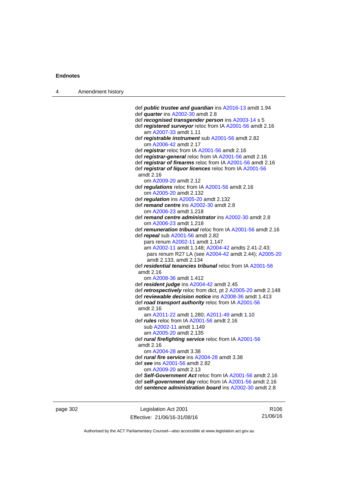| 4 | Amendment history |                                                                                                                      |
|---|-------------------|----------------------------------------------------------------------------------------------------------------------|
|   |                   |                                                                                                                      |
|   |                   | def <b>public trustee and guardian</b> ins A2016-13 amdt 1.94                                                        |
|   |                   | def quarter ins A2002-30 amdt 2.8                                                                                    |
|   |                   | def recognised transgender person ins A2003-14 s 5                                                                   |
|   |                   | def registered surveyor reloc from IA A2001-56 amdt 2.16<br>am A2007-33 amdt 1.11                                    |
|   |                   | def registrable instrument sub A2001-56 amdt 2.82<br>om A2006-42 amdt 2.17                                           |
|   |                   | def registrar reloc from IA A2001-56 amdt 2.16                                                                       |
|   |                   | def registrar-general reloc from IA A2001-56 amdt 2.16                                                               |
|   |                   | def registrar of firearms reloc from IA A2001-56 amdt 2.16                                                           |
|   |                   | def registrar of liquor licences reloc from IA A2001-56<br>amdt 2.16                                                 |
|   |                   | om A2009-20 amdt 2.12                                                                                                |
|   |                   | def regulations reloc from IA A2001-56 amdt 2.16<br>om A2005-20 amdt 2.132                                           |
|   |                   | def regulation ins A2005-20 amdt 2.132                                                                               |
|   |                   | def remand centre ins A2002-30 amdt 2.8                                                                              |
|   |                   | om A2006-23 amdt 1.218                                                                                               |
|   |                   | def remand centre administrator ins A2002-30 amdt 2.8                                                                |
|   |                   | om A2006-23 amdt 1.218                                                                                               |
|   |                   | def remuneration tribunal reloc from IA A2001-56 amdt 2.16                                                           |
|   |                   | def repeal sub A2001-56 amdt 2.82                                                                                    |
|   |                   | pars renum A2002-11 amdt 1.147                                                                                       |
|   |                   | am A2002-11 amdt 1.148; A2004-42 amdts 2.41-2.43;                                                                    |
|   |                   | pars renum R27 LA (see A2004-42 amdt 2.44); A2005-20                                                                 |
|   |                   | amdt 2.133, amdt 2.134                                                                                               |
|   |                   | def residential tenancies tribunal reloc from IA A2001-56                                                            |
|   |                   | amdt 2.16                                                                                                            |
|   |                   | om A2008-36 amdt 1.412                                                                                               |
|   |                   | def resident judge ins A2004-42 amdt 2.45                                                                            |
|   |                   | def retrospectively reloc from dict, pt 2 A2005-20 amdt 2.148                                                        |
|   |                   | def reviewable decision notice ins A2008-36 amdt 1.413                                                               |
|   |                   | def road transport authority reloc from IA A2001-56                                                                  |
|   |                   | amdt 2.16                                                                                                            |
|   |                   | am A2011-22 amdt 1.280; A2011-49 amdt 1.10                                                                           |
|   |                   | def <i>rules</i> reloc from IA A2001-56 amdt 2.16<br>sub A2002-11 amdt 1.149                                         |
|   |                   | am A2005-20 amdt 2.135                                                                                               |
|   |                   | def rural firefighting service reloc from IA A2001-56                                                                |
|   |                   | amdt 2.16                                                                                                            |
|   |                   | om A2004-28 amdt 3.38                                                                                                |
|   |                   | def <i>rural fire service</i> ins A2004-28 amdt 3.38                                                                 |
|   |                   | def see ins A2001-56 amdt 2.82                                                                                       |
|   |                   | om A2009-20 amdt 2.13                                                                                                |
|   |                   |                                                                                                                      |
|   |                   | def Self-Government Act reloc from IA A2001-56 amdt 2.16<br>def self-government day reloc from IA A2001-56 amdt 2.16 |

page 302 Legislation Act 2001 Effective: 21/06/16-31/08/16

R106 21/06/16

Authorised by the ACT Parliamentary Counsel—also accessible at www.legislation.act.gov.au

def *sentence administration board* ins [A2002-30](http://www.legislation.act.gov.au/a/2002-30) amdt 2.8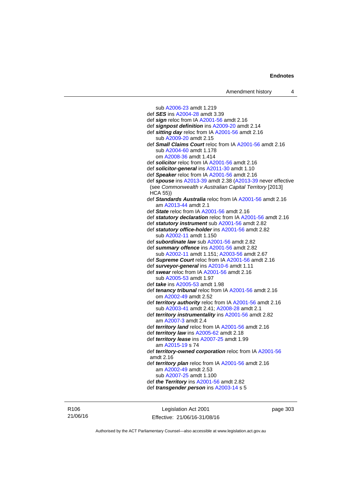sub [A2006-23](http://www.legislation.act.gov.au/a/2006-23) amdt 1.219 def *SES* ins [A2004-28](http://www.legislation.act.gov.au/a/2004-28) amdt 3.39 def *sign* reloc from IA [A2001-56](http://www.legislation.act.gov.au/a/2001-56) amdt 2.16 def *signpost definition* ins [A2009-20](http://www.legislation.act.gov.au/a/2009-20) amdt 2.14 def *sitting day* reloc from IA [A2001-56](http://www.legislation.act.gov.au/a/2001-56) amdt 2.16 sub [A2009-20](http://www.legislation.act.gov.au/a/2009-20) amdt 2.15 def *Small Claims Court* reloc from IA [A2001-56](http://www.legislation.act.gov.au/a/2001-56) amdt 2.16 sub [A2004-60](http://www.legislation.act.gov.au/a/2004-60) amdt 1.178 om [A2008-36](http://www.legislation.act.gov.au/a/2008-36) amdt 1.414 def *solicitor* reloc from IA [A2001-56](http://www.legislation.act.gov.au/a/2001-56) amdt 2.16 def *solicitor-general* ins [A2011-30](http://www.legislation.act.gov.au/a/2011-30) amdt 1.10 def *Speaker* reloc from IA [A2001-56](http://www.legislation.act.gov.au/a/2001-56) amdt 2.16 def *spouse* ins [A2013-39](http://www.legislation.act.gov.au/a/2013-39) amdt 2.38 [\(A2013-39](http://www.legislation.act.gov.au/a/2013-39) never effective (see *Commonwealth v Australian Capital Territory* [2013] HCA 55)) def *Standards Australia* reloc from IA [A2001-56](http://www.legislation.act.gov.au/a/2001-56) amdt 2.16 am [A2013-44](http://www.legislation.act.gov.au/a/2013-44) amdt 2.1 def *State* reloc from IA [A2001-56](http://www.legislation.act.gov.au/a/2001-56) amdt 2.16 def *statutory declaration* reloc from IA [A2001-56](http://www.legislation.act.gov.au/a/2001-56) amdt 2.16 def *statutory instrument* sub [A2001-56](http://www.legislation.act.gov.au/a/2001-56) amdt 2.82 def *statutory office-holder* ins [A2001-56](http://www.legislation.act.gov.au/a/2001-56) amdt 2.82 sub [A2002-11](http://www.legislation.act.gov.au/a/2002-11) amdt 1.150 def *subordinate law* sub [A2001-56](http://www.legislation.act.gov.au/a/2001-56) amdt 2.82 def *summary offence* ins [A2001-56](http://www.legislation.act.gov.au/a/2001-56) amdt 2.82 sub [A2002-11](http://www.legislation.act.gov.au/a/2002-11) amdt 1.151; [A2003-56](http://www.legislation.act.gov.au/a/2003-56) amdt 2.67 def *Supreme Court* reloc from IA [A2001-56](http://www.legislation.act.gov.au/a/2001-56) amdt 2.16 def *surveyor-general* ins [A2010-6](http://www.legislation.act.gov.au/a/2010-6) amdt 1.11 def *swear* reloc from IA [A2001-56](http://www.legislation.act.gov.au/a/2001-56) amdt 2.16 sub [A2005-53](http://www.legislation.act.gov.au/a/2005-53) amdt 1.97 def *take* ins [A2005-53](http://www.legislation.act.gov.au/a/2005-53) amdt 1.98 def *tenancy tribunal* reloc from IA [A2001-56](http://www.legislation.act.gov.au/a/2001-56) amdt 2.16 om [A2002-49](http://www.legislation.act.gov.au/a/2002-49) amdt 2.52 def *territory authority* reloc from IA [A2001-56](http://www.legislation.act.gov.au/a/2001-56) amdt 2.16 sub [A2003-41](http://www.legislation.act.gov.au/a/2003-41) amdt 2.41; [A2008-28](http://www.legislation.act.gov.au/a/2008-28) amdt 2.1 def *territory instrumentality* ins [A2001-56](http://www.legislation.act.gov.au/a/2001-56) amdt 2.82 am [A2007-3](http://www.legislation.act.gov.au/a/2007-3) amdt 2.4 def *territory land* reloc from IA [A2001-56](http://www.legislation.act.gov.au/a/2001-56) amdt 2.16 def *territory law* ins [A2005-62](http://www.legislation.act.gov.au/a/2005-62) amdt 2.18 def *territory lease* ins [A2007-25](http://www.legislation.act.gov.au/a/2007-25) amdt 1.99 am [A2015-19](http://www.legislation.act.gov.au/a/2015-19) s 74 def *territory-owned corporation* reloc from IA [A2001-56](http://www.legislation.act.gov.au/a/2001-56) amdt 2.16 def *territory plan* reloc from IA [A2001-56](http://www.legislation.act.gov.au/a/2001-56) amdt 2.16 am [A2002-49](http://www.legislation.act.gov.au/a/2002-49) amdt 2.53 sub [A2007-25](http://www.legislation.act.gov.au/a/2007-25) amdt 1.100 def *the Territory* ins [A2001-56](http://www.legislation.act.gov.au/a/2001-56) amdt 2.82 def *transgender person* ins [A2003-14](http://www.legislation.act.gov.au/a/2003-14) s 5

R106 21/06/16

Legislation Act 2001 Effective: 21/06/16-31/08/16 page 303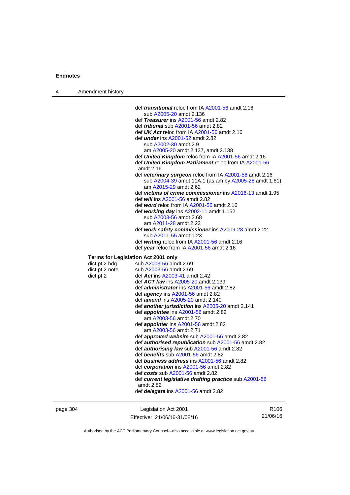| 4 | Amendment history                   |                                                                                                                                           |
|---|-------------------------------------|-------------------------------------------------------------------------------------------------------------------------------------------|
|   |                                     | def <i>transitional</i> reloc from IA A2001-56 amdt 2.16                                                                                  |
|   |                                     | sub A2005-20 amdt 2.136                                                                                                                   |
|   |                                     | def Treasurer ins A2001-56 amdt 2.82                                                                                                      |
|   |                                     | def <i>tribunal</i> sub A2001-56 amdt 2.82                                                                                                |
|   |                                     | def UK Act reloc from IA A2001-56 amdt 2.16                                                                                               |
|   |                                     | def <i>under</i> ins A2001-52 amdt 2.82                                                                                                   |
|   |                                     | sub A2002-30 amdt 2.9                                                                                                                     |
|   |                                     | am A2005-20 amdt 2.137, amdt 2.138                                                                                                        |
|   |                                     | def <b>United Kingdom</b> reloc from IA A2001-56 amdt 2.16                                                                                |
|   |                                     | def United Kingdom Parliament reloc from IA A2001-56<br>amdt 2.16                                                                         |
|   |                                     | def veterinary surgeon reloc from IA A2001-56 amdt 2.16<br>sub A2004-39 amdt 11A.1 (as am by A2005-28 amdt 1.61)<br>am A2015-29 amdt 2.62 |
|   |                                     | def victims of crime commissioner ins A2016-13 amdt 1.95                                                                                  |
|   |                                     | def <i>will</i> ins A2001-56 amdt 2.82                                                                                                    |
|   |                                     | def word reloc from IA A2001-56 amdt 2.16                                                                                                 |
|   |                                     | def working day ins $A2002-11$ amdt 1.152<br>sub A2003-56 amdt 2.68                                                                       |
|   |                                     | am A2011-28 amdt 2.23                                                                                                                     |
|   |                                     | def work safety commissioner ins A2009-28 amdt 2.22                                                                                       |
|   |                                     | sub A2011-55 amdt 1.23                                                                                                                    |
|   |                                     | def writing reloc from IA A2001-56 amdt 2.16                                                                                              |
|   |                                     | def year reloc from IA A2001-56 amdt 2.16                                                                                                 |
|   | Terms for Legislation Act 2001 only |                                                                                                                                           |
|   | dict pt 2 hdg                       | sub A2003-56 amdt 2.69                                                                                                                    |
|   | dict pt 2 note                      | sub A2003-56 amdt 2.69                                                                                                                    |
|   | dict pt 2                           | def Act ins A2003-41 amdt 2.42                                                                                                            |
|   |                                     | def ACT law ins A2005-20 amdt 2.139                                                                                                       |
|   |                                     | def <i>administrator</i> ins A2001-56 amdt 2.82                                                                                           |
|   |                                     | def <i>agency</i> ins $A2001-56$ amdt 2.82                                                                                                |
|   |                                     | def amend ins A2005-20 amdt 2.140                                                                                                         |
|   |                                     | def <b>another jurisdiction</b> ins A2005-20 amdt 2.141                                                                                   |
|   |                                     | def <i>appointee</i> ins A2001-56 amdt 2.82                                                                                               |
|   |                                     | am A2003-56 amdt 2.70                                                                                                                     |
|   |                                     | def <i>appointer</i> ins A2001-56 amdt 2.82                                                                                               |
|   |                                     | am A2003-56 amdt 2.71<br>def <i>approved</i> website sub A2001-56 amdt 2.82                                                               |
|   |                                     | def <b>authorised republication</b> sub A2001-56 amdt 2.82                                                                                |
|   |                                     | def <b>authorising law</b> sub A2001-56 amdt 2.82                                                                                         |
|   |                                     | def benefits sub A2001-56 amdt 2.82                                                                                                       |
|   |                                     | def <i>business address</i> ins A2001-56 amdt 2.82                                                                                        |
|   |                                     | def corporation ins A2001-56 amdt 2.82                                                                                                    |
|   |                                     | def costs sub A2001-56 amdt 2.82                                                                                                          |
|   |                                     | def current legislative drafting practice sub A2001-56                                                                                    |
|   |                                     | amdt 2.82                                                                                                                                 |
|   |                                     | def <i>delegate</i> ins A2001-56 amdt 2.82                                                                                                |
|   |                                     |                                                                                                                                           |

page 304 Legislation Act 2001 Effective: 21/06/16-31/08/16

R106 21/06/16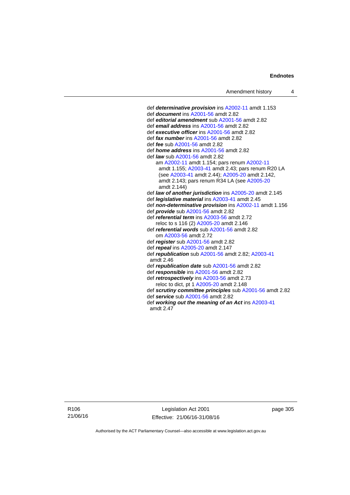def *determinative provision* ins [A2002-11](http://www.legislation.act.gov.au/a/2002-11) amdt 1.153 def *document* ins [A2001-56](http://www.legislation.act.gov.au/a/2001-56) amdt 2.82 def *editorial amendment* sub [A2001-56](http://www.legislation.act.gov.au/a/2001-56) amdt 2.82 def *email address* ins [A2001-56](http://www.legislation.act.gov.au/a/2001-56) amdt 2.82 def *executive officer* ins [A2001-56](http://www.legislation.act.gov.au/a/2001-56) amdt 2.82 def *fax number* ins [A2001-56](http://www.legislation.act.gov.au/a/2001-56) amdt 2.82 def *fee* sub [A2001-56](http://www.legislation.act.gov.au/a/2001-56) amdt 2.82 def *home address* ins [A2001-56](http://www.legislation.act.gov.au/a/2001-56) amdt 2.82 def *law* sub [A2001-56](http://www.legislation.act.gov.au/a/2001-56) amdt 2.82 am [A2002-11](http://www.legislation.act.gov.au/a/2002-11) amdt 1.154; pars renum [A2002-11](http://www.legislation.act.gov.au/a/2002-11) amdt 1.155; [A2003-41](http://www.legislation.act.gov.au/a/2003-41) amdt 2.43; pars renum R20 LA (see [A2003-41](http://www.legislation.act.gov.au/a/2003-41) amdt 2.44); [A2005-20](http://www.legislation.act.gov.au/a/2005-20) amdt 2.142, amdt 2.143; pars renum R34 LA (see [A2005-20](http://www.legislation.act.gov.au/a/2005-20) amdt 2.144) def *law of another jurisdiction* ins [A2005-20](http://www.legislation.act.gov.au/a/2005-20) amdt 2.145 def *legislative material* ins [A2003-41](http://www.legislation.act.gov.au/a/2003-41) amdt 2.45 def *non-determinative provision* ins [A2002-11](http://www.legislation.act.gov.au/a/2002-11) amdt 1.156 def *provide* sub [A2001-56](http://www.legislation.act.gov.au/a/2001-56) amdt 2.82 def *referential term* ins [A2003-56](http://www.legislation.act.gov.au/a/2003-56) amdt 2.72 reloc to s 116 (2) [A2005-20](http://www.legislation.act.gov.au/a/2005-20) amdt 2.146 def *referential words* sub [A2001-56](http://www.legislation.act.gov.au/a/2001-56) amdt 2.82 om [A2003-56](http://www.legislation.act.gov.au/a/2003-56) amdt 2.72 def *register* sub [A2001-56](http://www.legislation.act.gov.au/a/2001-56) amdt 2.82 def *repeal* ins [A2005-20](http://www.legislation.act.gov.au/a/2005-20) amdt 2.147 def *republication* sub [A2001-56](http://www.legislation.act.gov.au/a/2001-56) amdt 2.82; [A2003-41](http://www.legislation.act.gov.au/a/2003-41) amdt 2.46 def *republication date* sub [A2001-56](http://www.legislation.act.gov.au/a/2001-56) amdt 2.82 def *responsible* ins [A2001-56](http://www.legislation.act.gov.au/a/2001-56) amdt 2.82 def *retrospectively* ins [A2003-56](http://www.legislation.act.gov.au/a/2003-56) amdt 2.73 reloc to dict, pt 1 [A2005-20](http://www.legislation.act.gov.au/a/2005-20) amdt 2.148 def *scrutiny committee principles* sub [A2001-56](http://www.legislation.act.gov.au/a/2001-56) amdt 2.82 def *service* sub [A2001-56](http://www.legislation.act.gov.au/a/2001-56) amdt 2.82 def *working out the meaning of an Act* ins [A2003-41](http://www.legislation.act.gov.au/a/2003-41) amdt 2.47

R106 21/06/16

Legislation Act 2001 Effective: 21/06/16-31/08/16 page 305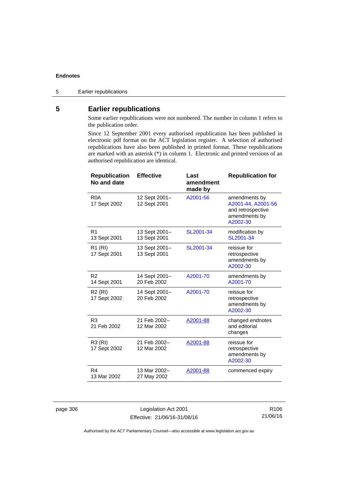# **5 Earlier republications**

Some earlier republications were not numbered. The number in column 1 refers to the publication order.

Since 12 September 2001 every authorised republication has been published in electronic pdf format on the ACT legislation register. A selection of authorised republications have also been published in printed format. These republications are marked with an asterisk (\*) in column 1. Electronic and printed versions of an authorised republication are identical.

| <b>Republication</b><br>No and date | <b>Effective</b>              | Last<br>amendment<br>made by | <b>Republication for</b>                                                              |
|-------------------------------------|-------------------------------|------------------------------|---------------------------------------------------------------------------------------|
| R <sub>0</sub> A<br>17 Sept 2002    | 12 Sept 2001-<br>12 Sept 2001 | A2001-56                     | amendments by<br>A2001-44, A2001-56<br>and retrospective<br>amendments by<br>A2002-30 |
| R <sub>1</sub><br>13 Sept 2001      | 13 Sept 2001-<br>13 Sept 2001 | SL2001-34                    | modification by<br>SL2001-34                                                          |
| R <sub>1</sub> (RI)<br>17 Sept 2001 | 13 Sept 2001-<br>13 Sept 2001 | SL2001-34                    | reissue for<br>retrospective<br>amendments by<br>A2002-30                             |
| R <sub>2</sub><br>14 Sept 2001      | 14 Sept 2001-<br>20 Feb 2002  | A2001-70                     | amendments by<br>A2001-70                                                             |
| R <sub>2</sub> (RI)<br>17 Sept 2002 | 14 Sept 2001-<br>20 Feb 2002  | A2001-70                     | reissue for<br>retrospective<br>amendments by<br>A2002-30                             |
| R <sub>3</sub><br>21 Feb 2002       | 21 Feb 2002-<br>12 Mar 2002   | A2001-88                     | changed endnotes<br>and editorial<br>changes                                          |
| R3 (RI)<br>17 Sept 2002             | 21 Feb 2002-<br>12 Mar 2002   | A2001-88                     | reissue for<br>retrospective<br>amendments by<br>A2002-30                             |
| R4<br>13 Mar 2002                   | 13 Mar 2002-<br>27 May 2002   | A2001-88                     | commenced expiry                                                                      |

page 306 Legislation Act 2001 Effective: 21/06/16-31/08/16

R106 21/06/16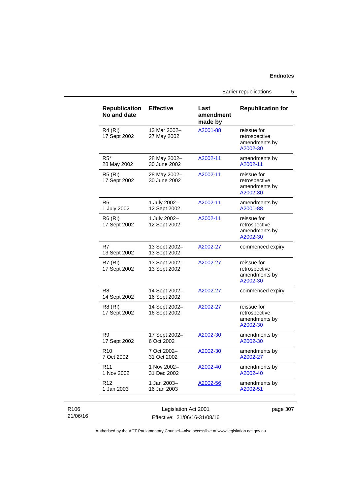Earlier republications 5

| <b>Republication</b><br>No and date | <b>Effective</b>              | Last<br>amendment<br>made by | <b>Republication for</b>                                  |
|-------------------------------------|-------------------------------|------------------------------|-----------------------------------------------------------|
| R4 (RI)<br>17 Sept 2002             | 13 Mar 2002-<br>27 May 2002   | A2001-88                     | reissue for<br>retrospective<br>amendments by<br>A2002-30 |
| $R5*$<br>28 May 2002                | 28 May 2002-<br>30 June 2002  | A2002-11                     | amendments by<br>A2002-11                                 |
| <b>R5 (RI)</b><br>17 Sept 2002      | 28 May 2002-<br>30 June 2002  | A2002-11                     | reissue for<br>retrospective<br>amendments by<br>A2002-30 |
| R <sub>6</sub><br>1 July 2002       | 1 July 2002-<br>12 Sept 2002  | A2002-11                     | amendments by<br>A2001-88                                 |
| R6 (RI)<br>17 Sept 2002             | 1 July 2002-<br>12 Sept 2002  | A2002-11                     | reissue for<br>retrospective<br>amendments by<br>A2002-30 |
| R7<br>13 Sept 2002                  | 13 Sept 2002-<br>13 Sept 2002 | A2002-27                     | commenced expiry                                          |
| <b>R7 (RI)</b><br>17 Sept 2002      | 13 Sept 2002-<br>13 Sept 2002 | A2002-27                     | reissue for<br>retrospective<br>amendments by<br>A2002-30 |
| R8<br>14 Sept 2002                  | 14 Sept 2002-<br>16 Sept 2002 | A2002-27                     | commenced expiry                                          |
| R8 (RI)<br>17 Sept 2002             | 14 Sept 2002-<br>16 Sept 2002 | A2002-27                     | reissue for<br>retrospective<br>amendments by<br>A2002-30 |
| R9<br>17 Sept 2002                  | 17 Sept 2002-<br>6 Oct 2002   | A2002-30                     | amendments by<br>A2002-30                                 |
| R <sub>10</sub><br>7 Oct 2002       | 7 Oct 2002-<br>31 Oct 2002    | A2002-30                     | amendments by<br>A2002-27                                 |
| R <sub>11</sub><br>1 Nov 2002       | 1 Nov 2002-<br>31 Dec 2002    | A2002-40                     | amendments by<br>A2002-40                                 |
| R <sub>12</sub><br>1 Jan 2003       | 1 Jan 2003-<br>16 Jan 2003    | A2002-56                     | amendments by<br>A2002-51                                 |

### R106 21/06/16

Legislation Act 2001 Effective: 21/06/16-31/08/16 page 307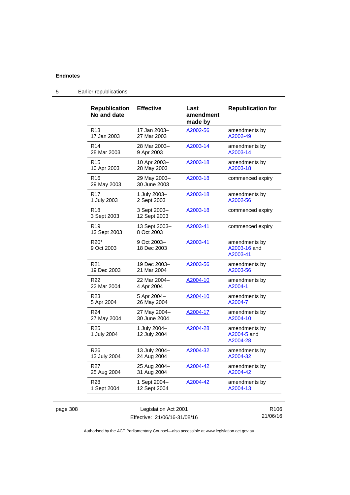| <b>Republication</b><br>No and date        | <b>Effective</b>             | Last<br>amendment<br>made by | <b>Republication for</b>                  |
|--------------------------------------------|------------------------------|------------------------------|-------------------------------------------|
| R <sub>13</sub>                            | 17 Jan 2003-                 | A2002-56                     | amendments by                             |
| 17 Jan 2003                                | 27 Mar 2003                  |                              | A2002-49                                  |
| R <sub>14</sub>                            | 28 Mar 2003-                 | A2003-14                     | amendments by                             |
| 28 Mar 2003                                | 9 Apr 2003                   |                              | A2003-14                                  |
| R <sub>15</sub>                            | 10 Apr 2003-                 | A2003-18                     | amendments by                             |
| 10 Apr 2003                                | 28 May 2003                  |                              | A2003-18                                  |
| R <sub>16</sub><br>29 May 2003             | 29 May 2003-<br>30 June 2003 | A2003-18                     | commenced expiry                          |
| R <sub>17</sub>                            | 1 July 2003-                 | A2003-18                     | amendments by                             |
| 1 July 2003                                | 2 Sept 2003                  |                              | A2002-56                                  |
| R <sub>18</sub><br>3 Sept 2003             | 3 Sept 2003-<br>12 Sept 2003 | A2003-18                     | commenced expiry                          |
| R <sub>19</sub><br>13 Sept 2003            | 13 Sept 2003-<br>8 Oct 2003  | <u>A2003-41</u>              | commenced expiry                          |
| R <sub>20</sub> <sup>*</sup><br>9 Oct 2003 | 9 Oct 2003-<br>18 Dec 2003   | A2003-41                     | amendments by<br>A2003-16 and<br>A2003-41 |
| R <sub>21</sub>                            | 19 Dec 2003-                 | A2003-56                     | amendments by                             |
| 19 Dec 2003                                | 21 Mar 2004                  |                              | A2003-56                                  |
| R <sub>22</sub>                            | 22 Mar 2004-                 | A2004-10                     | amendments by                             |
| 22 Mar 2004                                | 4 Apr 2004                   |                              | A2004-1                                   |
| R <sub>23</sub>                            | 5 Apr 2004-                  | A2004-10                     | amendments by                             |
| 5 Apr 2004                                 | 26 May 2004                  |                              | A2004-7                                   |
| R <sub>24</sub>                            | 27 May 2004-                 | <u>A2004-17</u>              | amendments by                             |
| 27 May 2004                                | 30 June 2004                 |                              | A2004-10                                  |
| R <sub>25</sub><br>1 July 2004             | 1 July 2004-<br>12 July 2004 | A2004-28                     | amendments by<br>A2004-5 and<br>A2004-28  |
| R <sub>26</sub>                            | 13 July 2004-                | A2004-32                     | amendments by                             |
| 13 July 2004                               | 24 Aug 2004                  |                              | A2004-32                                  |
| R <sub>27</sub>                            | 25 Aug 2004-                 | A2004-42                     | amendments by                             |
| 25 Aug 2004                                | 31 Aug 2004                  |                              | A2004-42                                  |
| R <sub>28</sub>                            | 1 Sept 2004-                 | A2004-42                     | amendments by                             |
| 1 Sept 2004                                | 12 Sept 2004                 |                              | A2004-13                                  |

## 5 Earlier republications

| page 308 |
|----------|
|----------|

page 308 Legislation Act 2001 Effective: 21/06/16-31/08/16

R106 21/06/16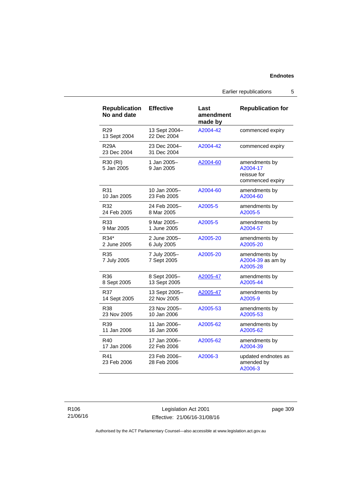Earlier republications 5

| <b>Republication</b><br>No and date | <b>Effective</b>             | Last<br>amendment<br>made by | <b>Republication for</b>                                     |
|-------------------------------------|------------------------------|------------------------------|--------------------------------------------------------------|
| R <sub>29</sub><br>13 Sept 2004     | 13 Sept 2004-<br>22 Dec 2004 | A2004-42                     | commenced expiry                                             |
| <b>R29A</b><br>23 Dec 2004          | 23 Dec 2004-<br>31 Dec 2004  | A2004-42                     | commenced expiry                                             |
| R30 (RI)<br>5 Jan 2005              | 1 Jan 2005-<br>9 Jan 2005    | A2004-60                     | amendments by<br>A2004-17<br>reissue for<br>commenced expiry |
| R31                                 | 10 Jan 2005-                 | A2004-60                     | amendments by                                                |
| 10 Jan 2005                         | 23 Feb 2005                  |                              | A2004-60                                                     |
| R32                                 | 24 Feb 2005-                 | A2005-5                      | amendments by                                                |
| 24 Feb 2005                         | 8 Mar 2005                   |                              | A2005-5                                                      |
| R33                                 | 9 Mar 2005-                  | A2005-5                      | amendments by                                                |
| 9 Mar 2005                          | 1 June 2005                  |                              | A2004-57                                                     |
| R34*                                | 2 June 2005-                 | A2005-20                     | amendments by                                                |
| 2 June 2005                         | 6 July 2005                  |                              | A2005-20                                                     |
| R35<br>7 July 2005                  | 7 July 2005-<br>7 Sept 2005  | A2005-20                     | amendments by<br>A2004-39 as am by<br>A2005-28               |
| R36                                 | 8 Sept 2005-                 | A2005-47                     | amendments by                                                |
| 8 Sept 2005                         | 13 Sept 2005                 |                              | A2005-44                                                     |
| R37                                 | 13 Sept 2005-                | A2005-47                     | amendments by                                                |
| 14 Sept 2005                        | 22 Nov 2005                  |                              | A2005-9                                                      |
| R38                                 | 23 Nov 2005-                 | A2005-53                     | amendments by                                                |
| 23 Nov 2005                         | 10 Jan 2006                  |                              | A2005-53                                                     |
| R39                                 | 11 Jan 2006-                 | A2005-62                     | amendments by                                                |
| 11 Jan 2006                         | 16 Jan 2006                  |                              | A2005-62                                                     |
| R40                                 | 17 Jan 2006-                 | A2005-62                     | amendments by                                                |
| 17 Jan 2006                         | 22 Feb 2006                  |                              | A2004-39                                                     |
| R41<br>23 Feb 2006                  | 23 Feb 2006-<br>28 Feb 2006  | A2006-3                      | updated endnotes as<br>amended by<br>A2006-3                 |

Legislation Act 2001 Effective: 21/06/16-31/08/16 page 309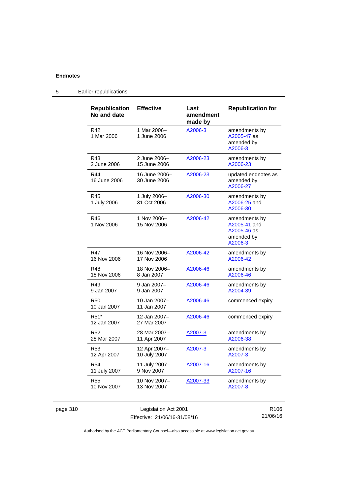| <b>Republication</b><br>No and date | <b>Effective</b>              | Last<br>amendment<br>made by | <b>Republication for</b>                                              |
|-------------------------------------|-------------------------------|------------------------------|-----------------------------------------------------------------------|
| R42<br>1 Mar 2006                   | 1 Mar 2006-<br>1 June 2006    | A2006-3                      | amendments by<br>A2005-47 as<br>amended by<br>A2006-3                 |
| R43                                 | 2 June 2006-                  | A2006-23                     | amendments by                                                         |
| 2 June 2006                         | 15 June 2006                  |                              | A2006-23                                                              |
| R44<br>16 June 2006                 | 16 June 2006–<br>30 June 2006 | A2006-23                     | updated endnotes as<br>amended by<br>A2006-27                         |
| R45<br>1 July 2006                  | 1 July 2006-<br>31 Oct 2006   | A2006-30                     | amendments by<br>A2006-25 and<br>A2006-30                             |
| R46<br>1 Nov 2006                   | 1 Nov 2006-<br>15 Nov 2006    | A2006-42                     | amendments by<br>A2005-41 and<br>A2005-46 as<br>amended by<br>A2006-3 |
| <b>R47</b>                          | 16 Nov 2006–                  | A2006-42                     | amendments by                                                         |
| 16 Nov 2006                         | 17 Nov 2006                   |                              | A2006-42                                                              |
| R48                                 | 18 Nov 2006-                  | A2006-46                     | amendments by                                                         |
| 18 Nov 2006                         | 8 Jan 2007                    |                              | A2006-46                                                              |
| R49                                 | 9 Jan 2007–                   | A2006-46                     | amendments by                                                         |
| 9 Jan 2007                          | 9 Jan 2007                    |                              | A2004-39                                                              |
| <b>R50</b><br>10 Jan 2007           | 10 Jan 2007-<br>11 Jan 2007   | A2006-46                     | commenced expiry                                                      |
| R <sub>51</sub> *<br>12 Jan 2007    | 12 Jan 2007-<br>27 Mar 2007   | A2006-46                     | commenced expiry                                                      |
| R <sub>52</sub>                     | 28 Mar 2007-                  | A2007-3                      | amendments by                                                         |
| 28 Mar 2007                         | 11 Apr 2007                   |                              | A2006-38                                                              |
| R <sub>53</sub>                     | 12 Apr 2007-                  | A2007-3                      | amendments by                                                         |
| 12 Apr 2007                         | 10 July 2007                  |                              | A2007-3                                                               |
| R <sub>54</sub>                     | 11 July 2007-                 | A2007-16                     | amendments by                                                         |
| 11 July 2007                        | 9 Nov 2007                    |                              | A2007-16                                                              |
| <b>R55</b>                          | 10 Nov 2007-                  | A2007-33                     | amendments by                                                         |
| 10 Nov 2007                         | 13 Nov 2007                   |                              | A2007-8                                                               |

# 5 Earlier republications

page 310 Legislation Act 2001 Effective: 21/06/16-31/08/16

R106 21/06/16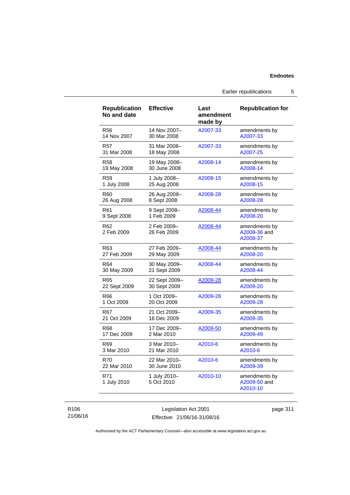Earlier republications 5

| <b>Republication</b><br>No and date | <b>Effective</b>           | Last<br>amendment<br>made by | <b>Republication for</b>                  |
|-------------------------------------|----------------------------|------------------------------|-------------------------------------------|
| <b>R56</b>                          | 14 Nov 2007-               | A2007-33                     | amendments by                             |
| 14 Nov 2007                         | 30 Mar 2008                |                              | A2007-33                                  |
| <b>R57</b>                          | 31 Mar 2008-               | A2007-33                     | amendments by                             |
| 31 Mar 2008                         | 18 May 2008                |                              | A2007-25                                  |
| R58                                 | 19 May 2008-               | A2008-14                     | amendments by                             |
| 19 May 2008                         | 30 June 2008               |                              | A2008-14                                  |
| R <sub>59</sub>                     | 1 July 2008-               | A2008-15                     | amendments by                             |
| 1 July 2008                         | 25 Aug 2008                |                              | A2008-15                                  |
| R60                                 | 26 Aug 2008-               | A2008-28                     | amendments by                             |
| 26 Aug 2008                         | 8 Sept 2008                |                              | A2008-28                                  |
| R61                                 | 9 Sept 2008-               | A2008-44                     | amendments by                             |
| 9 Sept 2008                         | 1 Feb 2009                 |                              | A2008-20                                  |
| R <sub>62</sub><br>2 Feb 2009       | 2 Feb 2009-<br>26 Feb 2009 | A2008-44                     | amendments by<br>A2008-36 and<br>A2008-37 |
| R63                                 | 27 Feb 2009-               | A2008-44                     | amendments by                             |
| 27 Feb 2009                         | 29 May 2009                |                              | A2008-20                                  |
| R64                                 | 30 May 2009-               | A2008-44                     | amendments by                             |
| 30 May 2009                         | 21 Sept 2009               |                              | A2008-44                                  |
| R65                                 | 22 Sept 2009-              | A2009-28                     | amendments by                             |
| 22 Sept 2009                        | 30 Sept 2009               |                              | A2009-20                                  |
| R66                                 | 1 Oct 2009-                | A2009-28                     | amendments by                             |
| 1 Oct 2009                          | 20 Oct 2009                |                              | A2009-28                                  |
| R67                                 | 21 Oct 2009-               | A2009-35                     | amendments by                             |
| 21 Oct 2009                         | 16 Dec 2009                |                              | A2009-35                                  |
| <b>R68</b>                          | 17 Dec 2009-               | A2009-50                     | amendments by                             |
| 17 Dec 2009                         | 2 Mar 2010                 |                              | A2009-49                                  |
| R <sub>69</sub>                     | 3 Mar 2010-                | A2010-6                      | amendments by                             |
| 3 Mar 2010                          | 21 Mar 2010                |                              | A2010-6                                   |
| <b>R70</b>                          | 22 Mar 2010-               | A2010-6                      | amendments by                             |
| 22 Mar 2010                         | 30 June 2010               |                              | A2009-39                                  |
| R71<br>1 July 2010                  | 1 July 2010-<br>5 Oct 2010 | A2010-10                     | amendments by<br>A2009-50 and<br>A2010-10 |

#### R106 21/06/16

Legislation Act 2001 Effective: 21/06/16-31/08/16 page 311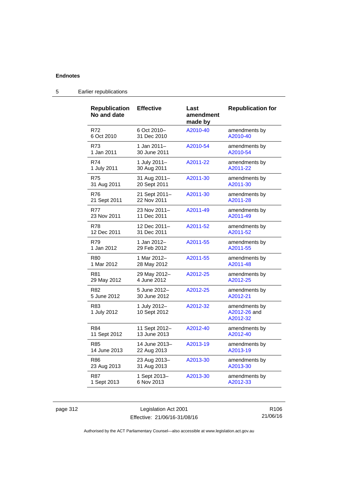| <b>Republication</b><br>No and date | <b>Effective</b>             | Last<br>amendment<br>made by | <b>Republication for</b>                  |
|-------------------------------------|------------------------------|------------------------------|-------------------------------------------|
| R72                                 | 6 Oct 2010-                  | A2010-40                     | amendments by                             |
| 6 Oct 2010                          | 31 Dec 2010                  |                              | A2010-40                                  |
| R73                                 | 1 Jan 2011–                  | A2010-54                     | amendments by                             |
| 1 Jan 2011                          | 30 June 2011                 |                              | A2010-54                                  |
| R74                                 | 1 July 2011-                 | A2011-22                     | amendments by                             |
| 1 July 2011                         | 30 Aug 2011                  |                              | A2011-22                                  |
| R75                                 | 31 Aug 2011-                 | A2011-30                     | amendments by                             |
| 31 Aug 2011                         | 20 Sept 2011                 |                              | A2011-30                                  |
| R76                                 | 21 Sept 2011-                | A2011-30                     | amendments by                             |
| 21 Sept 2011                        | 22 Nov 2011                  |                              | A2011-28                                  |
| <b>R77</b>                          | 23 Nov 2011-                 | A2011-49                     | amendments by                             |
| 23 Nov 2011                         | 11 Dec 2011                  |                              | A2011-49                                  |
| R78                                 | 12 Dec 2011-                 | A2011-52                     | amendments by                             |
| 12 Dec 2011                         | 31 Dec 2011                  |                              | A2011-52                                  |
| R79                                 | 1 Jan 2012–                  | A2011-55                     | amendments by                             |
| 1 Jan 2012                          | 29 Feb 2012                  |                              | A2011-55                                  |
| R80                                 | 1 Mar 2012-                  | A2011-55                     | amendments by                             |
| 1 Mar 2012                          | 28 May 2012                  |                              | A2011-48                                  |
| R81                                 | 29 May 2012-                 | A2012-25                     | amendments by                             |
| 29 May 2012                         | 4 June 2012                  |                              | A2012-25                                  |
| R82                                 | 5 June 2012-                 | A2012-25                     | amendments by                             |
| 5 June 2012                         | 30 June 2012                 |                              | A2012-21                                  |
| R83<br>1 July 2012                  | 1 July 2012-<br>10 Sept 2012 | A2012-32                     | amendments by<br>A2012-26 and<br>A2012-32 |
| R84                                 | 11 Sept 2012-                | A2012-40                     | amendments by                             |
| 11 Sept 2012                        | 13 June 2013                 |                              | A2012-40                                  |
| R85                                 | 14 June 2013–                | A2013-19                     | amendments by                             |
| 14 June 2013                        | 22 Aug 2013                  |                              | A2013-19                                  |
| R86                                 | 23 Aug 2013-                 | A2013-30                     | amendments by                             |
| 23 Aug 2013                         | 31 Aug 2013                  |                              | A2013-30                                  |
| R87                                 | 1 Sept 2013-                 | A2013-30                     | amendments by                             |
| 1 Sept 2013                         | 6 Nov 2013                   |                              | A2012-33                                  |

# 5 Earlier republications

page 312 Legislation Act 2001 Effective: 21/06/16-31/08/16

R106 21/06/16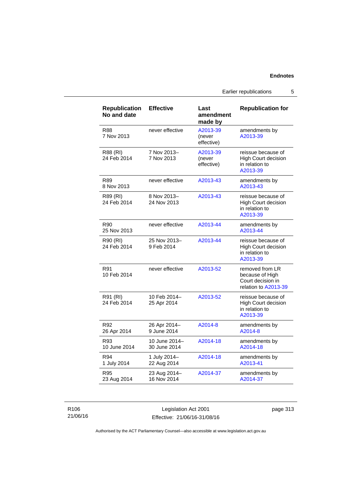Earlier republications 5

| <b>Republication</b><br>No and date | <b>Effective</b>              | Last<br>amendment<br>made by     | <b>Republication for</b>                                                        |
|-------------------------------------|-------------------------------|----------------------------------|---------------------------------------------------------------------------------|
| <b>R88</b><br>7 Nov 2013            | never effective               | A2013-39<br>(never<br>effective) | amendments by<br>A2013-39                                                       |
| R88 (RI)<br>24 Feb 2014             | 7 Nov 2013-<br>7 Nov 2013     | A2013-39<br>(never<br>effective) | reissue because of<br>High Court decision<br>in relation to<br>A2013-39         |
| R89<br>8 Nov 2013                   | never effective               | A2013-43                         | amendments by<br>A2013-43                                                       |
| R89 (RI)<br>24 Feb 2014             | 8 Nov 2013-<br>24 Nov 2013    | A2013-43                         | reissue because of<br><b>High Court decision</b><br>in relation to<br>A2013-39  |
| R90<br>25 Nov 2013                  | never effective               | A2013-44                         | amendments by<br>A2013-44                                                       |
| R90 (RI)<br>24 Feb 2014             | 25 Nov 2013-<br>9 Feb 2014    | A2013-44                         | reissue because of<br><b>High Court decision</b><br>in relation to<br>A2013-39  |
| R91<br>10 Feb 2014                  | never effective               | A2013-52                         | removed from LR<br>because of High<br>Court decision in<br>relation to A2013-39 |
| R91 (RI)<br>24 Feb 2014             | 10 Feb 2014-<br>25 Apr 2014   | A2013-52                         | reissue because of<br>High Court decision<br>in relation to<br>A2013-39         |
| R92<br>26 Apr 2014                  | 26 Apr 2014-<br>9 June 2014   | A2014-8                          | amendments by<br>A2014-8                                                        |
| R93<br>10 June 2014                 | 10 June 2014-<br>30 June 2014 | A2014-18                         | amendments by<br>A2014-18                                                       |
| R94<br>1 July 2014                  | 1 July 2014-<br>22 Aug 2014   | A2014-18                         | amendments by<br>A2013-41                                                       |
| R95<br>23 Aug 2014                  | 23 Aug 2014-<br>16 Nov 2014   | A2014-37                         | amendments by<br>A2014-37                                                       |

R106 21/06/16

Legislation Act 2001 Effective: 21/06/16-31/08/16 page 313